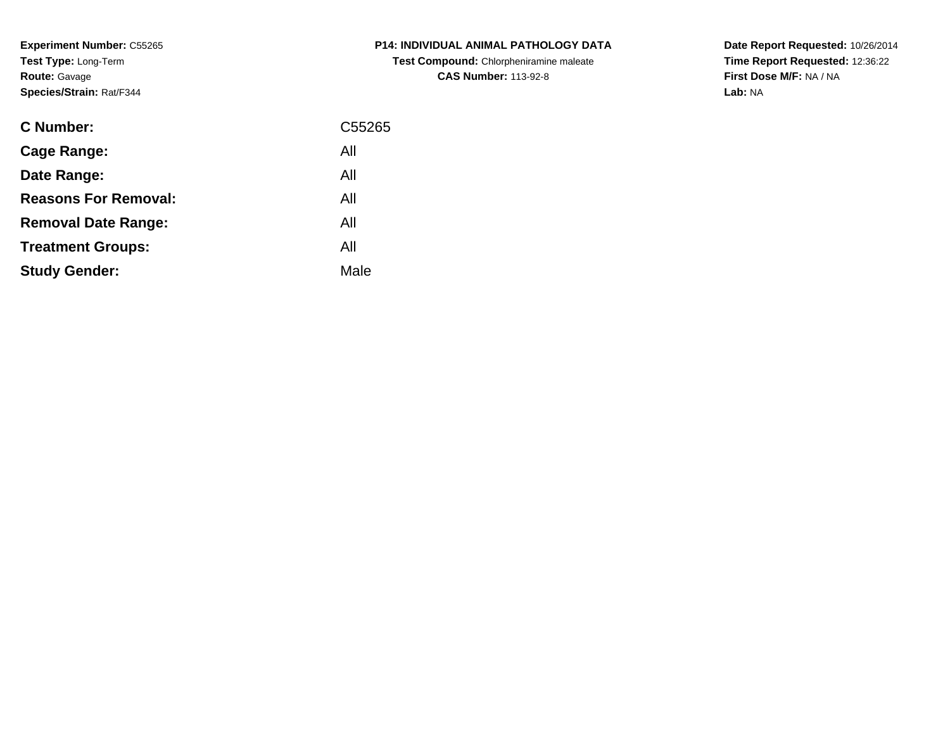**Experiment Number:** C55265**Test Type:** Long-Term**Route:** Gavage**Species/Strain:** Rat/F344

| <b>C Number:</b>            | C <sub>55265</sub> |
|-----------------------------|--------------------|
| <b>Cage Range:</b>          | All                |
| Date Range:                 | All                |
| <b>Reasons For Removal:</b> | All                |
| <b>Removal Date Range:</b>  | All                |
| <b>Treatment Groups:</b>    | All                |
| <b>Study Gender:</b>        | Male               |
|                             |                    |

## **P14: INDIVIDUAL ANIMAL PATHOLOGY DATATest Compound:** Chlorpheniramine maleate**CAS Number:** 113-92-8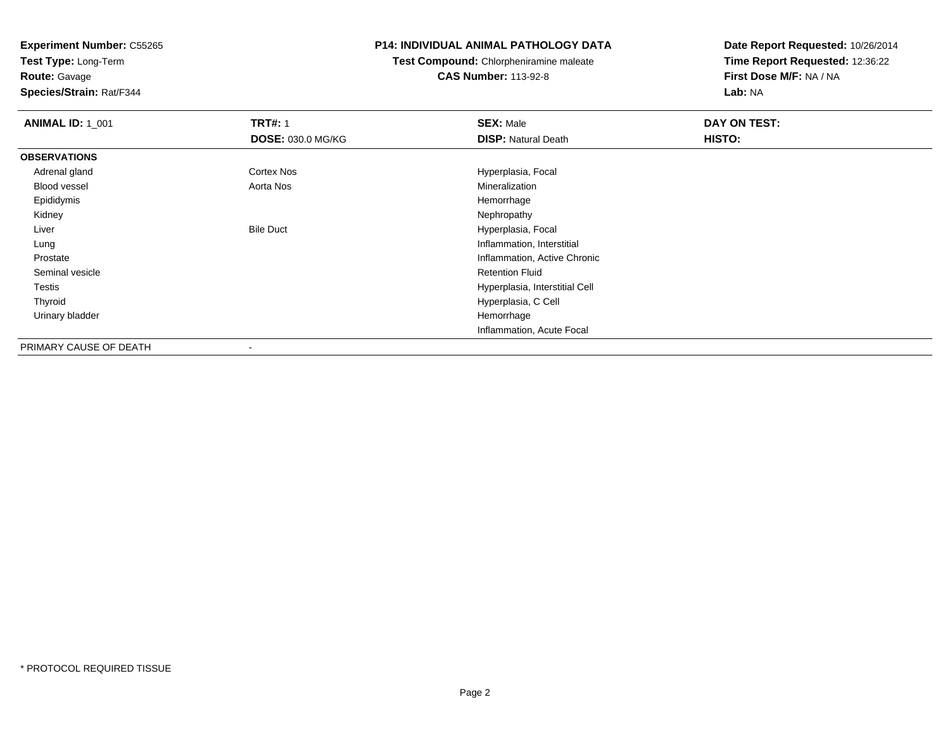**Test Type:** Long-Term**Route:** Gavage

**Species/Strain:** Rat/F344

#### **P14: INDIVIDUAL ANIMAL PATHOLOGY DATA**

**Test Compound:** Chlorpheniramine maleate**CAS Number:** 113-92-8

| <b>ANIMAL ID: 1_001</b> | <b>TRT#: 1</b>           | <b>SEX: Male</b>               | DAY ON TEST: |  |
|-------------------------|--------------------------|--------------------------------|--------------|--|
|                         | <b>DOSE: 030.0 MG/KG</b> | <b>DISP: Natural Death</b>     | HISTO:       |  |
| <b>OBSERVATIONS</b>     |                          |                                |              |  |
| Adrenal gland           | Cortex Nos               | Hyperplasia, Focal             |              |  |
| <b>Blood vessel</b>     | Aorta Nos                | Mineralization                 |              |  |
| Epididymis              |                          | Hemorrhage                     |              |  |
| Kidney                  |                          | Nephropathy                    |              |  |
| Liver                   | <b>Bile Duct</b>         | Hyperplasia, Focal             |              |  |
| Lung                    |                          | Inflammation, Interstitial     |              |  |
| Prostate                |                          | Inflammation, Active Chronic   |              |  |
| Seminal vesicle         |                          | <b>Retention Fluid</b>         |              |  |
| Testis                  |                          | Hyperplasia, Interstitial Cell |              |  |
| Thyroid                 |                          | Hyperplasia, C Cell            |              |  |
| Urinary bladder         |                          | Hemorrhage                     |              |  |
|                         |                          | Inflammation, Acute Focal      |              |  |
| PRIMARY CAUSE OF DEATH  | $\overline{\phantom{a}}$ |                                |              |  |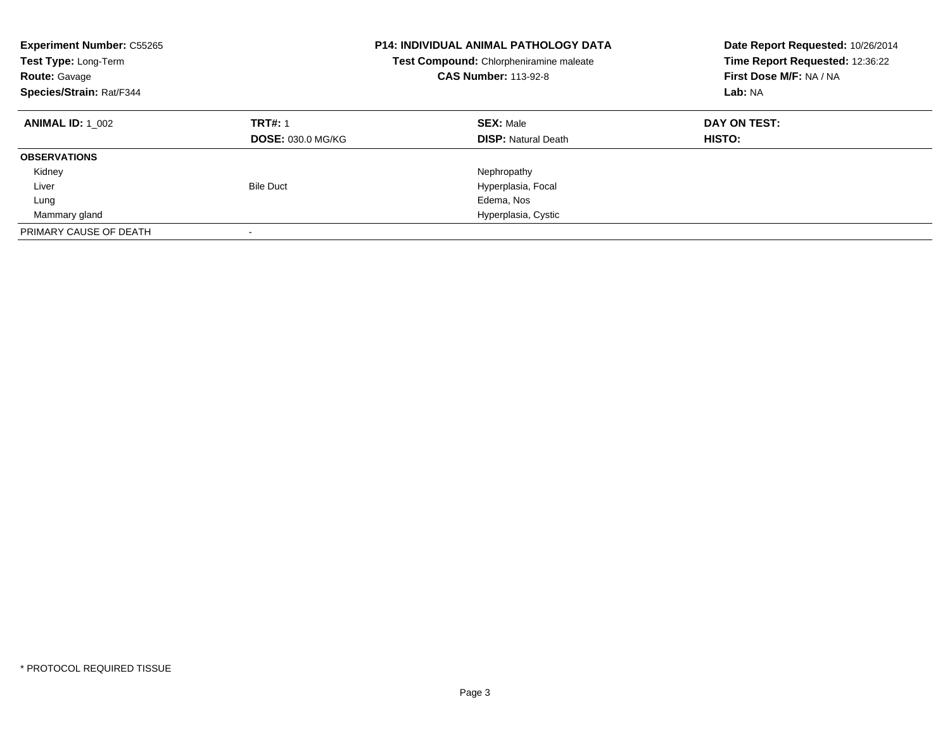| <b>Experiment Number: C55265</b><br>Test Type: Long-Term<br><b>Route: Gavage</b><br>Species/Strain: Rat/F344 |                                            | <b>P14: INDIVIDUAL ANIMAL PATHOLOGY DATA</b><br>Test Compound: Chlorpheniramine maleate<br><b>CAS Number: 113-92-8</b> | Date Report Requested: 10/26/2014<br>Time Report Requested: 12:36:22<br>First Dose M/F: NA / NA<br>Lab: NA |
|--------------------------------------------------------------------------------------------------------------|--------------------------------------------|------------------------------------------------------------------------------------------------------------------------|------------------------------------------------------------------------------------------------------------|
| <b>ANIMAL ID: 1 002</b>                                                                                      | <b>TRT#: 1</b><br><b>DOSE: 030.0 MG/KG</b> | <b>SEX: Male</b><br><b>DISP:</b> Natural Death                                                                         | DAY ON TEST:<br><b>HISTO:</b>                                                                              |
| <b>OBSERVATIONS</b>                                                                                          |                                            |                                                                                                                        |                                                                                                            |
| Kidney                                                                                                       |                                            | Nephropathy                                                                                                            |                                                                                                            |
| Liver                                                                                                        | <b>Bile Duct</b>                           | Hyperplasia, Focal                                                                                                     |                                                                                                            |
| Lung                                                                                                         |                                            | Edema, Nos                                                                                                             |                                                                                                            |
| Mammary gland                                                                                                |                                            | Hyperplasia, Cystic                                                                                                    |                                                                                                            |
| PRIMARY CAUSE OF DEATH                                                                                       |                                            |                                                                                                                        |                                                                                                            |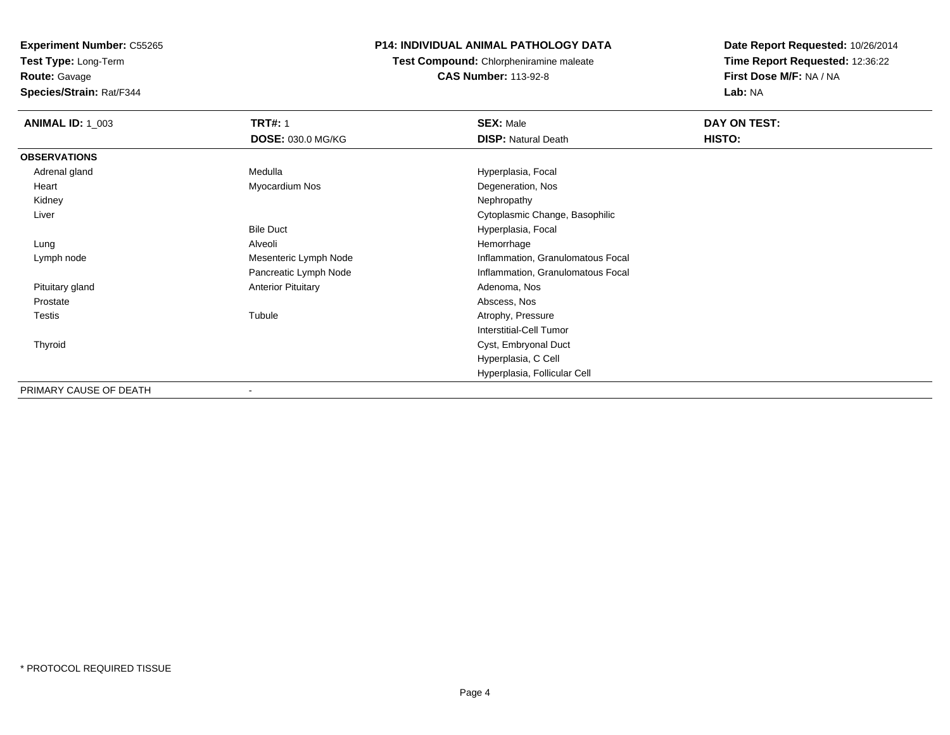**Test Type:** Long-Term

**Route:** Gavage

**Species/Strain:** Rat/F344

## **P14: INDIVIDUAL ANIMAL PATHOLOGY DATA**

**Test Compound:** Chlorpheniramine maleate**CAS Number:** 113-92-8

| <b>ANIMAL ID: 1_003</b> | <b>TRT#: 1</b>            | <b>SEX: Male</b>                  | DAY ON TEST: |
|-------------------------|---------------------------|-----------------------------------|--------------|
|                         | DOSE: 030.0 MG/KG         | <b>DISP: Natural Death</b>        | HISTO:       |
| <b>OBSERVATIONS</b>     |                           |                                   |              |
| Adrenal gland           | Medulla                   | Hyperplasia, Focal                |              |
| Heart                   | Myocardium Nos            | Degeneration, Nos                 |              |
| Kidney                  |                           | Nephropathy                       |              |
| Liver                   |                           | Cytoplasmic Change, Basophilic    |              |
|                         | <b>Bile Duct</b>          | Hyperplasia, Focal                |              |
| Lung                    | Alveoli                   | Hemorrhage                        |              |
| Lymph node              | Mesenteric Lymph Node     | Inflammation, Granulomatous Focal |              |
|                         | Pancreatic Lymph Node     | Inflammation, Granulomatous Focal |              |
| Pituitary gland         | <b>Anterior Pituitary</b> | Adenoma, Nos                      |              |
| Prostate                |                           | Abscess, Nos                      |              |
| Testis                  | Tubule                    | Atrophy, Pressure                 |              |
|                         |                           | <b>Interstitial-Cell Tumor</b>    |              |
| Thyroid                 |                           | Cyst, Embryonal Duct              |              |
|                         |                           | Hyperplasia, C Cell               |              |
|                         |                           | Hyperplasia, Follicular Cell      |              |
| PRIMARY CAUSE OF DEATH  | ۰                         |                                   |              |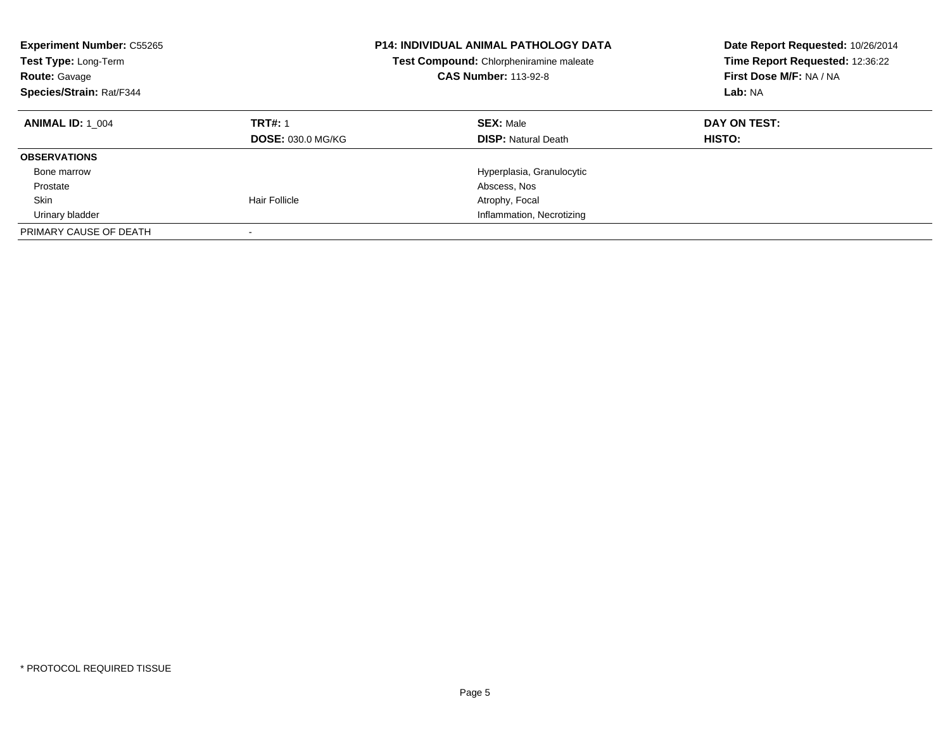| <b>Experiment Number: C55265</b><br>Test Type: Long-Term<br><b>Route: Gavage</b><br>Species/Strain: Rat/F344 |                                            | P14: INDIVIDUAL ANIMAL PATHOLOGY DATA<br>Test Compound: Chlorpheniramine maleate<br><b>CAS Number: 113-92-8</b> | Date Report Requested: 10/26/2014<br>Time Report Requested: 12:36:22<br>First Dose M/F: NA / NA<br>Lab: NA |
|--------------------------------------------------------------------------------------------------------------|--------------------------------------------|-----------------------------------------------------------------------------------------------------------------|------------------------------------------------------------------------------------------------------------|
| <b>ANIMAL ID: 1 004</b>                                                                                      | <b>TRT#: 1</b><br><b>DOSE: 030.0 MG/KG</b> | <b>SEX: Male</b><br><b>DISP:</b> Natural Death                                                                  | DAY ON TEST:<br><b>HISTO:</b>                                                                              |
| <b>OBSERVATIONS</b>                                                                                          |                                            |                                                                                                                 |                                                                                                            |
| Bone marrow                                                                                                  |                                            | Hyperplasia, Granulocytic                                                                                       |                                                                                                            |
| Prostate                                                                                                     |                                            | Abscess, Nos                                                                                                    |                                                                                                            |
| Skin                                                                                                         | <b>Hair Follicle</b>                       | Atrophy, Focal                                                                                                  |                                                                                                            |
| Urinary bladder                                                                                              |                                            | Inflammation, Necrotizing                                                                                       |                                                                                                            |
| PRIMARY CAUSE OF DEATH                                                                                       |                                            |                                                                                                                 |                                                                                                            |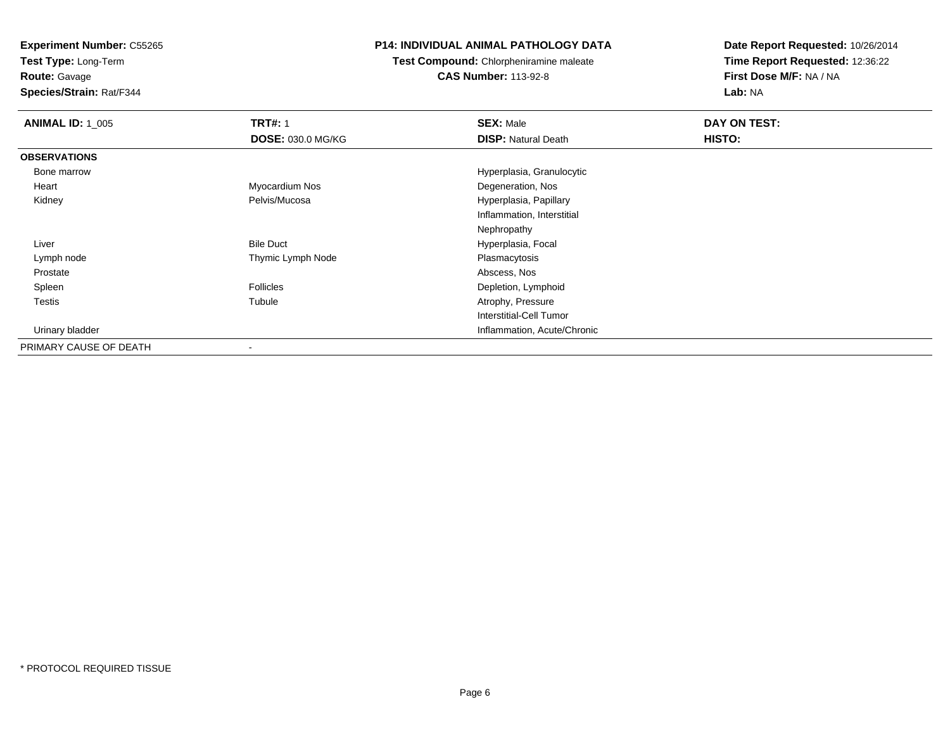**Test Type:** Long-Term

**Route:** Gavage

**Species/Strain:** Rat/F344

## **P14: INDIVIDUAL ANIMAL PATHOLOGY DATA**

**Test Compound:** Chlorpheniramine maleate**CAS Number:** 113-92-8

| <b>ANIMAL ID: 1_005</b> | <b>TRT#: 1</b>           | <b>SEX: Male</b>            | DAY ON TEST: |  |
|-------------------------|--------------------------|-----------------------------|--------------|--|
|                         | <b>DOSE: 030.0 MG/KG</b> | <b>DISP: Natural Death</b>  | HISTO:       |  |
| <b>OBSERVATIONS</b>     |                          |                             |              |  |
| Bone marrow             |                          | Hyperplasia, Granulocytic   |              |  |
| Heart                   | Myocardium Nos           | Degeneration, Nos           |              |  |
| Kidney                  | Pelvis/Mucosa            | Hyperplasia, Papillary      |              |  |
|                         |                          | Inflammation, Interstitial  |              |  |
|                         |                          | Nephropathy                 |              |  |
| Liver                   | <b>Bile Duct</b>         | Hyperplasia, Focal          |              |  |
| Lymph node              | Thymic Lymph Node        | Plasmacytosis               |              |  |
| Prostate                |                          | Abscess, Nos                |              |  |
| Spleen                  | <b>Follicles</b>         | Depletion, Lymphoid         |              |  |
| Testis                  | Tubule                   | Atrophy, Pressure           |              |  |
|                         |                          | Interstitial-Cell Tumor     |              |  |
| Urinary bladder         |                          | Inflammation, Acute/Chronic |              |  |
| PRIMARY CAUSE OF DEATH  | $\overline{\phantom{a}}$ |                             |              |  |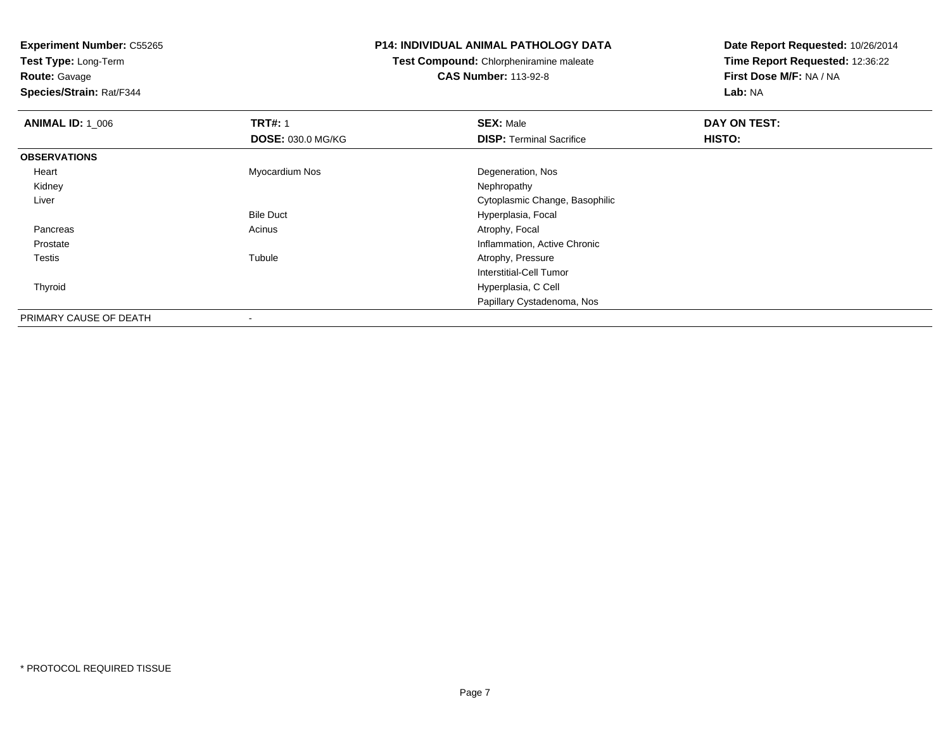**Test Type:** Long-Term**Route:** Gavage

**Species/Strain:** Rat/F344

#### **P14: INDIVIDUAL ANIMAL PATHOLOGY DATA**

**Test Compound:** Chlorpheniramine maleate**CAS Number:** 113-92-8

| <b>ANIMAL ID: 1_006</b> | <b>TRT#: 1</b>           | <b>SEX: Male</b>                | DAY ON TEST: |  |
|-------------------------|--------------------------|---------------------------------|--------------|--|
|                         | <b>DOSE: 030.0 MG/KG</b> | <b>DISP: Terminal Sacrifice</b> | HISTO:       |  |
| <b>OBSERVATIONS</b>     |                          |                                 |              |  |
| Heart                   | Myocardium Nos           | Degeneration, Nos               |              |  |
| Kidney                  |                          | Nephropathy                     |              |  |
| Liver                   |                          | Cytoplasmic Change, Basophilic  |              |  |
|                         | <b>Bile Duct</b>         | Hyperplasia, Focal              |              |  |
| Pancreas                | Acinus                   | Atrophy, Focal                  |              |  |
| Prostate                |                          | Inflammation, Active Chronic    |              |  |
| <b>Testis</b>           | Tubule                   | Atrophy, Pressure               |              |  |
|                         |                          | Interstitial-Cell Tumor         |              |  |
| Thyroid                 |                          | Hyperplasia, C Cell             |              |  |
|                         |                          | Papillary Cystadenoma, Nos      |              |  |
| PRIMARY CAUSE OF DEATH  |                          |                                 |              |  |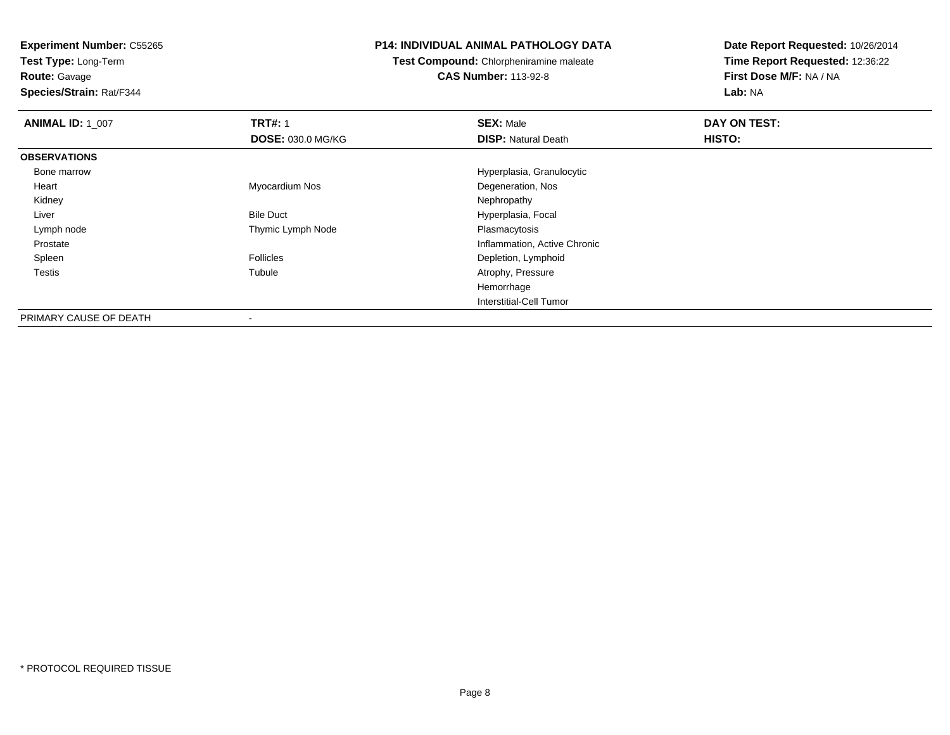**Test Type:** Long-Term

## **Route:** Gavage

**Species/Strain:** Rat/F344

#### **P14: INDIVIDUAL ANIMAL PATHOLOGY DATA**

**Test Compound:** Chlorpheniramine maleate**CAS Number:** 113-92-8

| <b>ANIMAL ID: 1_007</b> | <b>TRT#: 1</b>           | <b>SEX: Male</b>             | DAY ON TEST: |  |
|-------------------------|--------------------------|------------------------------|--------------|--|
|                         | <b>DOSE: 030.0 MG/KG</b> | <b>DISP: Natural Death</b>   | HISTO:       |  |
| <b>OBSERVATIONS</b>     |                          |                              |              |  |
| Bone marrow             |                          | Hyperplasia, Granulocytic    |              |  |
| Heart                   | Myocardium Nos           | Degeneration, Nos            |              |  |
| Kidney                  |                          | Nephropathy                  |              |  |
| Liver                   | <b>Bile Duct</b>         | Hyperplasia, Focal           |              |  |
| Lymph node              | Thymic Lymph Node        | Plasmacytosis                |              |  |
| Prostate                |                          | Inflammation, Active Chronic |              |  |
| Spleen                  | <b>Follicles</b>         | Depletion, Lymphoid          |              |  |
| <b>Testis</b>           | Tubule                   | Atrophy, Pressure            |              |  |
|                         |                          | Hemorrhage                   |              |  |
|                         |                          | Interstitial-Cell Tumor      |              |  |
| PRIMARY CAUSE OF DEATH  | $\,$                     |                              |              |  |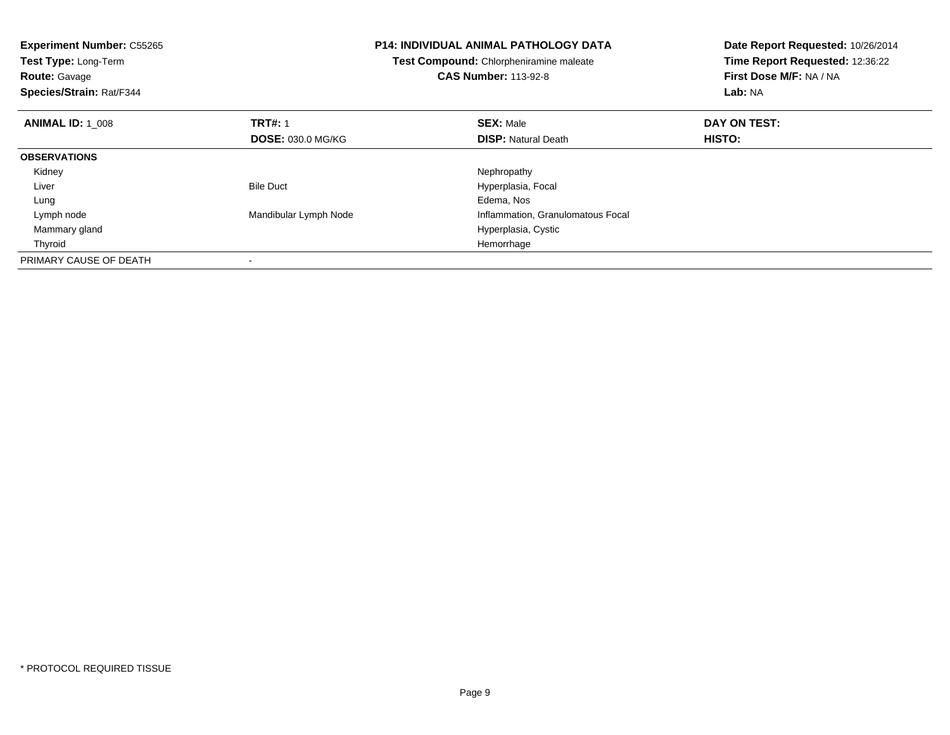| <b>Experiment Number: C55265</b><br>Test Type: Long-Term<br><b>Route: Gavage</b><br>Species/Strain: Rat/F344 |                          | <b>P14: INDIVIDUAL ANIMAL PATHOLOGY DATA</b><br>Test Compound: Chlorpheniramine maleate<br><b>CAS Number: 113-92-8</b> | Date Report Requested: 10/26/2014<br>Time Report Requested: 12:36:22<br>First Dose M/F: NA / NA<br>Lab: NA |
|--------------------------------------------------------------------------------------------------------------|--------------------------|------------------------------------------------------------------------------------------------------------------------|------------------------------------------------------------------------------------------------------------|
| <b>ANIMAL ID: 1 008</b>                                                                                      | <b>TRT#: 1</b>           | <b>SEX: Male</b>                                                                                                       | DAY ON TEST:                                                                                               |
|                                                                                                              | <b>DOSE: 030.0 MG/KG</b> | <b>DISP: Natural Death</b>                                                                                             | <b>HISTO:</b>                                                                                              |
| <b>OBSERVATIONS</b>                                                                                          |                          |                                                                                                                        |                                                                                                            |
| Kidney                                                                                                       |                          | Nephropathy                                                                                                            |                                                                                                            |
| Liver                                                                                                        | <b>Bile Duct</b>         | Hyperplasia, Focal                                                                                                     |                                                                                                            |
| Lung                                                                                                         |                          | Edema, Nos                                                                                                             |                                                                                                            |
| Lymph node                                                                                                   | Mandibular Lymph Node    | Inflammation, Granulomatous Focal                                                                                      |                                                                                                            |
| Mammary gland                                                                                                |                          | Hyperplasia, Cystic                                                                                                    |                                                                                                            |
| Thyroid                                                                                                      |                          | Hemorrhage                                                                                                             |                                                                                                            |
| PRIMARY CAUSE OF DEATH                                                                                       |                          |                                                                                                                        |                                                                                                            |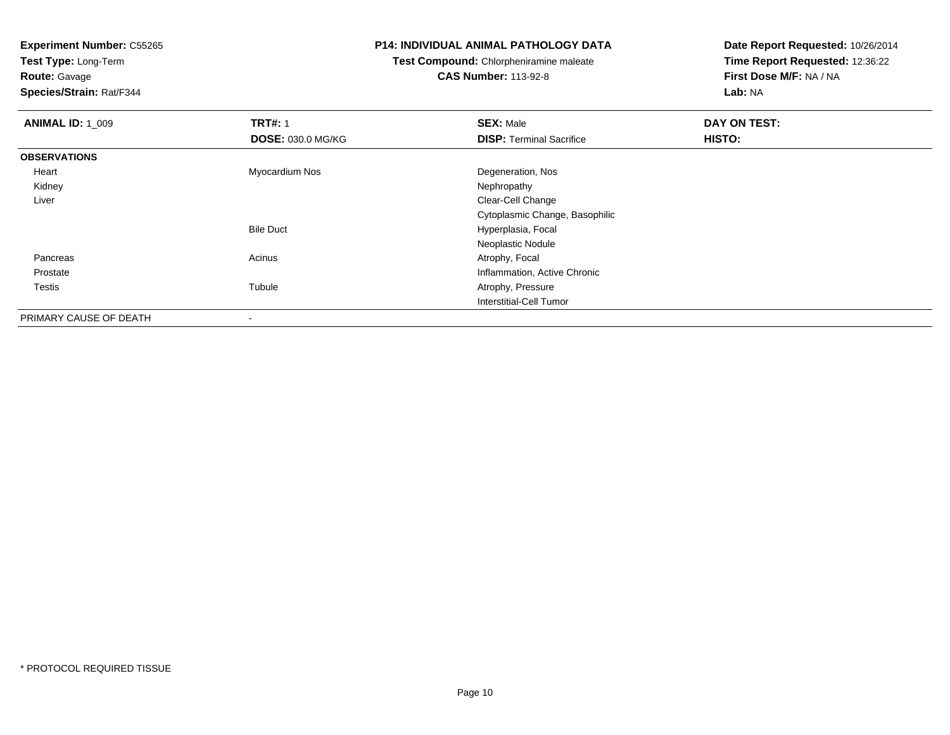**Test Type:** Long-Term**Route:** Gavage

**Species/Strain:** Rat/F344

#### **P14: INDIVIDUAL ANIMAL PATHOLOGY DATA**

**Test Compound:** Chlorpheniramine maleate**CAS Number:** 113-92-8

| <b>ANIMAL ID: 1 009</b> | <b>TRT#: 1</b>           | <b>SEX: Male</b>                | DAY ON TEST: |  |
|-------------------------|--------------------------|---------------------------------|--------------|--|
|                         | <b>DOSE: 030.0 MG/KG</b> | <b>DISP: Terminal Sacrifice</b> | HISTO:       |  |
| <b>OBSERVATIONS</b>     |                          |                                 |              |  |
| Heart                   | Myocardium Nos           | Degeneration, Nos               |              |  |
| Kidney                  |                          | Nephropathy                     |              |  |
| Liver                   |                          | Clear-Cell Change               |              |  |
|                         |                          | Cytoplasmic Change, Basophilic  |              |  |
|                         | <b>Bile Duct</b>         | Hyperplasia, Focal              |              |  |
|                         |                          | Neoplastic Nodule               |              |  |
| Pancreas                | Acinus                   | Atrophy, Focal                  |              |  |
| Prostate                |                          | Inflammation, Active Chronic    |              |  |
| Testis                  | Tubule                   | Atrophy, Pressure               |              |  |
|                         |                          | Interstitial-Cell Tumor         |              |  |
| PRIMARY CAUSE OF DEATH  | ۰                        |                                 |              |  |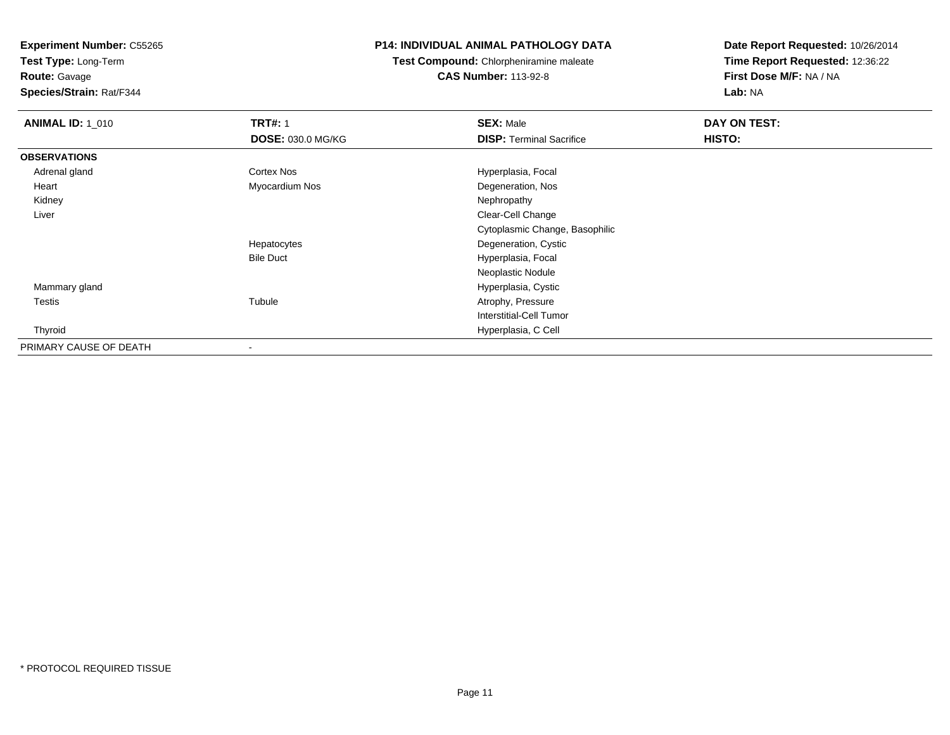**Test Type:** Long-Term

**Route:** Gavage

**Species/Strain:** Rat/F344

#### **P14: INDIVIDUAL ANIMAL PATHOLOGY DATA**

**Test Compound:** Chlorpheniramine maleate**CAS Number:** 113-92-8

| <b>ANIMAL ID: 1_010</b> | <b>TRT#: 1</b>           | <b>SEX: Male</b>                | DAY ON TEST: |  |
|-------------------------|--------------------------|---------------------------------|--------------|--|
|                         | <b>DOSE: 030.0 MG/KG</b> | <b>DISP: Terminal Sacrifice</b> | HISTO:       |  |
| <b>OBSERVATIONS</b>     |                          |                                 |              |  |
| Adrenal gland           | <b>Cortex Nos</b>        | Hyperplasia, Focal              |              |  |
| Heart                   | Myocardium Nos           | Degeneration, Nos               |              |  |
| Kidney                  |                          | Nephropathy                     |              |  |
| Liver                   |                          | Clear-Cell Change               |              |  |
|                         |                          | Cytoplasmic Change, Basophilic  |              |  |
|                         | Hepatocytes              | Degeneration, Cystic            |              |  |
|                         | <b>Bile Duct</b>         | Hyperplasia, Focal              |              |  |
|                         |                          | Neoplastic Nodule               |              |  |
| Mammary gland           |                          | Hyperplasia, Cystic             |              |  |
| Testis                  | Tubule                   | Atrophy, Pressure               |              |  |
|                         |                          | Interstitial-Cell Tumor         |              |  |
| Thyroid                 |                          | Hyperplasia, C Cell             |              |  |
| PRIMARY CAUSE OF DEATH  |                          |                                 |              |  |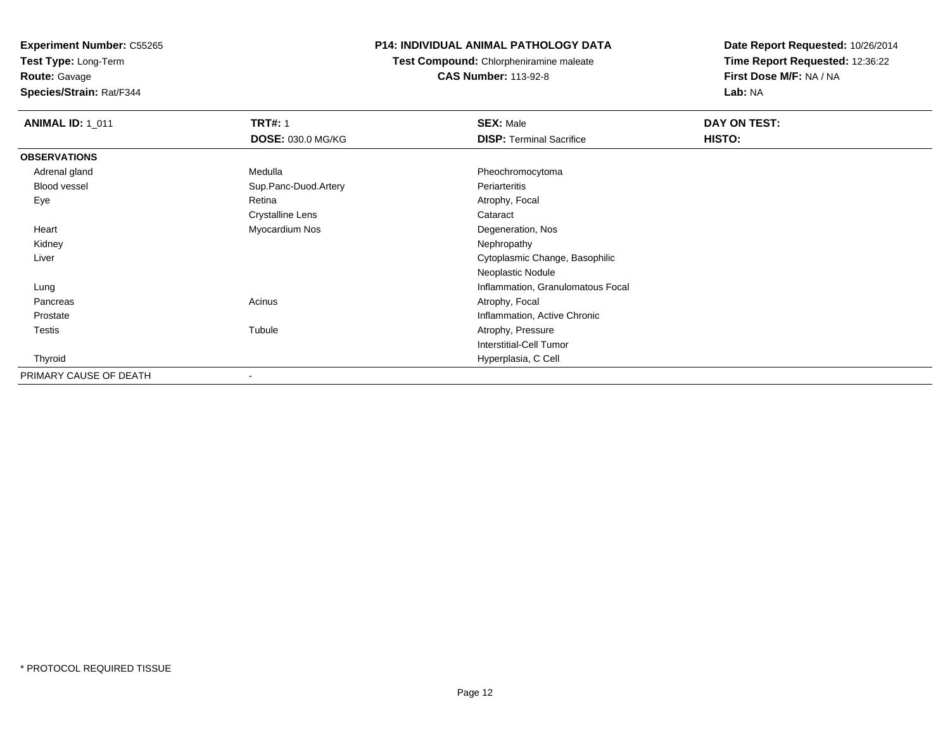**Test Type:** Long-Term

**Route:** Gavage

**Species/Strain:** Rat/F344

## **P14: INDIVIDUAL ANIMAL PATHOLOGY DATA**

**Test Compound:** Chlorpheniramine maleate**CAS Number:** 113-92-8

| <b>ANIMAL ID: 1_011</b> | <b>TRT#: 1</b>           | <b>SEX: Male</b>                  | DAY ON TEST: |  |
|-------------------------|--------------------------|-----------------------------------|--------------|--|
|                         | DOSE: 030.0 MG/KG        | <b>DISP: Terminal Sacrifice</b>   | HISTO:       |  |
| <b>OBSERVATIONS</b>     |                          |                                   |              |  |
| Adrenal gland           | Medulla                  | Pheochromocytoma                  |              |  |
| Blood vessel            | Sup.Panc-Duod.Artery     | Periarteritis                     |              |  |
| Eye                     | Retina                   | Atrophy, Focal                    |              |  |
|                         | Crystalline Lens         | Cataract                          |              |  |
| Heart                   | Myocardium Nos           | Degeneration, Nos                 |              |  |
| Kidney                  |                          | Nephropathy                       |              |  |
| Liver                   |                          | Cytoplasmic Change, Basophilic    |              |  |
|                         |                          | Neoplastic Nodule                 |              |  |
| Lung                    |                          | Inflammation, Granulomatous Focal |              |  |
| Pancreas                | Acinus                   | Atrophy, Focal                    |              |  |
| Prostate                |                          | Inflammation, Active Chronic      |              |  |
| Testis                  | Tubule                   | Atrophy, Pressure                 |              |  |
|                         |                          | Interstitial-Cell Tumor           |              |  |
| Thyroid                 |                          | Hyperplasia, C Cell               |              |  |
| PRIMARY CAUSE OF DEATH  | $\overline{\phantom{a}}$ |                                   |              |  |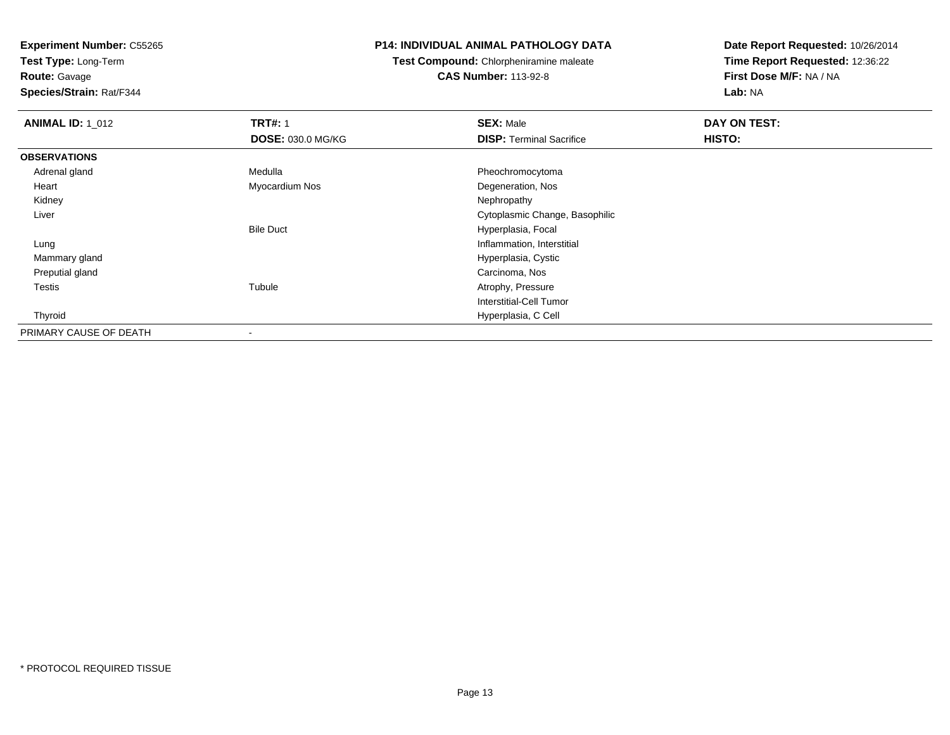**Test Type:** Long-Term

**Route:** Gavage

**Species/Strain:** Rat/F344

#### **P14: INDIVIDUAL ANIMAL PATHOLOGY DATA**

**Test Compound:** Chlorpheniramine maleate**CAS Number:** 113-92-8

| <b>ANIMAL ID: 1_012</b> | <b>TRT#: 1</b>           | <b>SEX: Male</b>                | DAY ON TEST: |  |
|-------------------------|--------------------------|---------------------------------|--------------|--|
|                         | <b>DOSE: 030.0 MG/KG</b> | <b>DISP: Terminal Sacrifice</b> | HISTO:       |  |
| <b>OBSERVATIONS</b>     |                          |                                 |              |  |
| Adrenal gland           | Medulla                  | Pheochromocytoma                |              |  |
| Heart                   | Myocardium Nos           | Degeneration, Nos               |              |  |
| Kidney                  |                          | Nephropathy                     |              |  |
| Liver                   |                          | Cytoplasmic Change, Basophilic  |              |  |
|                         | <b>Bile Duct</b>         | Hyperplasia, Focal              |              |  |
| Lung                    |                          | Inflammation, Interstitial      |              |  |
| Mammary gland           |                          | Hyperplasia, Cystic             |              |  |
| Preputial gland         |                          | Carcinoma, Nos                  |              |  |
| Testis                  | Tubule                   | Atrophy, Pressure               |              |  |
|                         |                          | Interstitial-Cell Tumor         |              |  |
| Thyroid                 |                          | Hyperplasia, C Cell             |              |  |
| PRIMARY CAUSE OF DEATH  | ۰                        |                                 |              |  |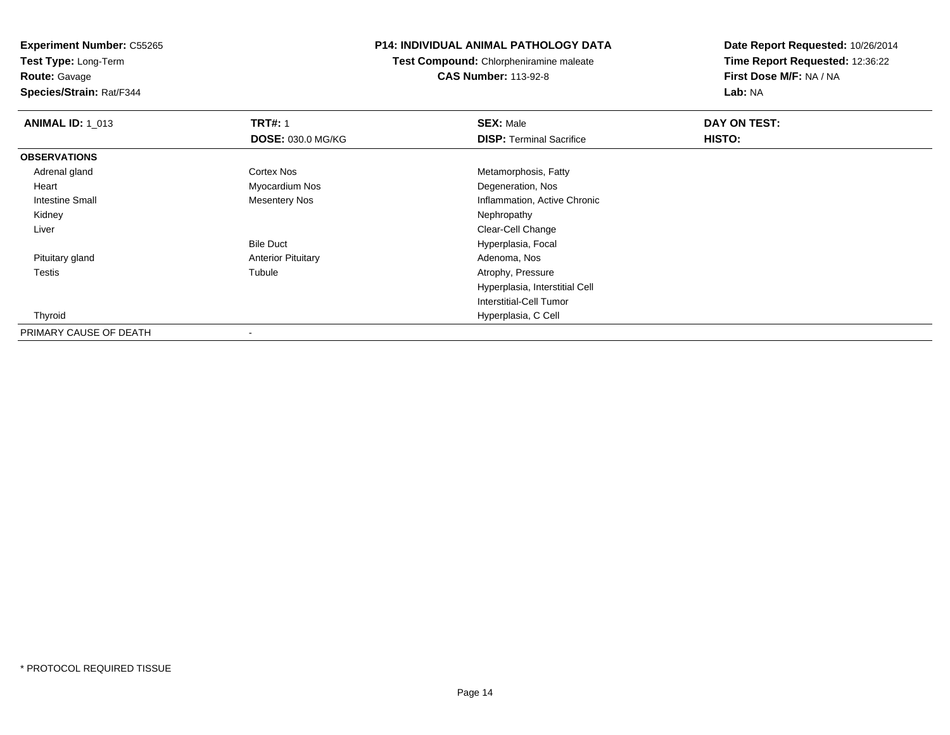**Test Type:** Long-Term**Route:** Gavage

**Species/Strain:** Rat/F344

### **P14: INDIVIDUAL ANIMAL PATHOLOGY DATA**

**Test Compound:** Chlorpheniramine maleate**CAS Number:** 113-92-8

| <b>ANIMAL ID: 1_013</b> | <b>TRT#: 1</b>            | <b>SEX: Male</b>                | DAY ON TEST: |  |
|-------------------------|---------------------------|---------------------------------|--------------|--|
|                         | <b>DOSE: 030.0 MG/KG</b>  | <b>DISP: Terminal Sacrifice</b> | HISTO:       |  |
| <b>OBSERVATIONS</b>     |                           |                                 |              |  |
| Adrenal gland           | Cortex Nos                | Metamorphosis, Fatty            |              |  |
| Heart                   | Myocardium Nos            | Degeneration, Nos               |              |  |
| Intestine Small         | <b>Mesentery Nos</b>      | Inflammation, Active Chronic    |              |  |
| Kidney                  |                           | Nephropathy                     |              |  |
| Liver                   |                           | Clear-Cell Change               |              |  |
|                         | <b>Bile Duct</b>          | Hyperplasia, Focal              |              |  |
| Pituitary gland         | <b>Anterior Pituitary</b> | Adenoma, Nos                    |              |  |
| Testis                  | Tubule                    | Atrophy, Pressure               |              |  |
|                         |                           | Hyperplasia, Interstitial Cell  |              |  |
|                         |                           | Interstitial-Cell Tumor         |              |  |
| Thyroid                 |                           | Hyperplasia, C Cell             |              |  |
| PRIMARY CAUSE OF DEATH  |                           |                                 |              |  |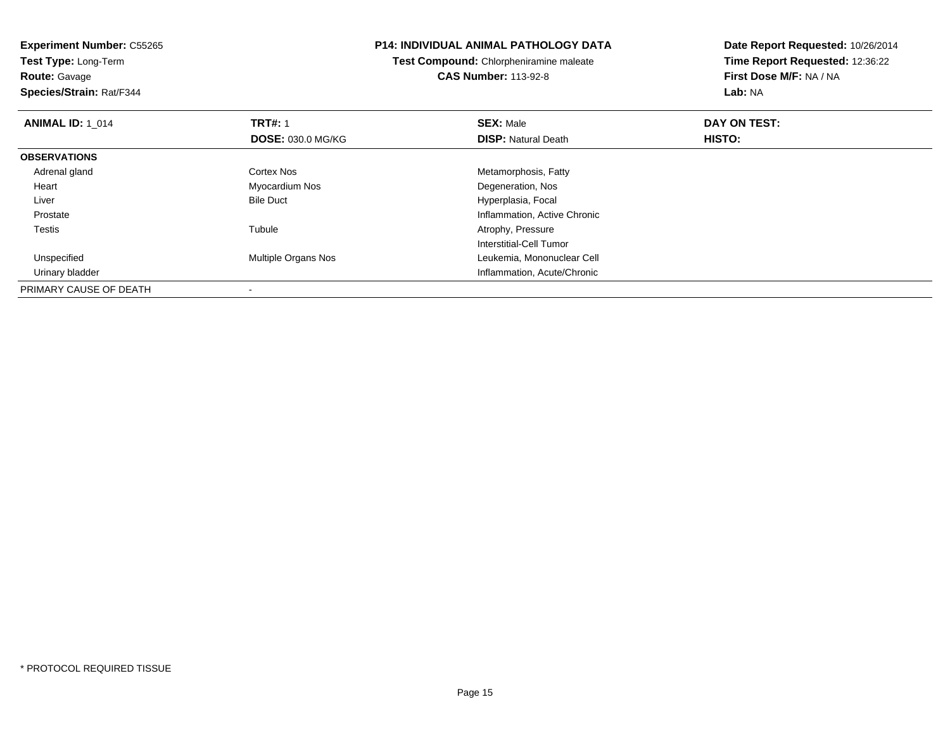**Test Type:** Long-Term**Route:** Gavage

**Species/Strain:** Rat/F344

#### **P14: INDIVIDUAL ANIMAL PATHOLOGY DATA**

**Test Compound:** Chlorpheniramine maleate**CAS Number:** 113-92-8

| <b>ANIMAL ID: 1 014</b> | <b>TRT#: 1</b>           | <b>SEX: Male</b>             | DAY ON TEST: |  |
|-------------------------|--------------------------|------------------------------|--------------|--|
|                         | <b>DOSE: 030.0 MG/KG</b> | <b>DISP: Natural Death</b>   | HISTO:       |  |
| <b>OBSERVATIONS</b>     |                          |                              |              |  |
| Adrenal gland           | Cortex Nos               | Metamorphosis, Fatty         |              |  |
| Heart                   | Myocardium Nos           | Degeneration, Nos            |              |  |
| Liver                   | <b>Bile Duct</b>         | Hyperplasia, Focal           |              |  |
| Prostate                |                          | Inflammation, Active Chronic |              |  |
| Testis                  | Tubule                   | Atrophy, Pressure            |              |  |
|                         |                          | Interstitial-Cell Tumor      |              |  |
| Unspecified             | Multiple Organs Nos      | Leukemia, Mononuclear Cell   |              |  |
| Urinary bladder         |                          | Inflammation, Acute/Chronic  |              |  |
| PRIMARY CAUSE OF DEATH  |                          |                              |              |  |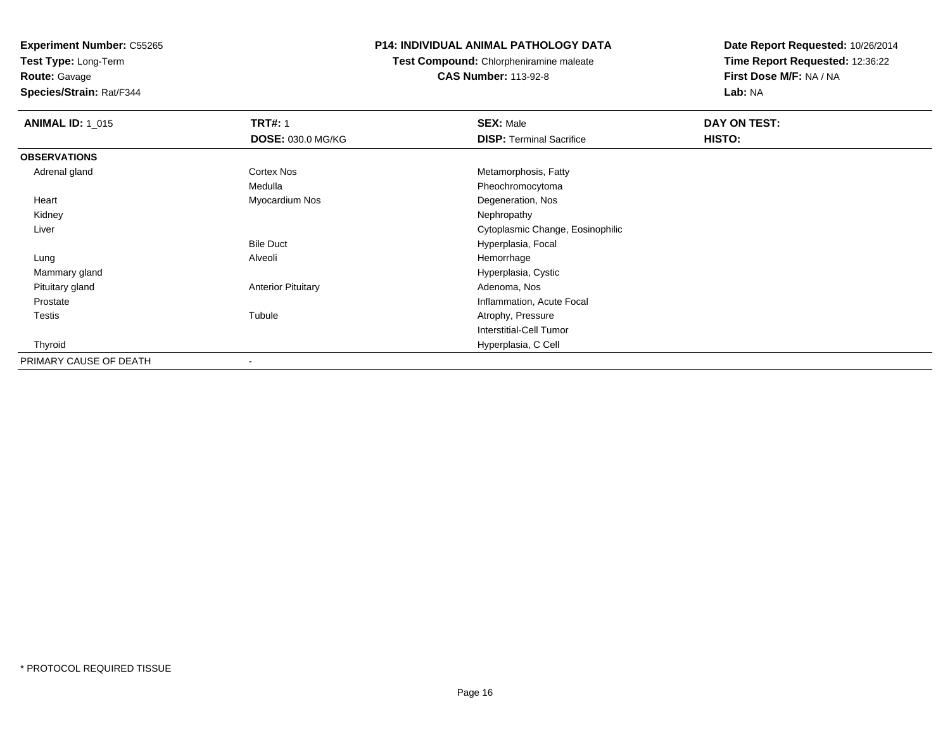**Test Type:** Long-Term

**Route:** Gavage

**Species/Strain:** Rat/F344

### **P14: INDIVIDUAL ANIMAL PATHOLOGY DATA**

**Test Compound:** Chlorpheniramine maleate**CAS Number:** 113-92-8

| <b>ANIMAL ID: 1_015</b> | <b>TRT#: 1</b>            | <b>SEX: Male</b>                 | DAY ON TEST: |  |
|-------------------------|---------------------------|----------------------------------|--------------|--|
|                         | <b>DOSE: 030.0 MG/KG</b>  | <b>DISP: Terminal Sacrifice</b>  | HISTO:       |  |
| <b>OBSERVATIONS</b>     |                           |                                  |              |  |
| Adrenal gland           | Cortex Nos                | Metamorphosis, Fatty             |              |  |
|                         | Medulla                   | Pheochromocytoma                 |              |  |
| Heart                   | Myocardium Nos            | Degeneration, Nos                |              |  |
| Kidney                  |                           | Nephropathy                      |              |  |
| Liver                   |                           | Cytoplasmic Change, Eosinophilic |              |  |
|                         | <b>Bile Duct</b>          | Hyperplasia, Focal               |              |  |
| Lung                    | Alveoli                   | Hemorrhage                       |              |  |
| Mammary gland           |                           | Hyperplasia, Cystic              |              |  |
| Pituitary gland         | <b>Anterior Pituitary</b> | Adenoma, Nos                     |              |  |
| Prostate                |                           | Inflammation, Acute Focal        |              |  |
| <b>Testis</b>           | Tubule                    | Atrophy, Pressure                |              |  |
|                         |                           | <b>Interstitial-Cell Tumor</b>   |              |  |
| Thyroid                 |                           | Hyperplasia, C Cell              |              |  |
| PRIMARY CAUSE OF DEATH  |                           |                                  |              |  |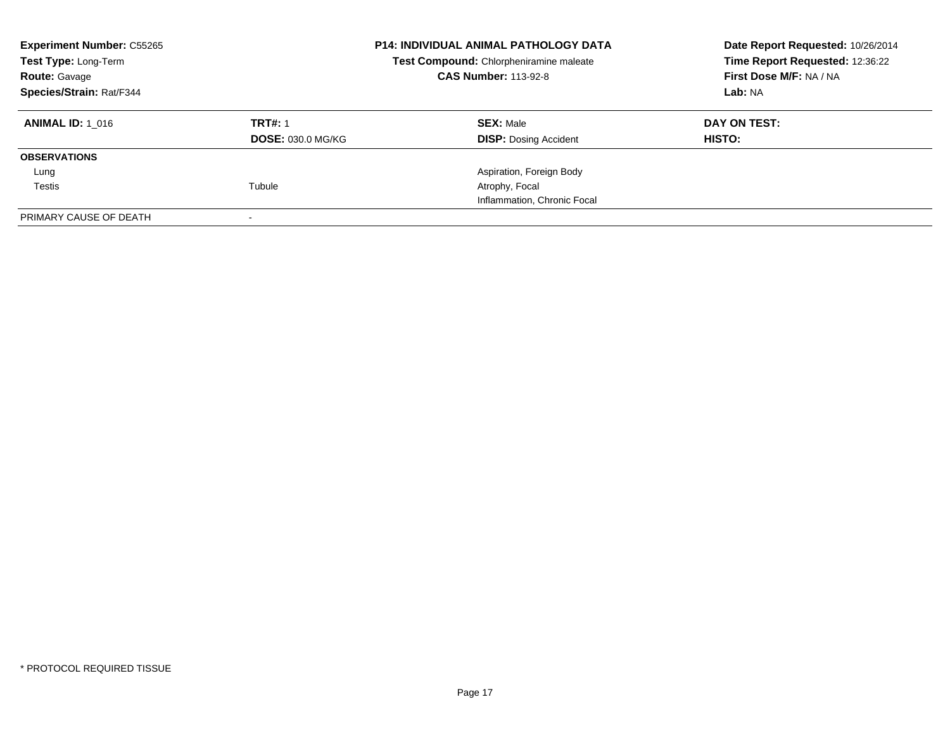| <b>Experiment Number: C55265</b><br>Test Type: Long-Term<br><b>Route: Gavage</b><br>Species/Strain: Rat/F344 |                                            | <b>P14: INDIVIDUAL ANIMAL PATHOLOGY DATA</b><br>Test Compound: Chlorpheniramine maleate<br><b>CAS Number: 113-92-8</b> | Date Report Requested: 10/26/2014<br>Time Report Requested: 12:36:22<br>First Dose M/F: NA / NA<br>Lab: NA |
|--------------------------------------------------------------------------------------------------------------|--------------------------------------------|------------------------------------------------------------------------------------------------------------------------|------------------------------------------------------------------------------------------------------------|
| <b>ANIMAL ID: 1 016</b>                                                                                      | <b>TRT#: 1</b><br><b>DOSE: 030.0 MG/KG</b> | <b>SEX: Male</b><br><b>DISP: Dosing Accident</b>                                                                       | DAY ON TEST:<br><b>HISTO:</b>                                                                              |
| <b>OBSERVATIONS</b>                                                                                          |                                            |                                                                                                                        |                                                                                                            |
| Lung                                                                                                         |                                            | Aspiration, Foreign Body                                                                                               |                                                                                                            |
| Testis                                                                                                       | Tubule                                     | Atrophy, Focal                                                                                                         |                                                                                                            |
|                                                                                                              |                                            | Inflammation, Chronic Focal                                                                                            |                                                                                                            |
| PRIMARY CAUSE OF DEATH                                                                                       |                                            |                                                                                                                        |                                                                                                            |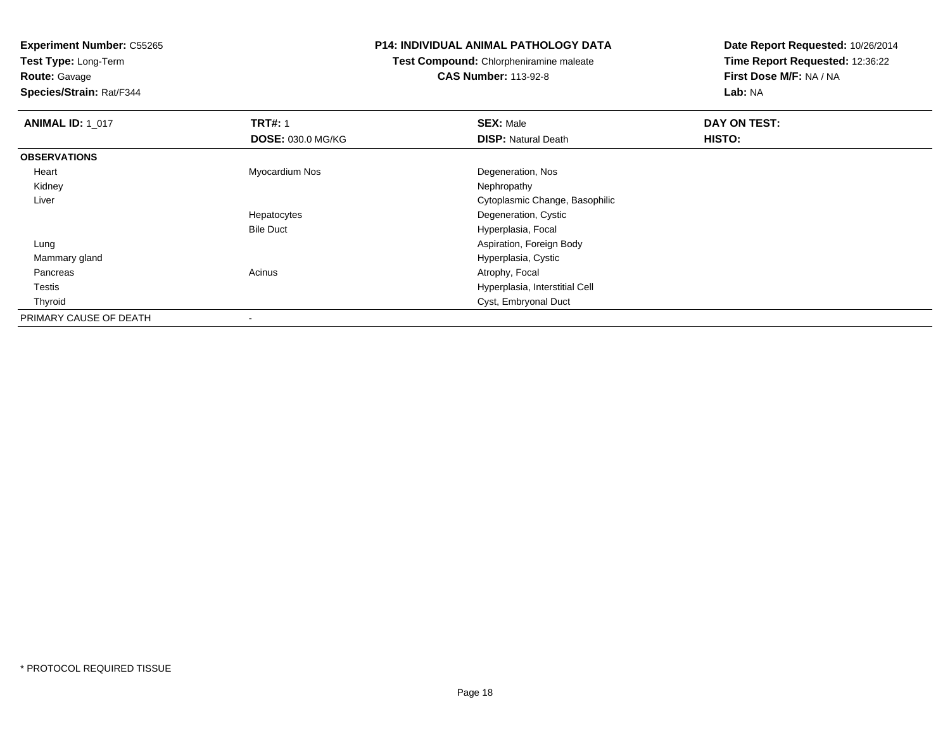**Test Type:** Long-Term

**Route:** Gavage

**Species/Strain:** Rat/F344

#### **P14: INDIVIDUAL ANIMAL PATHOLOGY DATA**

**Test Compound:** Chlorpheniramine maleate**CAS Number:** 113-92-8

| <b>ANIMAL ID: 1 017</b> | <b>TRT#: 1</b>           | <b>SEX: Male</b>               | DAY ON TEST: |  |
|-------------------------|--------------------------|--------------------------------|--------------|--|
|                         | <b>DOSE: 030.0 MG/KG</b> | <b>DISP:</b> Natural Death     | HISTO:       |  |
| <b>OBSERVATIONS</b>     |                          |                                |              |  |
| Heart                   | Myocardium Nos           | Degeneration, Nos              |              |  |
| Kidney                  |                          | Nephropathy                    |              |  |
| Liver                   |                          | Cytoplasmic Change, Basophilic |              |  |
|                         | Hepatocytes              | Degeneration, Cystic           |              |  |
|                         | <b>Bile Duct</b>         | Hyperplasia, Focal             |              |  |
| Lung                    |                          | Aspiration, Foreign Body       |              |  |
| Mammary gland           |                          | Hyperplasia, Cystic            |              |  |
| Pancreas                | Acinus                   | Atrophy, Focal                 |              |  |
| Testis                  |                          | Hyperplasia, Interstitial Cell |              |  |
| Thyroid                 |                          | Cyst, Embryonal Duct           |              |  |
| PRIMARY CAUSE OF DEATH  | $\,$                     |                                |              |  |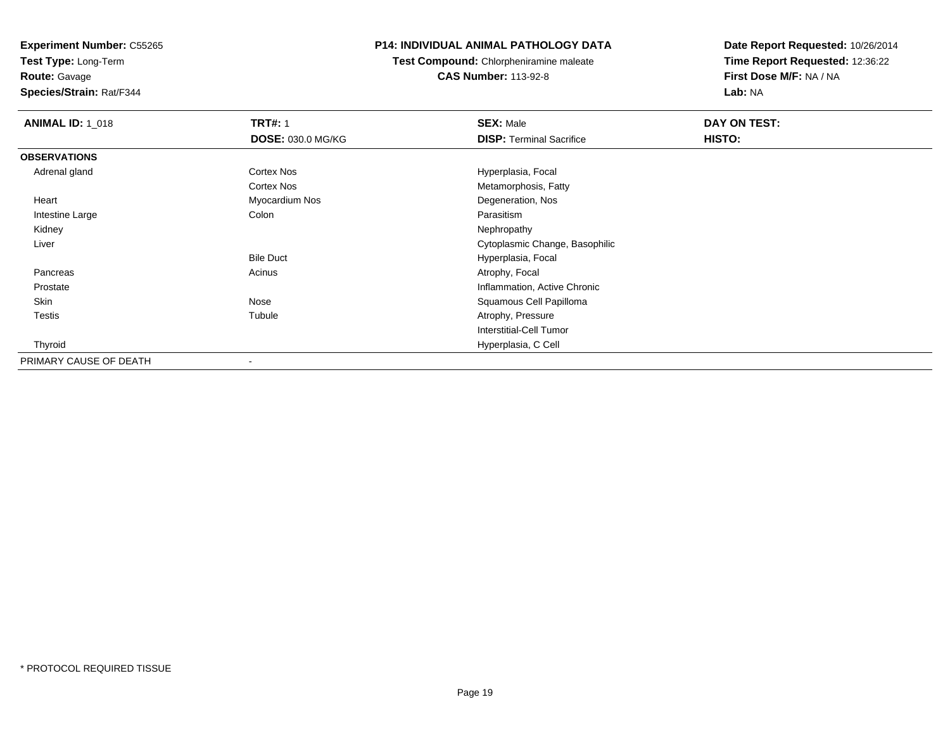**Test Type:** Long-Term

**Route:** Gavage

**Species/Strain:** Rat/F344

#### **P14: INDIVIDUAL ANIMAL PATHOLOGY DATA**

**Test Compound:** Chlorpheniramine maleate**CAS Number:** 113-92-8

| <b>ANIMAL ID: 1_018</b> | <b>TRT#: 1</b>    | <b>SEX: Male</b>                | DAY ON TEST: |  |
|-------------------------|-------------------|---------------------------------|--------------|--|
|                         | DOSE: 030.0 MG/KG | <b>DISP: Terminal Sacrifice</b> | HISTO:       |  |
| <b>OBSERVATIONS</b>     |                   |                                 |              |  |
| Adrenal gland           | <b>Cortex Nos</b> | Hyperplasia, Focal              |              |  |
|                         | <b>Cortex Nos</b> | Metamorphosis, Fatty            |              |  |
| Heart                   | Myocardium Nos    | Degeneration, Nos               |              |  |
| Intestine Large         | Colon             | Parasitism                      |              |  |
| Kidney                  |                   | Nephropathy                     |              |  |
| Liver                   |                   | Cytoplasmic Change, Basophilic  |              |  |
|                         | <b>Bile Duct</b>  | Hyperplasia, Focal              |              |  |
| Pancreas                | Acinus            | Atrophy, Focal                  |              |  |
| Prostate                |                   | Inflammation, Active Chronic    |              |  |
| Skin                    | Nose              | Squamous Cell Papilloma         |              |  |
| <b>Testis</b>           | Tubule            | Atrophy, Pressure               |              |  |
|                         |                   | <b>Interstitial-Cell Tumor</b>  |              |  |
| Thyroid                 |                   | Hyperplasia, C Cell             |              |  |
| PRIMARY CAUSE OF DEATH  |                   |                                 |              |  |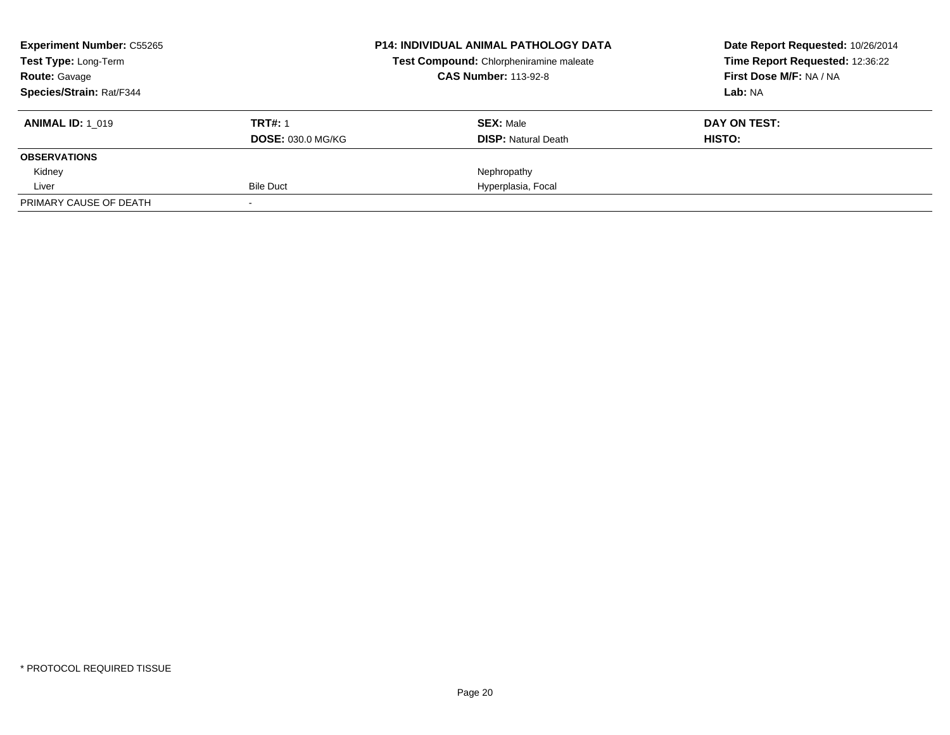| <b>Experiment Number: C55265</b><br>Test Type: Long-Term |                          | <b>P14: INDIVIDUAL ANIMAL PATHOLOGY DATA</b> | Date Report Requested: 10/26/2014 |
|----------------------------------------------------------|--------------------------|----------------------------------------------|-----------------------------------|
|                                                          |                          | Test Compound: Chlorpheniramine maleate      | Time Report Requested: 12:36:22   |
| <b>Route:</b> Gavage                                     |                          | <b>CAS Number: 113-92-8</b>                  | First Dose M/F: NA / NA           |
| Species/Strain: Rat/F344                                 |                          |                                              | Lab: NA                           |
| <b>ANIMAL ID: 1 019</b>                                  | <b>TRT#: 1</b>           | <b>SEX: Male</b>                             | DAY ON TEST:                      |
|                                                          | <b>DOSE: 030.0 MG/KG</b> | <b>DISP:</b> Natural Death                   | <b>HISTO:</b>                     |
| <b>OBSERVATIONS</b>                                      |                          |                                              |                                   |
| Kidney                                                   |                          | Nephropathy                                  |                                   |
| Liver                                                    | Bile Duct                | Hyperplasia, Focal                           |                                   |
| PRIMARY CAUSE OF DEATH                                   |                          |                                              |                                   |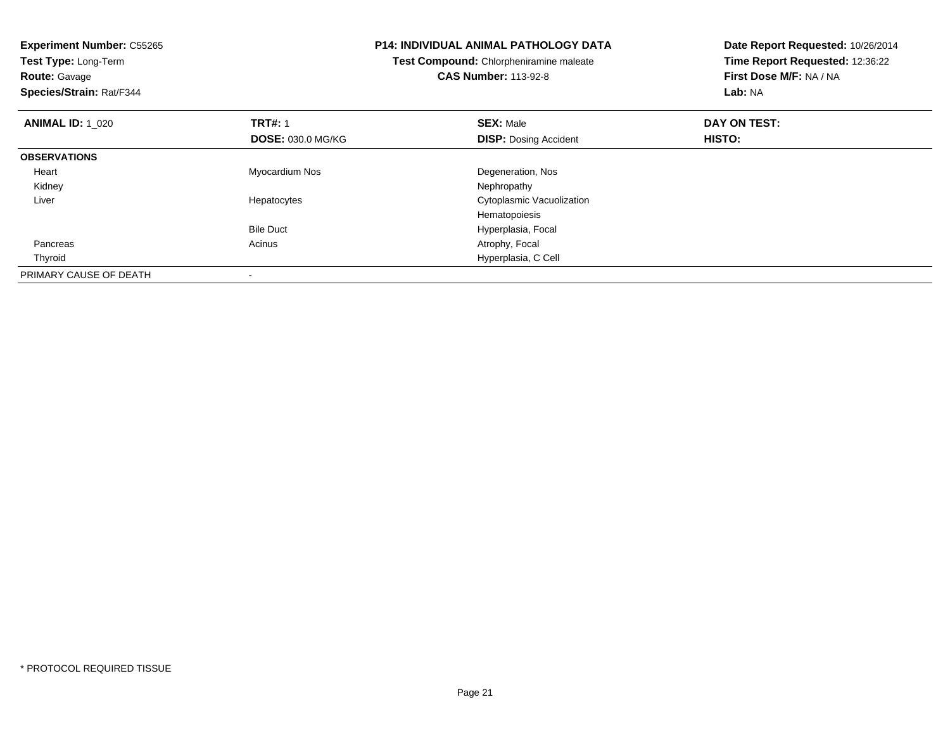| <b>Experiment Number: C55265</b><br>Test Type: Long-Term<br><b>Route: Gavage</b><br>Species/Strain: Rat/F344 |                          | <b>P14: INDIVIDUAL ANIMAL PATHOLOGY DATA</b><br>Test Compound: Chlorpheniramine maleate<br><b>CAS Number: 113-92-8</b> | Date Report Requested: 10/26/2014<br>Time Report Requested: 12:36:22<br>First Dose M/F: NA / NA<br>Lab: NA |
|--------------------------------------------------------------------------------------------------------------|--------------------------|------------------------------------------------------------------------------------------------------------------------|------------------------------------------------------------------------------------------------------------|
| <b>ANIMAL ID: 1_020</b>                                                                                      | <b>TRT#: 1</b>           | <b>SEX: Male</b>                                                                                                       | DAY ON TEST:                                                                                               |
|                                                                                                              | <b>DOSE: 030.0 MG/KG</b> | <b>DISP:</b> Dosing Accident                                                                                           | HISTO:                                                                                                     |
| <b>OBSERVATIONS</b>                                                                                          |                          |                                                                                                                        |                                                                                                            |
| Heart                                                                                                        | Myocardium Nos           | Degeneration, Nos                                                                                                      |                                                                                                            |
| Kidney                                                                                                       |                          | Nephropathy                                                                                                            |                                                                                                            |
| Liver                                                                                                        | Hepatocytes              | Cytoplasmic Vacuolization                                                                                              |                                                                                                            |
|                                                                                                              |                          | Hematopoiesis                                                                                                          |                                                                                                            |
|                                                                                                              | <b>Bile Duct</b>         | Hyperplasia, Focal                                                                                                     |                                                                                                            |
| Pancreas                                                                                                     | Acinus                   | Atrophy, Focal                                                                                                         |                                                                                                            |
| Thyroid                                                                                                      |                          | Hyperplasia, C Cell                                                                                                    |                                                                                                            |
| PRIMARY CAUSE OF DEATH                                                                                       |                          |                                                                                                                        |                                                                                                            |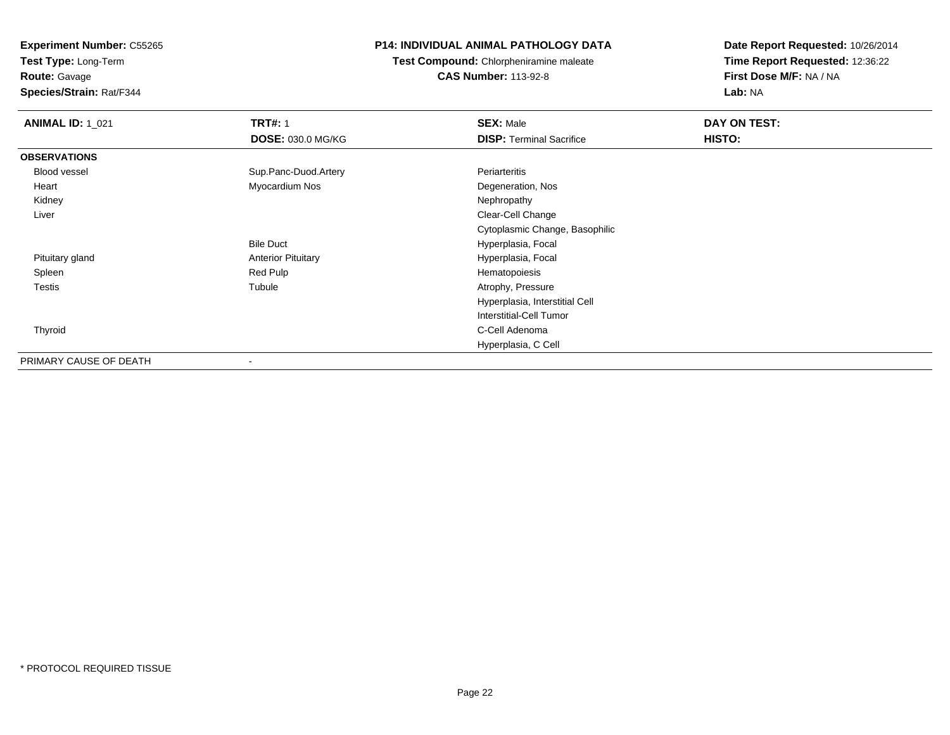**Test Type:** Long-Term

# **Route:** Gavage

**Species/Strain:** Rat/F344

## **P14: INDIVIDUAL ANIMAL PATHOLOGY DATA**

## **Test Compound:** Chlorpheniramine maleate**CAS Number:** 113-92-8

| <b>ANIMAL ID: 1_021</b> | <b>TRT#: 1</b>            | <b>SEX: Male</b>                | DAY ON TEST: |  |
|-------------------------|---------------------------|---------------------------------|--------------|--|
|                         | <b>DOSE: 030.0 MG/KG</b>  | <b>DISP: Terminal Sacrifice</b> | HISTO:       |  |
| <b>OBSERVATIONS</b>     |                           |                                 |              |  |
| Blood vessel            | Sup.Panc-Duod.Artery      | Periarteritis                   |              |  |
| Heart                   | Myocardium Nos            | Degeneration, Nos               |              |  |
| Kidney                  |                           | Nephropathy                     |              |  |
| Liver                   |                           | Clear-Cell Change               |              |  |
|                         |                           | Cytoplasmic Change, Basophilic  |              |  |
|                         | <b>Bile Duct</b>          | Hyperplasia, Focal              |              |  |
| Pituitary gland         | <b>Anterior Pituitary</b> | Hyperplasia, Focal              |              |  |
| Spleen                  | Red Pulp                  | Hematopoiesis                   |              |  |
| <b>Testis</b>           | Tubule                    | Atrophy, Pressure               |              |  |
|                         |                           | Hyperplasia, Interstitial Cell  |              |  |
|                         |                           | <b>Interstitial-Cell Tumor</b>  |              |  |
| Thyroid                 |                           | C-Cell Adenoma                  |              |  |
|                         |                           | Hyperplasia, C Cell             |              |  |
| PRIMARY CAUSE OF DEATH  | ۰                         |                                 |              |  |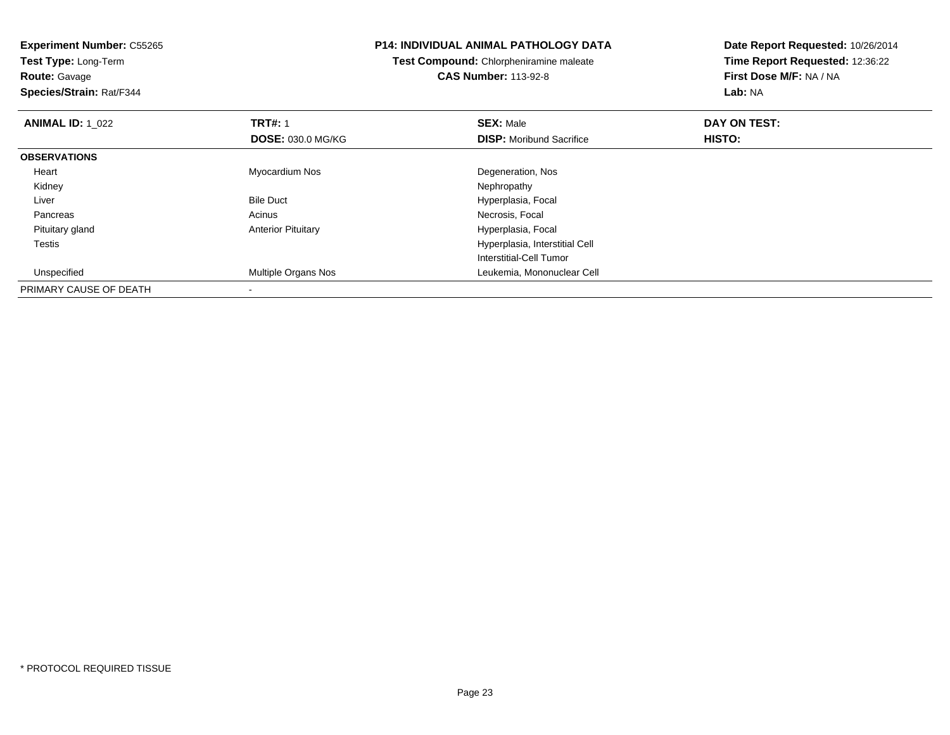**Experiment Number:** C55265**Test Type:** Long-Term**Route:** Gavage **Species/Strain:** Rat/F344**P14: INDIVIDUAL ANIMAL PATHOLOGY DATATest Compound:** Chlorpheniramine maleate**CAS Number:** 113-92-8**Date Report Requested:** 10/26/2014**Time Report Requested:** 12:36:22**First Dose M/F:** NA / NA**Lab:** NA**ANIMAL ID:** 1\_022**2 DAY ON TRT#:** 1 **SEX:** Male **SEX:** Male **DAY ON TEST: DOSE:** 030.0 MG/KG**DISP:** Moribund Sacrifice **HISTO: OBSERVATIONS** Heart Myocardium Nos Degeneration, Nos Kidneyy the control of the control of the control of the control of the control of the control of the control of the control of the control of the control of the control of the control of the control of the control of the contro LiverBile Duct **Hyperplasia**, Focal Pancreass and the contract of the contract of the contract of the contract of the contract of the contract of the contract of the contract of the contract of the contract of the contract of the contract of the contract of the cont Pituitary glandAnterior Pituitary **Material Executive Contracts** Hyperplasia, Focal Testis Hyperplasia, Interstitial Cell Interstitial-Cell Tumor Unspecified Multiple Organs Nos Leukemia, Mononuclear Cell PRIMARY CAUSE OF DEATH

-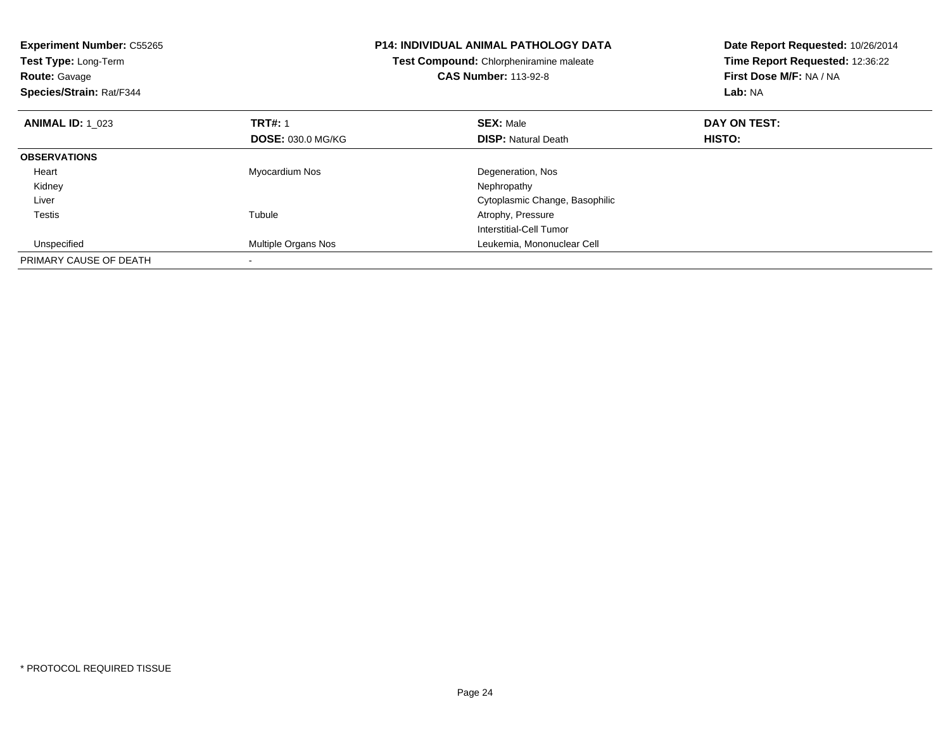| <b>Experiment Number: C55265</b><br>Test Type: Long-Term<br><b>Route: Gavage</b><br>Species/Strain: Rat/F344 |                          | P14: INDIVIDUAL ANIMAL PATHOLOGY DATA<br>Test Compound: Chlorpheniramine maleate<br><b>CAS Number: 113-92-8</b> | Date Report Requested: 10/26/2014<br>Time Report Requested: 12:36:22<br>First Dose M/F: NA / NA<br>Lab: NA |
|--------------------------------------------------------------------------------------------------------------|--------------------------|-----------------------------------------------------------------------------------------------------------------|------------------------------------------------------------------------------------------------------------|
| <b>ANIMAL ID: 1 023</b>                                                                                      | <b>TRT#: 1</b>           | <b>SEX: Male</b>                                                                                                | DAY ON TEST:                                                                                               |
|                                                                                                              | <b>DOSE: 030.0 MG/KG</b> | <b>DISP:</b> Natural Death                                                                                      | HISTO:                                                                                                     |
| <b>OBSERVATIONS</b>                                                                                          |                          |                                                                                                                 |                                                                                                            |
| Heart                                                                                                        | Myocardium Nos           | Degeneration, Nos                                                                                               |                                                                                                            |
| Kidney                                                                                                       |                          | Nephropathy                                                                                                     |                                                                                                            |
| Liver                                                                                                        |                          | Cytoplasmic Change, Basophilic                                                                                  |                                                                                                            |
| Testis                                                                                                       | Tubule                   | Atrophy, Pressure                                                                                               |                                                                                                            |
|                                                                                                              |                          | Interstitial-Cell Tumor                                                                                         |                                                                                                            |
| Unspecified                                                                                                  | Multiple Organs Nos      | Leukemia, Mononuclear Cell                                                                                      |                                                                                                            |
| PRIMARY CAUSE OF DEATH                                                                                       |                          |                                                                                                                 |                                                                                                            |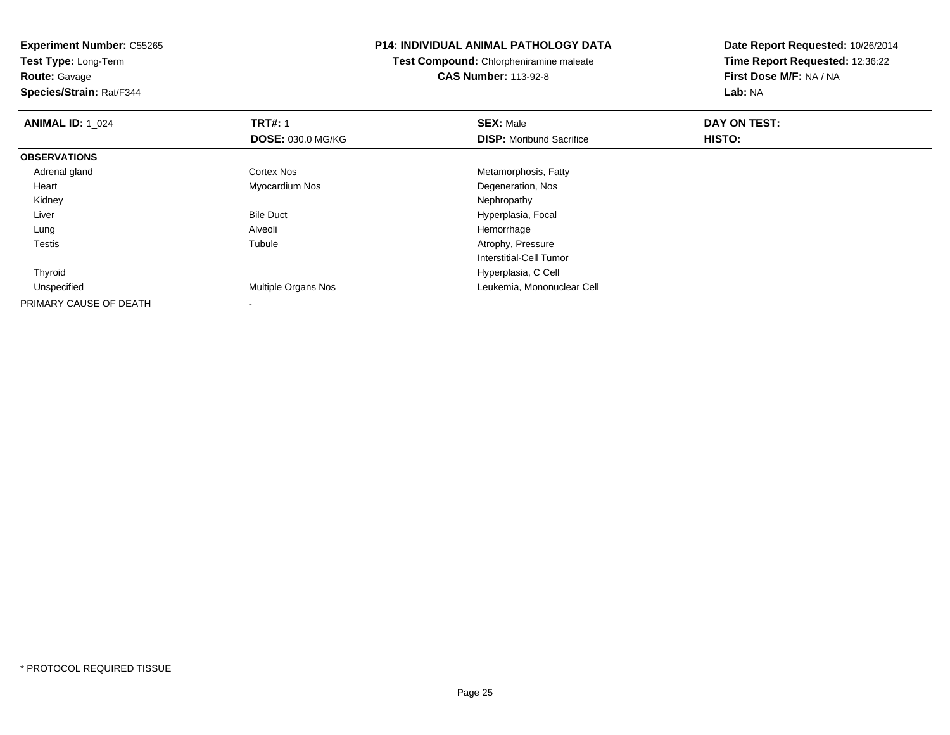**Experiment Number:** C55265**Test Type:** Long-Term**Route:** Gavage **Species/Strain:** Rat/F344**P14: INDIVIDUAL ANIMAL PATHOLOGY DATATest Compound:** Chlorpheniramine maleate**CAS Number:** 113-92-8**Date Report Requested:** 10/26/2014**Time Report Requested:** 12:36:22**First Dose M/F:** NA / NA**Lab:** NA**ANIMAL ID: 1\_024 1 TRT#:** 1 **SEX:** Male **DAY ON TEST: DOSE:** 030.0 MG/KG**DISP:** Moribund Sacrifice **HISTO: OBSERVATIONS** Adrenal glandCortex Nos **Metamorphosis**, Fatty Heart Myocardium NosDegeneration, Nos<br>Nephropathy Kidneyy the control of the control of the control of the control of the control of the control of the control of the control of the control of the control of the control of the control of the control of the control of the contro LiverBile Duct **Hyperplasia**, Focal Lung Alveoli Hemorrhage Testiss and the contract of the contract of the contract of the contract of the contract of the contract of the contract of the contract of the contract of the contract of the contract of the contract of the contract of the cont Tubule **Atrophy, Pressure** Interstitial-Cell Tumor Thyroid Hyperplasia, C Cell UnspecifiedMultiple Organs Nos **Multiple Organs Nos** Leukemia, Mononuclear Cell PRIMARY CAUSE OF DEATH-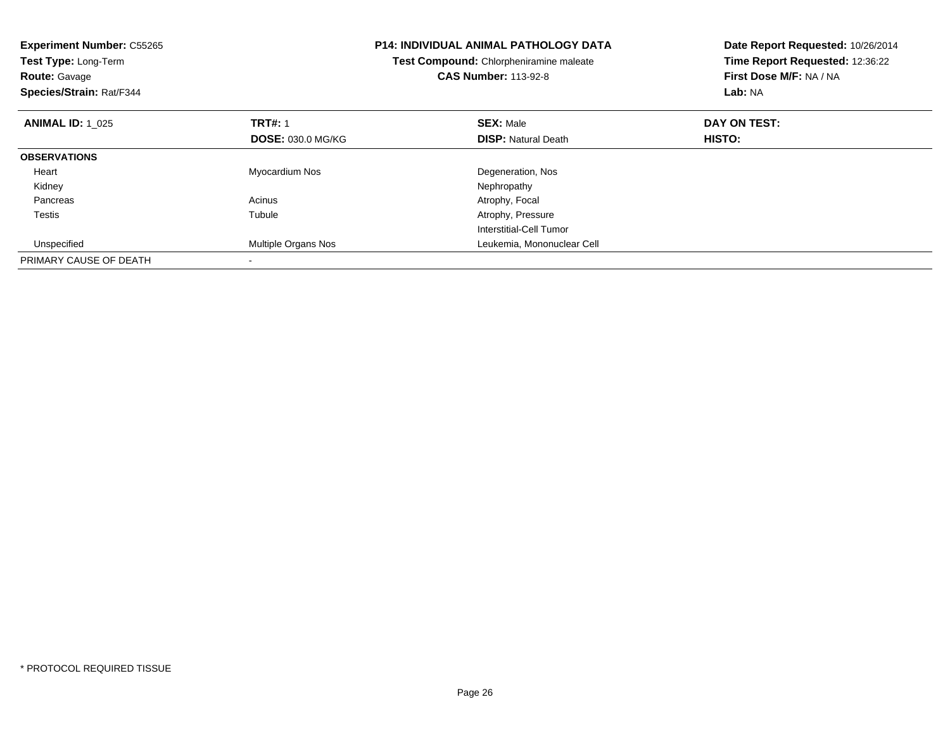| <b>Experiment Number: C55265</b><br>Test Type: Long-Term<br><b>Route: Gavage</b><br>Species/Strain: Rat/F344 |                          | <b>P14: INDIVIDUAL ANIMAL PATHOLOGY DATA</b><br>Test Compound: Chlorpheniramine maleate<br><b>CAS Number: 113-92-8</b> | Date Report Requested: 10/26/2014<br>Time Report Requested: 12:36:22<br>First Dose M/F: NA / NA<br>Lab: NA |
|--------------------------------------------------------------------------------------------------------------|--------------------------|------------------------------------------------------------------------------------------------------------------------|------------------------------------------------------------------------------------------------------------|
| <b>ANIMAL ID: 1 025</b>                                                                                      | <b>TRT#: 1</b>           | <b>SEX: Male</b>                                                                                                       | DAY ON TEST:                                                                                               |
|                                                                                                              | <b>DOSE: 030.0 MG/KG</b> | <b>DISP: Natural Death</b>                                                                                             | HISTO:                                                                                                     |
| <b>OBSERVATIONS</b>                                                                                          |                          |                                                                                                                        |                                                                                                            |
| Heart                                                                                                        | Myocardium Nos           | Degeneration, Nos                                                                                                      |                                                                                                            |
| Kidney                                                                                                       |                          | Nephropathy                                                                                                            |                                                                                                            |
| Pancreas                                                                                                     | Acinus                   | Atrophy, Focal                                                                                                         |                                                                                                            |
| Testis                                                                                                       | Tubule                   | Atrophy, Pressure                                                                                                      |                                                                                                            |
|                                                                                                              |                          | Interstitial-Cell Tumor                                                                                                |                                                                                                            |
| Unspecified                                                                                                  | Multiple Organs Nos      | Leukemia, Mononuclear Cell                                                                                             |                                                                                                            |
| PRIMARY CAUSE OF DEATH                                                                                       |                          |                                                                                                                        |                                                                                                            |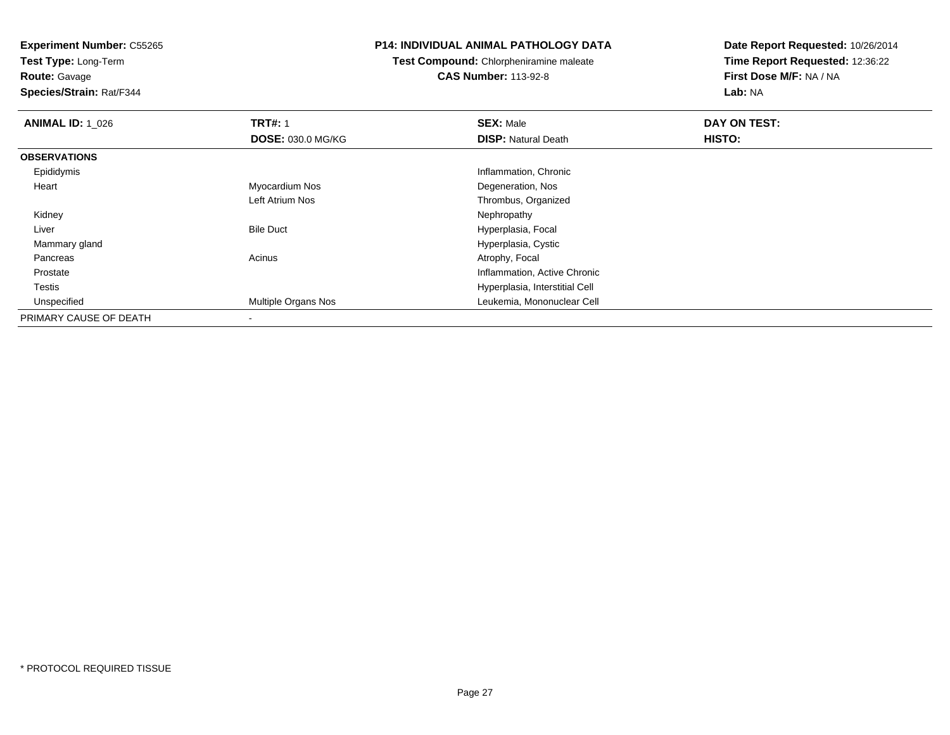**Test Type:** Long-Term

**Route:** Gavage

**Species/Strain:** Rat/F344

#### **P14: INDIVIDUAL ANIMAL PATHOLOGY DATA**

**Test Compound:** Chlorpheniramine maleate**CAS Number:** 113-92-8

| <b>ANIMAL ID: 1 026</b> | <b>TRT#: 1</b>             | <b>SEX: Male</b>               | DAY ON TEST: |  |
|-------------------------|----------------------------|--------------------------------|--------------|--|
|                         | <b>DOSE: 030.0 MG/KG</b>   | <b>DISP: Natural Death</b>     | HISTO:       |  |
| <b>OBSERVATIONS</b>     |                            |                                |              |  |
| Epididymis              |                            | Inflammation, Chronic          |              |  |
| Heart                   | Myocardium Nos             | Degeneration, Nos              |              |  |
|                         | Left Atrium Nos            | Thrombus, Organized            |              |  |
| Kidney                  |                            | Nephropathy                    |              |  |
| Liver                   | <b>Bile Duct</b>           | Hyperplasia, Focal             |              |  |
| Mammary gland           |                            | Hyperplasia, Cystic            |              |  |
| Pancreas                | Acinus                     | Atrophy, Focal                 |              |  |
| Prostate                |                            | Inflammation, Active Chronic   |              |  |
| Testis                  |                            | Hyperplasia, Interstitial Cell |              |  |
| Unspecified             | <b>Multiple Organs Nos</b> | Leukemia, Mononuclear Cell     |              |  |
| PRIMARY CAUSE OF DEATH  | $\overline{\phantom{a}}$   |                                |              |  |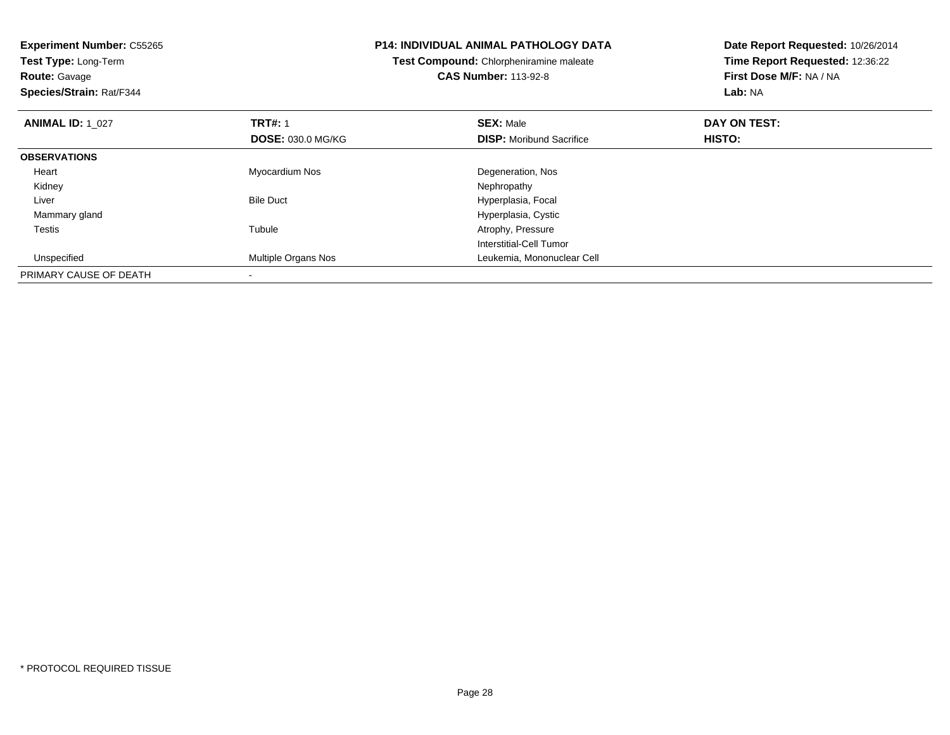| <b>Experiment Number: C55265</b><br><b>Test Type: Long-Term</b><br><b>Route: Gavage</b><br>Species/Strain: Rat/F344 |                          | <b>P14: INDIVIDUAL ANIMAL PATHOLOGY DATA</b><br>Test Compound: Chlorpheniramine maleate<br><b>CAS Number: 113-92-8</b> | Date Report Requested: 10/26/2014<br>Time Report Requested: 12:36:22<br>First Dose M/F: NA / NA<br>Lab: NA |
|---------------------------------------------------------------------------------------------------------------------|--------------------------|------------------------------------------------------------------------------------------------------------------------|------------------------------------------------------------------------------------------------------------|
|                                                                                                                     |                          |                                                                                                                        |                                                                                                            |
| <b>ANIMAL ID: 1 027</b>                                                                                             | <b>TRT#: 1</b>           | <b>SEX: Male</b>                                                                                                       | DAY ON TEST:                                                                                               |
|                                                                                                                     | <b>DOSE: 030.0 MG/KG</b> | <b>DISP:</b> Moribund Sacrifice                                                                                        | HISTO:                                                                                                     |
| <b>OBSERVATIONS</b>                                                                                                 |                          |                                                                                                                        |                                                                                                            |
| Heart                                                                                                               | Myocardium Nos           | Degeneration, Nos                                                                                                      |                                                                                                            |
| Kidney                                                                                                              |                          | Nephropathy                                                                                                            |                                                                                                            |
| Liver                                                                                                               | <b>Bile Duct</b>         | Hyperplasia, Focal                                                                                                     |                                                                                                            |
| Mammary gland                                                                                                       |                          | Hyperplasia, Cystic                                                                                                    |                                                                                                            |
| Testis                                                                                                              | Tubule                   | Atrophy, Pressure                                                                                                      |                                                                                                            |
|                                                                                                                     |                          | Interstitial-Cell Tumor                                                                                                |                                                                                                            |
| Unspecified                                                                                                         | Multiple Organs Nos      | Leukemia, Mononuclear Cell                                                                                             |                                                                                                            |
| PRIMARY CAUSE OF DEATH                                                                                              |                          |                                                                                                                        |                                                                                                            |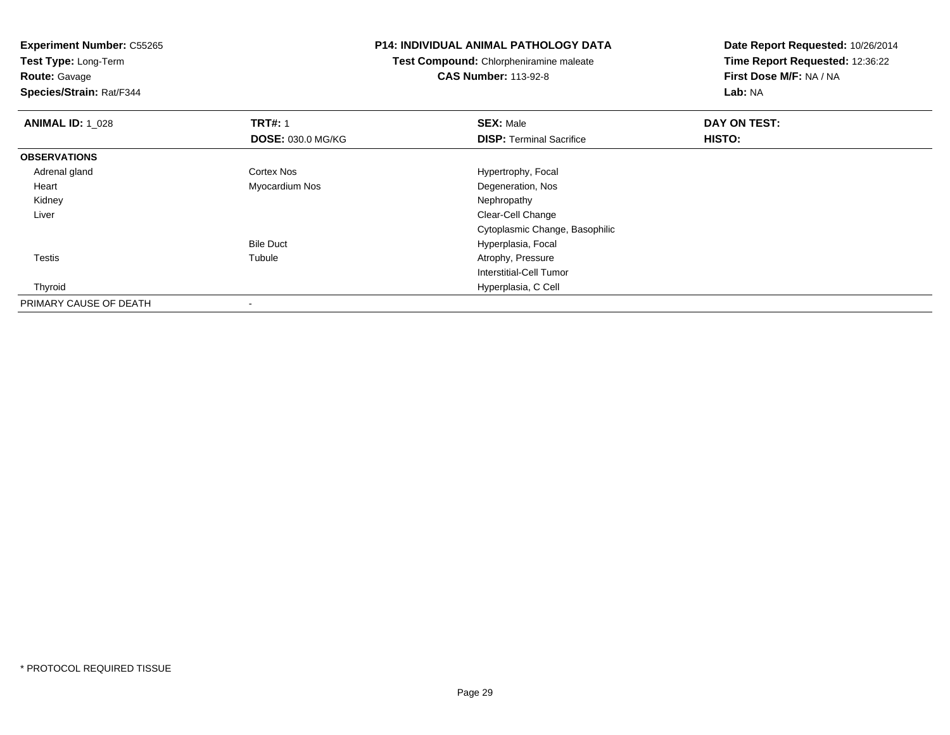**Experiment Number:** C55265**Test Type:** Long-Term**Route:** Gavage **Species/Strain:** Rat/F344**P14: INDIVIDUAL ANIMAL PATHOLOGY DATATest Compound:** Chlorpheniramine maleate**CAS Number:** 113-92-8**Date Report Requested:** 10/26/2014**Time Report Requested:** 12:36:22**First Dose M/F:** NA / NA**Lab:** NA**ANIMAL ID: 1\_028 REX:** Male **DAY ON TEST: TRT#:** 1 **SEX:** Male **SEX:** Male **DOSE:** 030.0 MG/KG**DISP:** Terminal Sacrifice **HISTO: OBSERVATIONS** Adrenal glandCortex Nos **Hypertrophy**, Focal Heart Myocardium NosDegeneration, Nos<br>Nephropathy Kidneyy the control of the control of the control of the control of the control of the control of the control of the control of the control of the control of the control of the control of the control of the control of the contro Liver Clear-Cell Change Cytoplasmic Change, BasophilicBile Duct Hyperplasia, Focal Testiss and the contract of the contract of the contract of the contract of the contract of the contract of the contract of the contract of the contract of the contract of the contract of the contract of the contract of the cont Tubule **Atrophy, Pressure** Interstitial-Cell Tumor Thyroid Hyperplasia, C Cell PRIMARY CAUSE OF DEATH-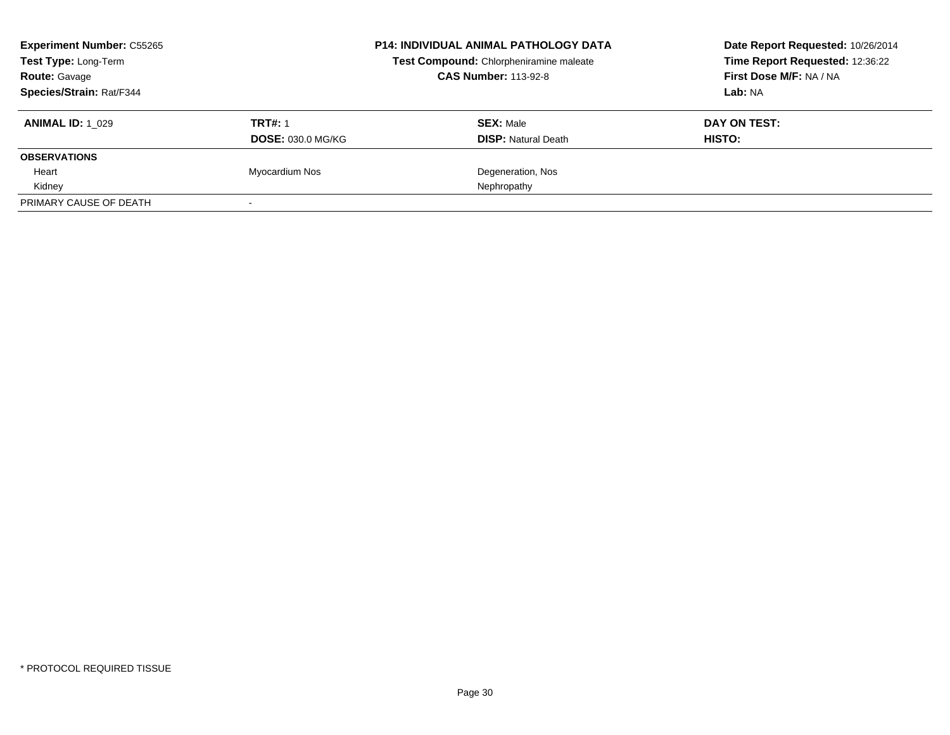| <b>Experiment Number: C55265</b><br>Test Type: Long-Term<br><b>Route: Gavage</b> |                          | <b>P14: INDIVIDUAL ANIMAL PATHOLOGY DATA</b><br>Test Compound: Chlorpheniramine maleate<br><b>CAS Number: 113-92-8</b> | Date Report Requested: 10/26/2014<br>Time Report Requested: 12:36:22<br>First Dose M/F: NA / NA |  |
|----------------------------------------------------------------------------------|--------------------------|------------------------------------------------------------------------------------------------------------------------|-------------------------------------------------------------------------------------------------|--|
| Species/Strain: Rat/F344                                                         |                          |                                                                                                                        | Lab: NA                                                                                         |  |
| <b>ANIMAL ID: 1 029</b>                                                          | <b>TRT#: 1</b>           | <b>SEX: Male</b>                                                                                                       | DAY ON TEST:                                                                                    |  |
|                                                                                  | <b>DOSE: 030.0 MG/KG</b> | <b>DISP:</b> Natural Death                                                                                             | <b>HISTO:</b>                                                                                   |  |
| <b>OBSERVATIONS</b>                                                              |                          |                                                                                                                        |                                                                                                 |  |
| Heart                                                                            | Myocardium Nos           | Degeneration, Nos                                                                                                      |                                                                                                 |  |
| Kidney                                                                           |                          | Nephropathy                                                                                                            |                                                                                                 |  |
| PRIMARY CAUSE OF DEATH                                                           |                          |                                                                                                                        |                                                                                                 |  |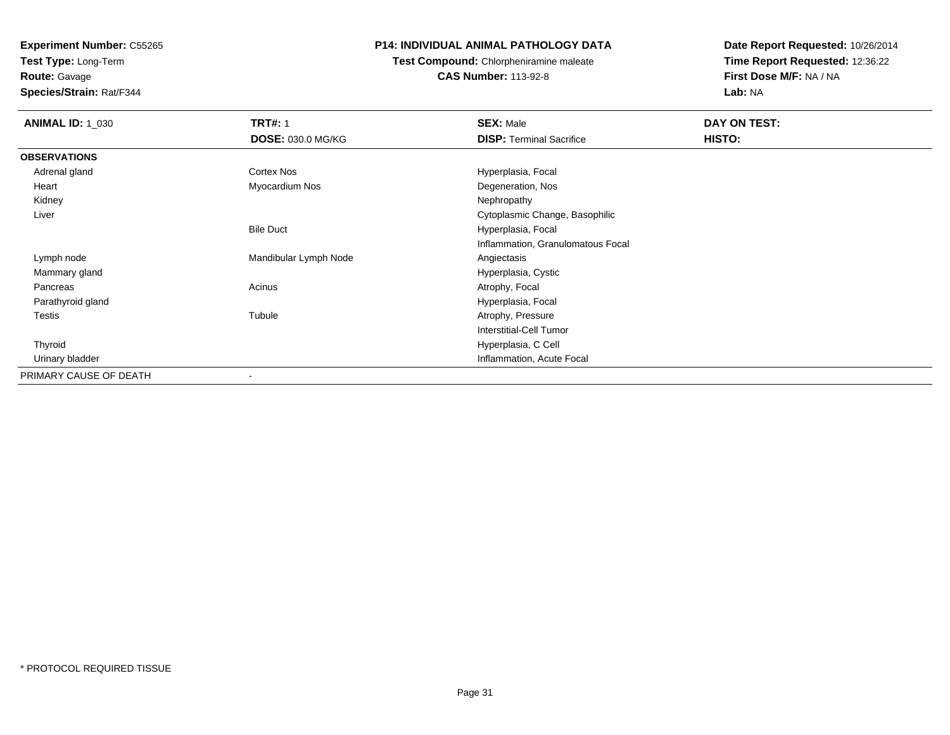**Test Type:** Long-Term

**Route:** Gavage

**Species/Strain:** Rat/F344

### **P14: INDIVIDUAL ANIMAL PATHOLOGY DATA**

**Test Compound:** Chlorpheniramine maleate**CAS Number:** 113-92-8

| <b>ANIMAL ID: 1_030</b> | <b>TRT#: 1</b>           | <b>SEX: Male</b>                  | DAY ON TEST: |  |
|-------------------------|--------------------------|-----------------------------------|--------------|--|
|                         | <b>DOSE: 030.0 MG/KG</b> | <b>DISP:</b> Terminal Sacrifice   | HISTO:       |  |
| <b>OBSERVATIONS</b>     |                          |                                   |              |  |
| Adrenal gland           | Cortex Nos               | Hyperplasia, Focal                |              |  |
| Heart                   | Myocardium Nos           | Degeneration, Nos                 |              |  |
| Kidney                  |                          | Nephropathy                       |              |  |
| Liver                   |                          | Cytoplasmic Change, Basophilic    |              |  |
|                         | <b>Bile Duct</b>         | Hyperplasia, Focal                |              |  |
|                         |                          | Inflammation, Granulomatous Focal |              |  |
| Lymph node              | Mandibular Lymph Node    | Angiectasis                       |              |  |
| Mammary gland           |                          | Hyperplasia, Cystic               |              |  |
| Pancreas                | Acinus                   | Atrophy, Focal                    |              |  |
| Parathyroid gland       |                          | Hyperplasia, Focal                |              |  |
| Testis                  | Tubule                   | Atrophy, Pressure                 |              |  |
|                         |                          | Interstitial-Cell Tumor           |              |  |
| Thyroid                 |                          | Hyperplasia, C Cell               |              |  |
| Urinary bladder         |                          | Inflammation, Acute Focal         |              |  |
| PRIMARY CAUSE OF DEATH  | $\overline{\phantom{a}}$ |                                   |              |  |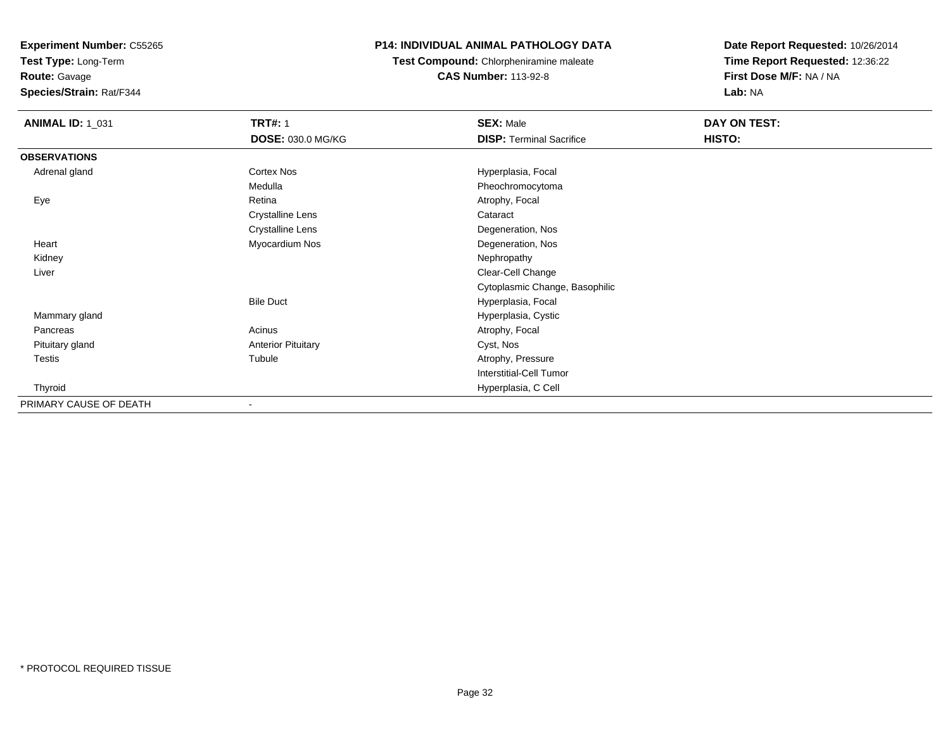**Test Type:** Long-Term

**Route:** Gavage

**Species/Strain:** Rat/F344

## **P14: INDIVIDUAL ANIMAL PATHOLOGY DATA**

**Test Compound:** Chlorpheniramine maleate**CAS Number:** 113-92-8

| <b>ANIMAL ID: 1_031</b> | <b>TRT#: 1</b>            | <b>SEX: Male</b>                | DAY ON TEST: |  |
|-------------------------|---------------------------|---------------------------------|--------------|--|
|                         | <b>DOSE: 030.0 MG/KG</b>  | <b>DISP: Terminal Sacrifice</b> | HISTO:       |  |
| <b>OBSERVATIONS</b>     |                           |                                 |              |  |
| Adrenal gland           | Cortex Nos                | Hyperplasia, Focal              |              |  |
|                         | Medulla                   | Pheochromocytoma                |              |  |
| Eye                     | Retina                    | Atrophy, Focal                  |              |  |
|                         | <b>Crystalline Lens</b>   | Cataract                        |              |  |
|                         | <b>Crystalline Lens</b>   | Degeneration, Nos               |              |  |
| Heart                   | Myocardium Nos            | Degeneration, Nos               |              |  |
| Kidney                  |                           | Nephropathy                     |              |  |
| Liver                   |                           | Clear-Cell Change               |              |  |
|                         |                           | Cytoplasmic Change, Basophilic  |              |  |
|                         | <b>Bile Duct</b>          | Hyperplasia, Focal              |              |  |
| Mammary gland           |                           | Hyperplasia, Cystic             |              |  |
| Pancreas                | Acinus                    | Atrophy, Focal                  |              |  |
| Pituitary gland         | <b>Anterior Pituitary</b> | Cyst, Nos                       |              |  |
| Testis                  | Tubule                    | Atrophy, Pressure               |              |  |
|                         |                           | <b>Interstitial-Cell Tumor</b>  |              |  |
| Thyroid                 |                           | Hyperplasia, C Cell             |              |  |
| PRIMARY CAUSE OF DEATH  | ۰                         |                                 |              |  |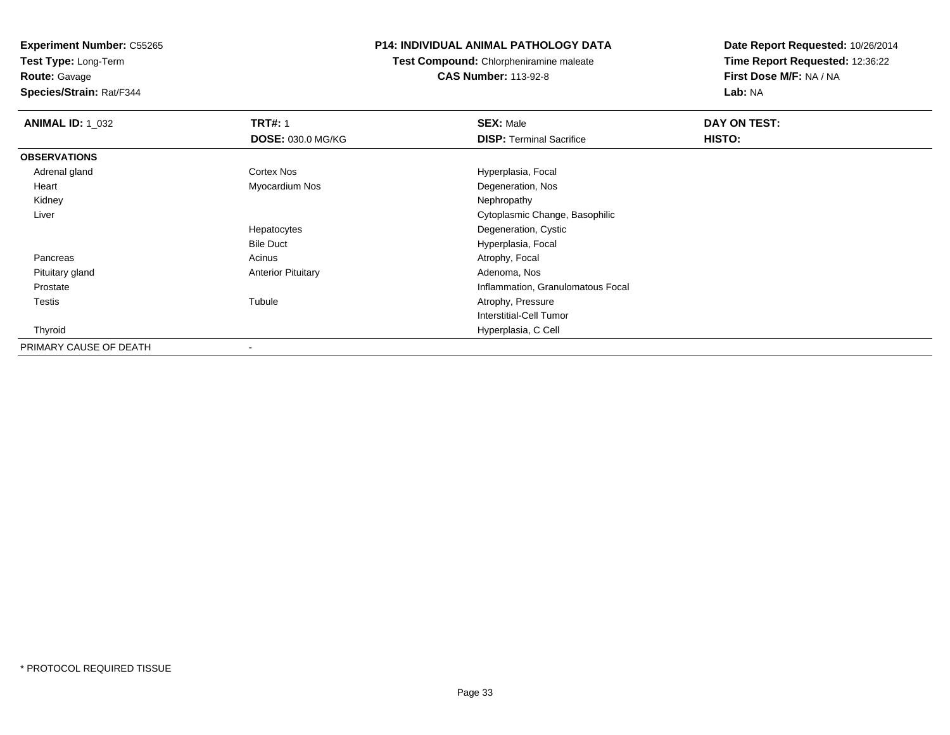**Test Type:** Long-Term

**Route:** Gavage

**Species/Strain:** Rat/F344

### **P14: INDIVIDUAL ANIMAL PATHOLOGY DATA**

**Test Compound:** Chlorpheniramine maleate**CAS Number:** 113-92-8

| <b>ANIMAL ID: 1 032</b> | <b>TRT#: 1</b>            | <b>SEX: Male</b>                  | DAY ON TEST: |  |
|-------------------------|---------------------------|-----------------------------------|--------------|--|
|                         | DOSE: 030.0 MG/KG         | <b>DISP: Terminal Sacrifice</b>   | HISTO:       |  |
| <b>OBSERVATIONS</b>     |                           |                                   |              |  |
| Adrenal gland           | Cortex Nos                | Hyperplasia, Focal                |              |  |
| Heart                   | Myocardium Nos            | Degeneration, Nos                 |              |  |
| Kidney                  |                           | Nephropathy                       |              |  |
| Liver                   |                           | Cytoplasmic Change, Basophilic    |              |  |
|                         | Hepatocytes               | Degeneration, Cystic              |              |  |
|                         | <b>Bile Duct</b>          | Hyperplasia, Focal                |              |  |
| Pancreas                | Acinus                    | Atrophy, Focal                    |              |  |
| Pituitary gland         | <b>Anterior Pituitary</b> | Adenoma, Nos                      |              |  |
| Prostate                |                           | Inflammation, Granulomatous Focal |              |  |
| Testis                  | Tubule                    | Atrophy, Pressure                 |              |  |
|                         |                           | Interstitial-Cell Tumor           |              |  |
| Thyroid                 |                           | Hyperplasia, C Cell               |              |  |
| PRIMARY CAUSE OF DEATH  | -                         |                                   |              |  |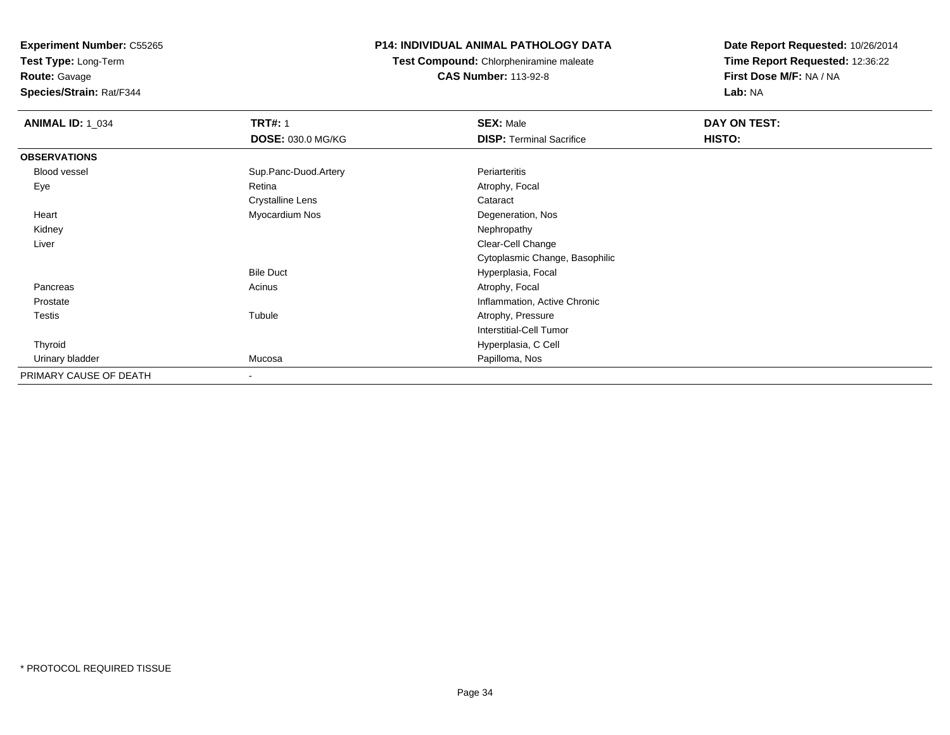**Test Type:** Long-Term

## **Route:** Gavage

**Species/Strain:** Rat/F344

## **P14: INDIVIDUAL ANIMAL PATHOLOGY DATA**

## **Test Compound:** Chlorpheniramine maleate**CAS Number:** 113-92-8

| <b>ANIMAL ID: 1_034</b> | <b>TRT#: 1</b>           | <b>SEX: Male</b>                | DAY ON TEST: |  |
|-------------------------|--------------------------|---------------------------------|--------------|--|
|                         | <b>DOSE: 030.0 MG/KG</b> | <b>DISP: Terminal Sacrifice</b> | HISTO:       |  |
| <b>OBSERVATIONS</b>     |                          |                                 |              |  |
| Blood vessel            | Sup.Panc-Duod.Artery     | Periarteritis                   |              |  |
| Eye                     | Retina                   | Atrophy, Focal                  |              |  |
|                         | <b>Crystalline Lens</b>  | Cataract                        |              |  |
| Heart                   | Myocardium Nos           | Degeneration, Nos               |              |  |
| Kidney                  |                          | Nephropathy                     |              |  |
| Liver                   |                          | Clear-Cell Change               |              |  |
|                         |                          | Cytoplasmic Change, Basophilic  |              |  |
|                         | <b>Bile Duct</b>         | Hyperplasia, Focal              |              |  |
| Pancreas                | Acinus                   | Atrophy, Focal                  |              |  |
| Prostate                |                          | Inflammation, Active Chronic    |              |  |
| Testis                  | Tubule                   | Atrophy, Pressure               |              |  |
|                         |                          | <b>Interstitial-Cell Tumor</b>  |              |  |
| Thyroid                 |                          | Hyperplasia, C Cell             |              |  |
| Urinary bladder         | Mucosa                   | Papilloma, Nos                  |              |  |
| PRIMARY CAUSE OF DEATH  | $\overline{\phantom{a}}$ |                                 |              |  |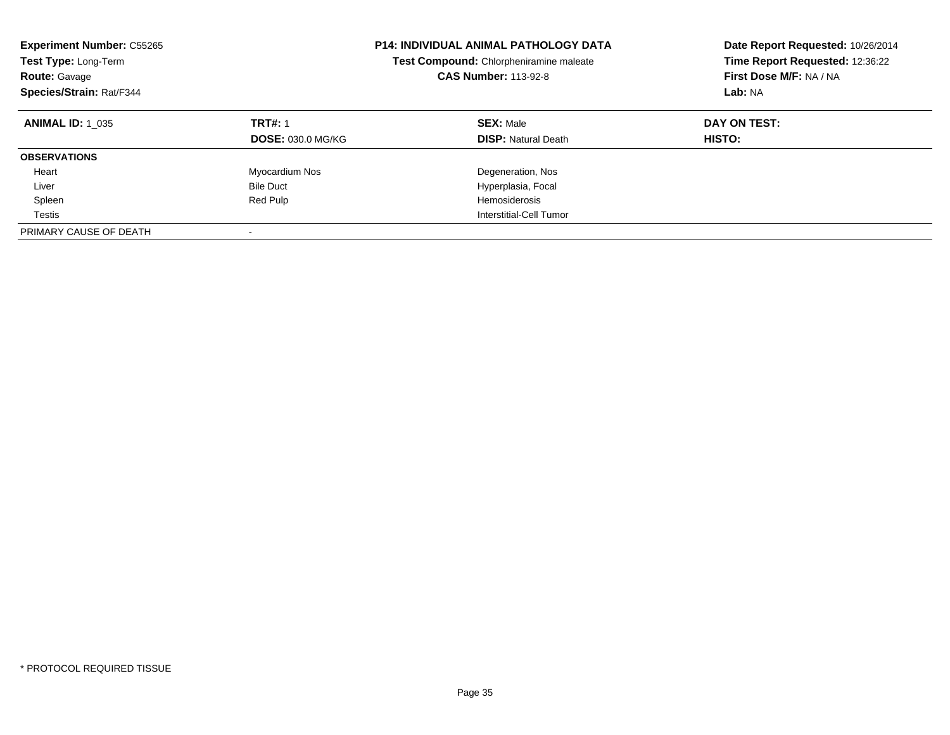| <b>Experiment Number: C55265</b><br>Test Type: Long-Term<br>Route: Gavage<br>Species/Strain: Rat/F344 |                                            | <b>P14: INDIVIDUAL ANIMAL PATHOLOGY DATA</b><br>Test Compound: Chlorpheniramine maleate<br><b>CAS Number: 113-92-8</b> | Date Report Requested: 10/26/2014<br>Time Report Requested: 12:36:22<br>First Dose M/F: NA / NA<br>Lab: NA |  |
|-------------------------------------------------------------------------------------------------------|--------------------------------------------|------------------------------------------------------------------------------------------------------------------------|------------------------------------------------------------------------------------------------------------|--|
| <b>ANIMAL ID: 1 035</b>                                                                               | <b>TRT#: 1</b><br><b>DOSE: 030.0 MG/KG</b> | <b>SEX: Male</b><br><b>DISP: Natural Death</b>                                                                         | DAY ON TEST:<br>HISTO:                                                                                     |  |
| <b>OBSERVATIONS</b>                                                                                   |                                            |                                                                                                                        |                                                                                                            |  |
| Heart                                                                                                 | Myocardium Nos                             | Degeneration, Nos                                                                                                      |                                                                                                            |  |
| Liver                                                                                                 | <b>Bile Duct</b>                           | Hyperplasia, Focal                                                                                                     |                                                                                                            |  |
| Spleen                                                                                                | Red Pulp                                   | <b>Hemosiderosis</b>                                                                                                   |                                                                                                            |  |
| Testis                                                                                                |                                            | Interstitial-Cell Tumor                                                                                                |                                                                                                            |  |
| PRIMARY CAUSE OF DEATH                                                                                |                                            |                                                                                                                        |                                                                                                            |  |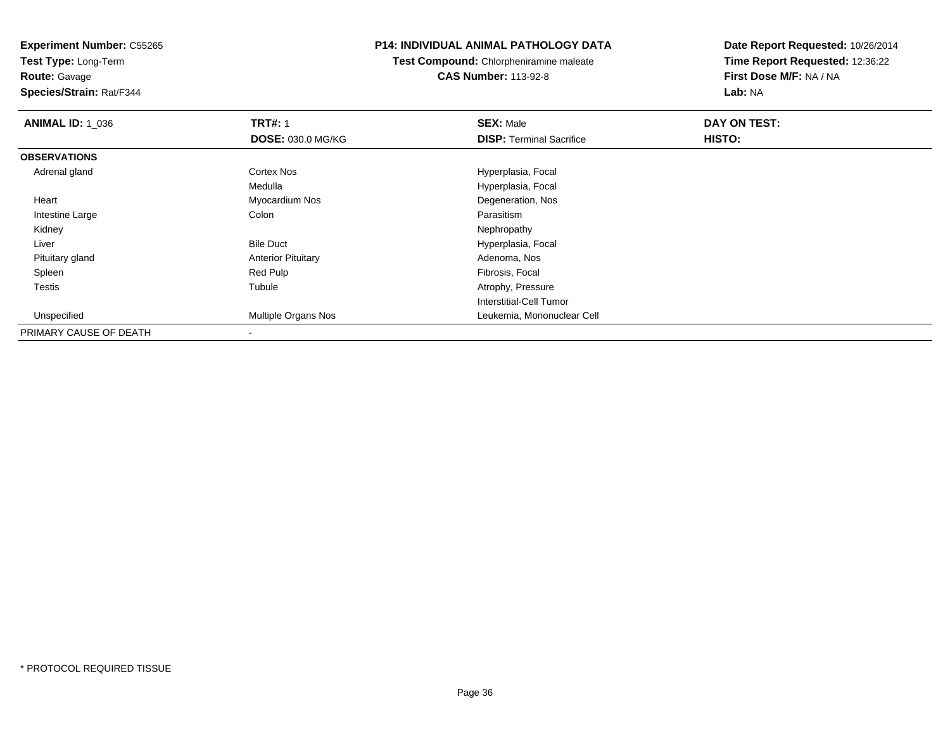**Test Type:** Long-Term

**Route:** Gavage

**Species/Strain:** Rat/F344

#### **P14: INDIVIDUAL ANIMAL PATHOLOGY DATA**

**Test Compound:** Chlorpheniramine maleate**CAS Number:** 113-92-8

| <b>ANIMAL ID: 1_036</b> | <b>TRT#: 1</b>             | <b>SEX: Male</b>                | DAY ON TEST: |  |
|-------------------------|----------------------------|---------------------------------|--------------|--|
|                         | <b>DOSE: 030.0 MG/KG</b>   | <b>DISP: Terminal Sacrifice</b> | HISTO:       |  |
| <b>OBSERVATIONS</b>     |                            |                                 |              |  |
| Adrenal gland           | <b>Cortex Nos</b>          | Hyperplasia, Focal              |              |  |
|                         | Medulla                    | Hyperplasia, Focal              |              |  |
| Heart                   | Myocardium Nos             | Degeneration, Nos               |              |  |
| Intestine Large         | Colon                      | Parasitism                      |              |  |
| Kidney                  |                            | Nephropathy                     |              |  |
| Liver                   | <b>Bile Duct</b>           | Hyperplasia, Focal              |              |  |
| Pituitary gland         | <b>Anterior Pituitary</b>  | Adenoma, Nos                    |              |  |
| Spleen                  | Red Pulp                   | Fibrosis, Focal                 |              |  |
| Testis                  | Tubule                     | Atrophy, Pressure               |              |  |
|                         |                            | Interstitial-Cell Tumor         |              |  |
| Unspecified             | <b>Multiple Organs Nos</b> | Leukemia, Mononuclear Cell      |              |  |
| PRIMARY CAUSE OF DEATH  |                            |                                 |              |  |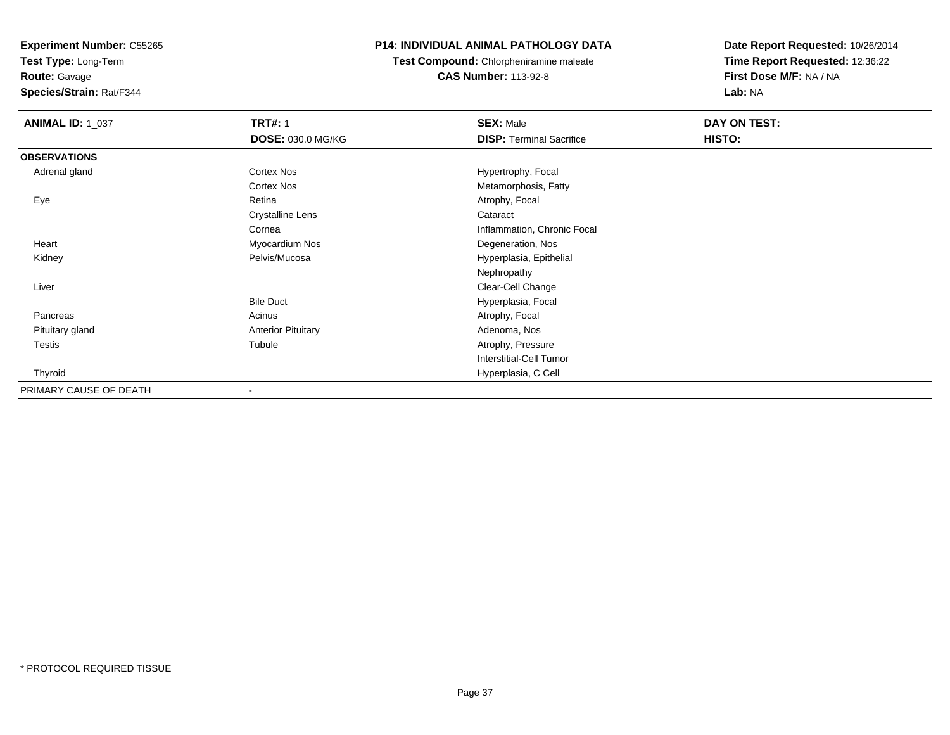**Test Type:** Long-Term

**Route:** Gavage

**Species/Strain:** Rat/F344

# **P14: INDIVIDUAL ANIMAL PATHOLOGY DATA**

**Test Compound:** Chlorpheniramine maleate**CAS Number:** 113-92-8

| <b>ANIMAL ID: 1_037</b> | <b>TRT#: 1</b>            | <b>SEX: Male</b>                | DAY ON TEST: |  |
|-------------------------|---------------------------|---------------------------------|--------------|--|
|                         | DOSE: 030.0 MG/KG         | <b>DISP: Terminal Sacrifice</b> | HISTO:       |  |
| <b>OBSERVATIONS</b>     |                           |                                 |              |  |
| Adrenal gland           | <b>Cortex Nos</b>         | Hypertrophy, Focal              |              |  |
|                         | <b>Cortex Nos</b>         | Metamorphosis, Fatty            |              |  |
| Eye                     | Retina                    | Atrophy, Focal                  |              |  |
|                         | <b>Crystalline Lens</b>   | Cataract                        |              |  |
|                         | Cornea                    | Inflammation, Chronic Focal     |              |  |
| Heart                   | Myocardium Nos            | Degeneration, Nos               |              |  |
| Kidney                  | Pelvis/Mucosa             | Hyperplasia, Epithelial         |              |  |
|                         |                           | Nephropathy                     |              |  |
| Liver                   |                           | Clear-Cell Change               |              |  |
|                         | <b>Bile Duct</b>          | Hyperplasia, Focal              |              |  |
| Pancreas                | Acinus                    | Atrophy, Focal                  |              |  |
| Pituitary gland         | <b>Anterior Pituitary</b> | Adenoma, Nos                    |              |  |
| <b>Testis</b>           | Tubule                    | Atrophy, Pressure               |              |  |
|                         |                           | Interstitial-Cell Tumor         |              |  |
| Thyroid                 |                           | Hyperplasia, C Cell             |              |  |
| PRIMARY CAUSE OF DEATH  |                           |                                 |              |  |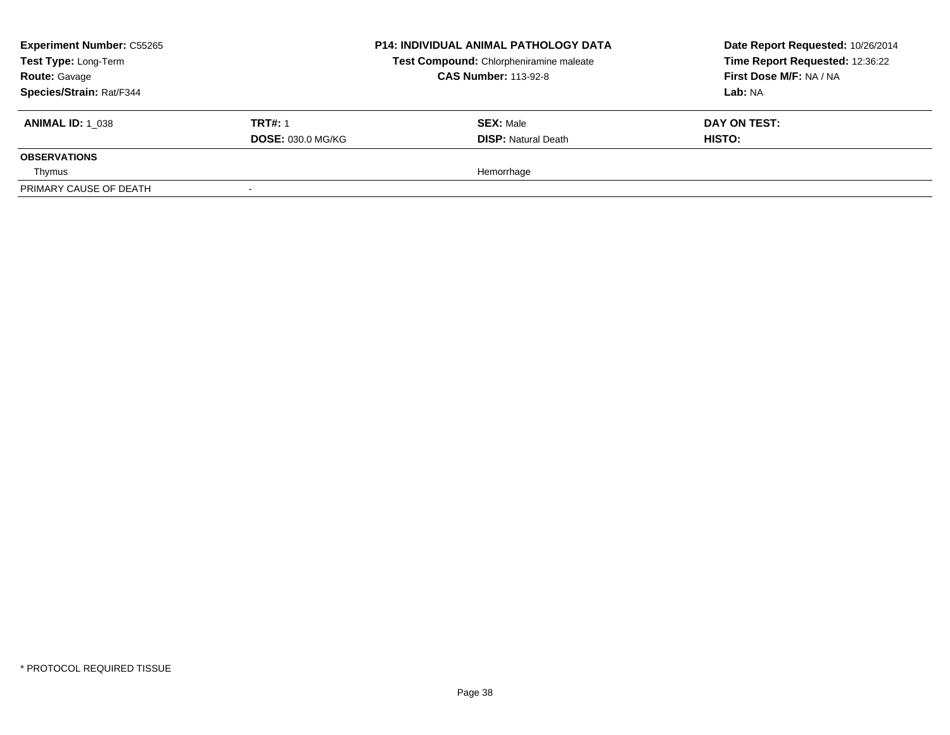| <b>Experiment Number: C55265</b><br>Test Type: Long-Term<br><b>Route: Gavage</b><br>Species/Strain: Rat/F344 |                                            | <b>P14: INDIVIDUAL ANIMAL PATHOLOGY DATA</b><br>Test Compound: Chlorpheniramine maleate<br><b>CAS Number: 113-92-8</b> | Date Report Requested: 10/26/2014<br>Time Report Requested: 12:36:22<br>First Dose M/F: NA / NA<br><b>Lab: NA</b> |
|--------------------------------------------------------------------------------------------------------------|--------------------------------------------|------------------------------------------------------------------------------------------------------------------------|-------------------------------------------------------------------------------------------------------------------|
| <b>ANIMAL ID: 1 038</b>                                                                                      | <b>TRT#: 1</b><br><b>DOSE: 030.0 MG/KG</b> | <b>SEX: Male</b><br><b>DISP:</b> Natural Death                                                                         | DAY ON TEST:<br>HISTO:                                                                                            |
| <b>OBSERVATIONS</b>                                                                                          |                                            |                                                                                                                        |                                                                                                                   |
| Thymus                                                                                                       |                                            | Hemorrhage                                                                                                             |                                                                                                                   |
| PRIMARY CAUSE OF DEATH                                                                                       |                                            |                                                                                                                        |                                                                                                                   |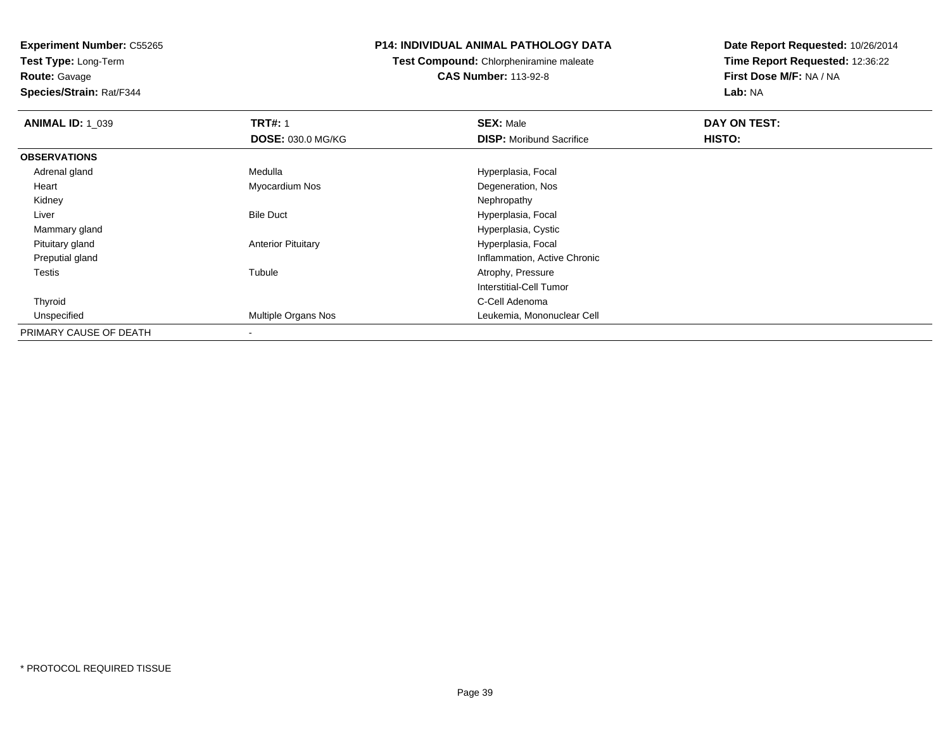**Test Type:** Long-Term**Route:** Gavage

**Species/Strain:** Rat/F344

# **P14: INDIVIDUAL ANIMAL PATHOLOGY DATA**

**Test Compound:** Chlorpheniramine maleate**CAS Number:** 113-92-8

| <b>ANIMAL ID: 1 039</b> | <b>TRT#: 1</b>            | <b>SEX: Male</b>                | DAY ON TEST: |  |
|-------------------------|---------------------------|---------------------------------|--------------|--|
|                         | <b>DOSE: 030.0 MG/KG</b>  | <b>DISP:</b> Moribund Sacrifice | HISTO:       |  |
| <b>OBSERVATIONS</b>     |                           |                                 |              |  |
| Adrenal gland           | Medulla                   | Hyperplasia, Focal              |              |  |
| Heart                   | Myocardium Nos            | Degeneration, Nos               |              |  |
| Kidney                  |                           | Nephropathy                     |              |  |
| Liver                   | <b>Bile Duct</b>          | Hyperplasia, Focal              |              |  |
| Mammary gland           |                           | Hyperplasia, Cystic             |              |  |
| Pituitary gland         | <b>Anterior Pituitary</b> | Hyperplasia, Focal              |              |  |
| Preputial gland         |                           | Inflammation, Active Chronic    |              |  |
| Testis                  | Tubule                    | Atrophy, Pressure               |              |  |
|                         |                           | Interstitial-Cell Tumor         |              |  |
| Thyroid                 |                           | C-Cell Adenoma                  |              |  |
| Unspecified             | Multiple Organs Nos       | Leukemia, Mononuclear Cell      |              |  |
| PRIMARY CAUSE OF DEATH  |                           |                                 |              |  |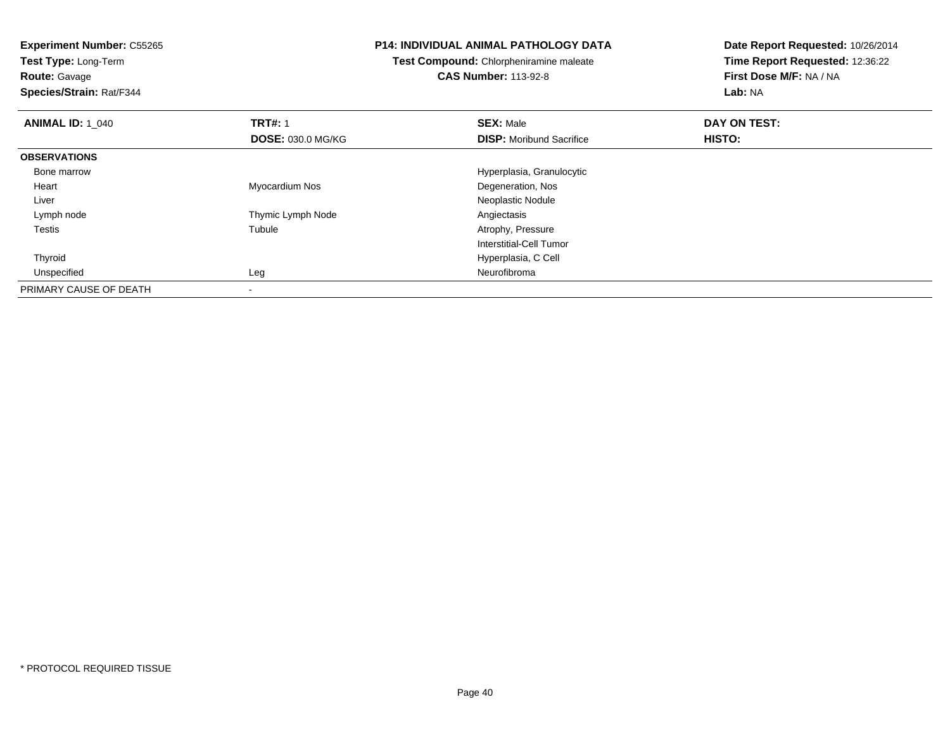**Test Type:** Long-Term

**Route:** Gavage

**Species/Strain:** Rat/F344

#### **P14: INDIVIDUAL ANIMAL PATHOLOGY DATA**

**Test Compound:** Chlorpheniramine maleate**CAS Number:** 113-92-8

| <b>ANIMAL ID: 1_040</b> | <b>TRT#: 1</b>           | <b>SEX: Male</b>                | DAY ON TEST: |  |
|-------------------------|--------------------------|---------------------------------|--------------|--|
|                         | <b>DOSE: 030.0 MG/KG</b> | <b>DISP:</b> Moribund Sacrifice | HISTO:       |  |
| <b>OBSERVATIONS</b>     |                          |                                 |              |  |
| Bone marrow             |                          | Hyperplasia, Granulocytic       |              |  |
| Heart                   | Myocardium Nos           | Degeneration, Nos               |              |  |
| Liver                   |                          | Neoplastic Nodule               |              |  |
| Lymph node              | Thymic Lymph Node        | Angiectasis                     |              |  |
| <b>Testis</b>           | Tubule                   | Atrophy, Pressure               |              |  |
|                         |                          | Interstitial-Cell Tumor         |              |  |
| Thyroid                 |                          | Hyperplasia, C Cell             |              |  |
| Unspecified             | Leg                      | Neurofibroma                    |              |  |
| PRIMARY CAUSE OF DEATH  | $\overline{\phantom{a}}$ |                                 |              |  |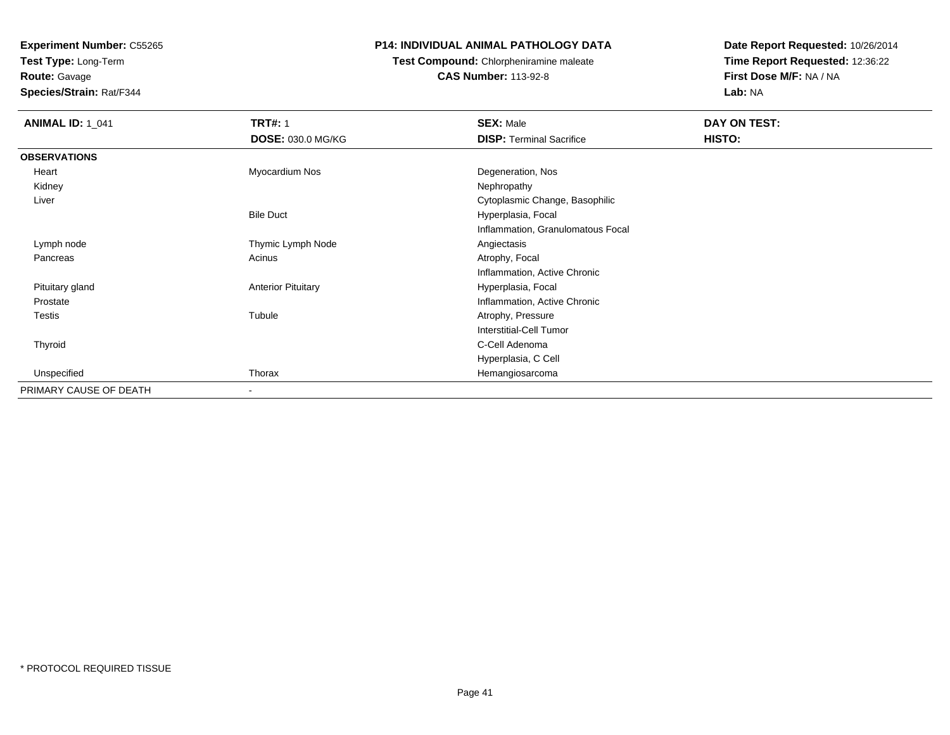**Test Type:** Long-Term**Route:** Gavage

**Species/Strain:** Rat/F344

# **P14: INDIVIDUAL ANIMAL PATHOLOGY DATA**

**Test Compound:** Chlorpheniramine maleate**CAS Number:** 113-92-8

| <b>ANIMAL ID: 1_041</b> | <b>TRT#: 1</b>            | <b>SEX: Male</b>                  | DAY ON TEST: |  |
|-------------------------|---------------------------|-----------------------------------|--------------|--|
|                         | <b>DOSE: 030.0 MG/KG</b>  | <b>DISP: Terminal Sacrifice</b>   | HISTO:       |  |
| <b>OBSERVATIONS</b>     |                           |                                   |              |  |
| Heart                   | Myocardium Nos            | Degeneration, Nos                 |              |  |
| Kidney                  |                           | Nephropathy                       |              |  |
| Liver                   |                           | Cytoplasmic Change, Basophilic    |              |  |
|                         | <b>Bile Duct</b>          | Hyperplasia, Focal                |              |  |
|                         |                           | Inflammation, Granulomatous Focal |              |  |
| Lymph node              | Thymic Lymph Node         | Angiectasis                       |              |  |
| Pancreas                | Acinus                    | Atrophy, Focal                    |              |  |
|                         |                           | Inflammation, Active Chronic      |              |  |
| Pituitary gland         | <b>Anterior Pituitary</b> | Hyperplasia, Focal                |              |  |
| Prostate                |                           | Inflammation, Active Chronic      |              |  |
| <b>Testis</b>           | Tubule                    | Atrophy, Pressure                 |              |  |
|                         |                           | <b>Interstitial-Cell Tumor</b>    |              |  |
| Thyroid                 |                           | C-Cell Adenoma                    |              |  |
|                         |                           | Hyperplasia, C Cell               |              |  |
| Unspecified             | Thorax                    | Hemangiosarcoma                   |              |  |
| PRIMARY CAUSE OF DEATH  | $\overline{\phantom{a}}$  |                                   |              |  |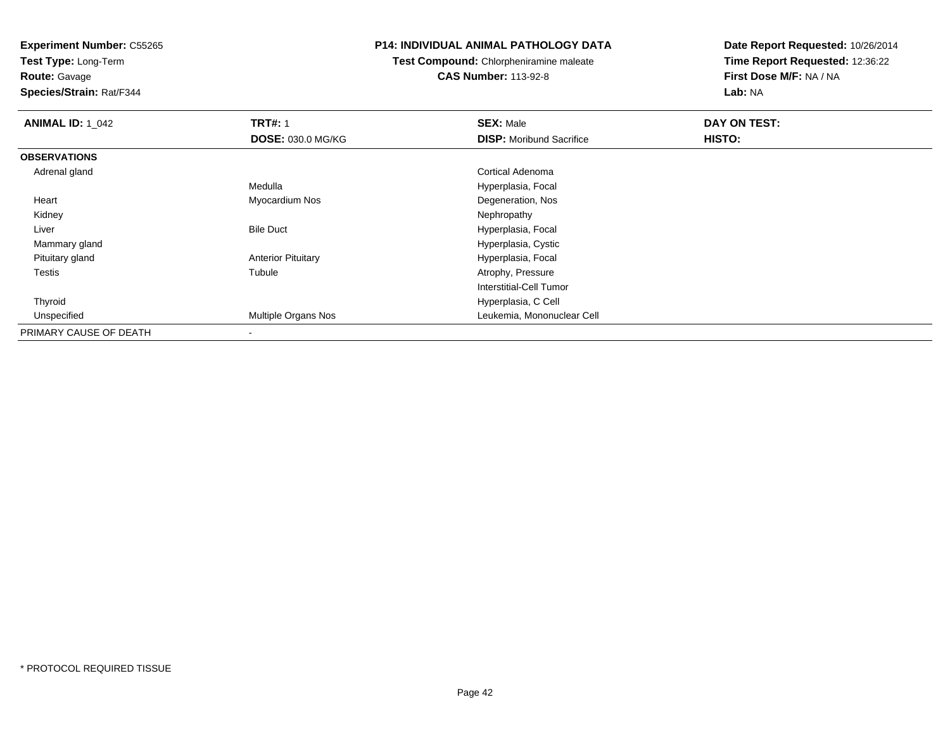**Test Type:** Long-Term

# **Route:** Gavage

**Species/Strain:** Rat/F344

#### **P14: INDIVIDUAL ANIMAL PATHOLOGY DATA**

# **Test Compound:** Chlorpheniramine maleate**CAS Number:** 113-92-8

| <b>ANIMAL ID: 1 042</b> | <b>TRT#: 1</b>            | <b>SEX: Male</b>                | DAY ON TEST: |  |
|-------------------------|---------------------------|---------------------------------|--------------|--|
|                         | <b>DOSE: 030.0 MG/KG</b>  | <b>DISP:</b> Moribund Sacrifice | HISTO:       |  |
| <b>OBSERVATIONS</b>     |                           |                                 |              |  |
| Adrenal gland           |                           | Cortical Adenoma                |              |  |
|                         | Medulla                   | Hyperplasia, Focal              |              |  |
| Heart                   | Myocardium Nos            | Degeneration, Nos               |              |  |
| Kidney                  |                           | Nephropathy                     |              |  |
| Liver                   | <b>Bile Duct</b>          | Hyperplasia, Focal              |              |  |
| Mammary gland           |                           | Hyperplasia, Cystic             |              |  |
| Pituitary gland         | <b>Anterior Pituitary</b> | Hyperplasia, Focal              |              |  |
| Testis                  | Tubule                    | Atrophy, Pressure               |              |  |
|                         |                           | Interstitial-Cell Tumor         |              |  |
| Thyroid                 |                           | Hyperplasia, C Cell             |              |  |
| Unspecified             | Multiple Organs Nos       | Leukemia, Mononuclear Cell      |              |  |
| PRIMARY CAUSE OF DEATH  | ۰                         |                                 |              |  |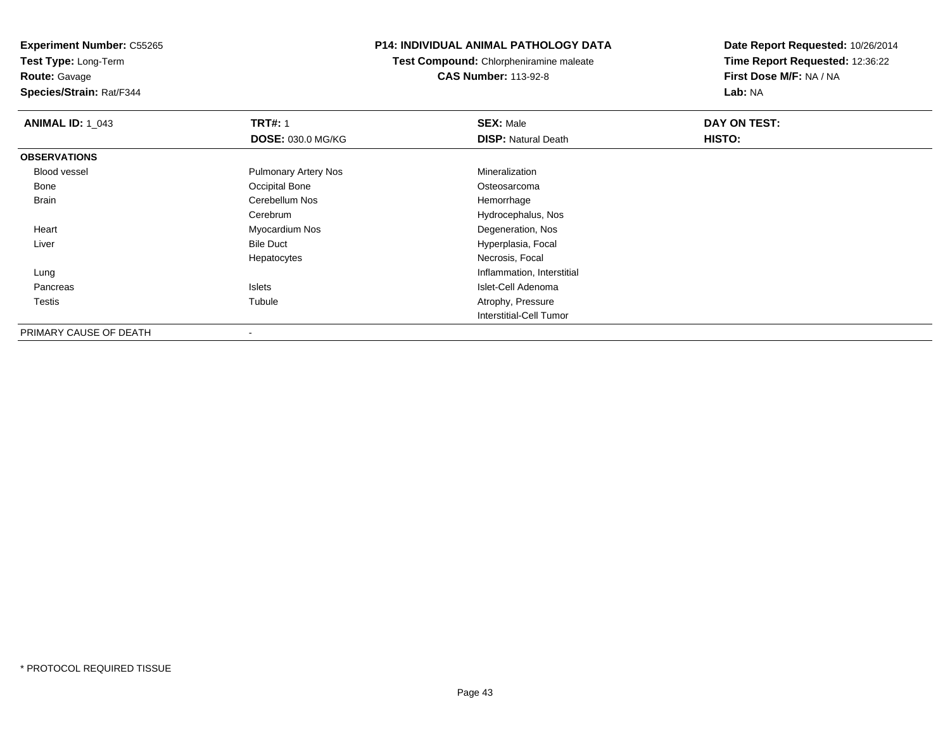**Experiment Number:** C55265**Test Type:** Long-Term

**Route:** Gavage

**Species/Strain:** Rat/F344

# **P14: INDIVIDUAL ANIMAL PATHOLOGY DATA**

**Test Compound:** Chlorpheniramine maleate**CAS Number:** 113-92-8

| <b>ANIMAL ID: 1_043</b> | <b>TRT#: 1</b>              | <b>SEX: Male</b>               | DAY ON TEST: |  |
|-------------------------|-----------------------------|--------------------------------|--------------|--|
|                         | <b>DOSE: 030.0 MG/KG</b>    | <b>DISP: Natural Death</b>     | HISTO:       |  |
| <b>OBSERVATIONS</b>     |                             |                                |              |  |
| Blood vessel            | <b>Pulmonary Artery Nos</b> | Mineralization                 |              |  |
| Bone                    | Occipital Bone              | Osteosarcoma                   |              |  |
| Brain                   | Cerebellum Nos              | Hemorrhage                     |              |  |
|                         | Cerebrum                    | Hydrocephalus, Nos             |              |  |
| Heart                   | Myocardium Nos              | Degeneration, Nos              |              |  |
| Liver                   | <b>Bile Duct</b>            | Hyperplasia, Focal             |              |  |
|                         | Hepatocytes                 | Necrosis, Focal                |              |  |
| Lung                    |                             | Inflammation, Interstitial     |              |  |
| Pancreas                | Islets                      | Islet-Cell Adenoma             |              |  |
| Testis                  | Tubule                      | Atrophy, Pressure              |              |  |
|                         |                             | <b>Interstitial-Cell Tumor</b> |              |  |
| PRIMARY CAUSE OF DEATH  | $\overline{\phantom{a}}$    |                                |              |  |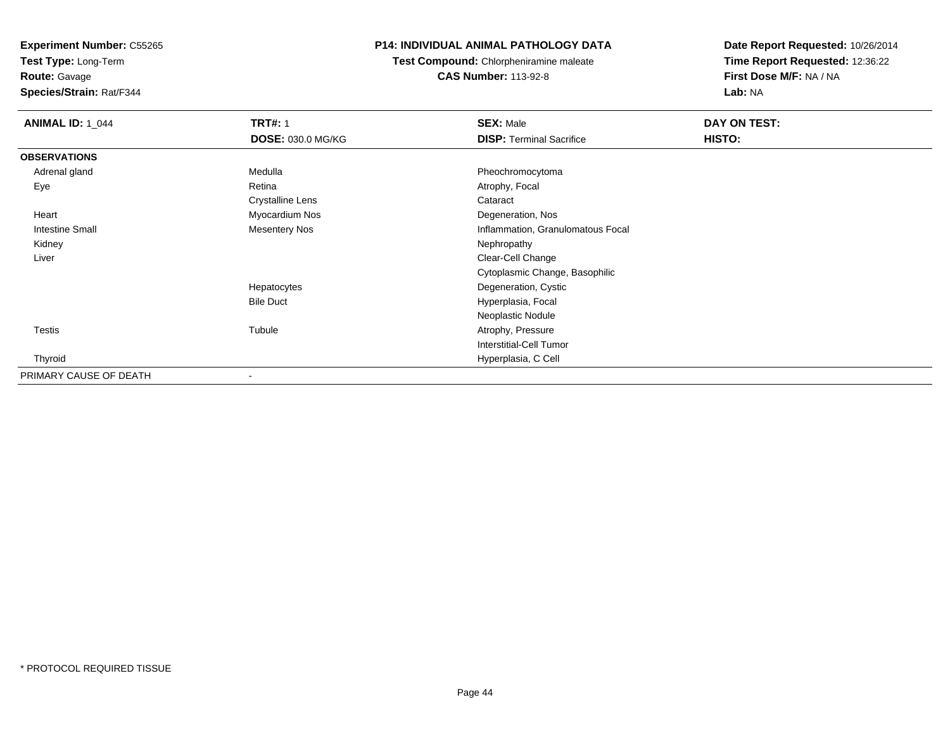**Test Type:** Long-Term

# **Route:** Gavage

**Species/Strain:** Rat/F344

# **P14: INDIVIDUAL ANIMAL PATHOLOGY DATA**

**Test Compound:** Chlorpheniramine maleate**CAS Number:** 113-92-8

| <b>ANIMAL ID: 1_044</b> | <b>TRT#: 1</b>           | <b>SEX: Male</b>                  | DAY ON TEST: |  |
|-------------------------|--------------------------|-----------------------------------|--------------|--|
|                         | <b>DOSE: 030.0 MG/KG</b> | <b>DISP: Terminal Sacrifice</b>   | HISTO:       |  |
| <b>OBSERVATIONS</b>     |                          |                                   |              |  |
| Adrenal gland           | Medulla                  | Pheochromocytoma                  |              |  |
| Eye                     | Retina                   | Atrophy, Focal                    |              |  |
|                         | <b>Crystalline Lens</b>  | Cataract                          |              |  |
| Heart                   | Myocardium Nos           | Degeneration, Nos                 |              |  |
| <b>Intestine Small</b>  | <b>Mesentery Nos</b>     | Inflammation, Granulomatous Focal |              |  |
| Kidney                  |                          | Nephropathy                       |              |  |
| Liver                   |                          | Clear-Cell Change                 |              |  |
|                         |                          | Cytoplasmic Change, Basophilic    |              |  |
|                         | Hepatocytes              | Degeneration, Cystic              |              |  |
|                         | <b>Bile Duct</b>         | Hyperplasia, Focal                |              |  |
|                         |                          | Neoplastic Nodule                 |              |  |
| <b>Testis</b>           | Tubule                   | Atrophy, Pressure                 |              |  |
|                         |                          | <b>Interstitial-Cell Tumor</b>    |              |  |
| Thyroid                 |                          | Hyperplasia, C Cell               |              |  |
| PRIMARY CAUSE OF DEATH  | $\blacksquare$           |                                   |              |  |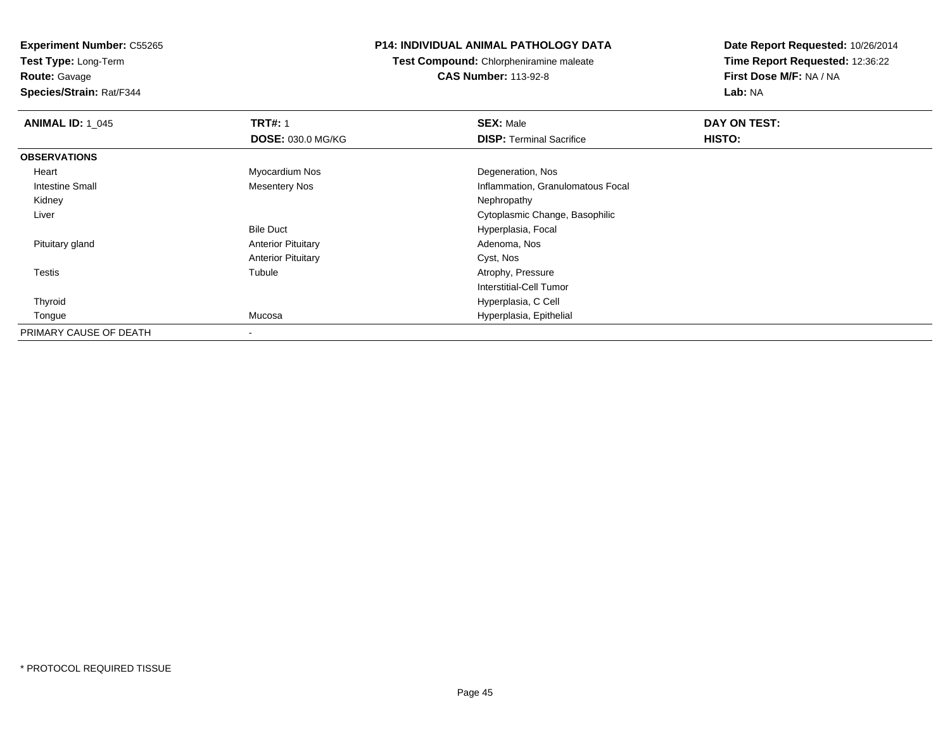**Test Type:** Long-Term**Route:** Gavage

**Species/Strain:** Rat/F344

# **P14: INDIVIDUAL ANIMAL PATHOLOGY DATA**

**Test Compound:** Chlorpheniramine maleate**CAS Number:** 113-92-8

| <b>ANIMAL ID: 1_045</b> | <b>TRT#: 1</b>            | <b>SEX: Male</b>                  | DAY ON TEST: |  |
|-------------------------|---------------------------|-----------------------------------|--------------|--|
|                         | <b>DOSE: 030.0 MG/KG</b>  | <b>DISP: Terminal Sacrifice</b>   | HISTO:       |  |
| <b>OBSERVATIONS</b>     |                           |                                   |              |  |
| Heart                   | Myocardium Nos            | Degeneration, Nos                 |              |  |
| <b>Intestine Small</b>  | <b>Mesentery Nos</b>      | Inflammation, Granulomatous Focal |              |  |
| Kidney                  |                           | Nephropathy                       |              |  |
| Liver                   |                           | Cytoplasmic Change, Basophilic    |              |  |
|                         | <b>Bile Duct</b>          | Hyperplasia, Focal                |              |  |
| Pituitary gland         | <b>Anterior Pituitary</b> | Adenoma, Nos                      |              |  |
|                         | <b>Anterior Pituitary</b> | Cyst, Nos                         |              |  |
| Testis                  | Tubule                    | Atrophy, Pressure                 |              |  |
|                         |                           | Interstitial-Cell Tumor           |              |  |
| Thyroid                 |                           | Hyperplasia, C Cell               |              |  |
| Tongue                  | Mucosa                    | Hyperplasia, Epithelial           |              |  |
| PRIMARY CAUSE OF DEATH  | $\blacksquare$            |                                   |              |  |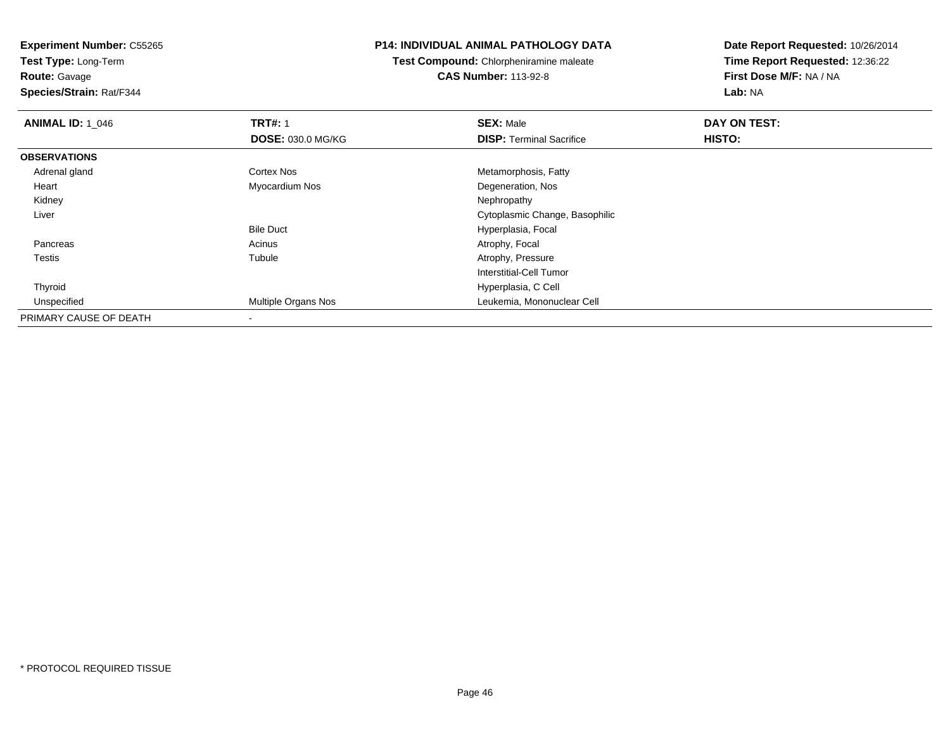**Test Type:** Long-Term**Route:** Gavage

**Species/Strain:** Rat/F344

#### **P14: INDIVIDUAL ANIMAL PATHOLOGY DATA**

**Test Compound:** Chlorpheniramine maleate**CAS Number:** 113-92-8

| <b>ANIMAL ID: 1 046</b> | <b>TRT#: 1</b>           | <b>SEX: Male</b>                | DAY ON TEST: |  |
|-------------------------|--------------------------|---------------------------------|--------------|--|
|                         | <b>DOSE: 030.0 MG/KG</b> | <b>DISP: Terminal Sacrifice</b> | HISTO:       |  |
| <b>OBSERVATIONS</b>     |                          |                                 |              |  |
| Adrenal gland           | <b>Cortex Nos</b>        | Metamorphosis, Fatty            |              |  |
| Heart                   | Myocardium Nos           | Degeneration, Nos               |              |  |
| Kidney                  |                          | Nephropathy                     |              |  |
| Liver                   |                          | Cytoplasmic Change, Basophilic  |              |  |
|                         | <b>Bile Duct</b>         | Hyperplasia, Focal              |              |  |
| Pancreas                | Acinus                   | Atrophy, Focal                  |              |  |
| <b>Testis</b>           | Tubule                   | Atrophy, Pressure               |              |  |
|                         |                          | Interstitial-Cell Tumor         |              |  |
| Thyroid                 |                          | Hyperplasia, C Cell             |              |  |
| Unspecified             | Multiple Organs Nos      | Leukemia, Mononuclear Cell      |              |  |
| PRIMARY CAUSE OF DEATH  |                          |                                 |              |  |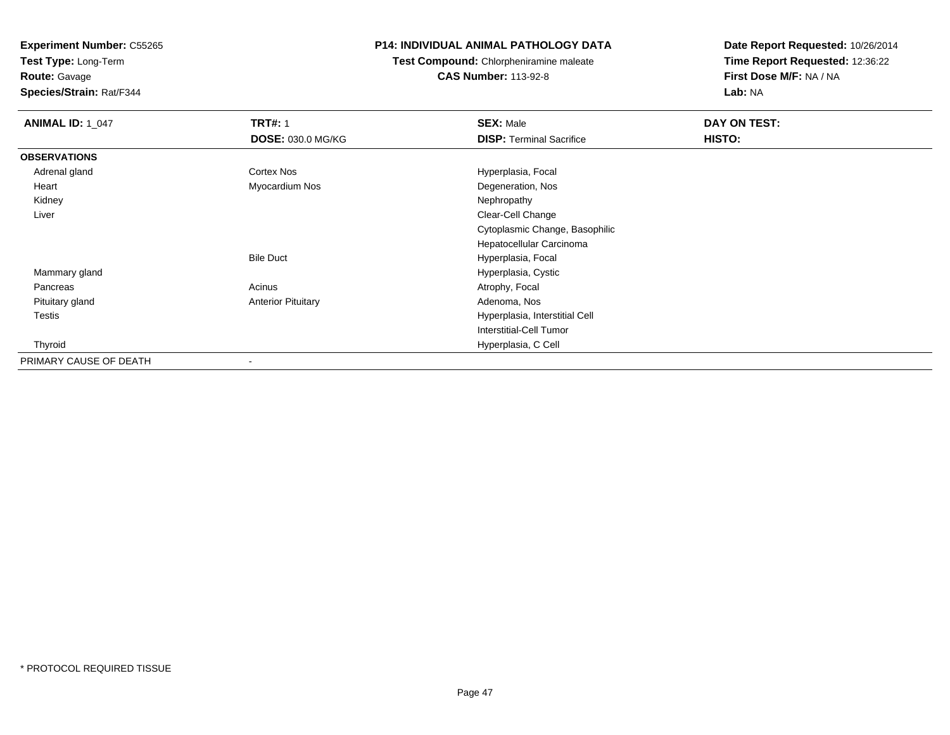**Test Type:** Long-Term

**Route:** Gavage

**Species/Strain:** Rat/F344

# **P14: INDIVIDUAL ANIMAL PATHOLOGY DATA**

**Test Compound:** Chlorpheniramine maleate**CAS Number:** 113-92-8

| <b>ANIMAL ID: 1_047</b> | <b>TRT#: 1</b>            | <b>SEX: Male</b>                | DAY ON TEST: |  |
|-------------------------|---------------------------|---------------------------------|--------------|--|
|                         | <b>DOSE: 030.0 MG/KG</b>  | <b>DISP: Terminal Sacrifice</b> | HISTO:       |  |
| <b>OBSERVATIONS</b>     |                           |                                 |              |  |
| Adrenal gland           | Cortex Nos                | Hyperplasia, Focal              |              |  |
| Heart                   | Myocardium Nos            | Degeneration, Nos               |              |  |
| Kidney                  |                           | Nephropathy                     |              |  |
| Liver                   |                           | Clear-Cell Change               |              |  |
|                         |                           | Cytoplasmic Change, Basophilic  |              |  |
|                         |                           | Hepatocellular Carcinoma        |              |  |
|                         | <b>Bile Duct</b>          | Hyperplasia, Focal              |              |  |
| Mammary gland           |                           | Hyperplasia, Cystic             |              |  |
| Pancreas                | Acinus                    | Atrophy, Focal                  |              |  |
| Pituitary gland         | <b>Anterior Pituitary</b> | Adenoma, Nos                    |              |  |
| <b>Testis</b>           |                           | Hyperplasia, Interstitial Cell  |              |  |
|                         |                           | <b>Interstitial-Cell Tumor</b>  |              |  |
| Thyroid                 |                           | Hyperplasia, C Cell             |              |  |
| PRIMARY CAUSE OF DEATH  |                           |                                 |              |  |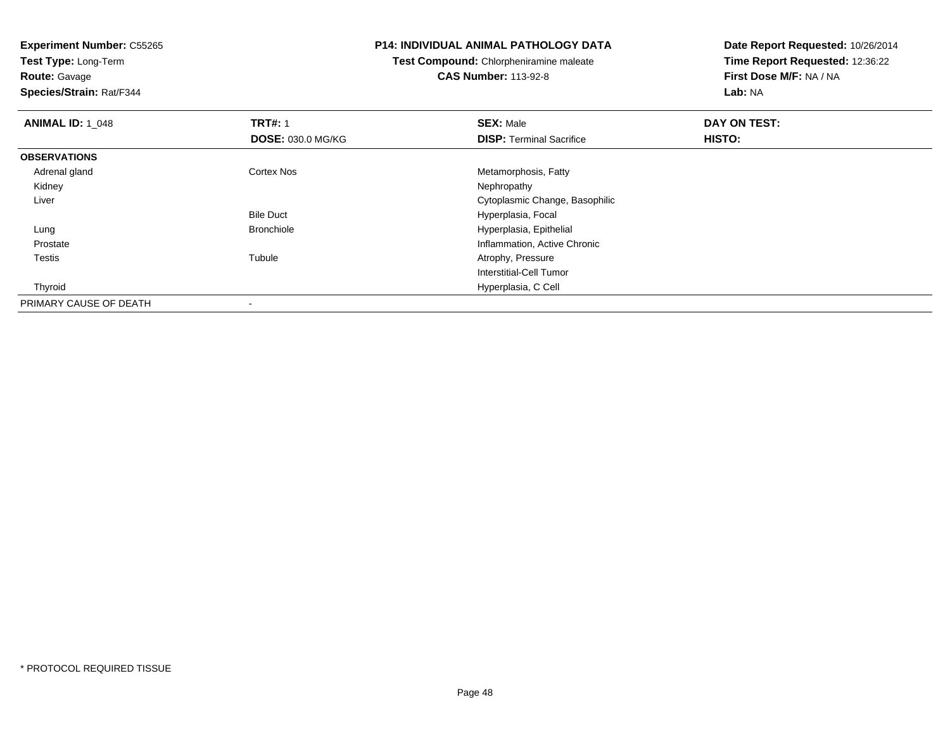**Test Type:** Long-Term

**Route:** Gavage

**Species/Strain:** Rat/F344

#### **P14: INDIVIDUAL ANIMAL PATHOLOGY DATA**

**Test Compound:** Chlorpheniramine maleate**CAS Number:** 113-92-8

| <b>ANIMAL ID: 1 048</b> | <b>TRT#: 1</b>           | <b>SEX: Male</b>                | DAY ON TEST: |  |
|-------------------------|--------------------------|---------------------------------|--------------|--|
|                         | <b>DOSE: 030.0 MG/KG</b> | <b>DISP:</b> Terminal Sacrifice | HISTO:       |  |
| <b>OBSERVATIONS</b>     |                          |                                 |              |  |
| Adrenal gland           | <b>Cortex Nos</b>        | Metamorphosis, Fatty            |              |  |
| Kidney                  |                          | Nephropathy                     |              |  |
| Liver                   |                          | Cytoplasmic Change, Basophilic  |              |  |
|                         | <b>Bile Duct</b>         | Hyperplasia, Focal              |              |  |
| Lung                    | <b>Bronchiole</b>        | Hyperplasia, Epithelial         |              |  |
| Prostate                |                          | Inflammation, Active Chronic    |              |  |
| Testis                  | Tubule                   | Atrophy, Pressure               |              |  |
|                         |                          | Interstitial-Cell Tumor         |              |  |
| Thyroid                 |                          | Hyperplasia, C Cell             |              |  |
| PRIMARY CAUSE OF DEATH  |                          |                                 |              |  |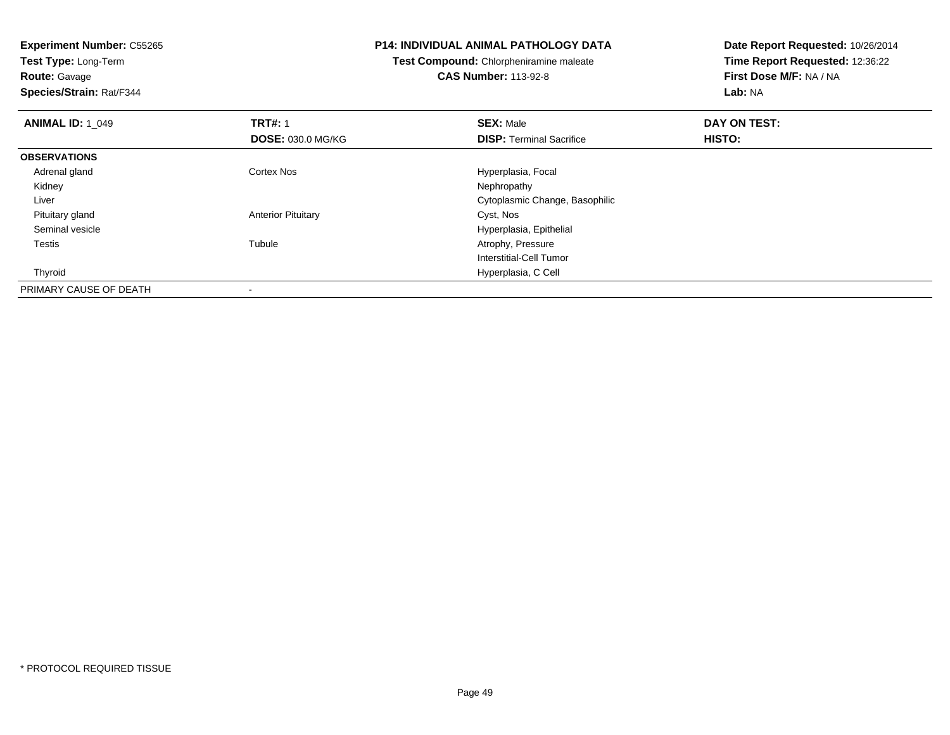**Test Type:** Long-Term**Route:** Gavage

**Species/Strain:** Rat/F344

#### **P14: INDIVIDUAL ANIMAL PATHOLOGY DATA**

**Test Compound:** Chlorpheniramine maleate**CAS Number:** 113-92-8

| <b>ANIMAL ID: 1 049</b> | <b>TRT#: 1</b><br><b>DOSE: 030.0 MG/KG</b> | <b>SEX: Male</b><br><b>DISP: Terminal Sacrifice</b> | DAY ON TEST:<br>HISTO: |  |
|-------------------------|--------------------------------------------|-----------------------------------------------------|------------------------|--|
| <b>OBSERVATIONS</b>     |                                            |                                                     |                        |  |
| Adrenal gland           | <b>Cortex Nos</b>                          | Hyperplasia, Focal                                  |                        |  |
| Kidney                  |                                            | Nephropathy                                         |                        |  |
| Liver                   |                                            | Cytoplasmic Change, Basophilic                      |                        |  |
| Pituitary gland         | <b>Anterior Pituitary</b>                  | Cyst, Nos                                           |                        |  |
| Seminal vesicle         |                                            | Hyperplasia, Epithelial                             |                        |  |
| <b>Testis</b>           | Tubule                                     | Atrophy, Pressure                                   |                        |  |
|                         |                                            | Interstitial-Cell Tumor                             |                        |  |
| Thyroid                 |                                            | Hyperplasia, C Cell                                 |                        |  |
| PRIMARY CAUSE OF DEATH  |                                            |                                                     |                        |  |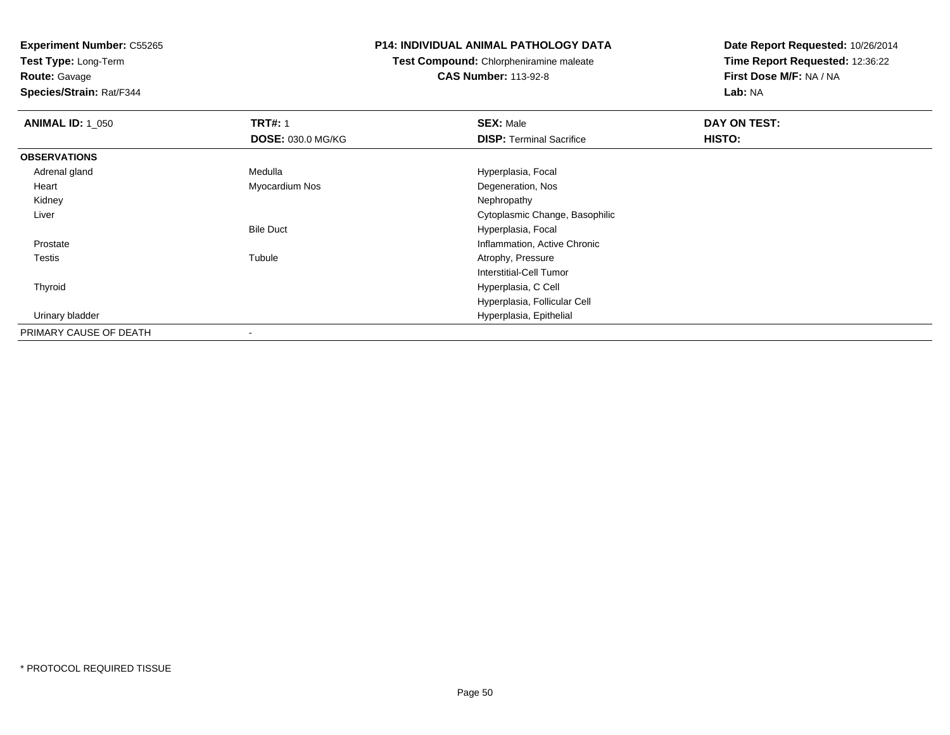**Test Type:** Long-Term

**Route:** Gavage

**Species/Strain:** Rat/F344

#### **P14: INDIVIDUAL ANIMAL PATHOLOGY DATA**

**Test Compound:** Chlorpheniramine maleate**CAS Number:** 113-92-8

| <b>ANIMAL ID: 1_050</b> | <b>TRT#: 1</b>           | <b>SEX: Male</b>                | DAY ON TEST: |
|-------------------------|--------------------------|---------------------------------|--------------|
|                         | <b>DOSE: 030.0 MG/KG</b> | <b>DISP: Terminal Sacrifice</b> | HISTO:       |
| <b>OBSERVATIONS</b>     |                          |                                 |              |
| Adrenal gland           | Medulla                  | Hyperplasia, Focal              |              |
| Heart                   | Myocardium Nos           | Degeneration, Nos               |              |
| Kidney                  |                          | Nephropathy                     |              |
| Liver                   |                          | Cytoplasmic Change, Basophilic  |              |
|                         | <b>Bile Duct</b>         | Hyperplasia, Focal              |              |
| Prostate                |                          | Inflammation, Active Chronic    |              |
| Testis                  | Tubule                   | Atrophy, Pressure               |              |
|                         |                          | Interstitial-Cell Tumor         |              |
| Thyroid                 |                          | Hyperplasia, C Cell             |              |
|                         |                          | Hyperplasia, Follicular Cell    |              |
| Urinary bladder         |                          | Hyperplasia, Epithelial         |              |
| PRIMARY CAUSE OF DEATH  | $\blacksquare$           |                                 |              |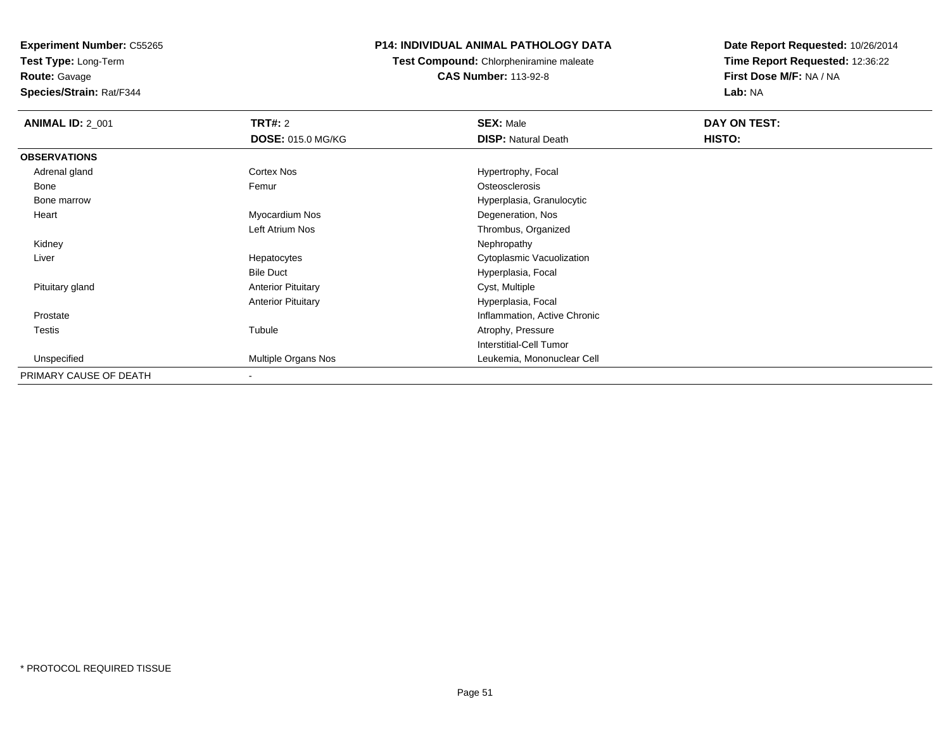**Experiment Number:** C55265**Test Type:** Long-Term

**Route:** Gavage

**Species/Strain:** Rat/F344

# **P14: INDIVIDUAL ANIMAL PATHOLOGY DATA**

**Test Compound:** Chlorpheniramine maleate**CAS Number:** 113-92-8

| <b>ANIMAL ID: 2_001</b> | <b>TRT#: 2</b>            | <b>SEX: Male</b>               | DAY ON TEST: |
|-------------------------|---------------------------|--------------------------------|--------------|
|                         | <b>DOSE: 015.0 MG/KG</b>  | <b>DISP: Natural Death</b>     | HISTO:       |
| <b>OBSERVATIONS</b>     |                           |                                |              |
| Adrenal gland           | Cortex Nos                | Hypertrophy, Focal             |              |
| Bone                    | Femur                     | Osteosclerosis                 |              |
| Bone marrow             |                           | Hyperplasia, Granulocytic      |              |
| Heart                   | Myocardium Nos            | Degeneration, Nos              |              |
|                         | Left Atrium Nos           | Thrombus, Organized            |              |
| Kidney                  |                           | Nephropathy                    |              |
| Liver                   | Hepatocytes               | Cytoplasmic Vacuolization      |              |
|                         | <b>Bile Duct</b>          | Hyperplasia, Focal             |              |
| Pituitary gland         | <b>Anterior Pituitary</b> | Cyst, Multiple                 |              |
|                         | <b>Anterior Pituitary</b> | Hyperplasia, Focal             |              |
| Prostate                |                           | Inflammation, Active Chronic   |              |
| <b>Testis</b>           | Tubule                    | Atrophy, Pressure              |              |
|                         |                           | <b>Interstitial-Cell Tumor</b> |              |
| Unspecified             | Multiple Organs Nos       | Leukemia, Mononuclear Cell     |              |
| PRIMARY CAUSE OF DEATH  | $\overline{\phantom{a}}$  |                                |              |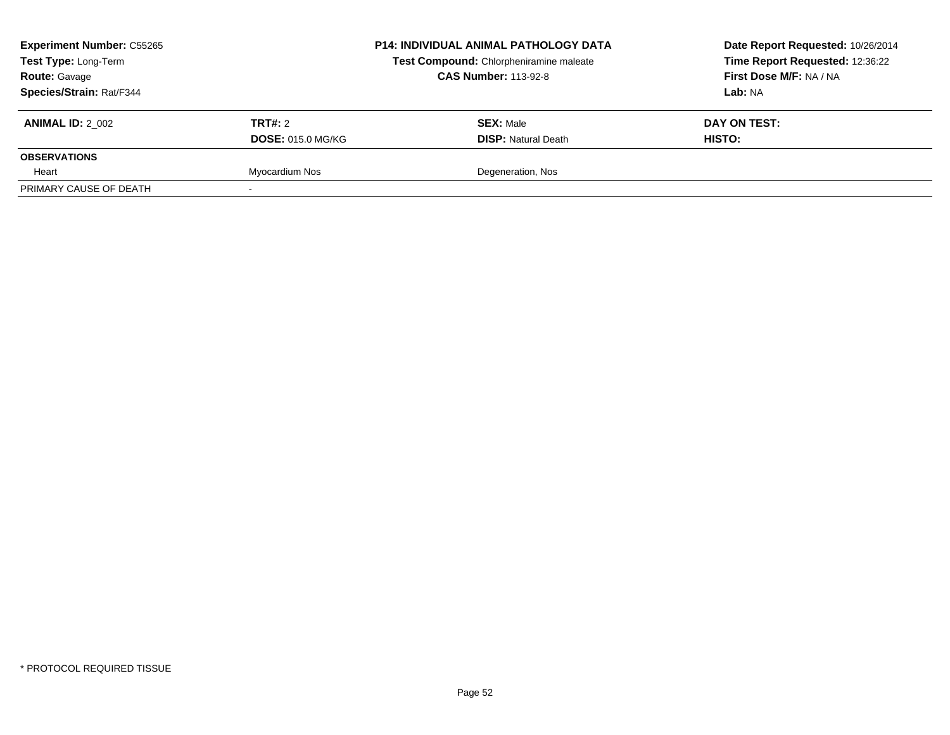| <b>Experiment Number: C55265</b><br>Test Type: Long-Term<br><b>Route: Gavage</b> |                          | <b>P14: INDIVIDUAL ANIMAL PATHOLOGY DATA</b><br>Test Compound: Chlorpheniramine maleate<br><b>CAS Number: 113-92-8</b> | Date Report Requested: 10/26/2014<br>Time Report Requested: 12:36:22<br>First Dose M/F: NA / NA |
|----------------------------------------------------------------------------------|--------------------------|------------------------------------------------------------------------------------------------------------------------|-------------------------------------------------------------------------------------------------|
| Species/Strain: Rat/F344                                                         |                          |                                                                                                                        | Lab: NA                                                                                         |
| <b>ANIMAL ID: 2 002</b>                                                          | <b>TRT#:</b> 2           | <b>SEX: Male</b>                                                                                                       | DAY ON TEST:                                                                                    |
|                                                                                  | <b>DOSE: 015.0 MG/KG</b> | <b>DISP: Natural Death</b>                                                                                             | HISTO:                                                                                          |
| <b>OBSERVATIONS</b>                                                              |                          |                                                                                                                        |                                                                                                 |
| Heart                                                                            | Myocardium Nos           | Degeneration, Nos                                                                                                      |                                                                                                 |
| PRIMARY CAUSE OF DEATH                                                           |                          |                                                                                                                        |                                                                                                 |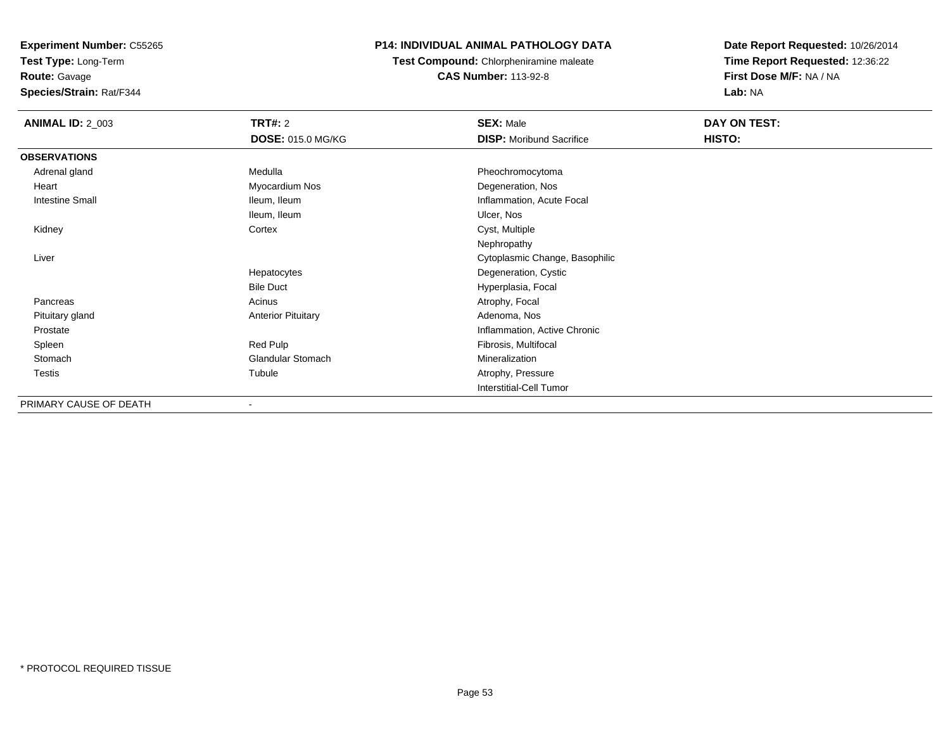**Test Type:** Long-Term

**Route:** Gavage

**Species/Strain:** Rat/F344

# **P14: INDIVIDUAL ANIMAL PATHOLOGY DATA**

**Test Compound:** Chlorpheniramine maleate**CAS Number:** 113-92-8

| <b>ANIMAL ID: 2_003</b> | <b>TRT#: 2</b>            | <b>SEX: Male</b>                | DAY ON TEST: |  |
|-------------------------|---------------------------|---------------------------------|--------------|--|
|                         | <b>DOSE: 015.0 MG/KG</b>  | <b>DISP:</b> Moribund Sacrifice | HISTO:       |  |
| <b>OBSERVATIONS</b>     |                           |                                 |              |  |
| Adrenal gland           | Medulla                   | Pheochromocytoma                |              |  |
| Heart                   | Myocardium Nos            | Degeneration, Nos               |              |  |
| <b>Intestine Small</b>  | Ileum, Ileum              | Inflammation, Acute Focal       |              |  |
|                         | Ileum, Ileum              | Ulcer, Nos                      |              |  |
| Kidney                  | Cortex                    | Cyst, Multiple                  |              |  |
|                         |                           | Nephropathy                     |              |  |
| Liver                   |                           | Cytoplasmic Change, Basophilic  |              |  |
|                         | Hepatocytes               | Degeneration, Cystic            |              |  |
|                         | <b>Bile Duct</b>          | Hyperplasia, Focal              |              |  |
| Pancreas                | Acinus                    | Atrophy, Focal                  |              |  |
| Pituitary gland         | <b>Anterior Pituitary</b> | Adenoma, Nos                    |              |  |
| Prostate                |                           | Inflammation, Active Chronic    |              |  |
| Spleen                  | Red Pulp                  | Fibrosis, Multifocal            |              |  |
| Stomach                 | Glandular Stomach         | Mineralization                  |              |  |
| Testis                  | Tubule                    | Atrophy, Pressure               |              |  |
|                         |                           | Interstitial-Cell Tumor         |              |  |
| PRIMARY CAUSE OF DEATH  |                           |                                 |              |  |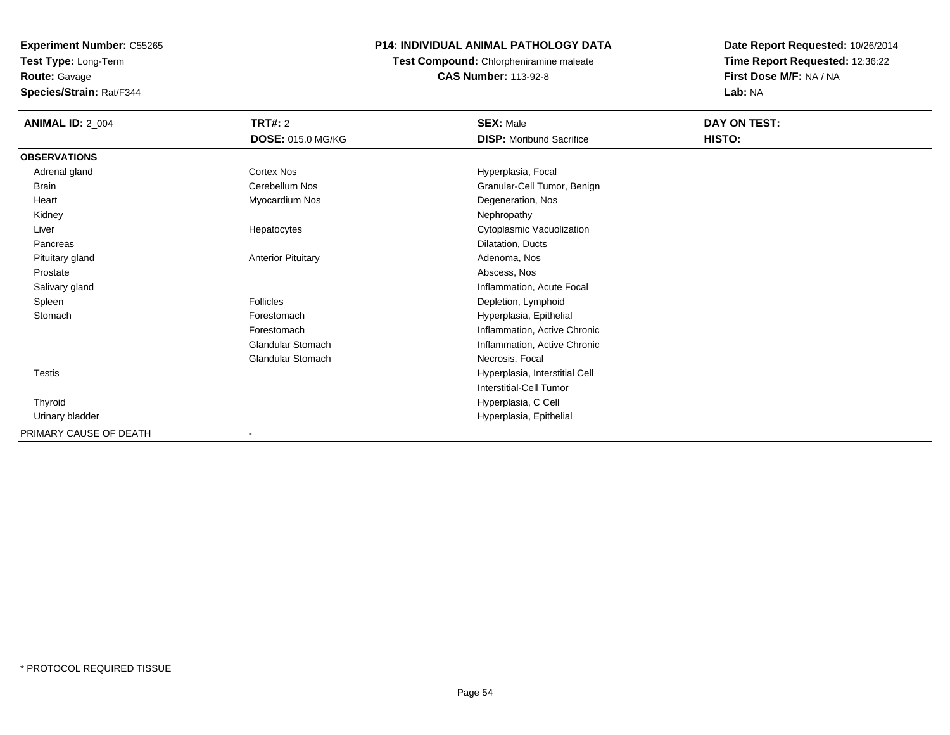**Experiment Number:** C55265**Test Type:** Long-Term

**Route:** Gavage

**Species/Strain:** Rat/F344

# **P14: INDIVIDUAL ANIMAL PATHOLOGY DATA**

**Test Compound:** Chlorpheniramine maleate**CAS Number:** 113-92-8

| <b>ANIMAL ID: 2_004</b> | TRT#: 2<br>DOSE: 015.0 MG/KG | <b>SEX: Male</b><br><b>DISP:</b> Moribund Sacrifice | DAY ON TEST:<br>HISTO: |
|-------------------------|------------------------------|-----------------------------------------------------|------------------------|
| <b>OBSERVATIONS</b>     |                              |                                                     |                        |
| Adrenal gland           | Cortex Nos                   | Hyperplasia, Focal                                  |                        |
| <b>Brain</b>            | Cerebellum Nos               | Granular-Cell Tumor, Benign                         |                        |
| Heart                   | Myocardium Nos               | Degeneration, Nos                                   |                        |
| Kidney                  |                              | Nephropathy                                         |                        |
| Liver                   | Hepatocytes                  | Cytoplasmic Vacuolization                           |                        |
| Pancreas                |                              | Dilatation, Ducts                                   |                        |
| Pituitary gland         | <b>Anterior Pituitary</b>    | Adenoma, Nos                                        |                        |
| Prostate                |                              | Abscess, Nos                                        |                        |
| Salivary gland          |                              | Inflammation, Acute Focal                           |                        |
| Spleen                  | <b>Follicles</b>             | Depletion, Lymphoid                                 |                        |
| Stomach                 | Forestomach                  | Hyperplasia, Epithelial                             |                        |
|                         | Forestomach                  | Inflammation, Active Chronic                        |                        |
|                         | Glandular Stomach            | Inflammation, Active Chronic                        |                        |
|                         | <b>Glandular Stomach</b>     | Necrosis, Focal                                     |                        |
| Testis                  |                              | Hyperplasia, Interstitial Cell                      |                        |
|                         |                              | <b>Interstitial-Cell Tumor</b>                      |                        |
| Thyroid                 |                              | Hyperplasia, C Cell                                 |                        |
| Urinary bladder         |                              | Hyperplasia, Epithelial                             |                        |
| PRIMARY CAUSE OF DEATH  | $\blacksquare$               |                                                     |                        |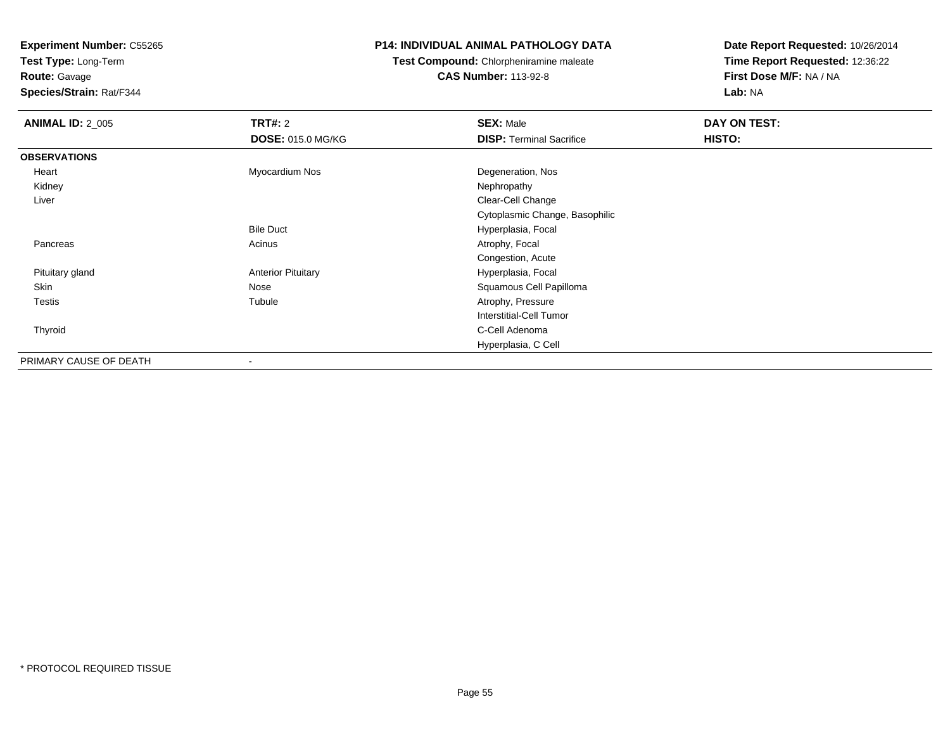**Test Type:** Long-Term**Route:** Gavage

**Species/Strain:** Rat/F344

#### **P14: INDIVIDUAL ANIMAL PATHOLOGY DATA**

**Test Compound:** Chlorpheniramine maleate**CAS Number:** 113-92-8

| <b>ANIMAL ID: 2_005</b> | TRT#: 2                   | <b>SEX: Male</b>                | DAY ON TEST: |  |
|-------------------------|---------------------------|---------------------------------|--------------|--|
|                         | <b>DOSE: 015.0 MG/KG</b>  | <b>DISP: Terminal Sacrifice</b> | HISTO:       |  |
| <b>OBSERVATIONS</b>     |                           |                                 |              |  |
| Heart                   | Myocardium Nos            | Degeneration, Nos               |              |  |
| Kidney                  |                           | Nephropathy                     |              |  |
| Liver                   |                           | Clear-Cell Change               |              |  |
|                         |                           | Cytoplasmic Change, Basophilic  |              |  |
|                         | <b>Bile Duct</b>          | Hyperplasia, Focal              |              |  |
| Pancreas                | Acinus                    | Atrophy, Focal                  |              |  |
|                         |                           | Congestion, Acute               |              |  |
| Pituitary gland         | <b>Anterior Pituitary</b> | Hyperplasia, Focal              |              |  |
| Skin                    | Nose                      | Squamous Cell Papilloma         |              |  |
| <b>Testis</b>           | Tubule                    | Atrophy, Pressure               |              |  |
|                         |                           | Interstitial-Cell Tumor         |              |  |
| Thyroid                 |                           | C-Cell Adenoma                  |              |  |
|                         |                           | Hyperplasia, C Cell             |              |  |
| PRIMARY CAUSE OF DEATH  | ۰                         |                                 |              |  |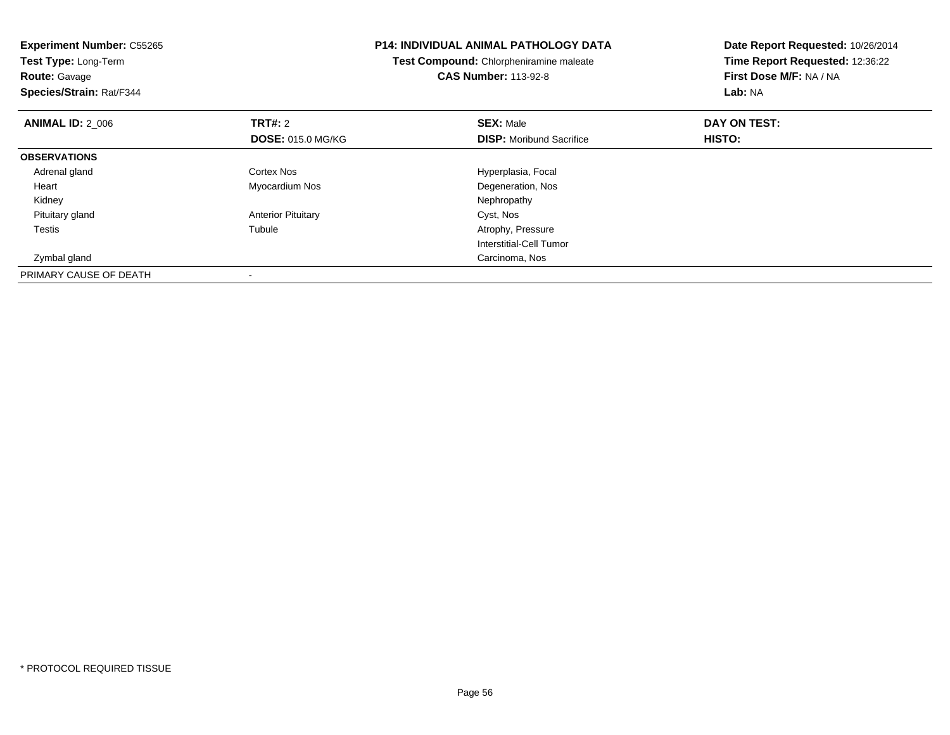| <b>Experiment Number: C55265</b><br>Test Type: Long-Term<br><b>Route: Gavage</b><br>Species/Strain: Rat/F344 |                           | <b>P14: INDIVIDUAL ANIMAL PATHOLOGY DATA</b><br>Test Compound: Chlorpheniramine maleate<br><b>CAS Number: 113-92-8</b> | Date Report Requested: 10/26/2014<br>Time Report Requested: 12:36:22<br>First Dose M/F: NA / NA<br>Lab: NA |
|--------------------------------------------------------------------------------------------------------------|---------------------------|------------------------------------------------------------------------------------------------------------------------|------------------------------------------------------------------------------------------------------------|
| <b>ANIMAL ID: 2_006</b>                                                                                      | <b>TRT#: 2</b>            | <b>SEX: Male</b>                                                                                                       | DAY ON TEST:                                                                                               |
|                                                                                                              | <b>DOSE: 015.0 MG/KG</b>  | <b>DISP:</b> Moribund Sacrifice                                                                                        | HISTO:                                                                                                     |
| <b>OBSERVATIONS</b>                                                                                          |                           |                                                                                                                        |                                                                                                            |
| Adrenal gland                                                                                                | Cortex Nos                | Hyperplasia, Focal                                                                                                     |                                                                                                            |
| Heart                                                                                                        | Myocardium Nos            | Degeneration, Nos                                                                                                      |                                                                                                            |
| Kidney                                                                                                       |                           | Nephropathy                                                                                                            |                                                                                                            |
| Pituitary gland                                                                                              | <b>Anterior Pituitary</b> | Cyst, Nos                                                                                                              |                                                                                                            |
| Testis                                                                                                       | Tubule                    | Atrophy, Pressure                                                                                                      |                                                                                                            |
|                                                                                                              |                           | Interstitial-Cell Tumor                                                                                                |                                                                                                            |
| Zymbal gland                                                                                                 |                           | Carcinoma, Nos                                                                                                         |                                                                                                            |
| PRIMARY CAUSE OF DEATH                                                                                       |                           |                                                                                                                        |                                                                                                            |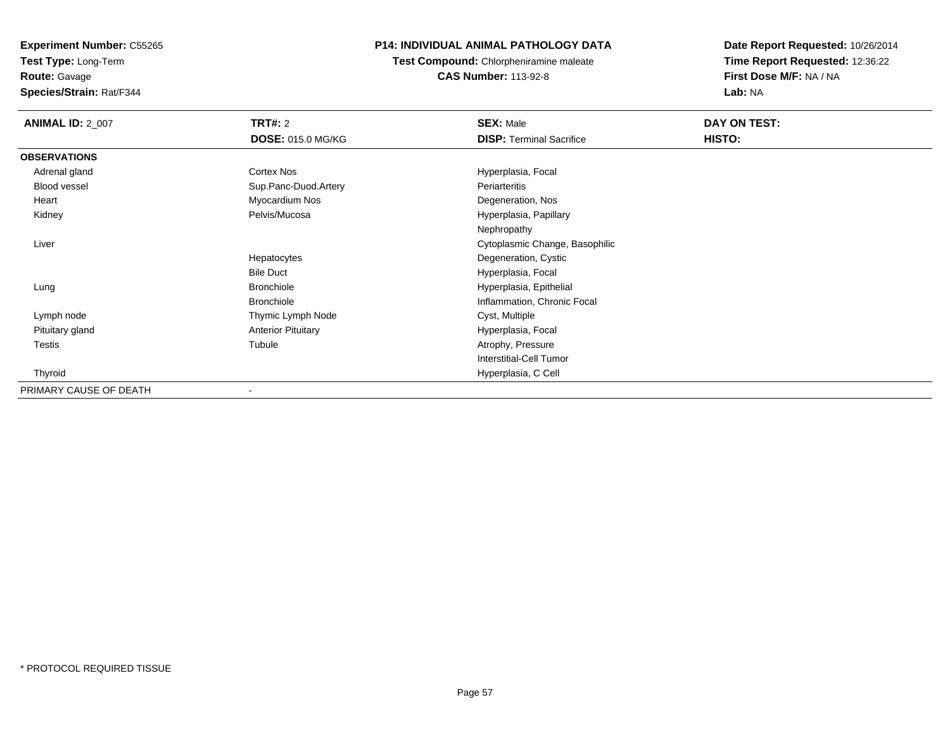**Test Type:** Long-Term

**Route:** Gavage

**Species/Strain:** Rat/F344

# **P14: INDIVIDUAL ANIMAL PATHOLOGY DATA**

**Test Compound:** Chlorpheniramine maleate**CAS Number:** 113-92-8

| <b>ANIMAL ID: 2 007</b> | <b>TRT#: 2</b>            | <b>SEX: Male</b>                | DAY ON TEST: |  |
|-------------------------|---------------------------|---------------------------------|--------------|--|
|                         | <b>DOSE: 015.0 MG/KG</b>  | <b>DISP: Terminal Sacrifice</b> | HISTO:       |  |
| <b>OBSERVATIONS</b>     |                           |                                 |              |  |
| Adrenal gland           | Cortex Nos                | Hyperplasia, Focal              |              |  |
| Blood vessel            | Sup.Panc-Duod.Artery      | Periarteritis                   |              |  |
| Heart                   | Myocardium Nos            | Degeneration, Nos               |              |  |
| Kidney                  | Pelvis/Mucosa             | Hyperplasia, Papillary          |              |  |
|                         |                           | Nephropathy                     |              |  |
| Liver                   |                           | Cytoplasmic Change, Basophilic  |              |  |
|                         | Hepatocytes               | Degeneration, Cystic            |              |  |
|                         | <b>Bile Duct</b>          | Hyperplasia, Focal              |              |  |
| Lung                    | <b>Bronchiole</b>         | Hyperplasia, Epithelial         |              |  |
|                         | <b>Bronchiole</b>         | Inflammation, Chronic Focal     |              |  |
| Lymph node              | Thymic Lymph Node         | Cyst, Multiple                  |              |  |
| Pituitary gland         | <b>Anterior Pituitary</b> | Hyperplasia, Focal              |              |  |
| Testis                  | Tubule                    | Atrophy, Pressure               |              |  |
|                         |                           | <b>Interstitial-Cell Tumor</b>  |              |  |
| Thyroid                 |                           | Hyperplasia, C Cell             |              |  |
| PRIMARY CAUSE OF DEATH  |                           |                                 |              |  |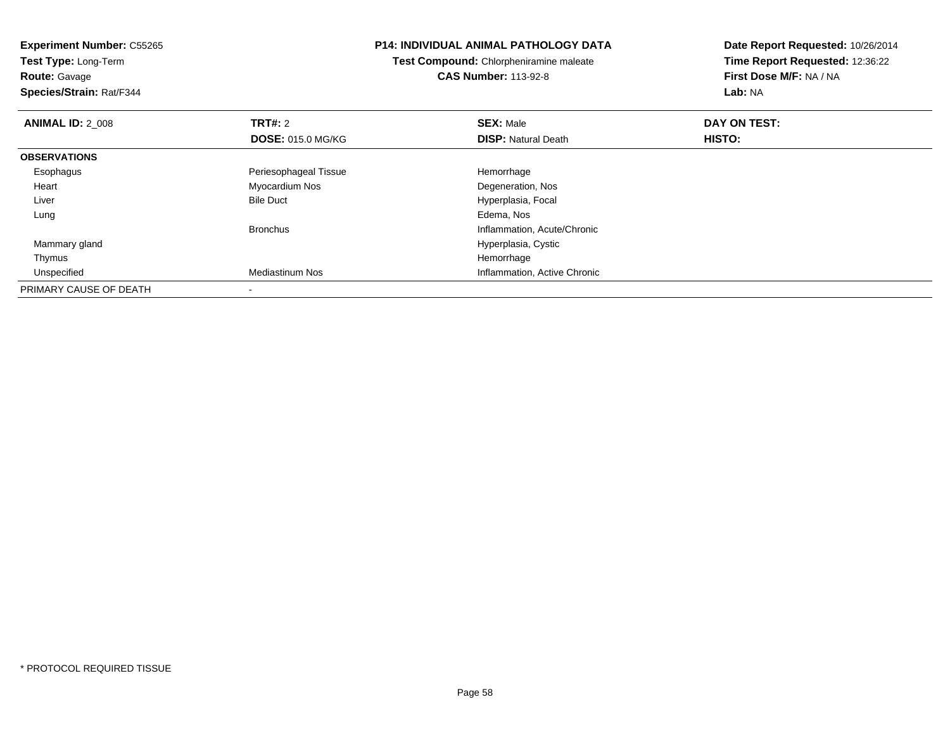**Test Type:** Long-Term**Route:** Gavage

**Species/Strain:** Rat/F344

### **P14: INDIVIDUAL ANIMAL PATHOLOGY DATA**

**Test Compound:** Chlorpheniramine maleate**CAS Number:** 113-92-8

| <b>ANIMAL ID: 2 008</b> | TRT#: 2                  | <b>SEX: Male</b>             | DAY ON TEST: |  |
|-------------------------|--------------------------|------------------------------|--------------|--|
|                         | <b>DOSE: 015.0 MG/KG</b> | <b>DISP: Natural Death</b>   | HISTO:       |  |
| <b>OBSERVATIONS</b>     |                          |                              |              |  |
| Esophagus               | Periesophageal Tissue    | Hemorrhage                   |              |  |
| Heart                   | Myocardium Nos           | Degeneration, Nos            |              |  |
| Liver                   | <b>Bile Duct</b>         | Hyperplasia, Focal           |              |  |
| Lung                    |                          | Edema, Nos                   |              |  |
|                         | <b>Bronchus</b>          | Inflammation, Acute/Chronic  |              |  |
| Mammary gland           |                          | Hyperplasia, Cystic          |              |  |
| Thymus                  |                          | Hemorrhage                   |              |  |
| Unspecified             | <b>Mediastinum Nos</b>   | Inflammation, Active Chronic |              |  |
| PRIMARY CAUSE OF DEATH  |                          |                              |              |  |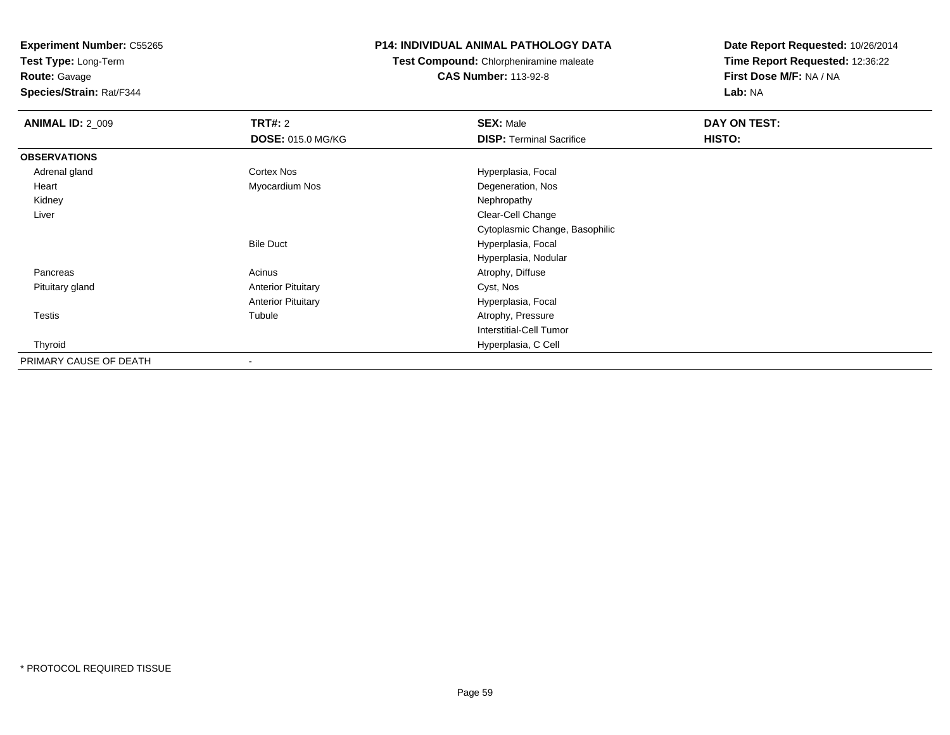**Test Type:** Long-Term

**Route:** Gavage

**Species/Strain:** Rat/F344

# **P14: INDIVIDUAL ANIMAL PATHOLOGY DATA**

**Test Compound:** Chlorpheniramine maleate**CAS Number:** 113-92-8

| <b>ANIMAL ID: 2_009</b> | <b>TRT#: 2</b>            | <b>SEX: Male</b>                | <b>DAY ON TEST:</b> |  |
|-------------------------|---------------------------|---------------------------------|---------------------|--|
|                         | <b>DOSE: 015.0 MG/KG</b>  | <b>DISP: Terminal Sacrifice</b> | <b>HISTO:</b>       |  |
| <b>OBSERVATIONS</b>     |                           |                                 |                     |  |
| Adrenal gland           | Cortex Nos                | Hyperplasia, Focal              |                     |  |
| Heart                   | Myocardium Nos            | Degeneration, Nos               |                     |  |
| Kidney                  |                           | Nephropathy                     |                     |  |
| Liver                   |                           | Clear-Cell Change               |                     |  |
|                         |                           | Cytoplasmic Change, Basophilic  |                     |  |
|                         | <b>Bile Duct</b>          | Hyperplasia, Focal              |                     |  |
|                         |                           | Hyperplasia, Nodular            |                     |  |
| Pancreas                | Acinus                    | Atrophy, Diffuse                |                     |  |
| Pituitary gland         | <b>Anterior Pituitary</b> | Cyst, Nos                       |                     |  |
|                         | <b>Anterior Pituitary</b> | Hyperplasia, Focal              |                     |  |
| <b>Testis</b>           | Tubule                    | Atrophy, Pressure               |                     |  |
|                         |                           | Interstitial-Cell Tumor         |                     |  |
| Thyroid                 |                           | Hyperplasia, C Cell             |                     |  |
| PRIMARY CAUSE OF DEATH  |                           |                                 |                     |  |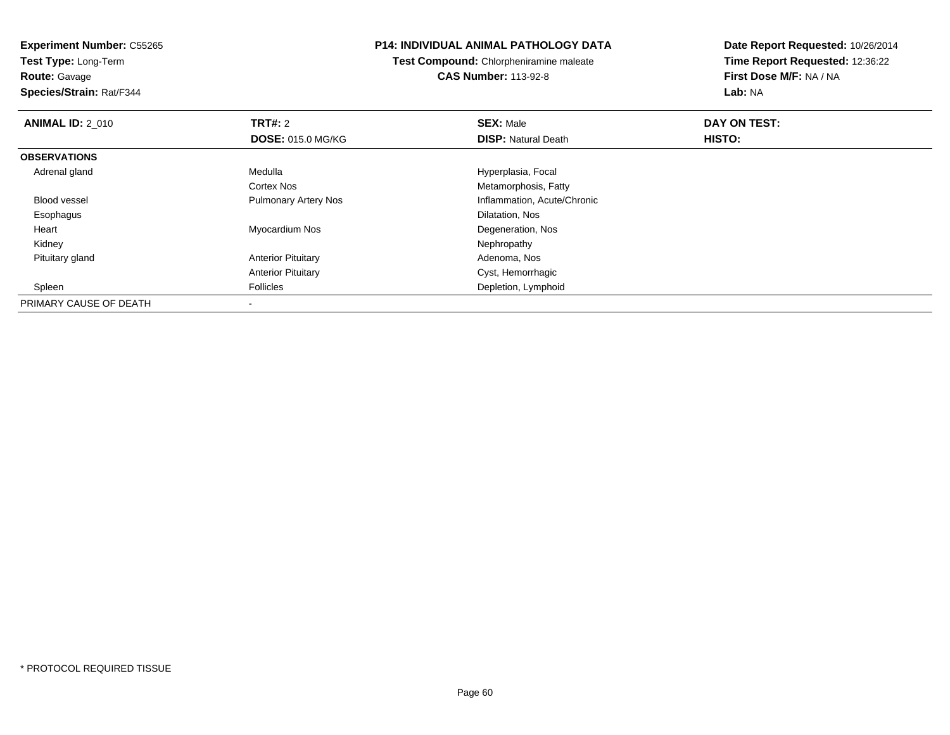**Test Type:** Long-Term

# **Route:** Gavage

**Species/Strain:** Rat/F344

## **P14: INDIVIDUAL ANIMAL PATHOLOGY DATA**

**Test Compound:** Chlorpheniramine maleate**CAS Number:** 113-92-8

| <b>ANIMAL ID: 2 010</b> | <b>TRT#: 2</b>              | <b>SEX: Male</b>            | DAY ON TEST: |  |
|-------------------------|-----------------------------|-----------------------------|--------------|--|
|                         | <b>DOSE: 015.0 MG/KG</b>    | <b>DISP: Natural Death</b>  | HISTO:       |  |
| <b>OBSERVATIONS</b>     |                             |                             |              |  |
| Adrenal gland           | Medulla                     | Hyperplasia, Focal          |              |  |
|                         | Cortex Nos                  | Metamorphosis, Fatty        |              |  |
| <b>Blood vessel</b>     | <b>Pulmonary Artery Nos</b> | Inflammation, Acute/Chronic |              |  |
| Esophagus               |                             | Dilatation, Nos             |              |  |
| Heart                   | Myocardium Nos              | Degeneration, Nos           |              |  |
| Kidney                  |                             | Nephropathy                 |              |  |
| Pituitary gland         | <b>Anterior Pituitary</b>   | Adenoma, Nos                |              |  |
|                         | <b>Anterior Pituitary</b>   | Cyst, Hemorrhagic           |              |  |
| Spleen                  | <b>Follicles</b>            | Depletion, Lymphoid         |              |  |
| PRIMARY CAUSE OF DEATH  |                             |                             |              |  |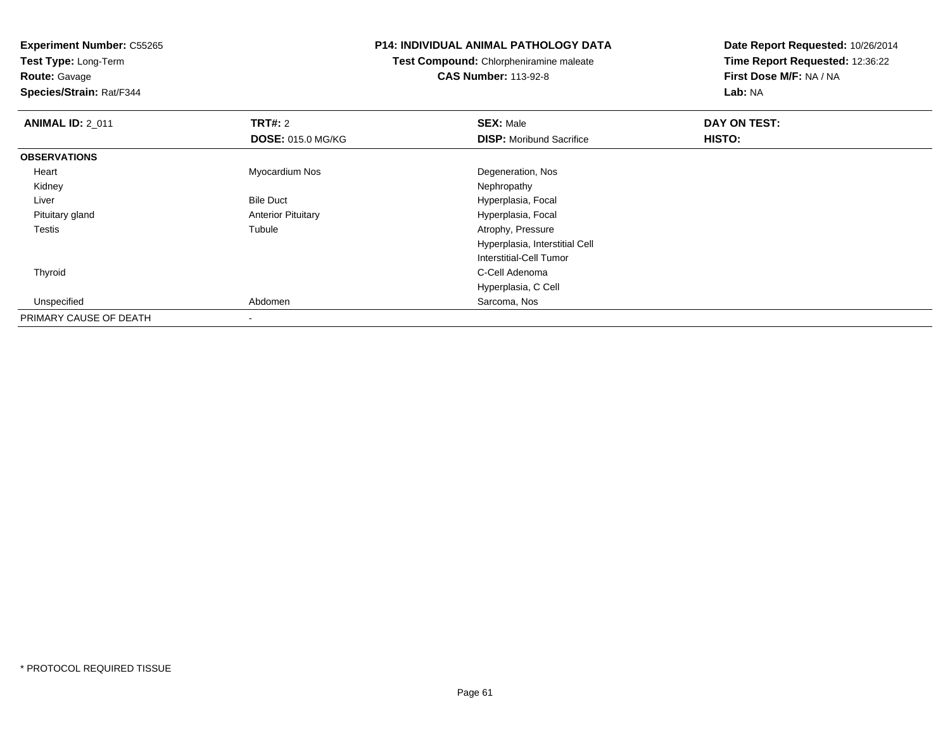**Test Type:** Long-Term**Route:** Gavage

**Species/Strain:** Rat/F344

#### **P14: INDIVIDUAL ANIMAL PATHOLOGY DATA**

**Test Compound:** Chlorpheniramine maleate**CAS Number:** 113-92-8

| <b>ANIMAL ID: 2_011</b> | <b>TRT#: 2</b>            | <b>SEX: Male</b>                | DAY ON TEST: |  |
|-------------------------|---------------------------|---------------------------------|--------------|--|
|                         | <b>DOSE: 015.0 MG/KG</b>  | <b>DISP:</b> Moribund Sacrifice | HISTO:       |  |
| <b>OBSERVATIONS</b>     |                           |                                 |              |  |
| Heart                   | Myocardium Nos            | Degeneration, Nos               |              |  |
| Kidney                  |                           | Nephropathy                     |              |  |
| Liver                   | <b>Bile Duct</b>          | Hyperplasia, Focal              |              |  |
| Pituitary gland         | <b>Anterior Pituitary</b> | Hyperplasia, Focal              |              |  |
| Testis                  | Tubule                    | Atrophy, Pressure               |              |  |
|                         |                           | Hyperplasia, Interstitial Cell  |              |  |
|                         |                           | Interstitial-Cell Tumor         |              |  |
| Thyroid                 |                           | C-Cell Adenoma                  |              |  |
|                         |                           | Hyperplasia, C Cell             |              |  |
| Unspecified             | Abdomen                   | Sarcoma, Nos                    |              |  |
| PRIMARY CAUSE OF DEATH  |                           |                                 |              |  |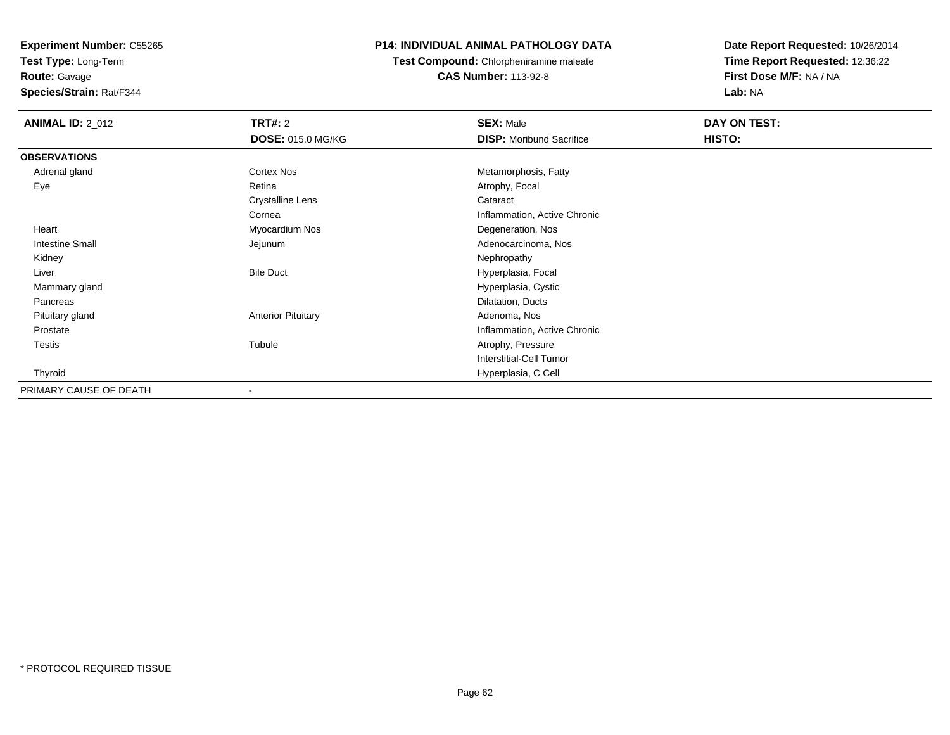**Test Type:** Long-Term

**Route:** Gavage

**Species/Strain:** Rat/F344

# **P14: INDIVIDUAL ANIMAL PATHOLOGY DATA**

**Test Compound:** Chlorpheniramine maleate**CAS Number:** 113-92-8

| <b>ANIMAL ID: 2_012</b> | <b>TRT#:</b> 2            | <b>SEX: Male</b>                | DAY ON TEST:  |  |
|-------------------------|---------------------------|---------------------------------|---------------|--|
|                         | <b>DOSE: 015.0 MG/KG</b>  | <b>DISP:</b> Moribund Sacrifice | <b>HISTO:</b> |  |
| <b>OBSERVATIONS</b>     |                           |                                 |               |  |
| Adrenal gland           | Cortex Nos                | Metamorphosis, Fatty            |               |  |
| Eye                     | Retina                    | Atrophy, Focal                  |               |  |
|                         | <b>Crystalline Lens</b>   | Cataract                        |               |  |
|                         | Cornea                    | Inflammation, Active Chronic    |               |  |
| Heart                   | Myocardium Nos            | Degeneration, Nos               |               |  |
| Intestine Small         | Jejunum                   | Adenocarcinoma, Nos             |               |  |
| Kidney                  |                           | Nephropathy                     |               |  |
| Liver                   | <b>Bile Duct</b>          | Hyperplasia, Focal              |               |  |
| Mammary gland           |                           | Hyperplasia, Cystic             |               |  |
| Pancreas                |                           | Dilatation, Ducts               |               |  |
| Pituitary gland         | <b>Anterior Pituitary</b> | Adenoma, Nos                    |               |  |
| Prostate                |                           | Inflammation, Active Chronic    |               |  |
| Testis                  | Tubule                    | Atrophy, Pressure               |               |  |
|                         |                           | <b>Interstitial-Cell Tumor</b>  |               |  |
| Thyroid                 |                           | Hyperplasia, C Cell             |               |  |
| PRIMARY CAUSE OF DEATH  | $\overline{\phantom{0}}$  |                                 |               |  |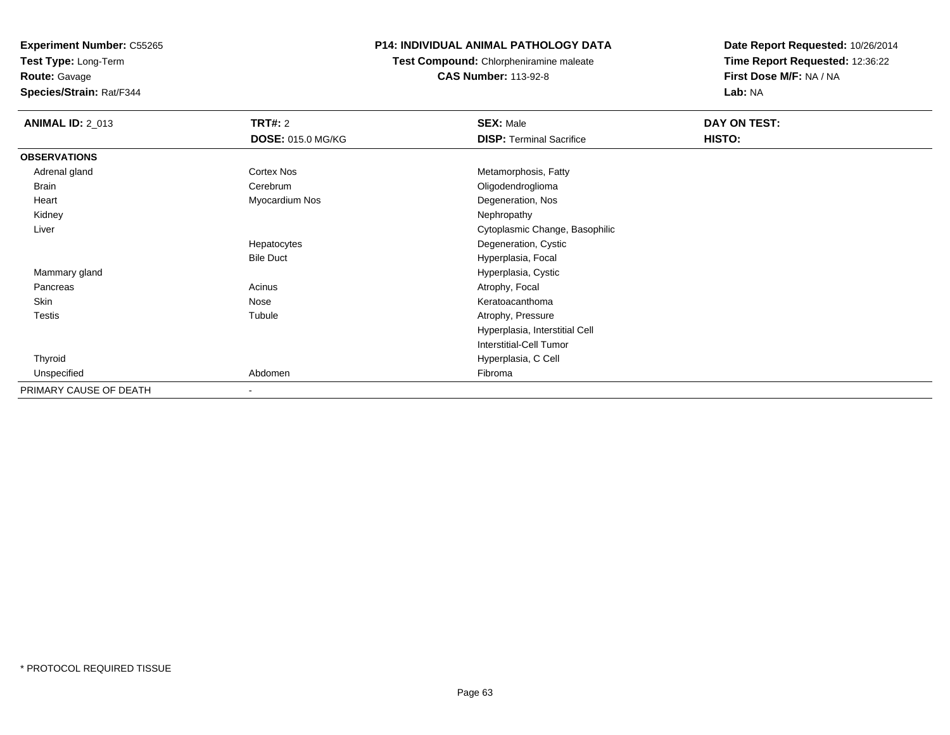**Test Type:** Long-Term**Route:** Gavage

**Species/Strain:** Rat/F344

# **P14: INDIVIDUAL ANIMAL PATHOLOGY DATA**

**Test Compound:** Chlorpheniramine maleate**CAS Number:** 113-92-8

| <b>ANIMAL ID: 2_013</b> | <b>TRT#:</b> 2           | <b>SEX: Male</b>                | DAY ON TEST: |  |
|-------------------------|--------------------------|---------------------------------|--------------|--|
|                         | <b>DOSE: 015.0 MG/KG</b> | <b>DISP: Terminal Sacrifice</b> | HISTO:       |  |
| <b>OBSERVATIONS</b>     |                          |                                 |              |  |
| Adrenal gland           | <b>Cortex Nos</b>        | Metamorphosis, Fatty            |              |  |
| Brain                   | Cerebrum                 | Oligodendroglioma               |              |  |
| Heart                   | Myocardium Nos           | Degeneration, Nos               |              |  |
| Kidney                  |                          | Nephropathy                     |              |  |
| Liver                   |                          | Cytoplasmic Change, Basophilic  |              |  |
|                         | Hepatocytes              | Degeneration, Cystic            |              |  |
|                         | <b>Bile Duct</b>         | Hyperplasia, Focal              |              |  |
| Mammary gland           |                          | Hyperplasia, Cystic             |              |  |
| Pancreas                | Acinus                   | Atrophy, Focal                  |              |  |
| Skin                    | Nose                     | Keratoacanthoma                 |              |  |
| <b>Testis</b>           | Tubule                   | Atrophy, Pressure               |              |  |
|                         |                          | Hyperplasia, Interstitial Cell  |              |  |
|                         |                          | Interstitial-Cell Tumor         |              |  |
| Thyroid                 |                          | Hyperplasia, C Cell             |              |  |
| Unspecified             | Abdomen                  | Fibroma                         |              |  |
| PRIMARY CAUSE OF DEATH  | $\overline{\phantom{a}}$ |                                 |              |  |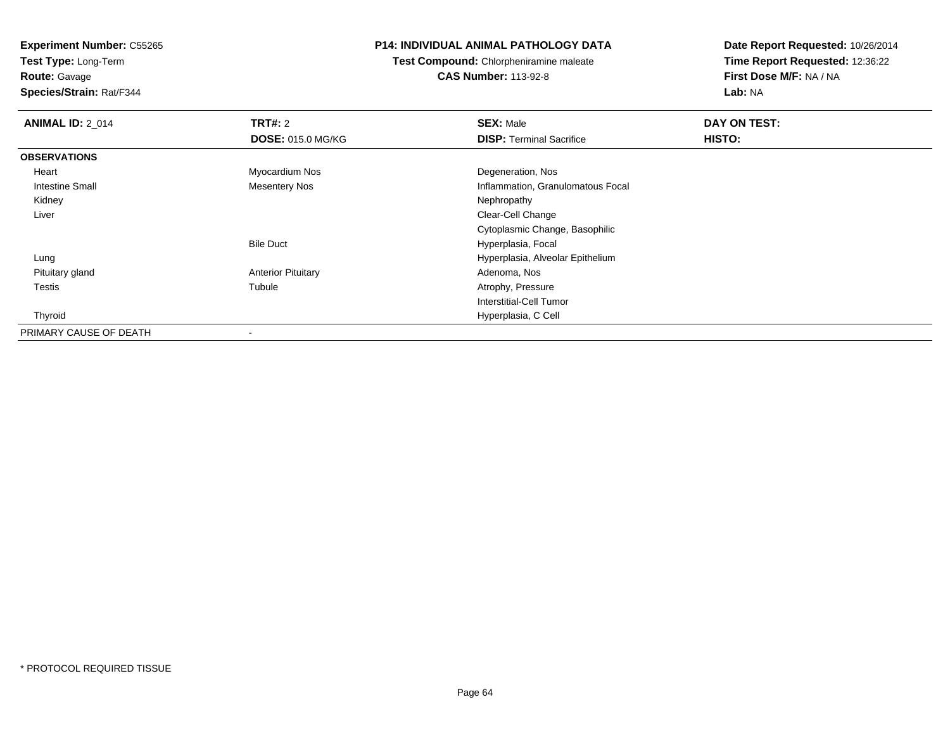**Test Type:** Long-Term**Route:** Gavage

**Species/Strain:** Rat/F344

# **P14: INDIVIDUAL ANIMAL PATHOLOGY DATA**

**Test Compound:** Chlorpheniramine maleate**CAS Number:** 113-92-8

| <b>ANIMAL ID: 2_014</b> | TRT#: 2                   | <b>SEX: Male</b>                  | DAY ON TEST: |  |
|-------------------------|---------------------------|-----------------------------------|--------------|--|
|                         | <b>DOSE: 015.0 MG/KG</b>  | <b>DISP: Terminal Sacrifice</b>   | HISTO:       |  |
| <b>OBSERVATIONS</b>     |                           |                                   |              |  |
| Heart                   | Myocardium Nos            | Degeneration, Nos                 |              |  |
| Intestine Small         | <b>Mesentery Nos</b>      | Inflammation, Granulomatous Focal |              |  |
| Kidney                  |                           | Nephropathy                       |              |  |
| Liver                   |                           | Clear-Cell Change                 |              |  |
|                         |                           | Cytoplasmic Change, Basophilic    |              |  |
|                         | <b>Bile Duct</b>          | Hyperplasia, Focal                |              |  |
| Lung                    |                           | Hyperplasia, Alveolar Epithelium  |              |  |
| Pituitary gland         | <b>Anterior Pituitary</b> | Adenoma, Nos                      |              |  |
| Testis                  | Tubule                    | Atrophy, Pressure                 |              |  |
|                         |                           | Interstitial-Cell Tumor           |              |  |
| Thyroid                 |                           | Hyperplasia, C Cell               |              |  |
| PRIMARY CAUSE OF DEATH  | $\blacksquare$            |                                   |              |  |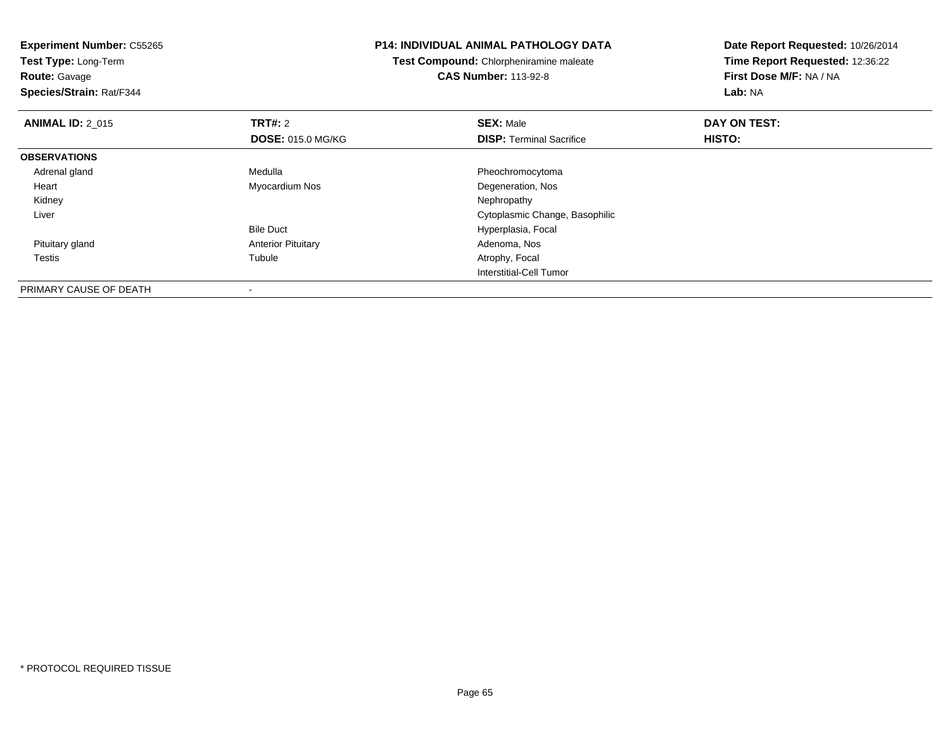**Experiment Number:** C55265**Test Type:** Long-Term**Route:** Gavage **Species/Strain:** Rat/F344**P14: INDIVIDUAL ANIMAL PATHOLOGY DATATest Compound:** Chlorpheniramine maleate**CAS Number:** 113-92-8**Date Report Requested:** 10/26/2014**Time Report Requested:** 12:36:22**First Dose M/F:** NA / NA**Lab:** NA**ANIMAL ID: 2 015 TRT#:** <sup>2</sup> **SEX:** Male **DAY ON TEST: DOSE:** 015.0 MG/KG**DISP:** Terminal Sacrifice **HISTO: OBSERVATIONS** Adrenal glandMedulla **Pheochromocytoma**  Heart Myocardium NosDegeneration, Nos<br>Nephropathy Kidneyy the control of the control of the control of the control of the control of the control of the control of the control of the control of the control of the control of the control of the control of the control of the contro Liver Cytoplasmic Change, BasophilicBile Duct Hyperplasia, Focal Pituitary glandAnterior Pituitary **Adenoma, Nosting Community Community** Adenoma, Nosting Adenoma, Nosting Adenoma, Nosting Adenoma, Nosting Adenoma, Nosting Adenoma, Nosting Adenoma, Nosting Adenoma, Nosting Adenoma, Nosting Adenoma, No Testiss and the contract of the contract of the contract of the contract of the contract of the contract of the contract of the contract of the contract of the contract of the contract of the contract of the contract of the cont Atrophy, Focal Interstitial-Cell TumorPRIMARY CAUSE OF DEATH

-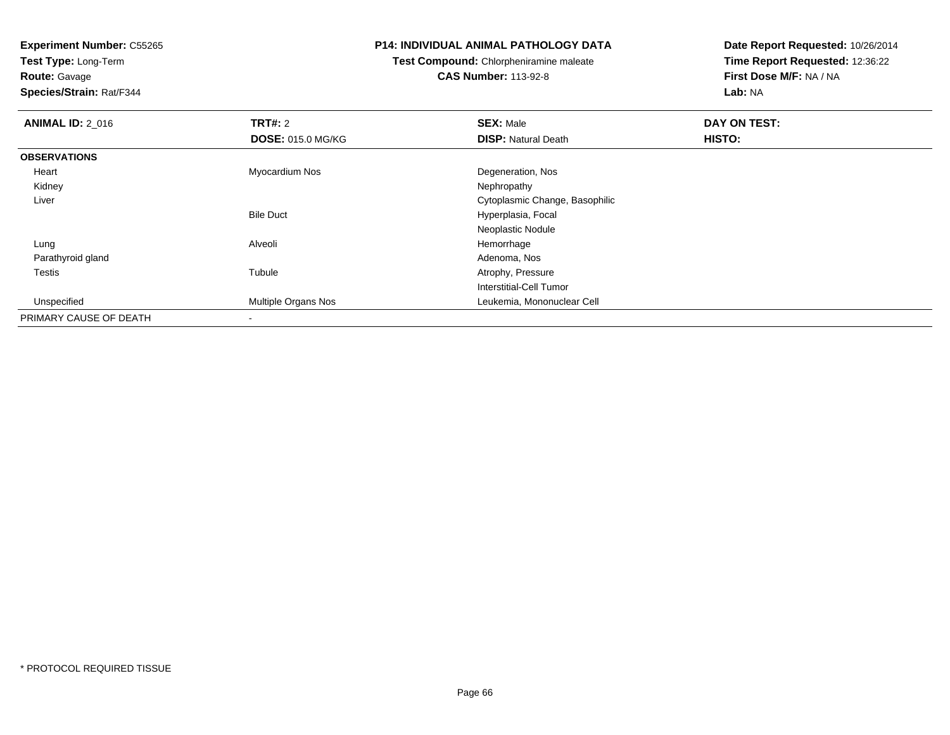**Test Type:** Long-Term**Route:** Gavage

**Species/Strain:** Rat/F344

#### **P14: INDIVIDUAL ANIMAL PATHOLOGY DATA**

**Test Compound:** Chlorpheniramine maleate**CAS Number:** 113-92-8

| <b>ANIMAL ID: 2_016</b> | TRT#: 2                  | <b>SEX: Male</b>               | DAY ON TEST: |  |
|-------------------------|--------------------------|--------------------------------|--------------|--|
|                         | <b>DOSE: 015.0 MG/KG</b> | <b>DISP: Natural Death</b>     | HISTO:       |  |
| <b>OBSERVATIONS</b>     |                          |                                |              |  |
| Heart                   | Myocardium Nos           | Degeneration, Nos              |              |  |
| Kidney                  |                          | Nephropathy                    |              |  |
| Liver                   |                          | Cytoplasmic Change, Basophilic |              |  |
|                         | <b>Bile Duct</b>         | Hyperplasia, Focal             |              |  |
|                         |                          | Neoplastic Nodule              |              |  |
| Lung                    | Alveoli                  | Hemorrhage                     |              |  |
| Parathyroid gland       |                          | Adenoma, Nos                   |              |  |
| <b>Testis</b>           | Tubule                   | Atrophy, Pressure              |              |  |
|                         |                          | Interstitial-Cell Tumor        |              |  |
| Unspecified             | Multiple Organs Nos      | Leukemia, Mononuclear Cell     |              |  |
| PRIMARY CAUSE OF DEATH  | $\blacksquare$           |                                |              |  |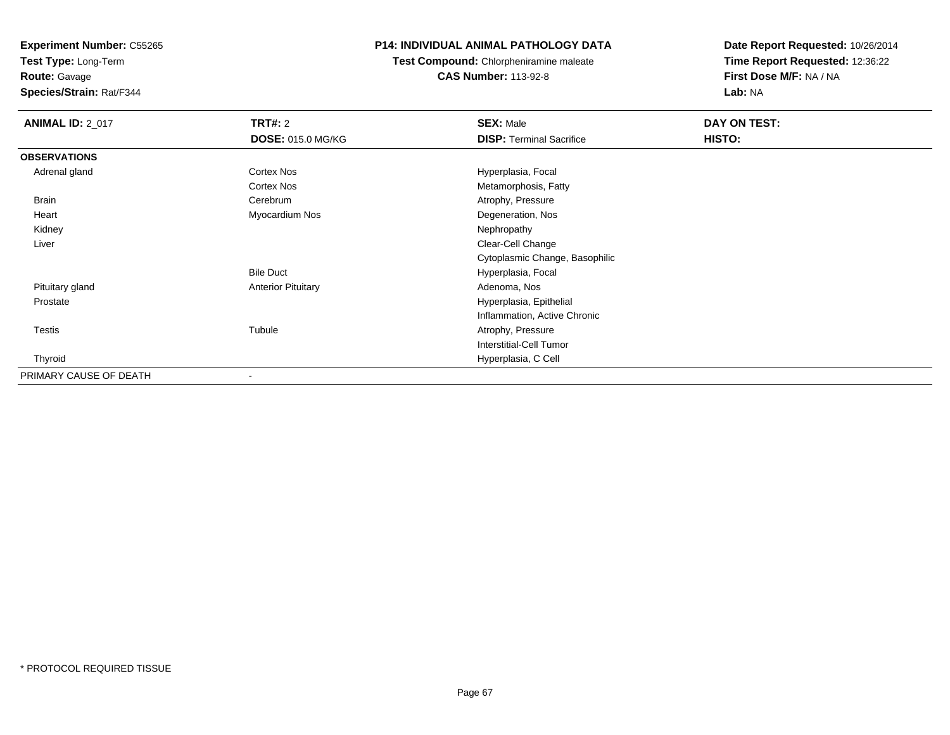**Test Type:** Long-Term

**Route:** Gavage

**Species/Strain:** Rat/F344

# **P14: INDIVIDUAL ANIMAL PATHOLOGY DATA**

**Test Compound:** Chlorpheniramine maleate**CAS Number:** 113-92-8

| <b>ANIMAL ID: 2_017</b> | <b>TRT#: 2</b>            | <b>SEX: Male</b>                | DAY ON TEST: |  |
|-------------------------|---------------------------|---------------------------------|--------------|--|
|                         | <b>DOSE: 015.0 MG/KG</b>  | <b>DISP: Terminal Sacrifice</b> | HISTO:       |  |
| <b>OBSERVATIONS</b>     |                           |                                 |              |  |
| Adrenal gland           | Cortex Nos                | Hyperplasia, Focal              |              |  |
|                         | Cortex Nos                | Metamorphosis, Fatty            |              |  |
| <b>Brain</b>            | Cerebrum                  | Atrophy, Pressure               |              |  |
| Heart                   | Myocardium Nos            | Degeneration, Nos               |              |  |
| Kidney                  |                           | Nephropathy                     |              |  |
| Liver                   |                           | Clear-Cell Change               |              |  |
|                         |                           | Cytoplasmic Change, Basophilic  |              |  |
|                         | <b>Bile Duct</b>          | Hyperplasia, Focal              |              |  |
| Pituitary gland         | <b>Anterior Pituitary</b> | Adenoma, Nos                    |              |  |
| Prostate                |                           | Hyperplasia, Epithelial         |              |  |
|                         |                           | Inflammation, Active Chronic    |              |  |
| <b>Testis</b>           | Tubule                    | Atrophy, Pressure               |              |  |
|                         |                           | <b>Interstitial-Cell Tumor</b>  |              |  |
| Thyroid                 |                           | Hyperplasia, C Cell             |              |  |
| PRIMARY CAUSE OF DEATH  | $\blacksquare$            |                                 |              |  |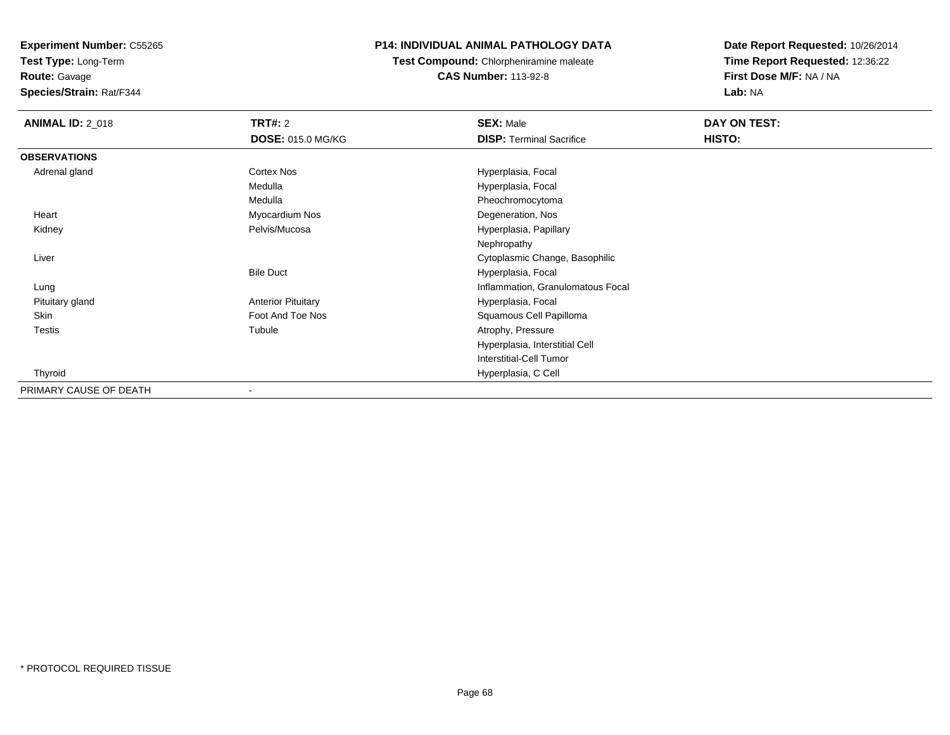**Test Type:** Long-Term

**Route:** Gavage

**Species/Strain:** Rat/F344

## **P14: INDIVIDUAL ANIMAL PATHOLOGY DATA**

**Test Compound:** Chlorpheniramine maleate**CAS Number:** 113-92-8

| <b>ANIMAL ID: 2_018</b> | TRT#: 2                   | <b>SEX: Male</b>                  | DAY ON TEST:  |  |
|-------------------------|---------------------------|-----------------------------------|---------------|--|
|                         | <b>DOSE: 015.0 MG/KG</b>  | <b>DISP: Terminal Sacrifice</b>   | <b>HISTO:</b> |  |
| <b>OBSERVATIONS</b>     |                           |                                   |               |  |
| Adrenal gland           | <b>Cortex Nos</b>         | Hyperplasia, Focal                |               |  |
|                         | Medulla                   | Hyperplasia, Focal                |               |  |
|                         | Medulla                   | Pheochromocytoma                  |               |  |
| Heart                   | Myocardium Nos            | Degeneration, Nos                 |               |  |
| Kidney                  | Pelvis/Mucosa             | Hyperplasia, Papillary            |               |  |
|                         |                           | Nephropathy                       |               |  |
| Liver                   |                           | Cytoplasmic Change, Basophilic    |               |  |
|                         | <b>Bile Duct</b>          | Hyperplasia, Focal                |               |  |
| Lung                    |                           | Inflammation, Granulomatous Focal |               |  |
| Pituitary gland         | <b>Anterior Pituitary</b> | Hyperplasia, Focal                |               |  |
| Skin                    | Foot And Toe Nos          | Squamous Cell Papilloma           |               |  |
| <b>Testis</b>           | Tubule                    | Atrophy, Pressure                 |               |  |
|                         |                           | Hyperplasia, Interstitial Cell    |               |  |
|                         |                           | <b>Interstitial-Cell Tumor</b>    |               |  |
| Thyroid                 |                           | Hyperplasia, C Cell               |               |  |
| PRIMARY CAUSE OF DEATH  |                           |                                   |               |  |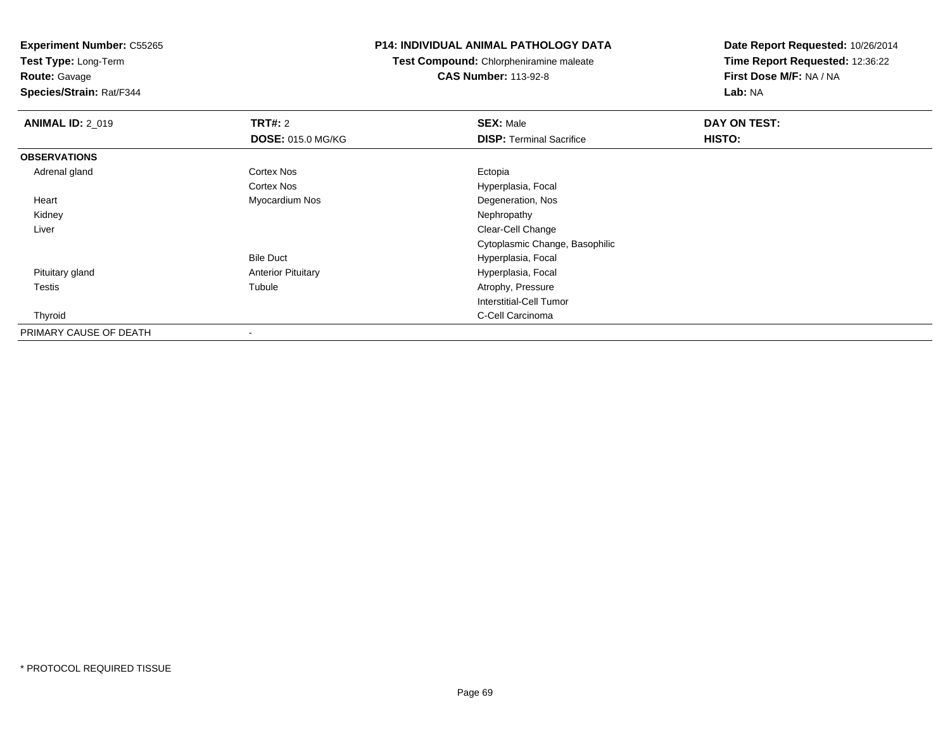**Test Type:** Long-Term

**Route:** Gavage

**Species/Strain:** Rat/F344

#### **P14: INDIVIDUAL ANIMAL PATHOLOGY DATA**

**Test Compound:** Chlorpheniramine maleate**CAS Number:** 113-92-8

| <b>ANIMAL ID: 2_019</b> | TRT#: 2                   | <b>SEX: Male</b>                | DAY ON TEST: |  |
|-------------------------|---------------------------|---------------------------------|--------------|--|
|                         | <b>DOSE: 015.0 MG/KG</b>  | <b>DISP: Terminal Sacrifice</b> | HISTO:       |  |
| <b>OBSERVATIONS</b>     |                           |                                 |              |  |
| Adrenal gland           | <b>Cortex Nos</b>         | Ectopia                         |              |  |
|                         | Cortex Nos                | Hyperplasia, Focal              |              |  |
| Heart                   | Myocardium Nos            | Degeneration, Nos               |              |  |
| Kidney                  |                           | Nephropathy                     |              |  |
| Liver                   |                           | Clear-Cell Change               |              |  |
|                         |                           | Cytoplasmic Change, Basophilic  |              |  |
|                         | <b>Bile Duct</b>          | Hyperplasia, Focal              |              |  |
| Pituitary gland         | <b>Anterior Pituitary</b> | Hyperplasia, Focal              |              |  |
| <b>Testis</b>           | Tubule                    | Atrophy, Pressure               |              |  |
|                         |                           | <b>Interstitial-Cell Tumor</b>  |              |  |
| Thyroid                 |                           | C-Cell Carcinoma                |              |  |
| PRIMARY CAUSE OF DEATH  |                           |                                 |              |  |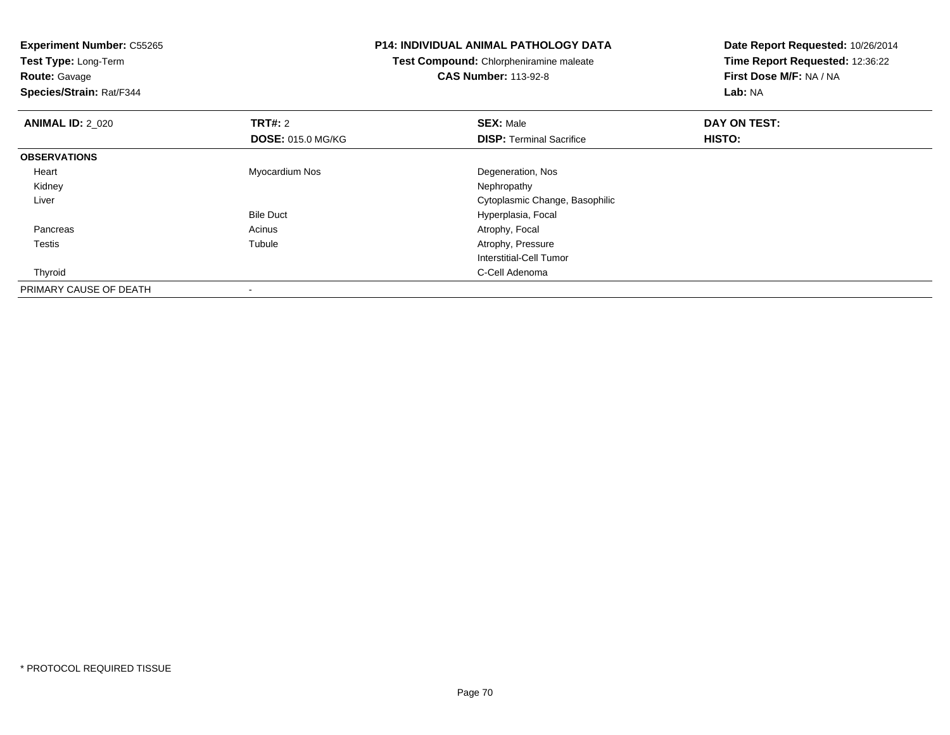**Experiment Number:** C55265**Test Type:** Long-Term**Route:** Gavage **Species/Strain:** Rat/F344**P14: INDIVIDUAL ANIMAL PATHOLOGY DATATest Compound:** Chlorpheniramine maleate**CAS Number:** 113-92-8**Date Report Requested:** 10/26/2014**Time Report Requested:** 12:36:22**First Dose M/F:** NA / NA**Lab:** NA**ANIMAL ID: 2 020 C TRT#:** 2 **SEX:** Male **DAY ON TEST: DOSE:** 015.0 MG/KG**DISP:** Terminal Sacrifice **HISTO: OBSERVATIONS** Heart Myocardium Nos Degeneration, Nos Kidneyy the control of the control of the control of the control of the control of the control of the control of the control of the control of the control of the control of the control of the control of the control of the contro Liver Cytoplasmic Change, BasophilicBile Duct Hyperplasia, Focal PancreasAcinus **Acinus** Atrophy, Focal Testiss and the contract of the contract of the contract of the contract of the contract of the contract of the contract of the contract of the contract of the contract of the contract of the contract of the contract of the cont Tubule **Atrophy, Pressure Atrophy**, Pressure Interstitial-Cell Tumor Thyroidd **C-Cell Adenoma** and the control of the control of the control of the control of the control of the control of the control of the control of the control of the control of the control of the control of the control of the PRIMARY CAUSE OF DEATH-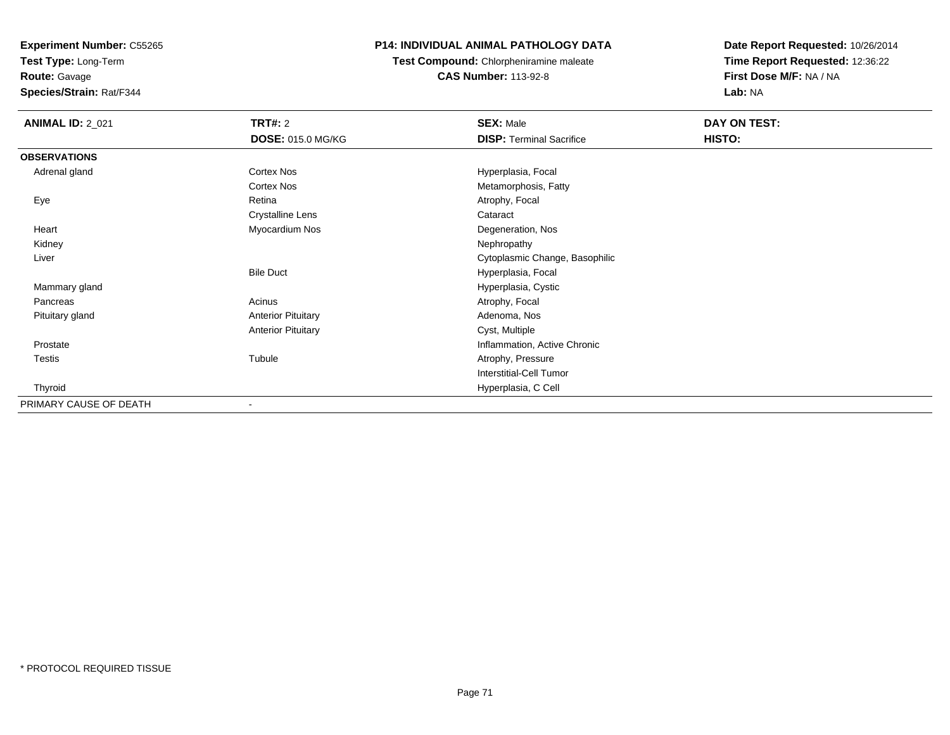**Test Type:** Long-Term

**Route:** Gavage

**Species/Strain:** Rat/F344

# **P14: INDIVIDUAL ANIMAL PATHOLOGY DATA**

**Test Compound:** Chlorpheniramine maleate**CAS Number:** 113-92-8

| <b>ANIMAL ID: 2_021</b> | <b>TRT#: 2</b>            | <b>SEX: Male</b>                | DAY ON TEST: |  |
|-------------------------|---------------------------|---------------------------------|--------------|--|
|                         | <b>DOSE: 015.0 MG/KG</b>  | <b>DISP: Terminal Sacrifice</b> | HISTO:       |  |
| <b>OBSERVATIONS</b>     |                           |                                 |              |  |
| Adrenal gland           | Cortex Nos                | Hyperplasia, Focal              |              |  |
|                         | Cortex Nos                | Metamorphosis, Fatty            |              |  |
| Eye                     | Retina                    | Atrophy, Focal                  |              |  |
|                         | Crystalline Lens          | Cataract                        |              |  |
| Heart                   | Myocardium Nos            | Degeneration, Nos               |              |  |
| Kidney                  |                           | Nephropathy                     |              |  |
| Liver                   |                           | Cytoplasmic Change, Basophilic  |              |  |
|                         | <b>Bile Duct</b>          | Hyperplasia, Focal              |              |  |
| Mammary gland           |                           | Hyperplasia, Cystic             |              |  |
| Pancreas                | Acinus                    | Atrophy, Focal                  |              |  |
| Pituitary gland         | <b>Anterior Pituitary</b> | Adenoma, Nos                    |              |  |
|                         | <b>Anterior Pituitary</b> | Cyst, Multiple                  |              |  |
| Prostate                |                           | Inflammation, Active Chronic    |              |  |
| Testis                  | Tubule                    | Atrophy, Pressure               |              |  |
|                         |                           | <b>Interstitial-Cell Tumor</b>  |              |  |
| Thyroid                 |                           | Hyperplasia, C Cell             |              |  |
| PRIMARY CAUSE OF DEATH  | $\blacksquare$            |                                 |              |  |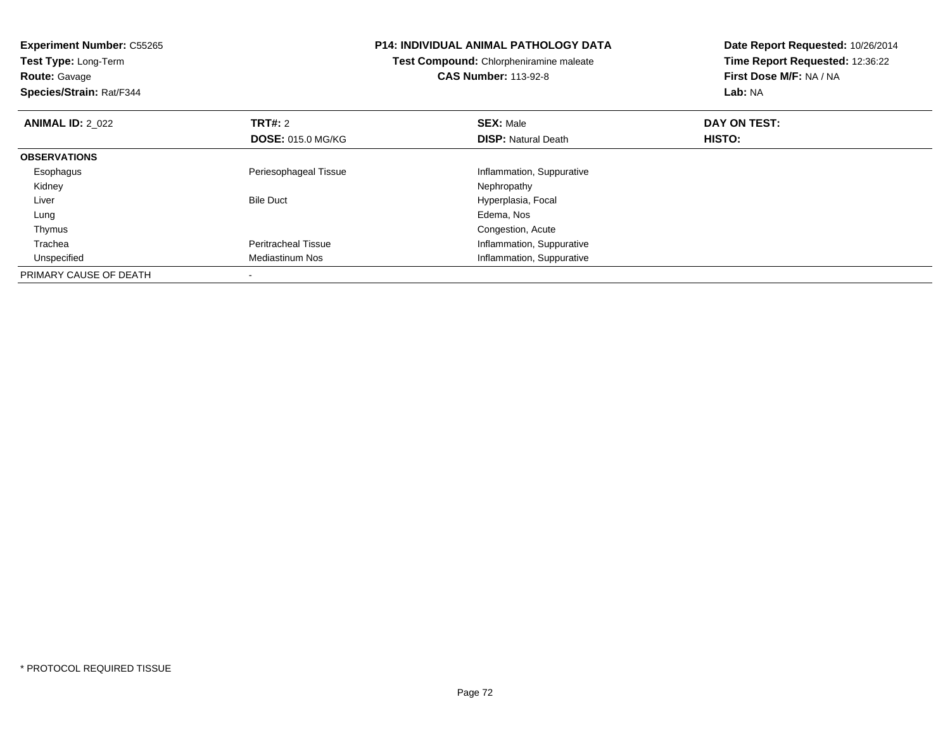| <b>Experiment Number: C55265</b><br>Test Type: Long-Term |                            | <b>P14: INDIVIDUAL ANIMAL PATHOLOGY DATA</b> | Date Report Requested: 10/26/2014 |
|----------------------------------------------------------|----------------------------|----------------------------------------------|-----------------------------------|
|                                                          |                            | Test Compound: Chlorpheniramine maleate      | Time Report Requested: 12:36:22   |
| <b>Route: Gavage</b>                                     |                            | <b>CAS Number: 113-92-8</b>                  | First Dose M/F: NA / NA           |
| Species/Strain: Rat/F344                                 |                            |                                              | Lab: NA                           |
| <b>ANIMAL ID: 2 022</b>                                  | <b>TRT#: 2</b>             | <b>SEX: Male</b>                             | DAY ON TEST:                      |
|                                                          | <b>DOSE: 015.0 MG/KG</b>   | <b>DISP:</b> Natural Death                   | HISTO:                            |
| <b>OBSERVATIONS</b>                                      |                            |                                              |                                   |
| Esophagus                                                | Periesophageal Tissue      | Inflammation, Suppurative                    |                                   |
| Kidney                                                   |                            | Nephropathy                                  |                                   |
| Liver                                                    | <b>Bile Duct</b>           | Hyperplasia, Focal                           |                                   |
| Lung                                                     |                            | Edema, Nos                                   |                                   |
| Thymus                                                   |                            | Congestion, Acute                            |                                   |
| Trachea                                                  | <b>Peritracheal Tissue</b> | Inflammation, Suppurative                    |                                   |
| Unspecified                                              | Mediastinum Nos            | Inflammation, Suppurative                    |                                   |
| PRIMARY CAUSE OF DEATH                                   |                            |                                              |                                   |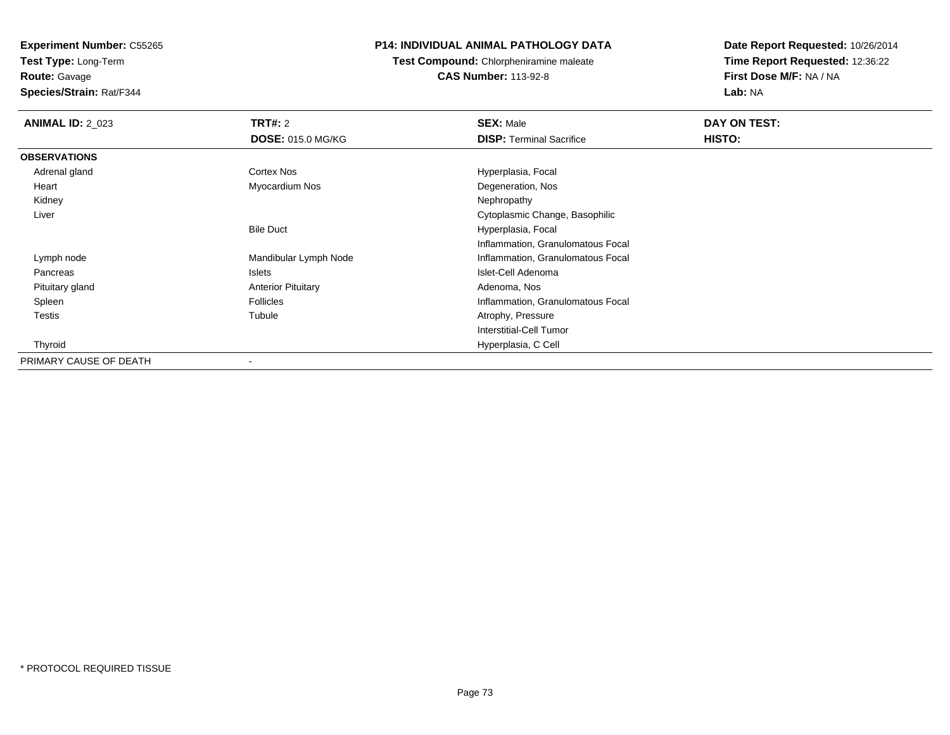**Test Type:** Long-Term**Route:** Gavage

**Species/Strain:** Rat/F344

## **P14: INDIVIDUAL ANIMAL PATHOLOGY DATA**

**Test Compound:** Chlorpheniramine maleate**CAS Number:** 113-92-8

| <b>ANIMAL ID: 2_023</b> | <b>TRT#: 2</b>            | <b>SEX: Male</b>                  | DAY ON TEST: |  |
|-------------------------|---------------------------|-----------------------------------|--------------|--|
|                         | <b>DOSE: 015.0 MG/KG</b>  | <b>DISP: Terminal Sacrifice</b>   | HISTO:       |  |
| <b>OBSERVATIONS</b>     |                           |                                   |              |  |
| Adrenal gland           | Cortex Nos                | Hyperplasia, Focal                |              |  |
| Heart                   | Myocardium Nos            | Degeneration, Nos                 |              |  |
| Kidney                  |                           | Nephropathy                       |              |  |
| Liver                   |                           | Cytoplasmic Change, Basophilic    |              |  |
|                         | <b>Bile Duct</b>          | Hyperplasia, Focal                |              |  |
|                         |                           | Inflammation, Granulomatous Focal |              |  |
| Lymph node              | Mandibular Lymph Node     | Inflammation, Granulomatous Focal |              |  |
| Pancreas                | Islets                    | Islet-Cell Adenoma                |              |  |
| Pituitary gland         | <b>Anterior Pituitary</b> | Adenoma, Nos                      |              |  |
| Spleen                  | <b>Follicles</b>          | Inflammation, Granulomatous Focal |              |  |
| <b>Testis</b>           | Tubule                    | Atrophy, Pressure                 |              |  |
|                         |                           | Interstitial-Cell Tumor           |              |  |
| Thyroid                 |                           | Hyperplasia, C Cell               |              |  |
| PRIMARY CAUSE OF DEATH  | ٠                         |                                   |              |  |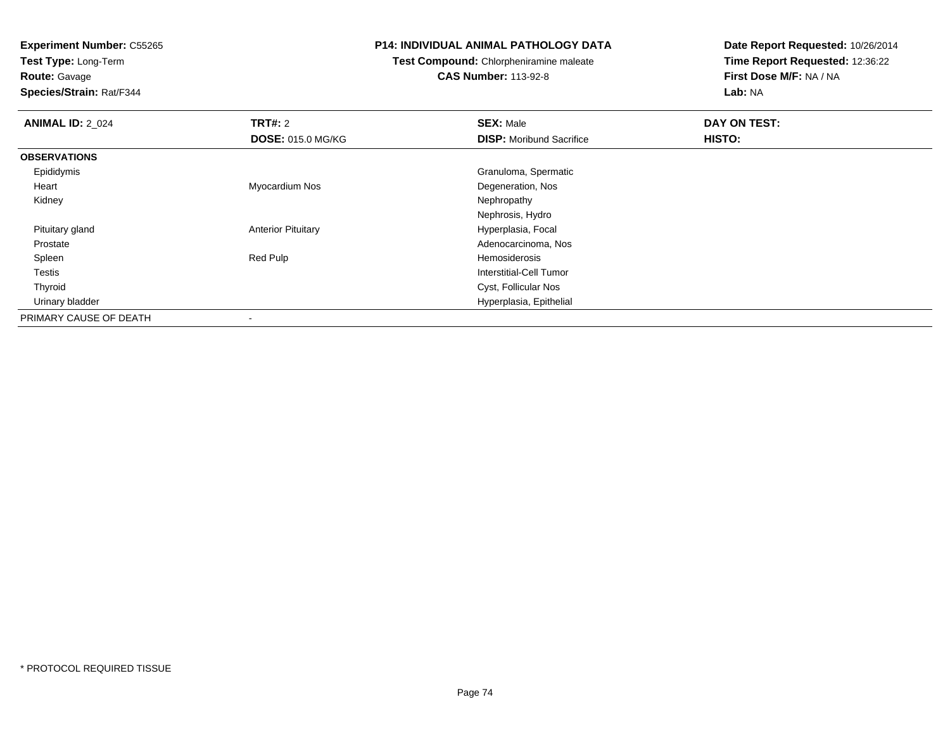**Test Type:** Long-Term

**Route:** Gavage

**Species/Strain:** Rat/F344

#### **P14: INDIVIDUAL ANIMAL PATHOLOGY DATA**

**Test Compound:** Chlorpheniramine maleate**CAS Number:** 113-92-8

| <b>ANIMAL ID: 2_024</b> | TRT#: 2                   | <b>SEX: Male</b>                | DAY ON TEST: |  |
|-------------------------|---------------------------|---------------------------------|--------------|--|
|                         | <b>DOSE: 015.0 MG/KG</b>  | <b>DISP:</b> Moribund Sacrifice | HISTO:       |  |
| <b>OBSERVATIONS</b>     |                           |                                 |              |  |
| Epididymis              |                           | Granuloma, Spermatic            |              |  |
| Heart                   | Myocardium Nos            | Degeneration, Nos               |              |  |
| Kidney                  |                           | Nephropathy                     |              |  |
|                         |                           | Nephrosis, Hydro                |              |  |
| Pituitary gland         | <b>Anterior Pituitary</b> | Hyperplasia, Focal              |              |  |
| Prostate                |                           | Adenocarcinoma, Nos             |              |  |
| Spleen                  | Red Pulp                  | Hemosiderosis                   |              |  |
| Testis                  |                           | Interstitial-Cell Tumor         |              |  |
| Thyroid                 |                           | Cyst, Follicular Nos            |              |  |
| Urinary bladder         |                           | Hyperplasia, Epithelial         |              |  |
| PRIMARY CAUSE OF DEATH  | $\,$                      |                                 |              |  |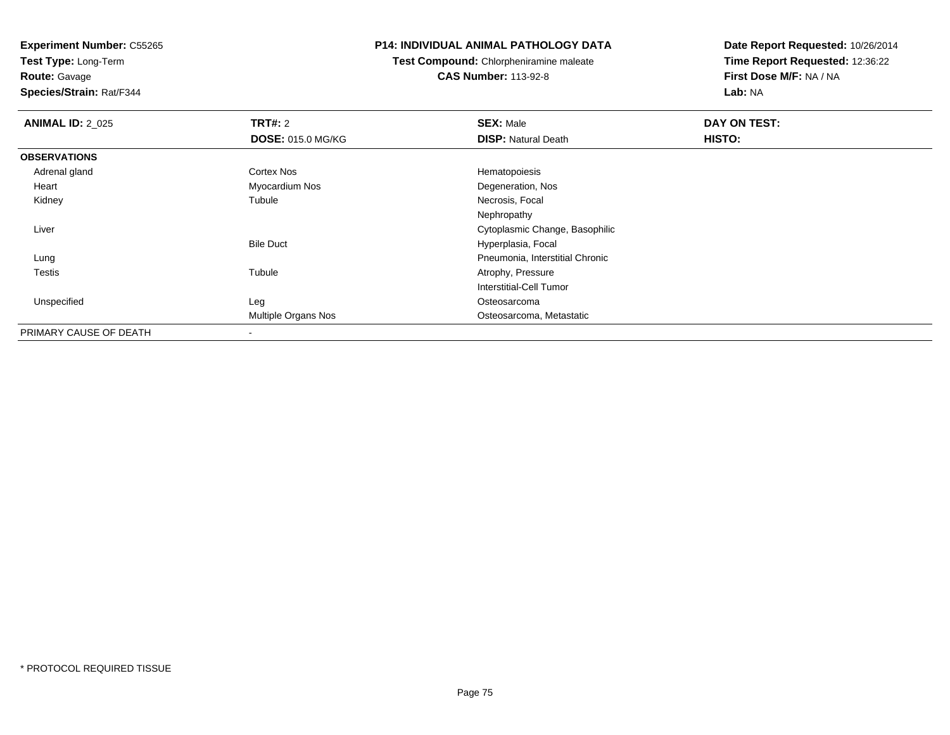**Test Type:** Long-Term**Route:** Gavage

**Species/Strain:** Rat/F344

#### **P14: INDIVIDUAL ANIMAL PATHOLOGY DATA**

**Test Compound:** Chlorpheniramine maleate**CAS Number:** 113-92-8

| <b>ANIMAL ID: 2_025</b> | <b>TRT#: 2</b>             | <b>SEX: Male</b>                | DAY ON TEST: |  |
|-------------------------|----------------------------|---------------------------------|--------------|--|
|                         | <b>DOSE: 015.0 MG/KG</b>   | <b>DISP: Natural Death</b>      | HISTO:       |  |
| <b>OBSERVATIONS</b>     |                            |                                 |              |  |
| Adrenal gland           | <b>Cortex Nos</b>          | Hematopoiesis                   |              |  |
| Heart                   | Myocardium Nos             | Degeneration, Nos               |              |  |
| Kidney                  | Tubule                     | Necrosis, Focal                 |              |  |
|                         |                            | Nephropathy                     |              |  |
| Liver                   |                            | Cytoplasmic Change, Basophilic  |              |  |
|                         | <b>Bile Duct</b>           | Hyperplasia, Focal              |              |  |
| Lung                    |                            | Pneumonia, Interstitial Chronic |              |  |
| Testis                  | Tubule                     | Atrophy, Pressure               |              |  |
|                         |                            | <b>Interstitial-Cell Tumor</b>  |              |  |
| Unspecified             | Leg                        | Osteosarcoma                    |              |  |
|                         | <b>Multiple Organs Nos</b> | Osteosarcoma, Metastatic        |              |  |
| PRIMARY CAUSE OF DEATH  |                            |                                 |              |  |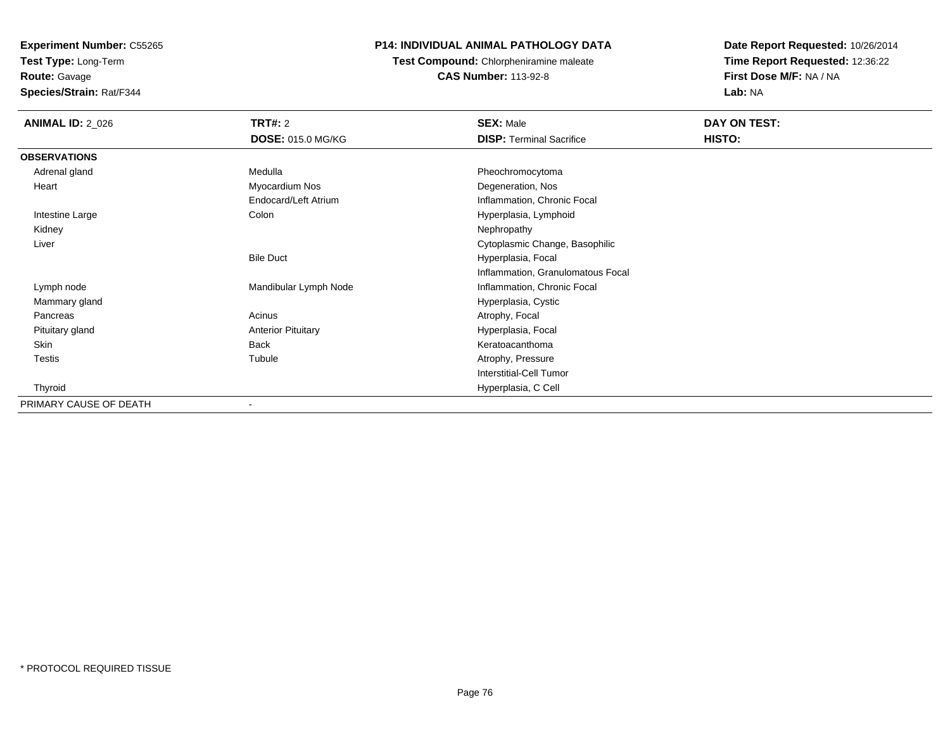**Test Type:** Long-Term

**Route:** Gavage

**Species/Strain:** Rat/F344

## **P14: INDIVIDUAL ANIMAL PATHOLOGY DATA**

**Test Compound:** Chlorpheniramine maleate**CAS Number:** 113-92-8

| <b>ANIMAL ID: 2_026</b> | <b>TRT#: 2</b>            | <b>SEX: Male</b>                  | DAY ON TEST: |  |
|-------------------------|---------------------------|-----------------------------------|--------------|--|
|                         | <b>DOSE: 015.0 MG/KG</b>  | <b>DISP: Terminal Sacrifice</b>   | HISTO:       |  |
| <b>OBSERVATIONS</b>     |                           |                                   |              |  |
| Adrenal gland           | Medulla                   | Pheochromocytoma                  |              |  |
| Heart                   | Myocardium Nos            | Degeneration, Nos                 |              |  |
|                         | Endocard/Left Atrium      | Inflammation, Chronic Focal       |              |  |
| Intestine Large         | Colon                     | Hyperplasia, Lymphoid             |              |  |
| Kidney                  |                           | Nephropathy                       |              |  |
| Liver                   |                           | Cytoplasmic Change, Basophilic    |              |  |
|                         | <b>Bile Duct</b>          | Hyperplasia, Focal                |              |  |
|                         |                           | Inflammation, Granulomatous Focal |              |  |
| Lymph node              | Mandibular Lymph Node     | Inflammation, Chronic Focal       |              |  |
| Mammary gland           |                           | Hyperplasia, Cystic               |              |  |
| Pancreas                | Acinus                    | Atrophy, Focal                    |              |  |
| Pituitary gland         | <b>Anterior Pituitary</b> | Hyperplasia, Focal                |              |  |
| Skin                    | <b>Back</b>               | Keratoacanthoma                   |              |  |
| Testis                  | Tubule                    | Atrophy, Pressure                 |              |  |
|                         |                           | <b>Interstitial-Cell Tumor</b>    |              |  |
| Thyroid                 |                           | Hyperplasia, C Cell               |              |  |
| PRIMARY CAUSE OF DEATH  | ٠                         |                                   |              |  |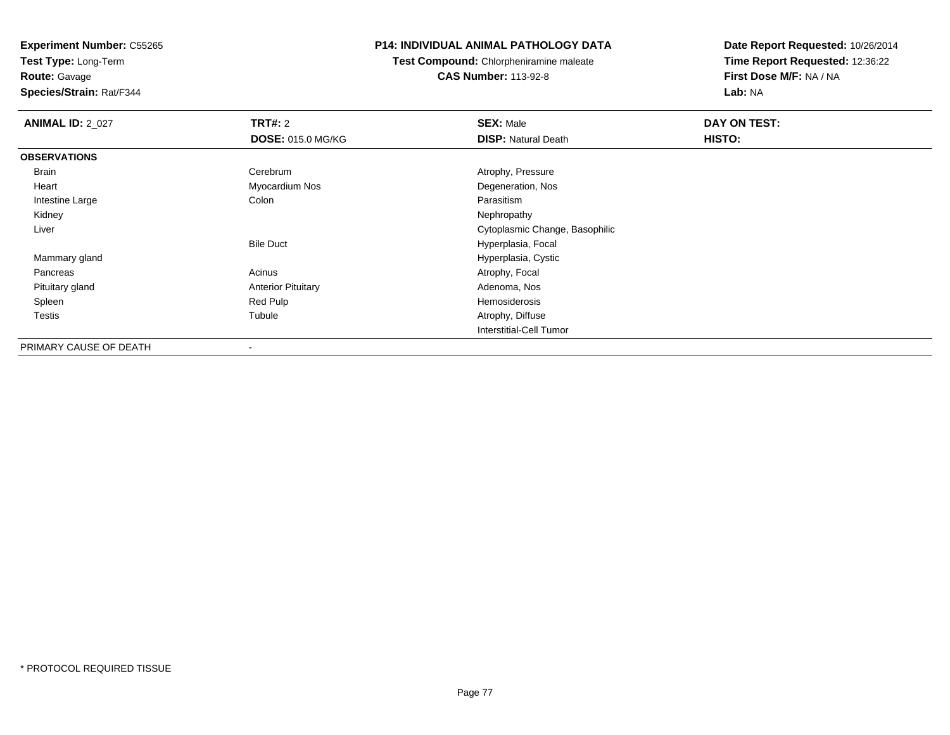**Test Type:** Long-Term**Route:** Gavage

**Species/Strain:** Rat/F344

## **P14: INDIVIDUAL ANIMAL PATHOLOGY DATA**

**Test Compound:** Chlorpheniramine maleate**CAS Number:** 113-92-8

| <b>ANIMAL ID: 2_027</b> | TRT#: 2                   | <b>SEX: Male</b>               | DAY ON TEST: |  |
|-------------------------|---------------------------|--------------------------------|--------------|--|
|                         | <b>DOSE: 015.0 MG/KG</b>  | <b>DISP: Natural Death</b>     | HISTO:       |  |
| <b>OBSERVATIONS</b>     |                           |                                |              |  |
| Brain                   | Cerebrum                  | Atrophy, Pressure              |              |  |
| Heart                   | Myocardium Nos            | Degeneration, Nos              |              |  |
| Intestine Large         | Colon                     | Parasitism                     |              |  |
| Kidney                  |                           | Nephropathy                    |              |  |
| Liver                   |                           | Cytoplasmic Change, Basophilic |              |  |
|                         | <b>Bile Duct</b>          | Hyperplasia, Focal             |              |  |
| Mammary gland           |                           | Hyperplasia, Cystic            |              |  |
| Pancreas                | Acinus                    | Atrophy, Focal                 |              |  |
| Pituitary gland         | <b>Anterior Pituitary</b> | Adenoma, Nos                   |              |  |
| Spleen                  | Red Pulp                  | Hemosiderosis                  |              |  |
| Testis                  | Tubule                    | Atrophy, Diffuse               |              |  |
|                         |                           | Interstitial-Cell Tumor        |              |  |
| PRIMARY CAUSE OF DEATH  | $\overline{\phantom{a}}$  |                                |              |  |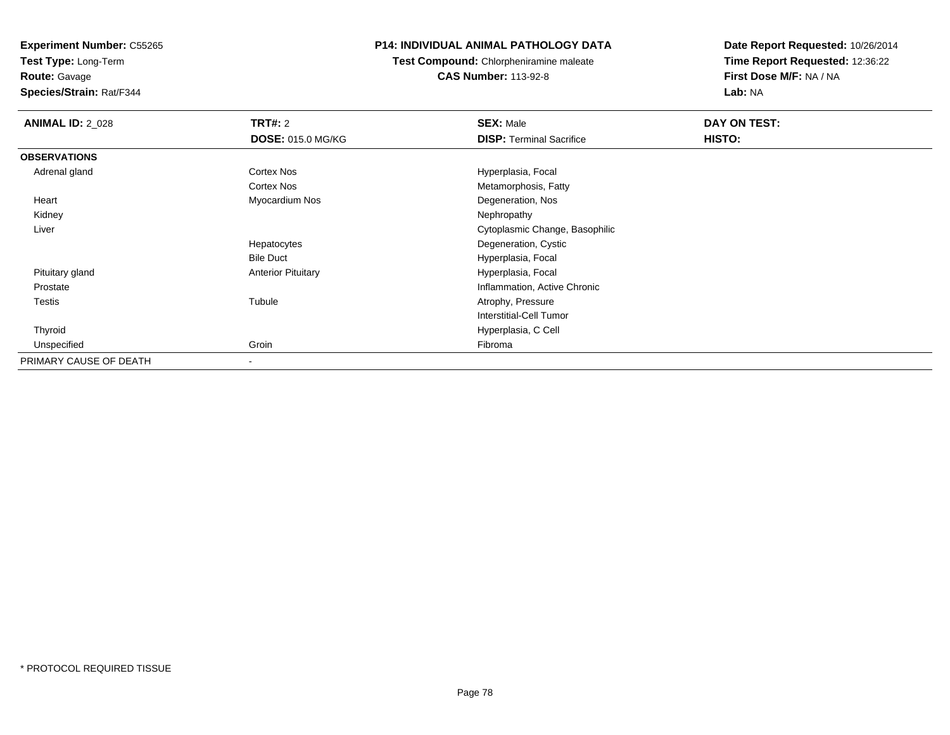**Test Type:** Long-Term

**Route:** Gavage

**Species/Strain:** Rat/F344

## **P14: INDIVIDUAL ANIMAL PATHOLOGY DATA**

**Test Compound:** Chlorpheniramine maleate**CAS Number:** 113-92-8

| <b>ANIMAL ID: 2_028</b> | <b>TRT#: 2</b>            | <b>SEX: Male</b>                | DAY ON TEST: |  |
|-------------------------|---------------------------|---------------------------------|--------------|--|
|                         | <b>DOSE: 015.0 MG/KG</b>  | <b>DISP: Terminal Sacrifice</b> | HISTO:       |  |
| <b>OBSERVATIONS</b>     |                           |                                 |              |  |
| Adrenal gland           | Cortex Nos                | Hyperplasia, Focal              |              |  |
|                         | Cortex Nos                | Metamorphosis, Fatty            |              |  |
| Heart                   | Myocardium Nos            | Degeneration, Nos               |              |  |
| Kidney                  |                           | Nephropathy                     |              |  |
| Liver                   |                           | Cytoplasmic Change, Basophilic  |              |  |
|                         | Hepatocytes               | Degeneration, Cystic            |              |  |
|                         | <b>Bile Duct</b>          | Hyperplasia, Focal              |              |  |
| Pituitary gland         | <b>Anterior Pituitary</b> | Hyperplasia, Focal              |              |  |
| Prostate                |                           | Inflammation, Active Chronic    |              |  |
| Testis                  | Tubule                    | Atrophy, Pressure               |              |  |
|                         |                           | Interstitial-Cell Tumor         |              |  |
| Thyroid                 |                           | Hyperplasia, C Cell             |              |  |
| Unspecified             | Groin                     | Fibroma                         |              |  |
| PRIMARY CAUSE OF DEATH  |                           |                                 |              |  |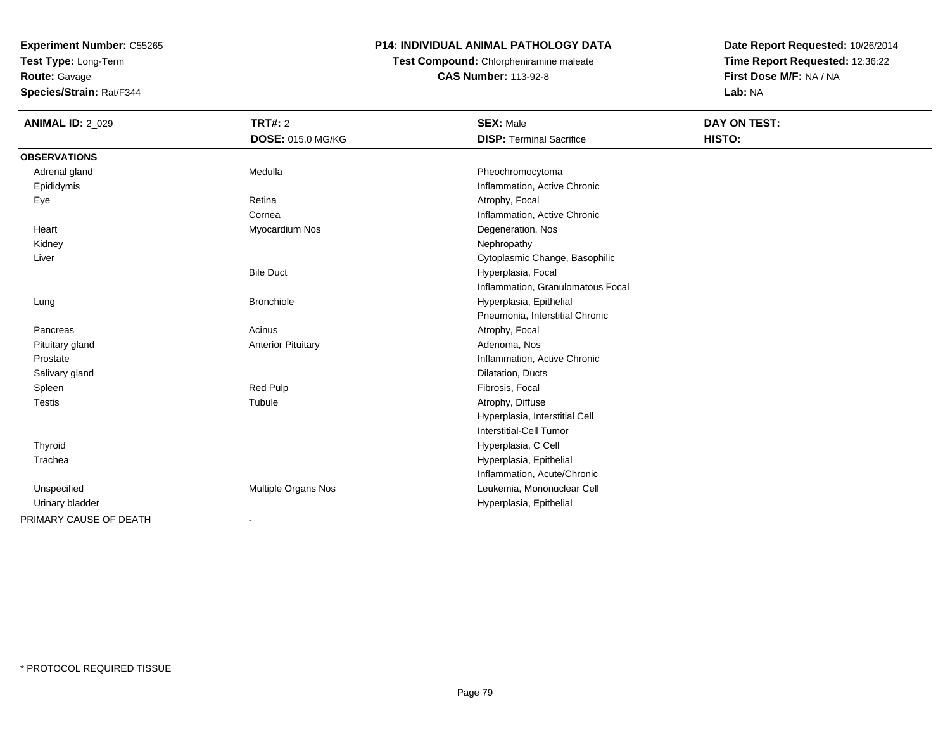**Test Type:** Long-Term

**Route:** Gavage

**Species/Strain:** Rat/F344

## **P14: INDIVIDUAL ANIMAL PATHOLOGY DATA**

**Test Compound:** Chlorpheniramine maleate**CAS Number:** 113-92-8

| <b>ANIMAL ID: 2_029</b> | TRT#: 2<br><b>DOSE: 015.0 MG/KG</b> | <b>SEX: Male</b><br><b>DISP: Terminal Sacrifice</b> | DAY ON TEST:<br>HISTO: |
|-------------------------|-------------------------------------|-----------------------------------------------------|------------------------|
| <b>OBSERVATIONS</b>     |                                     |                                                     |                        |
| Adrenal gland           | Medulla                             | Pheochromocytoma                                    |                        |
| Epididymis              |                                     | Inflammation, Active Chronic                        |                        |
| Eye                     | Retina                              | Atrophy, Focal                                      |                        |
|                         | Cornea                              | Inflammation, Active Chronic                        |                        |
| Heart                   | Myocardium Nos                      | Degeneration, Nos                                   |                        |
| Kidney                  |                                     | Nephropathy                                         |                        |
| Liver                   |                                     | Cytoplasmic Change, Basophilic                      |                        |
|                         | <b>Bile Duct</b>                    | Hyperplasia, Focal                                  |                        |
|                         |                                     | Inflammation, Granulomatous Focal                   |                        |
| Lung                    | <b>Bronchiole</b>                   | Hyperplasia, Epithelial                             |                        |
|                         |                                     | Pneumonia, Interstitial Chronic                     |                        |
| Pancreas                | Acinus                              | Atrophy, Focal                                      |                        |
| Pituitary gland         | <b>Anterior Pituitary</b>           | Adenoma, Nos                                        |                        |
| Prostate                |                                     | Inflammation, Active Chronic                        |                        |
| Salivary gland          |                                     | Dilatation, Ducts                                   |                        |
| Spleen                  | Red Pulp                            | Fibrosis, Focal                                     |                        |
| <b>Testis</b>           | Tubule                              | Atrophy, Diffuse                                    |                        |
|                         |                                     | Hyperplasia, Interstitial Cell                      |                        |
|                         |                                     | Interstitial-Cell Tumor                             |                        |
| Thyroid                 |                                     | Hyperplasia, C Cell                                 |                        |
| Trachea                 |                                     | Hyperplasia, Epithelial                             |                        |
|                         |                                     | Inflammation, Acute/Chronic                         |                        |
| Unspecified             | Multiple Organs Nos                 | Leukemia, Mononuclear Cell                          |                        |
| Urinary bladder         |                                     | Hyperplasia, Epithelial                             |                        |
| PRIMARY CAUSE OF DEATH  |                                     |                                                     |                        |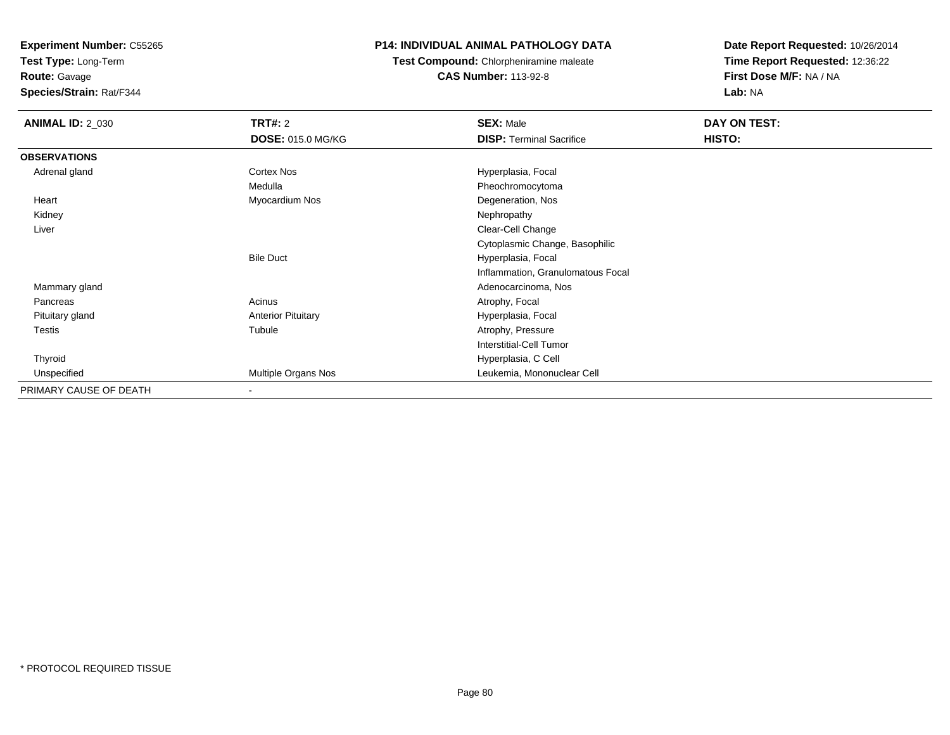**Test Type:** Long-Term

**Route:** Gavage

**Species/Strain:** Rat/F344

### **P14: INDIVIDUAL ANIMAL PATHOLOGY DATA**

**Test Compound:** Chlorpheniramine maleate**CAS Number:** 113-92-8

| <b>ANIMAL ID: 2_030</b> | <b>TRT#: 2</b>            | <b>SEX: Male</b>                  | DAY ON TEST: |
|-------------------------|---------------------------|-----------------------------------|--------------|
|                         | <b>DOSE: 015.0 MG/KG</b>  | <b>DISP: Terminal Sacrifice</b>   | HISTO:       |
| <b>OBSERVATIONS</b>     |                           |                                   |              |
| Adrenal gland           | Cortex Nos                | Hyperplasia, Focal                |              |
|                         | Medulla                   | Pheochromocytoma                  |              |
| Heart                   | Myocardium Nos            | Degeneration, Nos                 |              |
| Kidney                  |                           | Nephropathy                       |              |
| Liver                   |                           | Clear-Cell Change                 |              |
|                         |                           | Cytoplasmic Change, Basophilic    |              |
|                         | <b>Bile Duct</b>          | Hyperplasia, Focal                |              |
|                         |                           | Inflammation, Granulomatous Focal |              |
| Mammary gland           |                           | Adenocarcinoma, Nos               |              |
| Pancreas                | Acinus                    | Atrophy, Focal                    |              |
| Pituitary gland         | <b>Anterior Pituitary</b> | Hyperplasia, Focal                |              |
| <b>Testis</b>           | Tubule                    | Atrophy, Pressure                 |              |
|                         |                           | <b>Interstitial-Cell Tumor</b>    |              |
| Thyroid                 |                           | Hyperplasia, C Cell               |              |
| Unspecified             | Multiple Organs Nos       | Leukemia, Mononuclear Cell        |              |
| PRIMARY CAUSE OF DEATH  | $\overline{\phantom{a}}$  |                                   |              |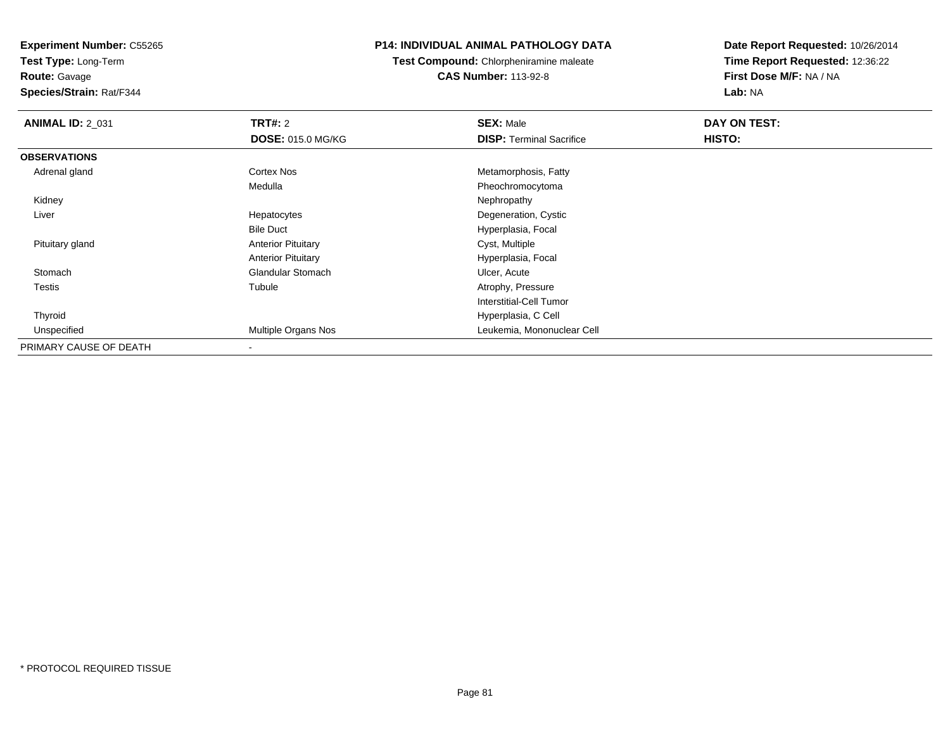**Test Type:** Long-Term

**Route:** Gavage

**Species/Strain:** Rat/F344

#### **P14: INDIVIDUAL ANIMAL PATHOLOGY DATA**

**Test Compound:** Chlorpheniramine maleate**CAS Number:** 113-92-8

| <b>ANIMAL ID: 2_031</b> | TRT#: 2                   | <b>SEX: Male</b>                | DAY ON TEST: |  |
|-------------------------|---------------------------|---------------------------------|--------------|--|
|                         | <b>DOSE: 015.0 MG/KG</b>  | <b>DISP:</b> Terminal Sacrifice | HISTO:       |  |
| <b>OBSERVATIONS</b>     |                           |                                 |              |  |
| Adrenal gland           | Cortex Nos                | Metamorphosis, Fatty            |              |  |
|                         | Medulla                   | Pheochromocytoma                |              |  |
| Kidney                  |                           | Nephropathy                     |              |  |
| Liver                   | Hepatocytes               | Degeneration, Cystic            |              |  |
|                         | <b>Bile Duct</b>          | Hyperplasia, Focal              |              |  |
| Pituitary gland         | <b>Anterior Pituitary</b> | Cyst, Multiple                  |              |  |
|                         | <b>Anterior Pituitary</b> | Hyperplasia, Focal              |              |  |
| Stomach                 | <b>Glandular Stomach</b>  | Ulcer, Acute                    |              |  |
| <b>Testis</b>           | Tubule                    | Atrophy, Pressure               |              |  |
|                         |                           | Interstitial-Cell Tumor         |              |  |
| Thyroid                 |                           | Hyperplasia, C Cell             |              |  |
| Unspecified             | Multiple Organs Nos       | Leukemia, Mononuclear Cell      |              |  |
| PRIMARY CAUSE OF DEATH  |                           |                                 |              |  |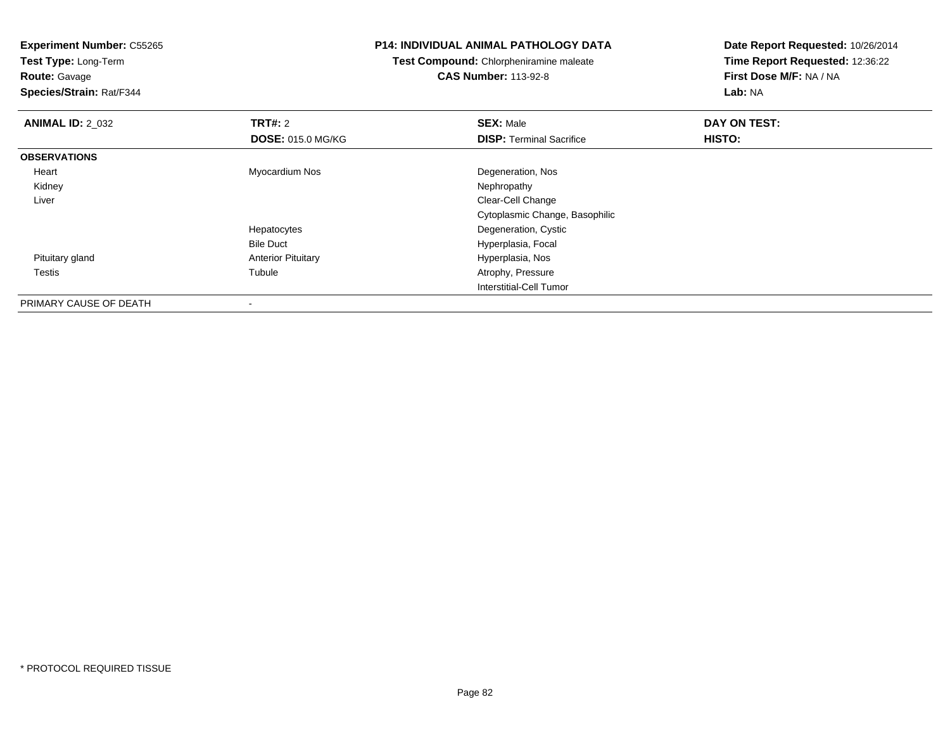**Experiment Number:** C55265**Test Type:** Long-Term**Route:** Gavage **Species/Strain:** Rat/F344**P14: INDIVIDUAL ANIMAL PATHOLOGY DATATest Compound:** Chlorpheniramine maleate**CAS Number:** 113-92-8**Date Report Requested:** 10/26/2014**Time Report Requested:** 12:36:22**First Dose M/F:** NA / NA**Lab:** NA**ANIMAL ID: 2 032 TRT#:** <sup>2</sup> **SEX:** Male **DAY ON TEST: DOSE:** 015.0 MG/KG**DISP:** Terminal Sacrifice **HISTO: OBSERVATIONS** Heart Myocardium Nos Degeneration, Nos Kidneyy the control of the control of the control of the control of the control of the control of the control of the control of the control of the control of the control of the control of the control of the control of the contro Liver Clear-Cell Change Cytoplasmic Change, BasophilicHepatocytes Degeneration, Cystic Bile Duct Hyperplasia, Focal Pituitary glandAnterior Pituitary **Anterior Pituitary Hyperplasia, Nos**<br>
Tubule **Altrophy, Pressure**  Testiss and the contract of the contract of the contract of the contract of the contract of the contract of the contract of the contract of the contract of the contract of the contract of the contract of the contract of the cont Atrophy, Pressure Interstitial-Cell TumorPRIMARY CAUSE OF DEATH

-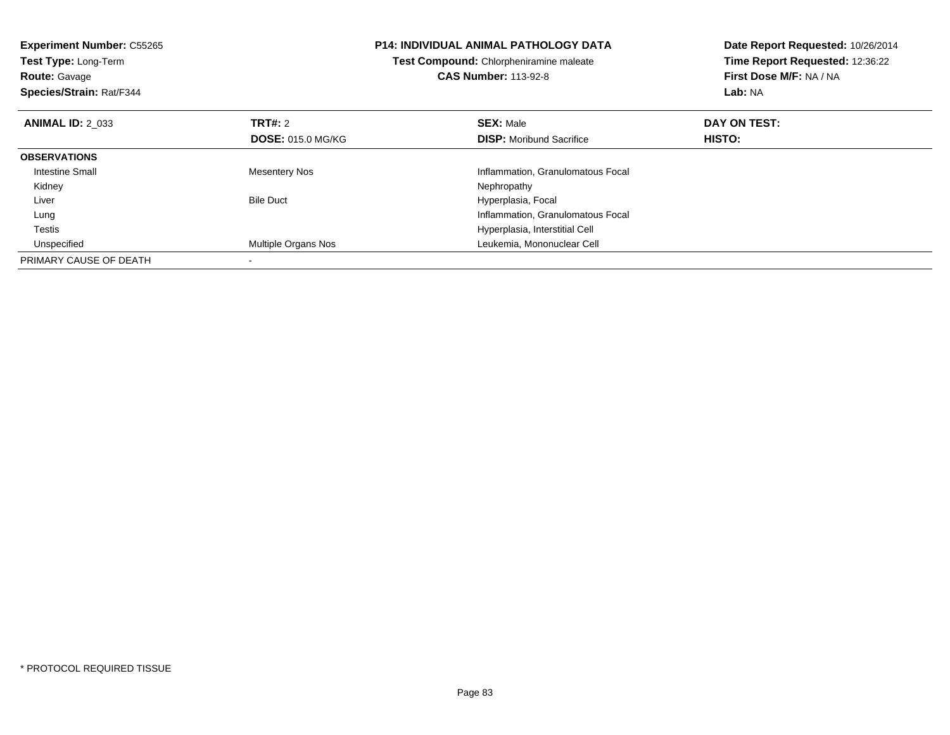| <b>Experiment Number: C55265</b><br>Test Type: Long-Term<br><b>Route: Gavage</b><br>Species/Strain: Rat/F344 |                          | <b>P14: INDIVIDUAL ANIMAL PATHOLOGY DATA</b><br>Test Compound: Chlorpheniramine maleate<br><b>CAS Number: 113-92-8</b> | Date Report Requested: 10/26/2014<br>Time Report Requested: 12:36:22<br>First Dose M/F: NA / NA<br>Lab: NA |
|--------------------------------------------------------------------------------------------------------------|--------------------------|------------------------------------------------------------------------------------------------------------------------|------------------------------------------------------------------------------------------------------------|
| <b>ANIMAL ID: 2 033</b>                                                                                      | <b>TRT#: 2</b>           | <b>SEX: Male</b>                                                                                                       | DAY ON TEST:                                                                                               |
|                                                                                                              | <b>DOSE: 015.0 MG/KG</b> | <b>DISP:</b> Moribund Sacrifice                                                                                        | <b>HISTO:</b>                                                                                              |
| <b>OBSERVATIONS</b>                                                                                          |                          |                                                                                                                        |                                                                                                            |
| <b>Intestine Small</b>                                                                                       | <b>Mesentery Nos</b>     | Inflammation, Granulomatous Focal                                                                                      |                                                                                                            |
| Kidney                                                                                                       |                          | Nephropathy                                                                                                            |                                                                                                            |
| Liver                                                                                                        | <b>Bile Duct</b>         | Hyperplasia, Focal                                                                                                     |                                                                                                            |
| Lung                                                                                                         |                          | Inflammation, Granulomatous Focal                                                                                      |                                                                                                            |
| Testis                                                                                                       |                          | Hyperplasia, Interstitial Cell                                                                                         |                                                                                                            |
| Unspecified                                                                                                  | Multiple Organs Nos      | Leukemia, Mononuclear Cell                                                                                             |                                                                                                            |
| PRIMARY CAUSE OF DEATH                                                                                       |                          |                                                                                                                        |                                                                                                            |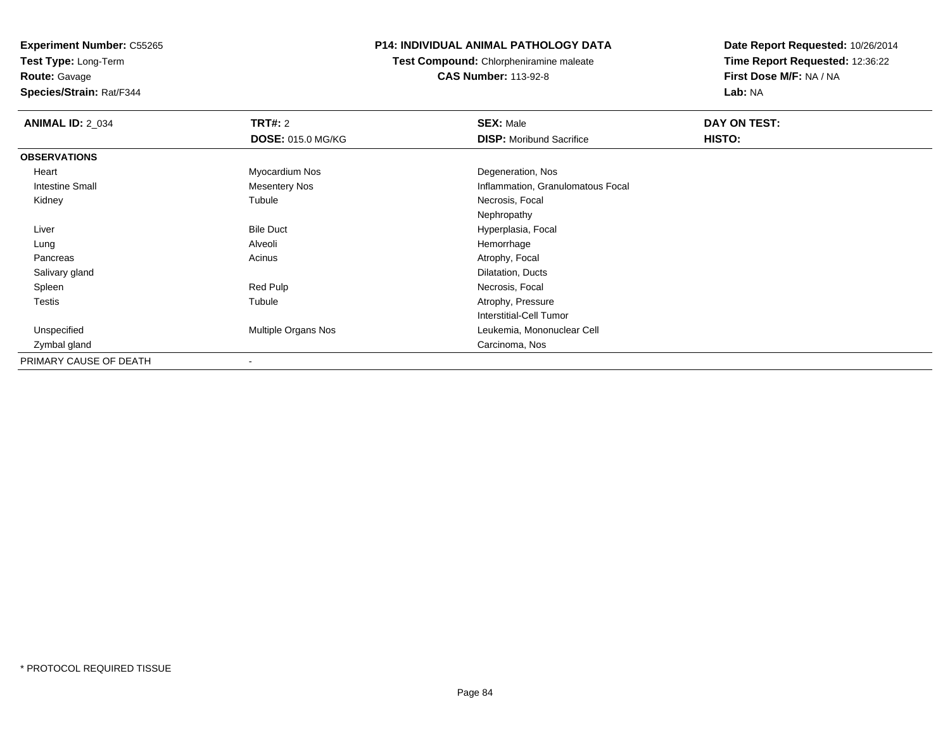**Test Type:** Long-Term**Route:** Gavage

**Species/Strain:** Rat/F344

## **P14: INDIVIDUAL ANIMAL PATHOLOGY DATA**

**Test Compound:** Chlorpheniramine maleate**CAS Number:** 113-92-8

| <b>ANIMAL ID: 2_034</b> | <b>TRT#: 2</b>           | <b>SEX: Male</b>                  | DAY ON TEST: |  |
|-------------------------|--------------------------|-----------------------------------|--------------|--|
|                         | <b>DOSE: 015.0 MG/KG</b> | <b>DISP:</b> Moribund Sacrifice   | HISTO:       |  |
| <b>OBSERVATIONS</b>     |                          |                                   |              |  |
| Heart                   | Myocardium Nos           | Degeneration, Nos                 |              |  |
| <b>Intestine Small</b>  | <b>Mesentery Nos</b>     | Inflammation, Granulomatous Focal |              |  |
| Kidney                  | Tubule                   | Necrosis, Focal                   |              |  |
|                         |                          | Nephropathy                       |              |  |
| Liver                   | <b>Bile Duct</b>         | Hyperplasia, Focal                |              |  |
| Lung                    | Alveoli                  | Hemorrhage                        |              |  |
| Pancreas                | Acinus                   | Atrophy, Focal                    |              |  |
| Salivary gland          |                          | Dilatation, Ducts                 |              |  |
| Spleen                  | Red Pulp                 | Necrosis, Focal                   |              |  |
| Testis                  | Tubule                   | Atrophy, Pressure                 |              |  |
|                         |                          | <b>Interstitial-Cell Tumor</b>    |              |  |
| Unspecified             | Multiple Organs Nos      | Leukemia, Mononuclear Cell        |              |  |
| Zymbal gland            |                          | Carcinoma, Nos                    |              |  |
| PRIMARY CAUSE OF DEATH  | ٠                        |                                   |              |  |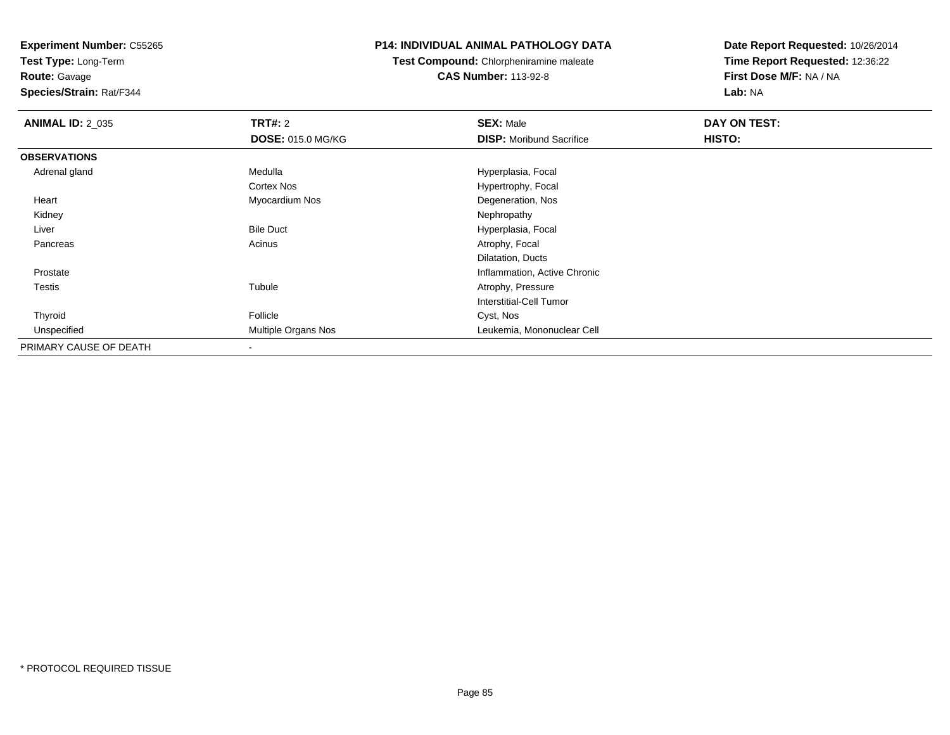**Test Type:** Long-Term

# **Route:** Gavage

**Species/Strain:** Rat/F344

#### **P14: INDIVIDUAL ANIMAL PATHOLOGY DATA**

## **Test Compound:** Chlorpheniramine maleate**CAS Number:** 113-92-8

| <b>ANIMAL ID: 2_035</b> | <b>TRT#: 2</b>             | <b>SEX: Male</b>                | DAY ON TEST: |  |
|-------------------------|----------------------------|---------------------------------|--------------|--|
|                         | <b>DOSE: 015.0 MG/KG</b>   | <b>DISP:</b> Moribund Sacrifice | HISTO:       |  |
| <b>OBSERVATIONS</b>     |                            |                                 |              |  |
| Adrenal gland           | Medulla                    | Hyperplasia, Focal              |              |  |
|                         | Cortex Nos                 | Hypertrophy, Focal              |              |  |
| Heart                   | Myocardium Nos             | Degeneration, Nos               |              |  |
| Kidney                  |                            | Nephropathy                     |              |  |
| Liver                   | <b>Bile Duct</b>           | Hyperplasia, Focal              |              |  |
| Pancreas                | Acinus                     | Atrophy, Focal                  |              |  |
|                         |                            | Dilatation, Ducts               |              |  |
| Prostate                |                            | Inflammation, Active Chronic    |              |  |
| Testis                  | Tubule                     | Atrophy, Pressure               |              |  |
|                         |                            | Interstitial-Cell Tumor         |              |  |
| Thyroid                 | Follicle                   | Cyst, Nos                       |              |  |
| Unspecified             | <b>Multiple Organs Nos</b> | Leukemia, Mononuclear Cell      |              |  |
| PRIMARY CAUSE OF DEATH  |                            |                                 |              |  |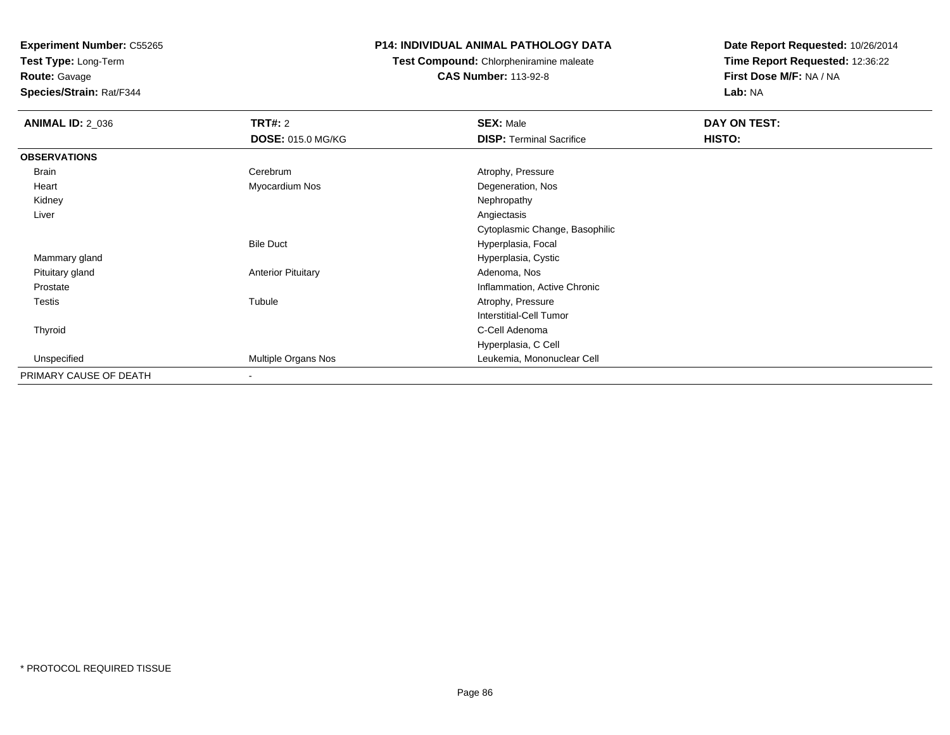**Test Type:** Long-Term**Route:** Gavage

# **Species/Strain:** Rat/F344

## **P14: INDIVIDUAL ANIMAL PATHOLOGY DATA**

**Test Compound:** Chlorpheniramine maleate**CAS Number:** 113-92-8

| <b>ANIMAL ID: 2_036</b> | TRT#: 2                   | <b>SEX: Male</b>                | DAY ON TEST: |  |
|-------------------------|---------------------------|---------------------------------|--------------|--|
|                         | <b>DOSE: 015.0 MG/KG</b>  | <b>DISP: Terminal Sacrifice</b> | HISTO:       |  |
| <b>OBSERVATIONS</b>     |                           |                                 |              |  |
| Brain                   | Cerebrum                  | Atrophy, Pressure               |              |  |
| Heart                   | Myocardium Nos            | Degeneration, Nos               |              |  |
| Kidney                  |                           | Nephropathy                     |              |  |
| Liver                   |                           | Angiectasis                     |              |  |
|                         |                           | Cytoplasmic Change, Basophilic  |              |  |
|                         | <b>Bile Duct</b>          | Hyperplasia, Focal              |              |  |
| Mammary gland           |                           | Hyperplasia, Cystic             |              |  |
| Pituitary gland         | <b>Anterior Pituitary</b> | Adenoma, Nos                    |              |  |
| Prostate                |                           | Inflammation, Active Chronic    |              |  |
| Testis                  | Tubule                    | Atrophy, Pressure               |              |  |
|                         |                           | Interstitial-Cell Tumor         |              |  |
| Thyroid                 |                           | C-Cell Adenoma                  |              |  |
|                         |                           | Hyperplasia, C Cell             |              |  |
| Unspecified             | Multiple Organs Nos       | Leukemia, Mononuclear Cell      |              |  |
| PRIMARY CAUSE OF DEATH  | ۰                         |                                 |              |  |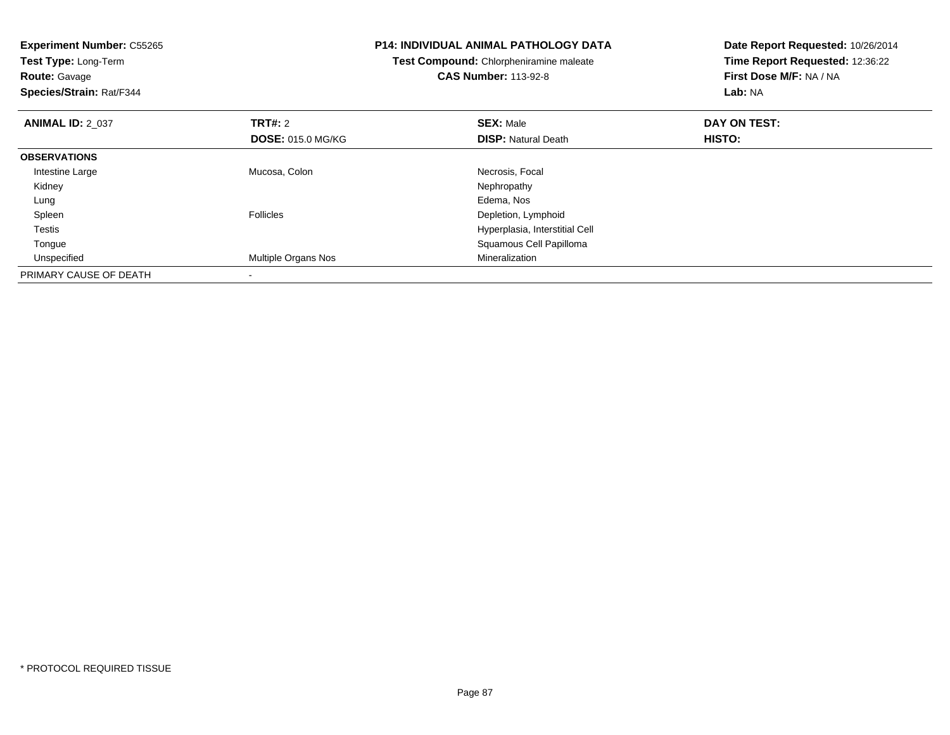| <b>Experiment Number: C55265</b><br>Test Type: Long-Term |                            | <b>P14: INDIVIDUAL ANIMAL PATHOLOGY DATA</b><br>Test Compound: Chlorpheniramine maleate | Date Report Requested: 10/26/2014<br>Time Report Requested: 12:36:22 |
|----------------------------------------------------------|----------------------------|-----------------------------------------------------------------------------------------|----------------------------------------------------------------------|
| <b>Route: Gavage</b>                                     |                            | <b>CAS Number: 113-92-8</b>                                                             | First Dose M/F: NA / NA                                              |
| Species/Strain: Rat/F344                                 |                            |                                                                                         | Lab: NA                                                              |
| <b>ANIMAL ID: 2 037</b>                                  | <b>TRT#: 2</b>             | <b>SEX: Male</b>                                                                        | DAY ON TEST:                                                         |
|                                                          | <b>DOSE: 015.0 MG/KG</b>   | <b>DISP: Natural Death</b>                                                              | HISTO:                                                               |
| <b>OBSERVATIONS</b>                                      |                            |                                                                                         |                                                                      |
| Intestine Large                                          | Mucosa, Colon              | Necrosis, Focal                                                                         |                                                                      |
| Kidney                                                   |                            | Nephropathy                                                                             |                                                                      |
| Lung                                                     |                            | Edema, Nos                                                                              |                                                                      |
| Spleen                                                   | <b>Follicles</b>           | Depletion, Lymphoid                                                                     |                                                                      |
| Testis                                                   |                            | Hyperplasia, Interstitial Cell                                                          |                                                                      |
| Tongue                                                   |                            | Squamous Cell Papilloma                                                                 |                                                                      |
| Unspecified                                              | <b>Multiple Organs Nos</b> | Mineralization                                                                          |                                                                      |
| PRIMARY CAUSE OF DEATH                                   |                            |                                                                                         |                                                                      |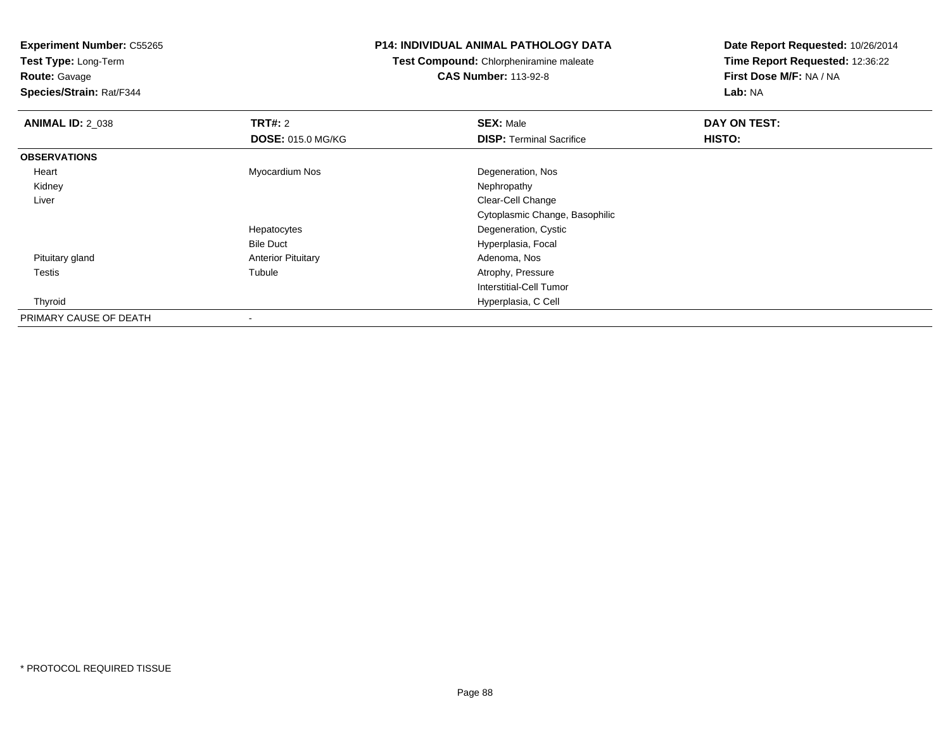**Test Type:** Long-Term**Route:** Gavage

**Species/Strain:** Rat/F344

#### **P14: INDIVIDUAL ANIMAL PATHOLOGY DATA**

**Test Compound:** Chlorpheniramine maleate**CAS Number:** 113-92-8

| <b>ANIMAL ID: 2_038</b> | <b>TRT#: 2</b>            | <b>SEX: Male</b>                | DAY ON TEST: |  |
|-------------------------|---------------------------|---------------------------------|--------------|--|
|                         | <b>DOSE: 015.0 MG/KG</b>  | <b>DISP: Terminal Sacrifice</b> | HISTO:       |  |
| <b>OBSERVATIONS</b>     |                           |                                 |              |  |
| Heart                   | Myocardium Nos            | Degeneration, Nos               |              |  |
| Kidney                  |                           | Nephropathy                     |              |  |
| Liver                   |                           | Clear-Cell Change               |              |  |
|                         |                           | Cytoplasmic Change, Basophilic  |              |  |
|                         | Hepatocytes               | Degeneration, Cystic            |              |  |
|                         | <b>Bile Duct</b>          | Hyperplasia, Focal              |              |  |
| Pituitary gland         | <b>Anterior Pituitary</b> | Adenoma, Nos                    |              |  |
| Testis                  | Tubule                    | Atrophy, Pressure               |              |  |
|                         |                           | Interstitial-Cell Tumor         |              |  |
| Thyroid                 |                           | Hyperplasia, C Cell             |              |  |
| PRIMARY CAUSE OF DEATH  |                           |                                 |              |  |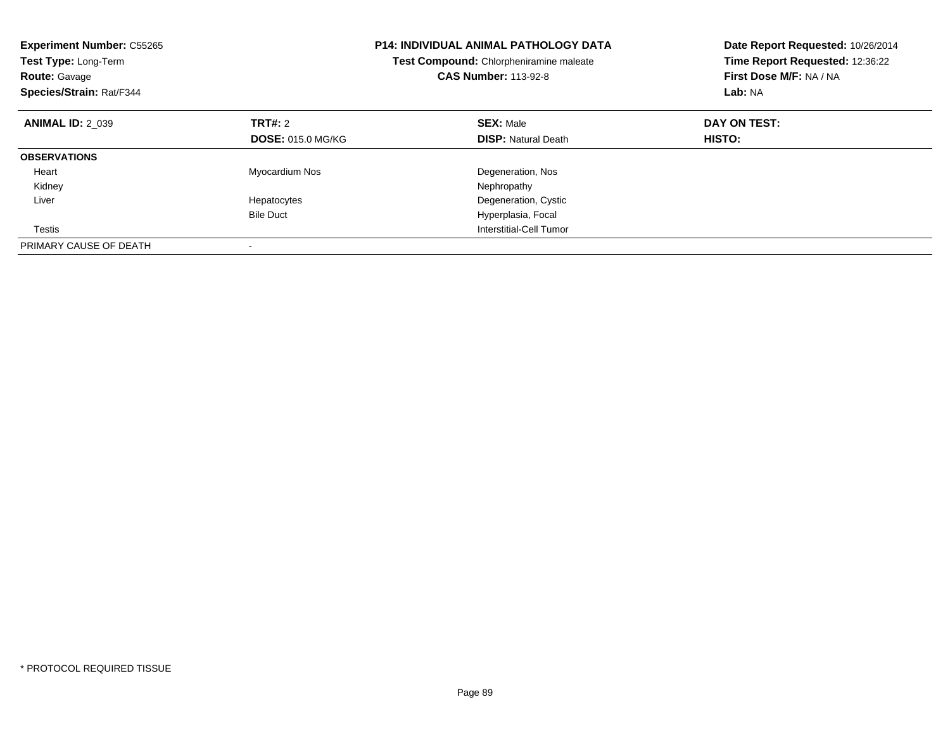| <b>Experiment Number: C55265</b><br>Test Type: Long-Term<br><b>Route: Gavage</b><br>Species/Strain: Rat/F344 |                          | <b>P14: INDIVIDUAL ANIMAL PATHOLOGY DATA</b><br>Test Compound: Chlorpheniramine maleate<br><b>CAS Number: 113-92-8</b> | Date Report Requested: 10/26/2014<br>Time Report Requested: 12:36:22<br>First Dose M/F: NA / NA<br>Lab: NA |
|--------------------------------------------------------------------------------------------------------------|--------------------------|------------------------------------------------------------------------------------------------------------------------|------------------------------------------------------------------------------------------------------------|
| <b>ANIMAL ID: 2 039</b>                                                                                      | TRT#: 2                  | <b>SEX: Male</b>                                                                                                       | DAY ON TEST:                                                                                               |
|                                                                                                              | <b>DOSE: 015.0 MG/KG</b> | <b>DISP:</b> Natural Death                                                                                             | HISTO:                                                                                                     |
| <b>OBSERVATIONS</b>                                                                                          |                          |                                                                                                                        |                                                                                                            |
| Heart                                                                                                        | Myocardium Nos           | Degeneration, Nos                                                                                                      |                                                                                                            |
| Kidney                                                                                                       |                          | Nephropathy                                                                                                            |                                                                                                            |
| Liver                                                                                                        | Hepatocytes              | Degeneration, Cystic                                                                                                   |                                                                                                            |
|                                                                                                              | <b>Bile Duct</b>         | Hyperplasia, Focal                                                                                                     |                                                                                                            |
| Testis                                                                                                       |                          | Interstitial-Cell Tumor                                                                                                |                                                                                                            |
| PRIMARY CAUSE OF DEATH                                                                                       |                          |                                                                                                                        |                                                                                                            |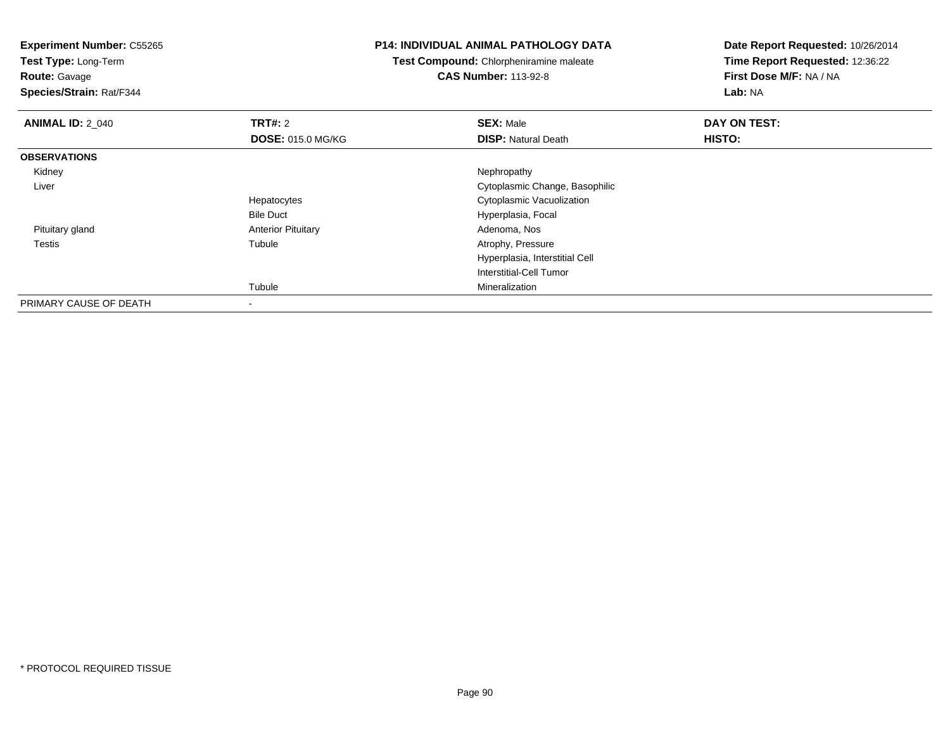**Experiment Number:** C55265**Test Type:** Long-Term**Route:** Gavage **Species/Strain:** Rat/F344**P14: INDIVIDUAL ANIMAL PATHOLOGY DATATest Compound:** Chlorpheniramine maleate**CAS Number:** 113-92-8**Date Report Requested:** 10/26/2014**Time Report Requested:** 12:36:22**First Dose M/F:** NA / NA**Lab:** NA**ANIMAL ID: 2 040 C TRT#:** 2 **SEX:** Male **DAY ON TEST: DOSE:** 015.0 MG/KG**DISP:** Natural Death **HISTO: OBSERVATIONS** Kidneyy the control of the control of the control of the control of the control of the control of the control of the control of the control of the control of the control of the control of the control of the control of the contro Liver Cytoplasmic Change, BasophilicHepatocytes Cytoplasmic VacuolizationBile Duct Hyperplasia, Focal Pituitary glandAnterior Pituitary **Adenoma, Nosting Community Community** Adenoma, Nosting Adenoma, Nosting Adenoma, Nosting Adenoma, Nosting Adenoma, Nosting Adenoma, Nosting Adenoma, Nosting Adenoma, Nosting Adenoma, Nosting Adenoma, No Testiss and the contract of the contract of the contract of the contract of the contract of the contract of the contract of the contract of the contract of the contract of the contract of the contract of the contract of the cont Atrophy, Pressure Hyperplasia, Interstitial CellInterstitial-Cell TumorTubule Mineralization PRIMARY CAUSE OF DEATH

-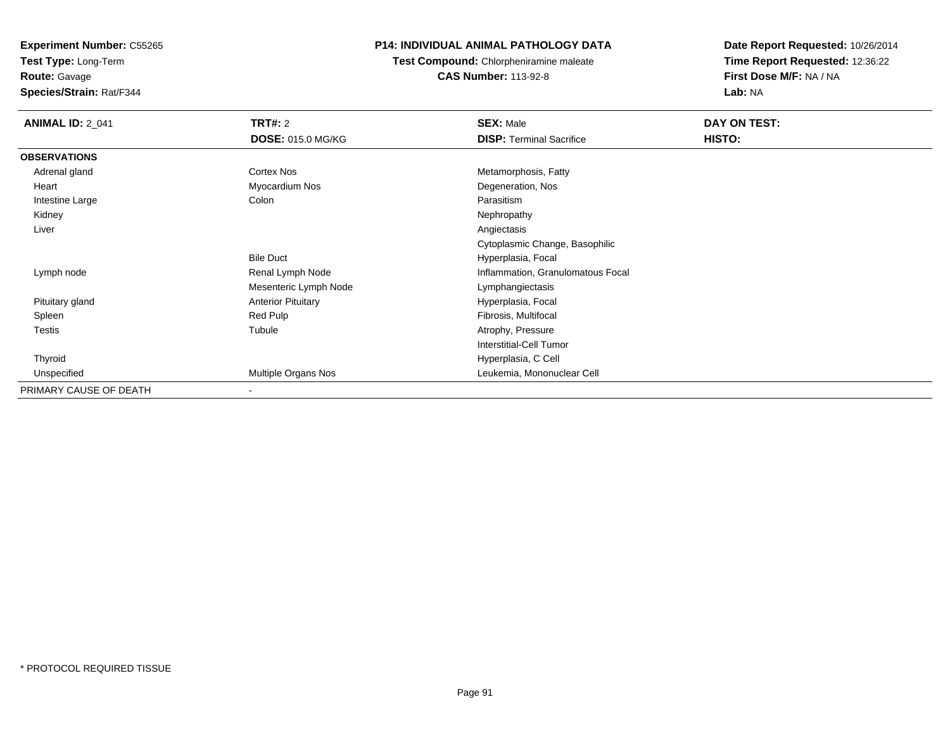**Test Type:** Long-Term**Route:** Gavage

**Species/Strain:** Rat/F344

## **P14: INDIVIDUAL ANIMAL PATHOLOGY DATA**

**Test Compound:** Chlorpheniramine maleate**CAS Number:** 113-92-8

| <b>ANIMAL ID: 2_041</b> | <b>TRT#: 2</b>            | <b>SEX: Male</b>                  | DAY ON TEST: |  |
|-------------------------|---------------------------|-----------------------------------|--------------|--|
|                         | <b>DOSE: 015.0 MG/KG</b>  | <b>DISP: Terminal Sacrifice</b>   | HISTO:       |  |
| <b>OBSERVATIONS</b>     |                           |                                   |              |  |
| Adrenal gland           | <b>Cortex Nos</b>         | Metamorphosis, Fatty              |              |  |
| Heart                   | Myocardium Nos            | Degeneration, Nos                 |              |  |
| Intestine Large         | Colon                     | Parasitism                        |              |  |
| Kidney                  |                           | Nephropathy                       |              |  |
| Liver                   |                           | Angiectasis                       |              |  |
|                         |                           | Cytoplasmic Change, Basophilic    |              |  |
|                         | <b>Bile Duct</b>          | Hyperplasia, Focal                |              |  |
| Lymph node              | Renal Lymph Node          | Inflammation, Granulomatous Focal |              |  |
|                         | Mesenteric Lymph Node     | Lymphangiectasis                  |              |  |
| Pituitary gland         | <b>Anterior Pituitary</b> | Hyperplasia, Focal                |              |  |
| Spleen                  | Red Pulp                  | Fibrosis, Multifocal              |              |  |
| <b>Testis</b>           | Tubule                    | Atrophy, Pressure                 |              |  |
|                         |                           | Interstitial-Cell Tumor           |              |  |
| Thyroid                 |                           | Hyperplasia, C Cell               |              |  |
| Unspecified             | Multiple Organs Nos       | Leukemia, Mononuclear Cell        |              |  |
| PRIMARY CAUSE OF DEATH  |                           |                                   |              |  |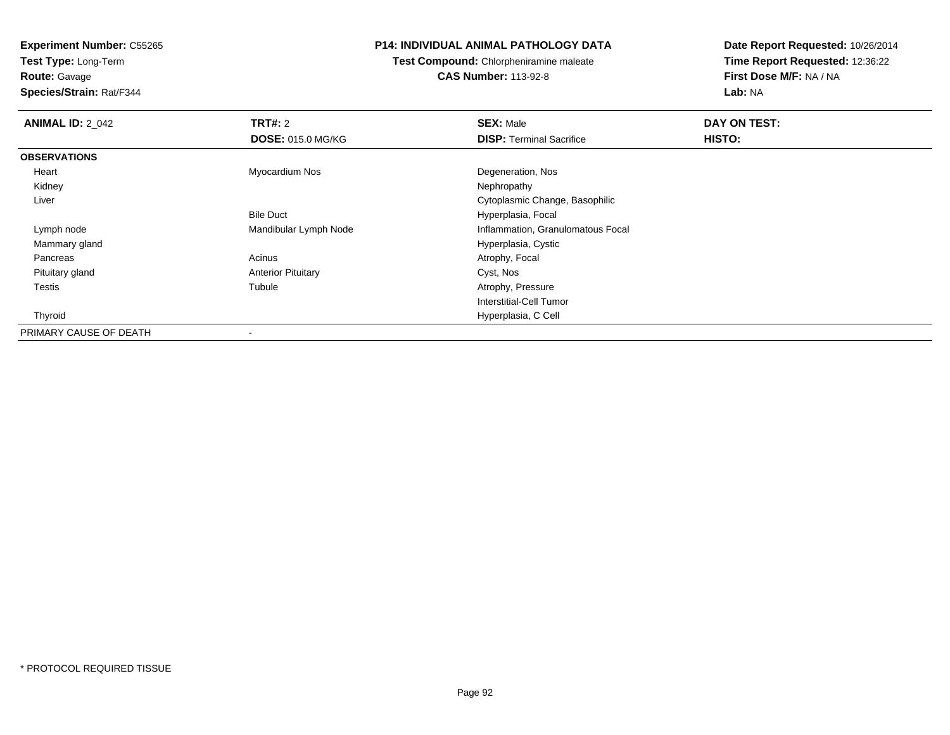**Test Type:** Long-Term**Route:** Gavage

**Species/Strain:** Rat/F344

### **P14: INDIVIDUAL ANIMAL PATHOLOGY DATA**

**Test Compound:** Chlorpheniramine maleate**CAS Number:** 113-92-8

| <b>ANIMAL ID: 2_042</b> | <b>TRT#: 2</b>            | <b>SEX: Male</b>                  | DAY ON TEST: |  |
|-------------------------|---------------------------|-----------------------------------|--------------|--|
|                         | <b>DOSE: 015.0 MG/KG</b>  | <b>DISP:</b> Terminal Sacrifice   | HISTO:       |  |
| <b>OBSERVATIONS</b>     |                           |                                   |              |  |
| Heart                   | Myocardium Nos            | Degeneration, Nos                 |              |  |
| Kidney                  |                           | Nephropathy                       |              |  |
| Liver                   |                           | Cytoplasmic Change, Basophilic    |              |  |
|                         | <b>Bile Duct</b>          | Hyperplasia, Focal                |              |  |
| Lymph node              | Mandibular Lymph Node     | Inflammation, Granulomatous Focal |              |  |
| Mammary gland           |                           | Hyperplasia, Cystic               |              |  |
| Pancreas                | Acinus                    | Atrophy, Focal                    |              |  |
| Pituitary gland         | <b>Anterior Pituitary</b> | Cyst, Nos                         |              |  |
| <b>Testis</b>           | Tubule                    | Atrophy, Pressure                 |              |  |
|                         |                           | Interstitial-Cell Tumor           |              |  |
| Thyroid                 |                           | Hyperplasia, C Cell               |              |  |
| PRIMARY CAUSE OF DEATH  | $\overline{\phantom{a}}$  |                                   |              |  |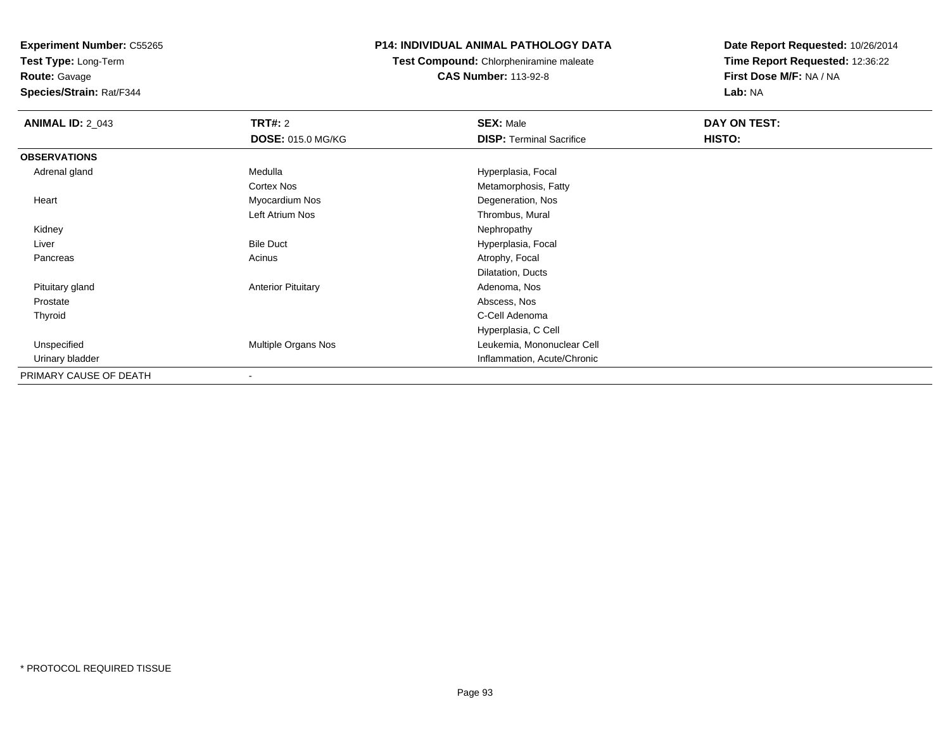**Test Type:** Long-Term

## **Route:** Gavage

**Species/Strain:** Rat/F344

## **P14: INDIVIDUAL ANIMAL PATHOLOGY DATA**

## **Test Compound:** Chlorpheniramine maleate**CAS Number:** 113-92-8

| <b>ANIMAL ID: 2_043</b> | <b>TRT#: 2</b>            | <b>SEX: Male</b>                | DAY ON TEST: |  |
|-------------------------|---------------------------|---------------------------------|--------------|--|
|                         | <b>DOSE: 015.0 MG/KG</b>  | <b>DISP: Terminal Sacrifice</b> | HISTO:       |  |
| <b>OBSERVATIONS</b>     |                           |                                 |              |  |
| Adrenal gland           | Medulla                   | Hyperplasia, Focal              |              |  |
|                         | Cortex Nos                | Metamorphosis, Fatty            |              |  |
| Heart                   | Myocardium Nos            | Degeneration, Nos               |              |  |
|                         | Left Atrium Nos           | Thrombus, Mural                 |              |  |
| Kidney                  |                           | Nephropathy                     |              |  |
| Liver                   | <b>Bile Duct</b>          | Hyperplasia, Focal              |              |  |
| Pancreas                | Acinus                    | Atrophy, Focal                  |              |  |
|                         |                           | Dilatation, Ducts               |              |  |
| Pituitary gland         | <b>Anterior Pituitary</b> | Adenoma, Nos                    |              |  |
| Prostate                |                           | Abscess, Nos                    |              |  |
| Thyroid                 |                           | C-Cell Adenoma                  |              |  |
|                         |                           | Hyperplasia, C Cell             |              |  |
| Unspecified             | Multiple Organs Nos       | Leukemia, Mononuclear Cell      |              |  |
| Urinary bladder         |                           | Inflammation, Acute/Chronic     |              |  |
| PRIMARY CAUSE OF DEATH  | $\blacksquare$            |                                 |              |  |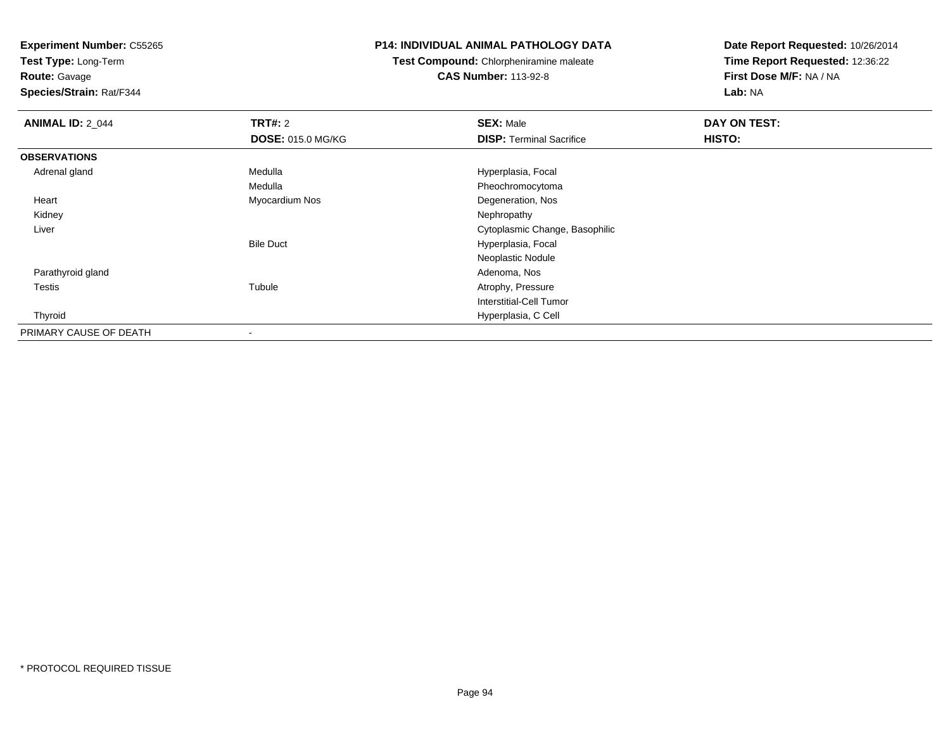**Test Type:** Long-Term

## **Route:** Gavage

**Species/Strain:** Rat/F344

#### **P14: INDIVIDUAL ANIMAL PATHOLOGY DATA**

## **Test Compound:** Chlorpheniramine maleate**CAS Number:** 113-92-8

| <b>ANIMAL ID: 2_044</b> | TRT#: 2                  | <b>SEX: Male</b>                | DAY ON TEST: |  |
|-------------------------|--------------------------|---------------------------------|--------------|--|
|                         | <b>DOSE: 015.0 MG/KG</b> | <b>DISP: Terminal Sacrifice</b> | HISTO:       |  |
| <b>OBSERVATIONS</b>     |                          |                                 |              |  |
| Adrenal gland           | Medulla                  | Hyperplasia, Focal              |              |  |
|                         | Medulla                  | Pheochromocytoma                |              |  |
| Heart                   | Myocardium Nos           | Degeneration, Nos               |              |  |
| Kidney                  |                          | Nephropathy                     |              |  |
| Liver                   |                          | Cytoplasmic Change, Basophilic  |              |  |
|                         | <b>Bile Duct</b>         | Hyperplasia, Focal              |              |  |
|                         |                          | Neoplastic Nodule               |              |  |
| Parathyroid gland       |                          | Adenoma, Nos                    |              |  |
| Testis                  | Tubule                   | Atrophy, Pressure               |              |  |
|                         |                          | Interstitial-Cell Tumor         |              |  |
| Thyroid                 |                          | Hyperplasia, C Cell             |              |  |
| PRIMARY CAUSE OF DEATH  | $\,$                     |                                 |              |  |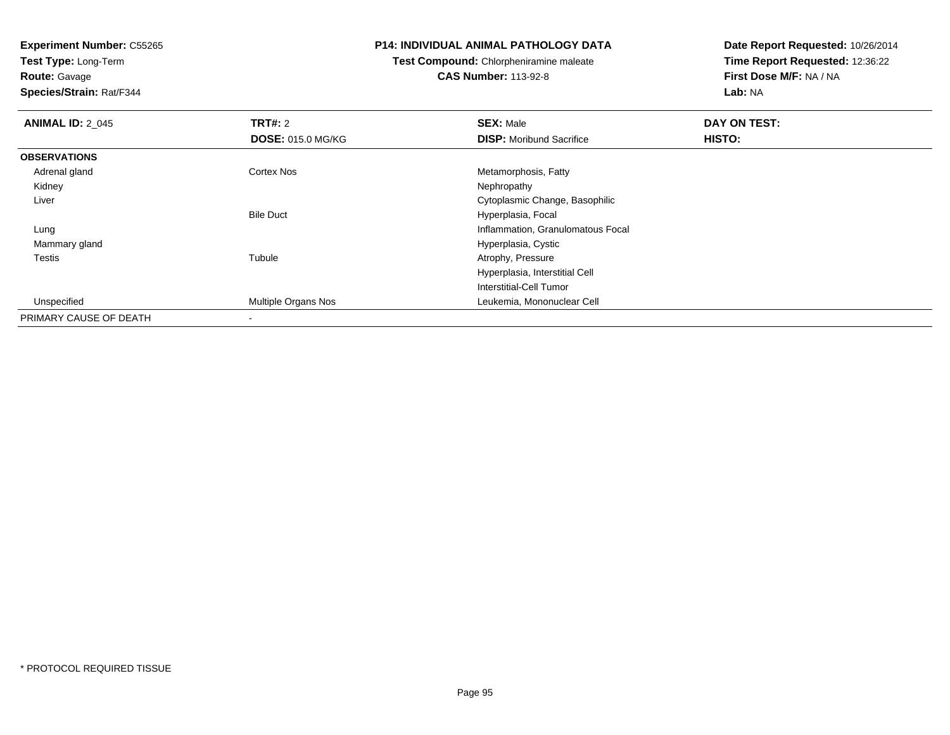**Test Type:** Long-Term**Route:** Gavage

**Species/Strain:** Rat/F344

#### **P14: INDIVIDUAL ANIMAL PATHOLOGY DATA**

**Test Compound:** Chlorpheniramine maleate**CAS Number:** 113-92-8

| <b>ANIMAL ID: 2 045</b> | TRT#: 2                  | <b>SEX: Male</b>                  | DAY ON TEST: |  |
|-------------------------|--------------------------|-----------------------------------|--------------|--|
|                         | <b>DOSE: 015.0 MG/KG</b> | <b>DISP:</b> Moribund Sacrifice   | HISTO:       |  |
| <b>OBSERVATIONS</b>     |                          |                                   |              |  |
| Adrenal gland           | Cortex Nos               | Metamorphosis, Fatty              |              |  |
| Kidney                  |                          | Nephropathy                       |              |  |
| Liver                   |                          | Cytoplasmic Change, Basophilic    |              |  |
|                         | <b>Bile Duct</b>         | Hyperplasia, Focal                |              |  |
| Lung                    |                          | Inflammation, Granulomatous Focal |              |  |
| Mammary gland           |                          | Hyperplasia, Cystic               |              |  |
| Testis                  | Tubule                   | Atrophy, Pressure                 |              |  |
|                         |                          | Hyperplasia, Interstitial Cell    |              |  |
|                         |                          | Interstitial-Cell Tumor           |              |  |
| Unspecified             | Multiple Organs Nos      | Leukemia, Mononuclear Cell        |              |  |
| PRIMARY CAUSE OF DEATH  | $\,$                     |                                   |              |  |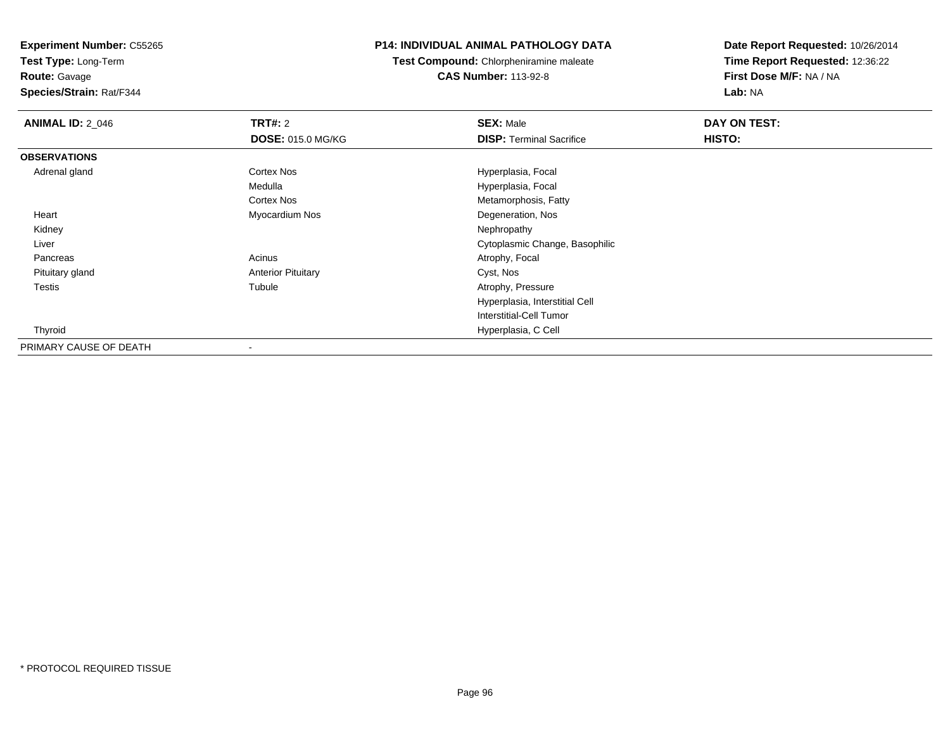**Test Type:** Long-Term

**Route:** Gavage

**Species/Strain:** Rat/F344

#### **P14: INDIVIDUAL ANIMAL PATHOLOGY DATA**

**Test Compound:** Chlorpheniramine maleate**CAS Number:** 113-92-8

| <b>ANIMAL ID: 2_046</b> | TRT#: 2                   | <b>SEX: Male</b>                | DAY ON TEST: |  |
|-------------------------|---------------------------|---------------------------------|--------------|--|
|                         | <b>DOSE: 015.0 MG/KG</b>  | <b>DISP: Terminal Sacrifice</b> | HISTO:       |  |
| <b>OBSERVATIONS</b>     |                           |                                 |              |  |
| Adrenal gland           | Cortex Nos                | Hyperplasia, Focal              |              |  |
|                         | Medulla                   | Hyperplasia, Focal              |              |  |
|                         | Cortex Nos                | Metamorphosis, Fatty            |              |  |
| Heart                   | Myocardium Nos            | Degeneration, Nos               |              |  |
| Kidney                  |                           | Nephropathy                     |              |  |
| Liver                   |                           | Cytoplasmic Change, Basophilic  |              |  |
| Pancreas                | Acinus                    | Atrophy, Focal                  |              |  |
| Pituitary gland         | <b>Anterior Pituitary</b> | Cyst, Nos                       |              |  |
| Testis                  | Tubule                    | Atrophy, Pressure               |              |  |
|                         |                           | Hyperplasia, Interstitial Cell  |              |  |
|                         |                           | <b>Interstitial-Cell Tumor</b>  |              |  |
| Thyroid                 |                           | Hyperplasia, C Cell             |              |  |
| PRIMARY CAUSE OF DEATH  |                           |                                 |              |  |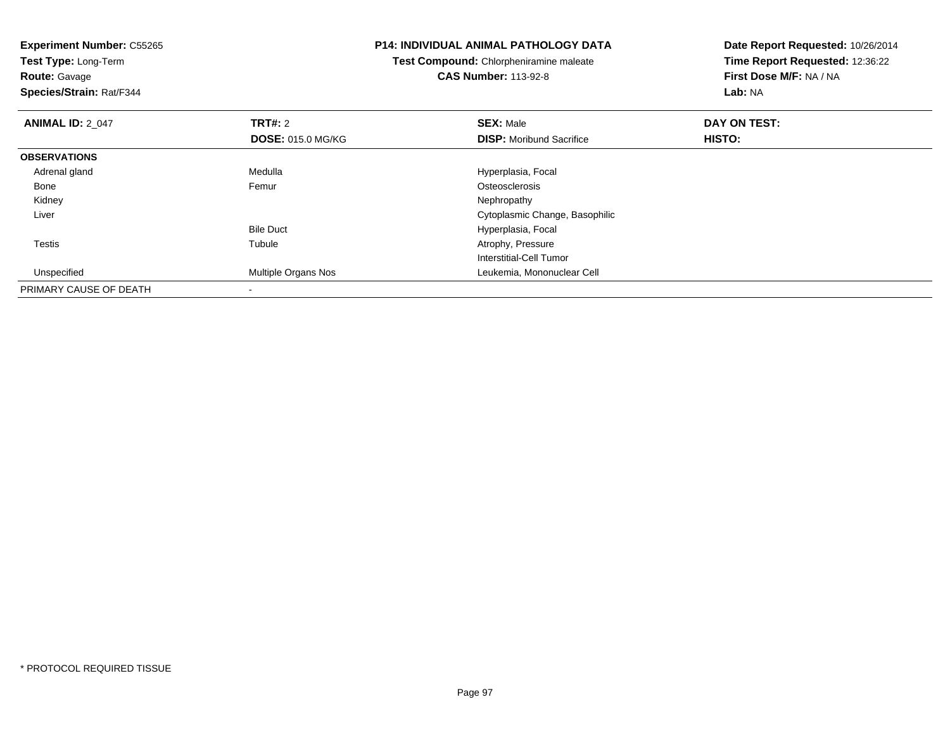**Experiment Number:** C55265**Test Type:** Long-Term**Route:** Gavage **Species/Strain:** Rat/F344**P14: INDIVIDUAL ANIMAL PATHOLOGY DATATest Compound:** Chlorpheniramine maleate**CAS Number:** 113-92-8**Date Report Requested:** 10/26/2014**Time Report Requested:** 12:36:22**First Dose M/F:** NA / NA**Lab:** NA**ANIMAL ID: 2 047 TRT#:** <sup>2</sup> **SEX:** Male **DAY ON TEST: DOSE:** 015.0 MG/KG**DISP:** Moribund Sacrifice **HISTO: OBSERVATIONS** Adrenal glandMedulla **Medulla** Hyperplasia, Focal Hyperplasia, Focal Femur Bonee and the settlement of the Femur and the settlement of the Stephen Stephen Stephen Stephen Stephen Stephen Stephen Stephen Stephen Stephen Stephen Stephen Stephen Stephen Stephen Stephen Stephen Stephen Stephen Stephen St Kidneyy the control of the control of the control of the control of the control of the control of the control of the control of the control of the control of the control of the control of the control of the control of the contro Liver Cytoplasmic Change, BasophilicBile Duct Hyperplasia, Focal Testiss and the contract of the contract of the contract of the contract of the contract of the contract of the contract of the contract of the contract of the contract of the contract of the contract of the contract of the cont Tubule **Atrophy, Pressure** Interstitial-Cell Tumor Unspecified Multiple Organs Nos Leukemia, Mononuclear Cell PRIMARY CAUSE OF DEATH-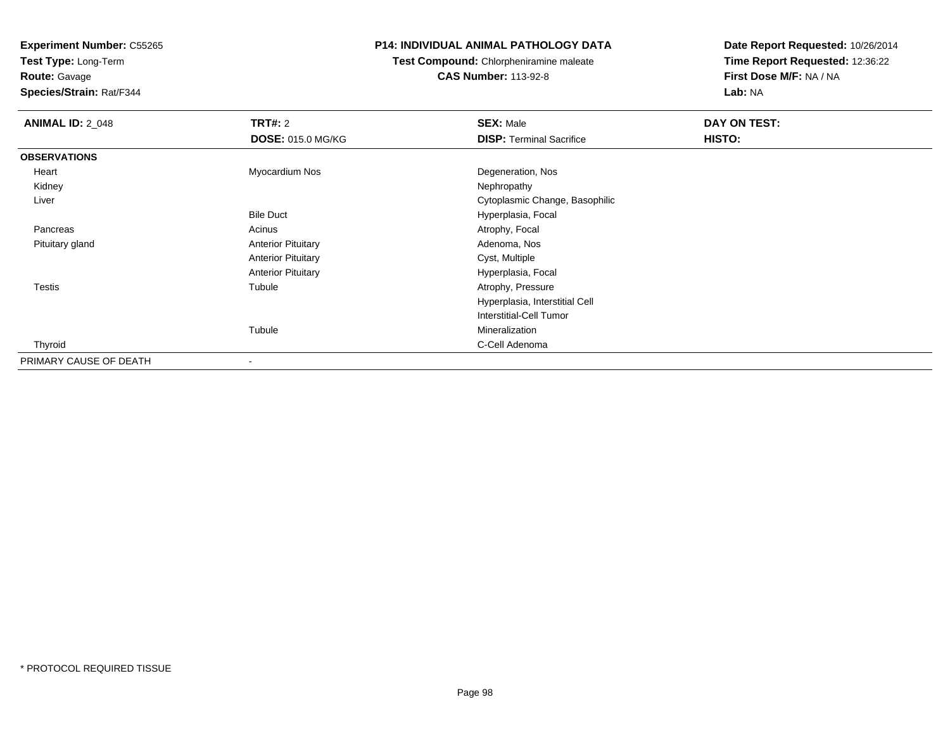**Test Type:** Long-Term**Route:** Gavage

**Species/Strain:** Rat/F344

## **P14: INDIVIDUAL ANIMAL PATHOLOGY DATA**

**Test Compound:** Chlorpheniramine maleate**CAS Number:** 113-92-8

| <b>ANIMAL ID: 2_048</b> | TRT#: 2                   | <b>SEX: Male</b>                | DAY ON TEST: |  |
|-------------------------|---------------------------|---------------------------------|--------------|--|
|                         | <b>DOSE: 015.0 MG/KG</b>  | <b>DISP: Terminal Sacrifice</b> | HISTO:       |  |
| <b>OBSERVATIONS</b>     |                           |                                 |              |  |
| Heart                   | Myocardium Nos            | Degeneration, Nos               |              |  |
| Kidney                  |                           | Nephropathy                     |              |  |
| Liver                   |                           | Cytoplasmic Change, Basophilic  |              |  |
|                         | <b>Bile Duct</b>          | Hyperplasia, Focal              |              |  |
| Pancreas                | Acinus                    | Atrophy, Focal                  |              |  |
| Pituitary gland         | <b>Anterior Pituitary</b> | Adenoma, Nos                    |              |  |
|                         | <b>Anterior Pituitary</b> | Cyst, Multiple                  |              |  |
|                         | <b>Anterior Pituitary</b> | Hyperplasia, Focal              |              |  |
| <b>Testis</b>           | Tubule                    | Atrophy, Pressure               |              |  |
|                         |                           | Hyperplasia, Interstitial Cell  |              |  |
|                         |                           | Interstitial-Cell Tumor         |              |  |
|                         | Tubule                    | Mineralization                  |              |  |
| Thyroid                 |                           | C-Cell Adenoma                  |              |  |
| PRIMARY CAUSE OF DEATH  | -                         |                                 |              |  |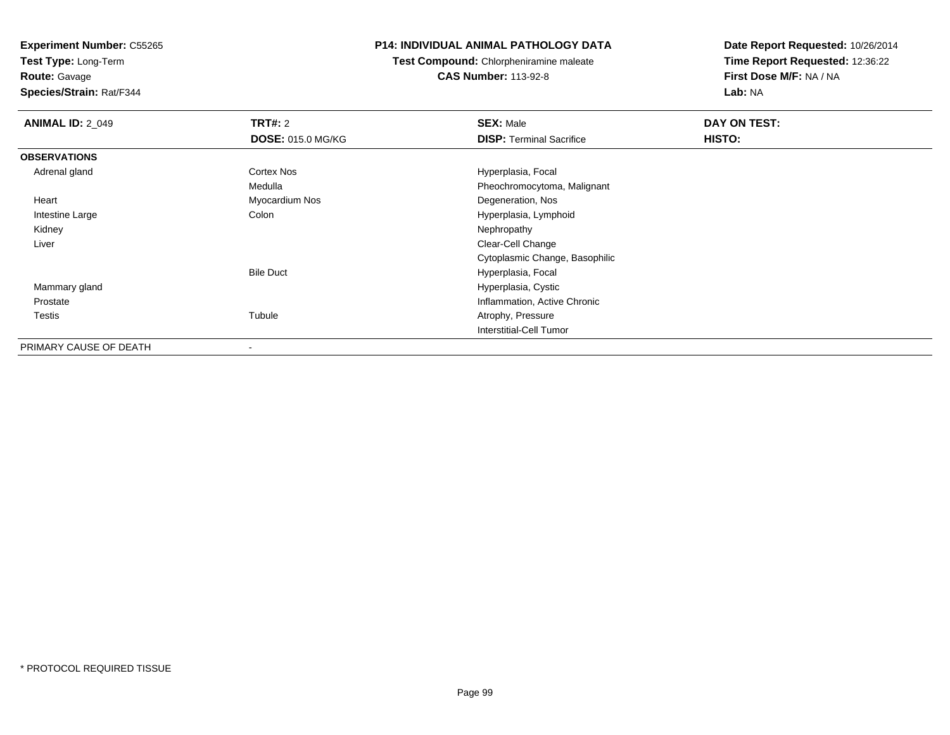**Test Type:** Long-Term**Route:** Gavage

**Species/Strain:** Rat/F344

#### **P14: INDIVIDUAL ANIMAL PATHOLOGY DATA**

**Test Compound:** Chlorpheniramine maleate**CAS Number:** 113-92-8

| <b>ANIMAL ID: 2_049</b> | <b>TRT#: 2</b>           | <b>SEX: Male</b>                | DAY ON TEST: |  |
|-------------------------|--------------------------|---------------------------------|--------------|--|
|                         | <b>DOSE: 015.0 MG/KG</b> | <b>DISP: Terminal Sacrifice</b> | HISTO:       |  |
| <b>OBSERVATIONS</b>     |                          |                                 |              |  |
| Adrenal gland           | Cortex Nos               | Hyperplasia, Focal              |              |  |
|                         | Medulla                  | Pheochromocytoma, Malignant     |              |  |
| Heart                   | Myocardium Nos           | Degeneration, Nos               |              |  |
| Intestine Large         | Colon                    | Hyperplasia, Lymphoid           |              |  |
| Kidney                  |                          | Nephropathy                     |              |  |
| Liver                   |                          | Clear-Cell Change               |              |  |
|                         |                          | Cytoplasmic Change, Basophilic  |              |  |
|                         | <b>Bile Duct</b>         | Hyperplasia, Focal              |              |  |
| Mammary gland           |                          | Hyperplasia, Cystic             |              |  |
| Prostate                |                          | Inflammation, Active Chronic    |              |  |
| Testis                  | Tubule                   | Atrophy, Pressure               |              |  |
|                         |                          | <b>Interstitial-Cell Tumor</b>  |              |  |
| PRIMARY CAUSE OF DEATH  |                          |                                 |              |  |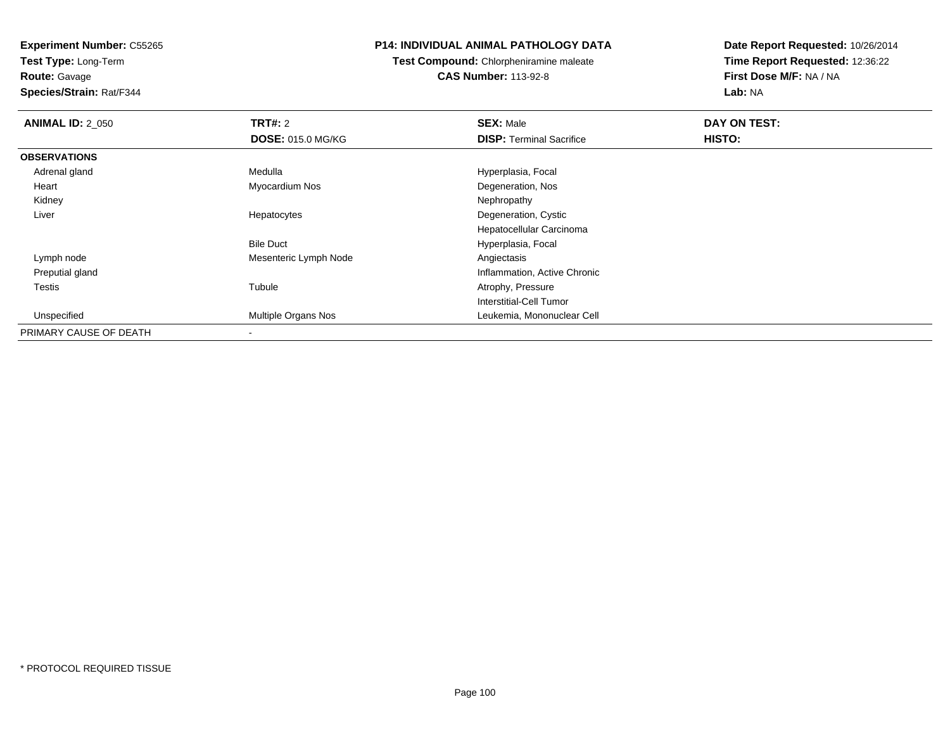**Test Type:** Long-Term

## **Route:** Gavage

**Species/Strain:** Rat/F344

#### **P14: INDIVIDUAL ANIMAL PATHOLOGY DATA**

## **Test Compound:** Chlorpheniramine maleate**CAS Number:** 113-92-8

| <b>ANIMAL ID: 2 050</b> | <b>TRT#: 2</b>           | <b>SEX: Male</b>                | DAY ON TEST: |  |
|-------------------------|--------------------------|---------------------------------|--------------|--|
|                         | <b>DOSE: 015.0 MG/KG</b> | <b>DISP: Terminal Sacrifice</b> | HISTO:       |  |
| <b>OBSERVATIONS</b>     |                          |                                 |              |  |
| Adrenal gland           | Medulla                  | Hyperplasia, Focal              |              |  |
| Heart                   | Myocardium Nos           | Degeneration, Nos               |              |  |
| Kidney                  |                          | Nephropathy                     |              |  |
| Liver                   | Hepatocytes              | Degeneration, Cystic            |              |  |
|                         |                          | Hepatocellular Carcinoma        |              |  |
|                         | <b>Bile Duct</b>         | Hyperplasia, Focal              |              |  |
| Lymph node              | Mesenteric Lymph Node    | Angiectasis                     |              |  |
| Preputial gland         |                          | Inflammation, Active Chronic    |              |  |
| Testis                  | Tubule                   | Atrophy, Pressure               |              |  |
|                         |                          | Interstitial-Cell Tumor         |              |  |
| Unspecified             | Multiple Organs Nos      | Leukemia, Mononuclear Cell      |              |  |
| PRIMARY CAUSE OF DEATH  |                          |                                 |              |  |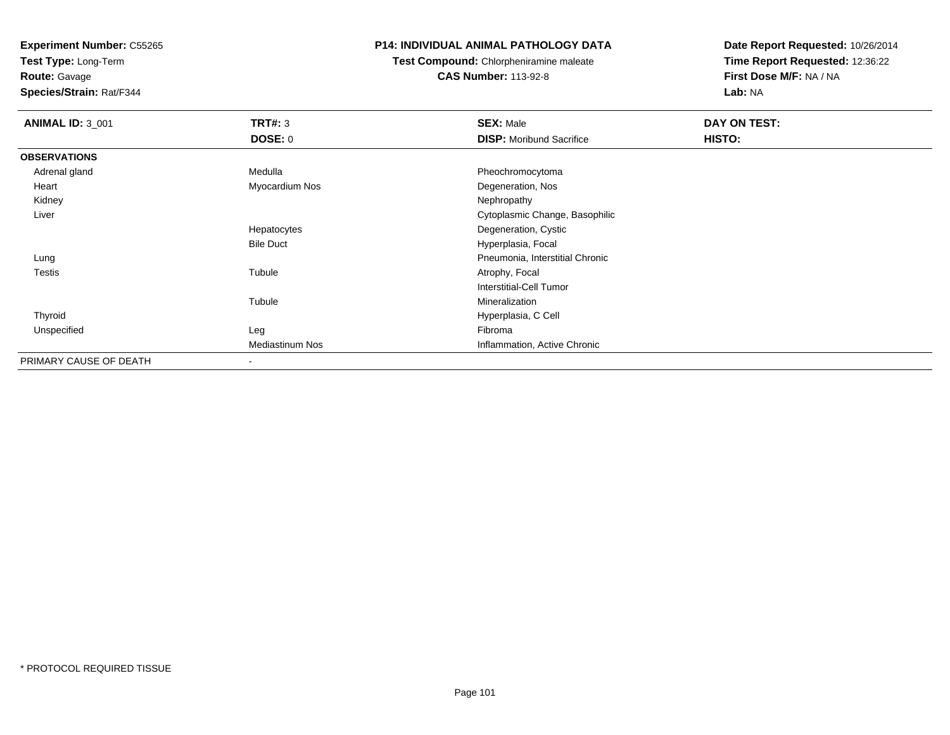**Test Type:** Long-Term

**Route:** Gavage

**Species/Strain:** Rat/F344

### **P14: INDIVIDUAL ANIMAL PATHOLOGY DATA**

**Test Compound:** Chlorpheniramine maleate

**CAS Number:** 113-92-8

| <b>ANIMAL ID: 3_001</b> | TRT#: 3                | <b>SEX: Male</b>                | DAY ON TEST: |  |
|-------------------------|------------------------|---------------------------------|--------------|--|
|                         | <b>DOSE: 0</b>         | <b>DISP:</b> Moribund Sacrifice | HISTO:       |  |
| <b>OBSERVATIONS</b>     |                        |                                 |              |  |
| Adrenal gland           | Medulla                | Pheochromocytoma                |              |  |
| Heart                   | Myocardium Nos         | Degeneration, Nos               |              |  |
| Kidney                  |                        | Nephropathy                     |              |  |
| Liver                   |                        | Cytoplasmic Change, Basophilic  |              |  |
|                         | Hepatocytes            | Degeneration, Cystic            |              |  |
|                         | <b>Bile Duct</b>       | Hyperplasia, Focal              |              |  |
| Lung                    |                        | Pneumonia, Interstitial Chronic |              |  |
| <b>Testis</b>           | Tubule                 | Atrophy, Focal                  |              |  |
|                         |                        | Interstitial-Cell Tumor         |              |  |
|                         | Tubule                 | Mineralization                  |              |  |
| Thyroid                 |                        | Hyperplasia, C Cell             |              |  |
| Unspecified             | Leg                    | Fibroma                         |              |  |
|                         | <b>Mediastinum Nos</b> | Inflammation, Active Chronic    |              |  |
| PRIMARY CAUSE OF DEATH  |                        |                                 |              |  |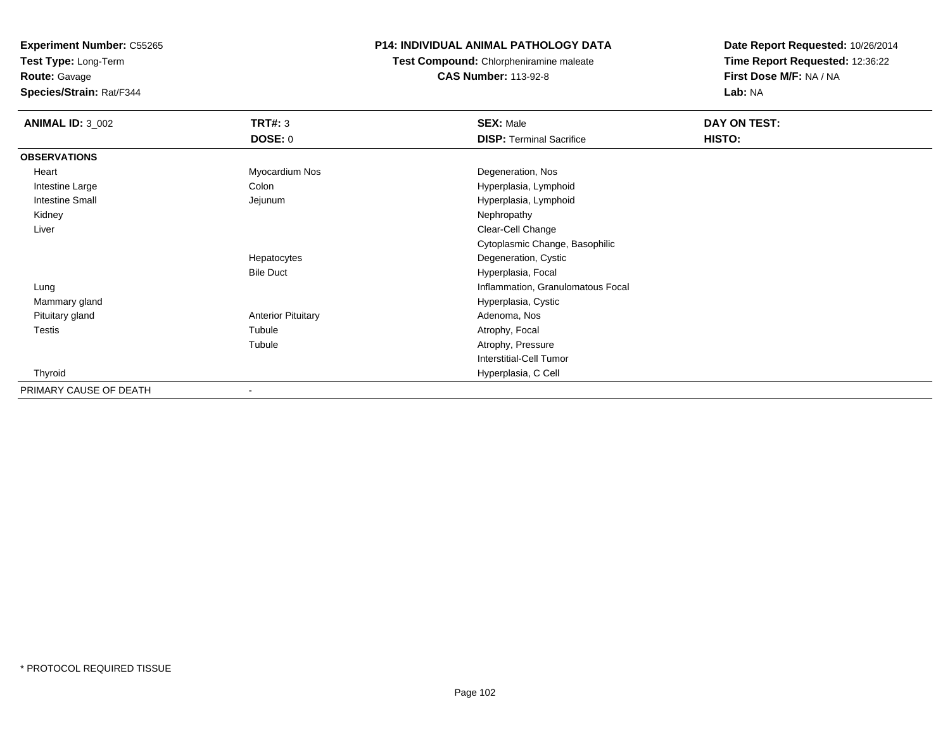**Test Type:** Long-Term

**Route:** Gavage

**Species/Strain:** Rat/F344

### **P14: INDIVIDUAL ANIMAL PATHOLOGY DATA**

**Test Compound:** Chlorpheniramine maleate**CAS Number:** 113-92-8

| <b>ANIMAL ID: 3 002</b> | <b>TRT#: 3</b>            | <b>SEX: Male</b>                  | DAY ON TEST:  |  |
|-------------------------|---------------------------|-----------------------------------|---------------|--|
|                         | <b>DOSE: 0</b>            | <b>DISP: Terminal Sacrifice</b>   | <b>HISTO:</b> |  |
| <b>OBSERVATIONS</b>     |                           |                                   |               |  |
| Heart                   | Myocardium Nos            | Degeneration, Nos                 |               |  |
| Intestine Large         | Colon                     | Hyperplasia, Lymphoid             |               |  |
| <b>Intestine Small</b>  | Jejunum                   | Hyperplasia, Lymphoid             |               |  |
| Kidney                  |                           | Nephropathy                       |               |  |
| Liver                   |                           | Clear-Cell Change                 |               |  |
|                         |                           | Cytoplasmic Change, Basophilic    |               |  |
|                         | Hepatocytes               | Degeneration, Cystic              |               |  |
|                         | <b>Bile Duct</b>          | Hyperplasia, Focal                |               |  |
| Lung                    |                           | Inflammation, Granulomatous Focal |               |  |
| Mammary gland           |                           | Hyperplasia, Cystic               |               |  |
| Pituitary gland         | <b>Anterior Pituitary</b> | Adenoma, Nos                      |               |  |
| <b>Testis</b>           | Tubule                    | Atrophy, Focal                    |               |  |
|                         | Tubule                    | Atrophy, Pressure                 |               |  |
|                         |                           | <b>Interstitial-Cell Tumor</b>    |               |  |
| Thyroid                 |                           | Hyperplasia, C Cell               |               |  |
| PRIMARY CAUSE OF DEATH  |                           |                                   |               |  |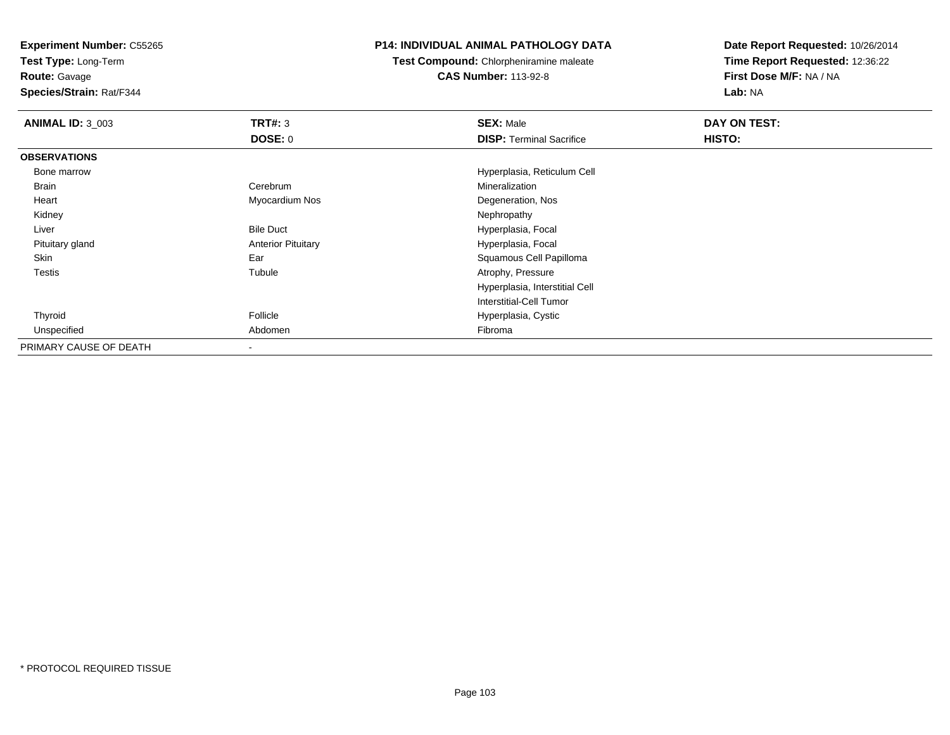**Test Type:** Long-Term

**Route:** Gavage

**Species/Strain:** Rat/F344

### **P14: INDIVIDUAL ANIMAL PATHOLOGY DATA**

**Test Compound:** Chlorpheniramine maleate**CAS Number:** 113-92-8

| <b>ANIMAL ID: 3_003</b> | TRT#: 3                   | <b>SEX: Male</b>                | DAY ON TEST: |  |
|-------------------------|---------------------------|---------------------------------|--------------|--|
|                         | <b>DOSE: 0</b>            | <b>DISP:</b> Terminal Sacrifice | HISTO:       |  |
| <b>OBSERVATIONS</b>     |                           |                                 |              |  |
| Bone marrow             |                           | Hyperplasia, Reticulum Cell     |              |  |
| <b>Brain</b>            | Cerebrum                  | Mineralization                  |              |  |
| Heart                   | Myocardium Nos            | Degeneration, Nos               |              |  |
| Kidney                  |                           | Nephropathy                     |              |  |
| Liver                   | <b>Bile Duct</b>          | Hyperplasia, Focal              |              |  |
| Pituitary gland         | <b>Anterior Pituitary</b> | Hyperplasia, Focal              |              |  |
| Skin                    | Ear                       | Squamous Cell Papilloma         |              |  |
| <b>Testis</b>           | Tubule                    | Atrophy, Pressure               |              |  |
|                         |                           | Hyperplasia, Interstitial Cell  |              |  |
|                         |                           | Interstitial-Cell Tumor         |              |  |
| Thyroid                 | Follicle                  | Hyperplasia, Cystic             |              |  |
| Unspecified             | Abdomen                   | Fibroma                         |              |  |
| PRIMARY CAUSE OF DEATH  | $\overline{\phantom{a}}$  |                                 |              |  |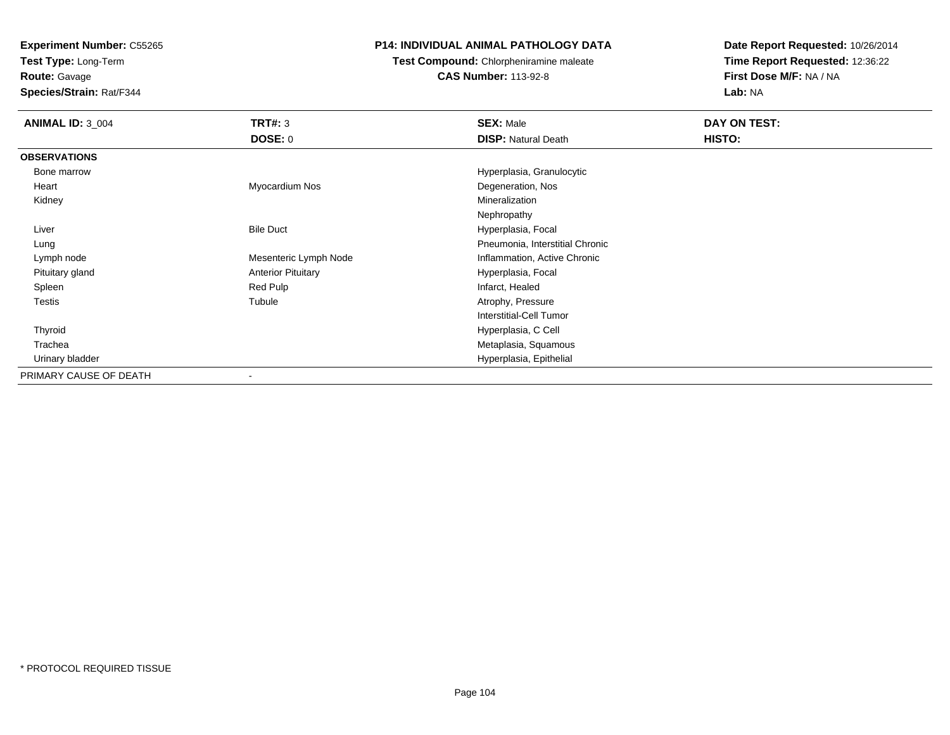**Test Type:** Long-Term

## **Route:** Gavage

**Species/Strain:** Rat/F344

## **P14: INDIVIDUAL ANIMAL PATHOLOGY DATA**

# **Test Compound:** Chlorpheniramine maleate

**CAS Number:** 113-92-8

| <b>ANIMAL ID: 3_004</b> | <b>TRT#: 3</b>            | <b>SEX: Male</b>                | DAY ON TEST: |
|-------------------------|---------------------------|---------------------------------|--------------|
|                         | DOSE: 0                   | <b>DISP: Natural Death</b>      | HISTO:       |
| <b>OBSERVATIONS</b>     |                           |                                 |              |
| Bone marrow             |                           | Hyperplasia, Granulocytic       |              |
| Heart                   | Myocardium Nos            | Degeneration, Nos               |              |
| Kidney                  |                           | Mineralization                  |              |
|                         |                           | Nephropathy                     |              |
| Liver                   | <b>Bile Duct</b>          | Hyperplasia, Focal              |              |
| Lung                    |                           | Pneumonia, Interstitial Chronic |              |
| Lymph node              | Mesenteric Lymph Node     | Inflammation, Active Chronic    |              |
| Pituitary gland         | <b>Anterior Pituitary</b> | Hyperplasia, Focal              |              |
| Spleen                  | Red Pulp                  | Infarct, Healed                 |              |
| Testis                  | Tubule                    | Atrophy, Pressure               |              |
|                         |                           | Interstitial-Cell Tumor         |              |
| Thyroid                 |                           | Hyperplasia, C Cell             |              |
| Trachea                 |                           | Metaplasia, Squamous            |              |
| Urinary bladder         |                           | Hyperplasia, Epithelial         |              |
| PRIMARY CAUSE OF DEATH  | $\overline{\phantom{a}}$  |                                 |              |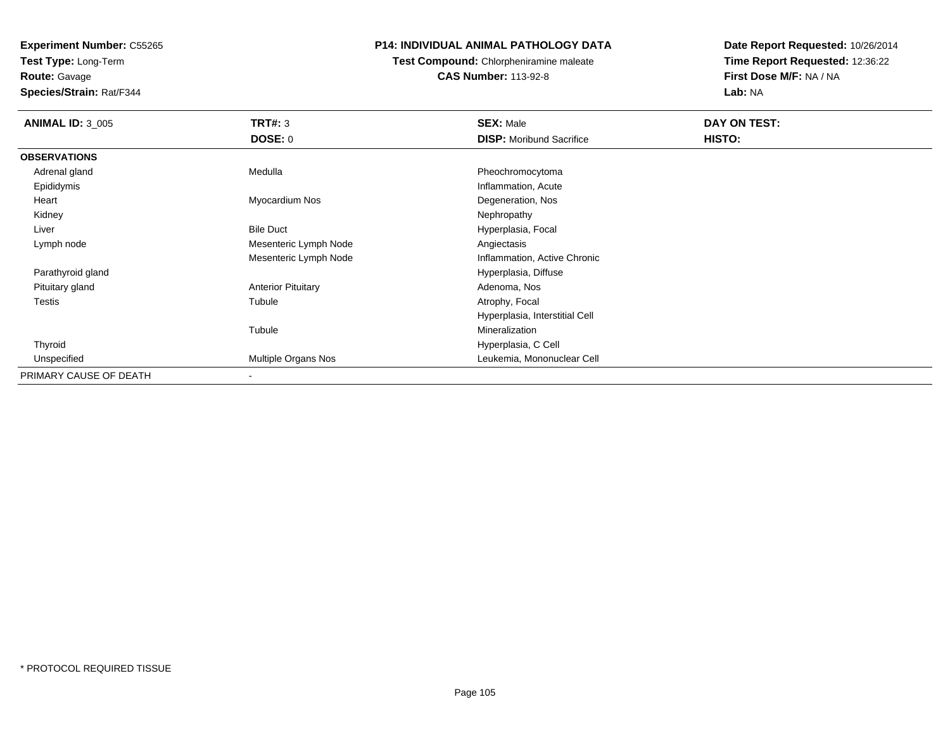**Test Type:** Long-Term

## **Route:** Gavage

**Species/Strain:** Rat/F344

## **P14: INDIVIDUAL ANIMAL PATHOLOGY DATA**

## **Test Compound:** Chlorpheniramine maleate**CAS Number:** 113-92-8

| <b>ANIMAL ID: 3_005</b> | TRT#: 3                   | <b>SEX: Male</b>                | DAY ON TEST: |  |
|-------------------------|---------------------------|---------------------------------|--------------|--|
|                         | <b>DOSE: 0</b>            | <b>DISP:</b> Moribund Sacrifice | HISTO:       |  |
| <b>OBSERVATIONS</b>     |                           |                                 |              |  |
| Adrenal gland           | Medulla                   | Pheochromocytoma                |              |  |
| Epididymis              |                           | Inflammation, Acute             |              |  |
| Heart                   | Myocardium Nos            | Degeneration, Nos               |              |  |
| Kidney                  |                           | Nephropathy                     |              |  |
| Liver                   | <b>Bile Duct</b>          | Hyperplasia, Focal              |              |  |
| Lymph node              | Mesenteric Lymph Node     | Angiectasis                     |              |  |
|                         | Mesenteric Lymph Node     | Inflammation, Active Chronic    |              |  |
| Parathyroid gland       |                           | Hyperplasia, Diffuse            |              |  |
| Pituitary gland         | <b>Anterior Pituitary</b> | Adenoma, Nos                    |              |  |
| Testis                  | Tubule                    | Atrophy, Focal                  |              |  |
|                         |                           | Hyperplasia, Interstitial Cell  |              |  |
|                         | Tubule                    | Mineralization                  |              |  |
| Thyroid                 |                           | Hyperplasia, C Cell             |              |  |
| Unspecified             | Multiple Organs Nos       | Leukemia, Mononuclear Cell      |              |  |
| PRIMARY CAUSE OF DEATH  | $\blacksquare$            |                                 |              |  |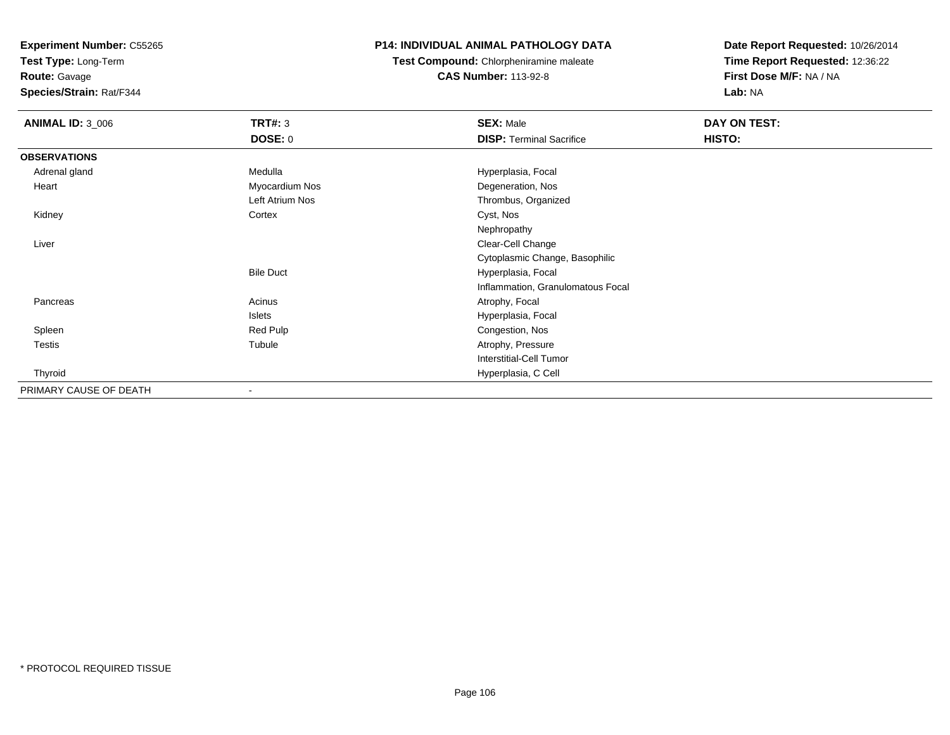**Test Type:** Long-Term

**Route:** Gavage

**Species/Strain:** Rat/F344

## **P14: INDIVIDUAL ANIMAL PATHOLOGY DATA**

**Test Compound:** Chlorpheniramine maleate**CAS Number:** 113-92-8

| <b>ANIMAL ID: 3_006</b> | <b>TRT#: 3</b>   | <b>SEX: Male</b>                  | DAY ON TEST: |  |
|-------------------------|------------------|-----------------------------------|--------------|--|
|                         | <b>DOSE: 0</b>   | <b>DISP:</b> Terminal Sacrifice   | HISTO:       |  |
| <b>OBSERVATIONS</b>     |                  |                                   |              |  |
| Adrenal gland           | Medulla          | Hyperplasia, Focal                |              |  |
| Heart                   | Myocardium Nos   | Degeneration, Nos                 |              |  |
|                         | Left Atrium Nos  | Thrombus, Organized               |              |  |
| Kidney                  | Cortex           | Cyst, Nos                         |              |  |
|                         |                  | Nephropathy                       |              |  |
| Liver                   |                  | Clear-Cell Change                 |              |  |
|                         |                  | Cytoplasmic Change, Basophilic    |              |  |
|                         | <b>Bile Duct</b> | Hyperplasia, Focal                |              |  |
|                         |                  | Inflammation, Granulomatous Focal |              |  |
| Pancreas                | Acinus           | Atrophy, Focal                    |              |  |
|                         | Islets           | Hyperplasia, Focal                |              |  |
| Spleen                  | Red Pulp         | Congestion, Nos                   |              |  |
| Testis                  | Tubule           | Atrophy, Pressure                 |              |  |
|                         |                  | Interstitial-Cell Tumor           |              |  |
| Thyroid                 |                  | Hyperplasia, C Cell               |              |  |
| PRIMARY CAUSE OF DEATH  |                  |                                   |              |  |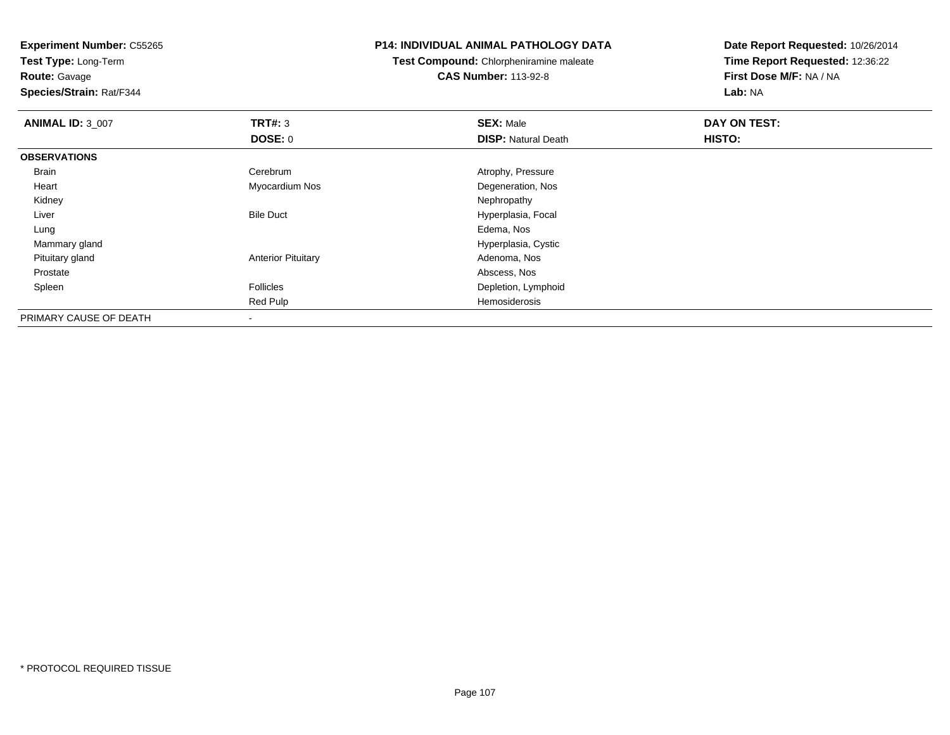**Test Type:** Long-Term**Route:** Gavage

**Species/Strain:** Rat/F344

#### **P14: INDIVIDUAL ANIMAL PATHOLOGY DATA**

**Test Compound:** Chlorpheniramine maleate**CAS Number:** 113-92-8

| <b>ANIMAL ID: 3_007</b> | TRT#: 3                   | <b>SEX: Male</b>           | DAY ON TEST: |  |
|-------------------------|---------------------------|----------------------------|--------------|--|
|                         | DOSE: 0                   | <b>DISP: Natural Death</b> | HISTO:       |  |
| <b>OBSERVATIONS</b>     |                           |                            |              |  |
| Brain                   | Cerebrum                  | Atrophy, Pressure          |              |  |
| Heart                   | Myocardium Nos            | Degeneration, Nos          |              |  |
| Kidney                  |                           | Nephropathy                |              |  |
| Liver                   | <b>Bile Duct</b>          | Hyperplasia, Focal         |              |  |
| Lung                    |                           | Edema, Nos                 |              |  |
| Mammary gland           |                           | Hyperplasia, Cystic        |              |  |
| Pituitary gland         | <b>Anterior Pituitary</b> | Adenoma, Nos               |              |  |
| Prostate                |                           | Abscess, Nos               |              |  |
| Spleen                  | Follicles                 | Depletion, Lymphoid        |              |  |
|                         | Red Pulp                  | Hemosiderosis              |              |  |
| PRIMARY CAUSE OF DEATH  | $\blacksquare$            |                            |              |  |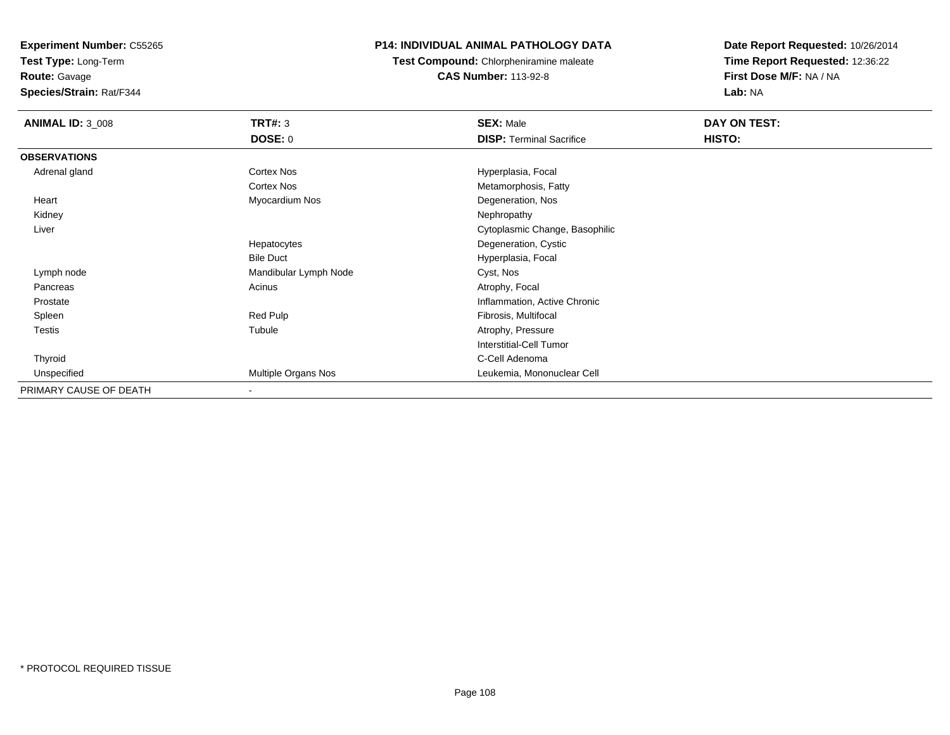**Test Type:** Long-Term

**Route:** Gavage

**Species/Strain:** Rat/F344

## **P14: INDIVIDUAL ANIMAL PATHOLOGY DATA**

**Test Compound:** Chlorpheniramine maleate**CAS Number:** 113-92-8

| <b>ANIMAL ID: 3_008</b> | <b>TRT#: 3</b>             | <b>SEX: Male</b>                | DAY ON TEST: |  |
|-------------------------|----------------------------|---------------------------------|--------------|--|
|                         | <b>DOSE: 0</b>             | <b>DISP: Terminal Sacrifice</b> | HISTO:       |  |
| <b>OBSERVATIONS</b>     |                            |                                 |              |  |
| Adrenal gland           | <b>Cortex Nos</b>          | Hyperplasia, Focal              |              |  |
|                         | <b>Cortex Nos</b>          | Metamorphosis, Fatty            |              |  |
| Heart                   | Myocardium Nos             | Degeneration, Nos               |              |  |
| Kidney                  |                            | Nephropathy                     |              |  |
| Liver                   |                            | Cytoplasmic Change, Basophilic  |              |  |
|                         | Hepatocytes                | Degeneration, Cystic            |              |  |
|                         | <b>Bile Duct</b>           | Hyperplasia, Focal              |              |  |
| Lymph node              | Mandibular Lymph Node      | Cyst, Nos                       |              |  |
| Pancreas                | Acinus                     | Atrophy, Focal                  |              |  |
| Prostate                |                            | Inflammation, Active Chronic    |              |  |
| Spleen                  | Red Pulp                   | Fibrosis, Multifocal            |              |  |
| <b>Testis</b>           | Tubule                     | Atrophy, Pressure               |              |  |
|                         |                            | Interstitial-Cell Tumor         |              |  |
| Thyroid                 |                            | C-Cell Adenoma                  |              |  |
| Unspecified             | <b>Multiple Organs Nos</b> | Leukemia, Mononuclear Cell      |              |  |
| PRIMARY CAUSE OF DEATH  |                            |                                 |              |  |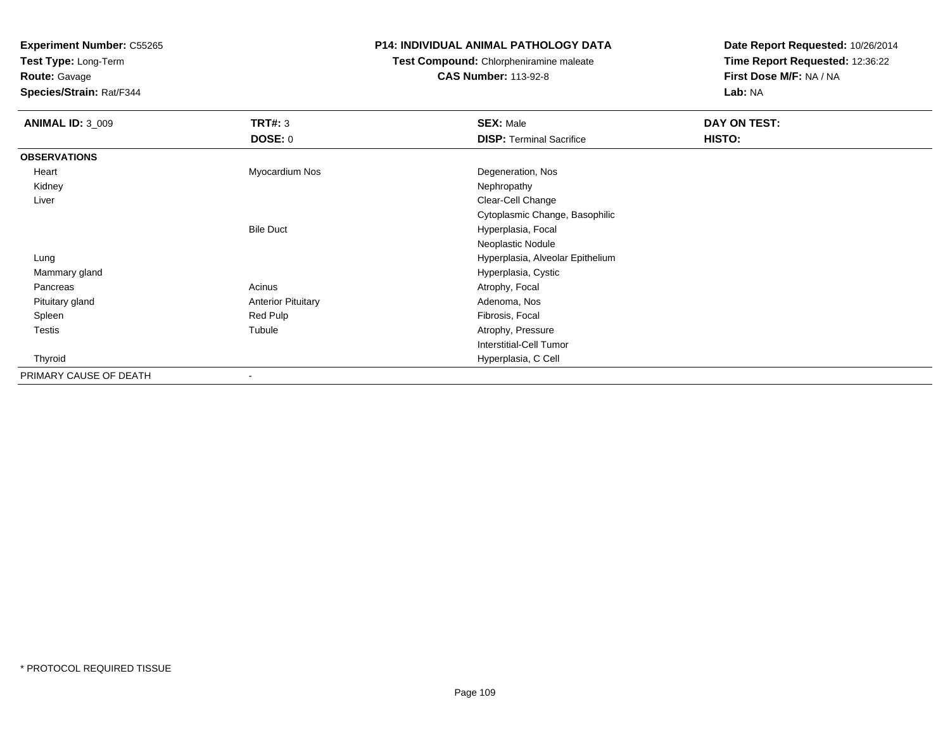**Test Type:** Long-Term

**Route:** Gavage

**Species/Strain:** Rat/F344

#### **P14: INDIVIDUAL ANIMAL PATHOLOGY DATA**

**Test Compound:** Chlorpheniramine maleate**CAS Number:** 113-92-8

| <b>ANIMAL ID: 3_009</b> | TRT#: 3<br><b>DOSE: 0</b> | <b>SEX: Male</b><br><b>DISP: Terminal Sacrifice</b> | DAY ON TEST:<br>HISTO: |
|-------------------------|---------------------------|-----------------------------------------------------|------------------------|
| <b>OBSERVATIONS</b>     |                           |                                                     |                        |
| Heart                   | Myocardium Nos            | Degeneration, Nos                                   |                        |
| Kidney                  |                           | Nephropathy                                         |                        |
| Liver                   |                           | Clear-Cell Change                                   |                        |
|                         |                           | Cytoplasmic Change, Basophilic                      |                        |
|                         | <b>Bile Duct</b>          | Hyperplasia, Focal                                  |                        |
|                         |                           | Neoplastic Nodule                                   |                        |
| Lung                    |                           | Hyperplasia, Alveolar Epithelium                    |                        |
| Mammary gland           |                           | Hyperplasia, Cystic                                 |                        |
| Pancreas                | Acinus                    | Atrophy, Focal                                      |                        |
| Pituitary gland         | <b>Anterior Pituitary</b> | Adenoma, Nos                                        |                        |
| Spleen                  | Red Pulp                  | Fibrosis, Focal                                     |                        |
| Testis                  | Tubule                    | Atrophy, Pressure                                   |                        |
|                         |                           | <b>Interstitial-Cell Tumor</b>                      |                        |
| Thyroid                 |                           | Hyperplasia, C Cell                                 |                        |
| PRIMARY CAUSE OF DEATH  | $\,$                      |                                                     |                        |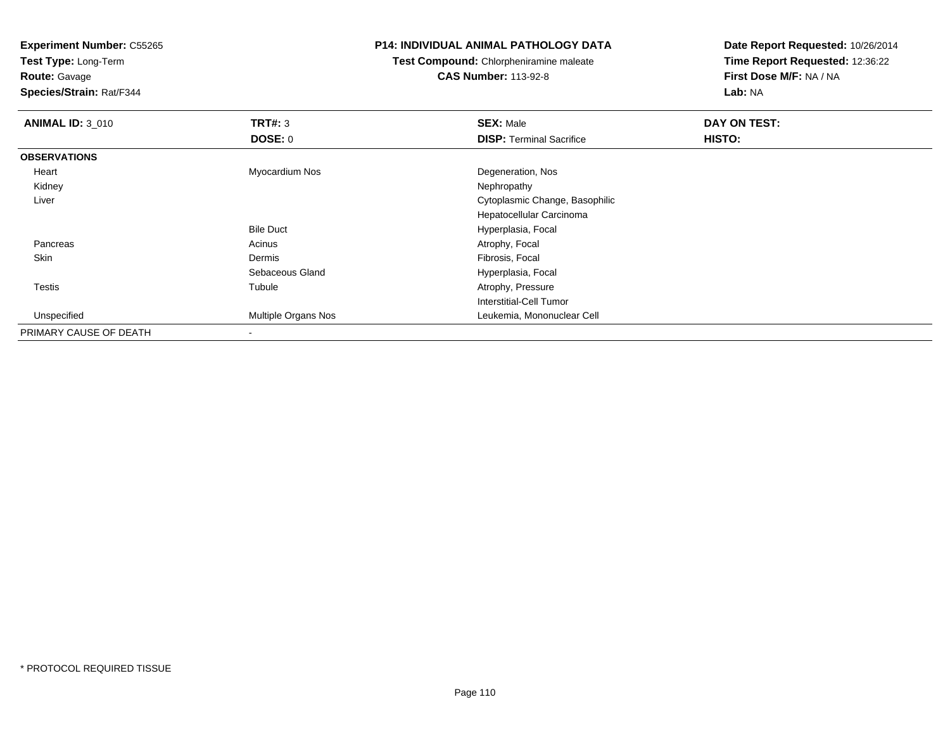**Test Type:** Long-Term

**Route:** Gavage

**Species/Strain:** Rat/F344

#### **P14: INDIVIDUAL ANIMAL PATHOLOGY DATA**

**Test Compound:** Chlorpheniramine maleate**CAS Number:** 113-92-8

| <b>ANIMAL ID: 3_010</b> | TRT#: 3                    | <b>SEX: Male</b>                | DAY ON TEST: |  |
|-------------------------|----------------------------|---------------------------------|--------------|--|
|                         | DOSE: 0                    | <b>DISP: Terminal Sacrifice</b> | HISTO:       |  |
| <b>OBSERVATIONS</b>     |                            |                                 |              |  |
| Heart                   | Myocardium Nos             | Degeneration, Nos               |              |  |
| Kidney                  |                            | Nephropathy                     |              |  |
| Liver                   |                            | Cytoplasmic Change, Basophilic  |              |  |
|                         |                            | Hepatocellular Carcinoma        |              |  |
|                         | <b>Bile Duct</b>           | Hyperplasia, Focal              |              |  |
| Pancreas                | Acinus                     | Atrophy, Focal                  |              |  |
| Skin                    | Dermis                     | Fibrosis, Focal                 |              |  |
|                         | Sebaceous Gland            | Hyperplasia, Focal              |              |  |
| Testis                  | Tubule                     | Atrophy, Pressure               |              |  |
|                         |                            | Interstitial-Cell Tumor         |              |  |
| Unspecified             | <b>Multiple Organs Nos</b> | Leukemia, Mononuclear Cell      |              |  |
| PRIMARY CAUSE OF DEATH  | $\blacksquare$             |                                 |              |  |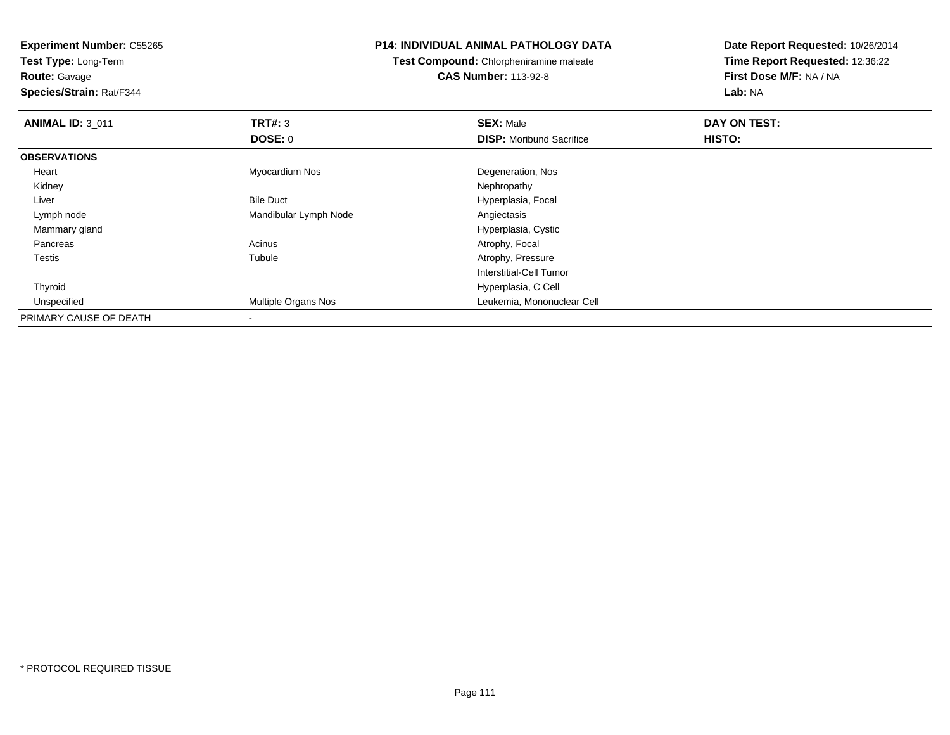**Test Type:** Long-Term**Route:** Gavage

**Species/Strain:** Rat/F344

#### **P14: INDIVIDUAL ANIMAL PATHOLOGY DATA**

**Test Compound:** Chlorpheniramine maleate**CAS Number:** 113-92-8

| <b>ANIMAL ID: 3_011</b> | TRT#: 3                    | <b>SEX: Male</b>                | DAY ON TEST: |  |
|-------------------------|----------------------------|---------------------------------|--------------|--|
|                         | DOSE: 0                    | <b>DISP:</b> Moribund Sacrifice | HISTO:       |  |
| <b>OBSERVATIONS</b>     |                            |                                 |              |  |
| Heart                   | Myocardium Nos             | Degeneration, Nos               |              |  |
| Kidney                  |                            | Nephropathy                     |              |  |
| Liver                   | <b>Bile Duct</b>           | Hyperplasia, Focal              |              |  |
| Lymph node              | Mandibular Lymph Node      | Angiectasis                     |              |  |
| Mammary gland           |                            | Hyperplasia, Cystic             |              |  |
| Pancreas                | Acinus                     | Atrophy, Focal                  |              |  |
| <b>Testis</b>           | Tubule                     | Atrophy, Pressure               |              |  |
|                         |                            | Interstitial-Cell Tumor         |              |  |
| Thyroid                 |                            | Hyperplasia, C Cell             |              |  |
| Unspecified             | <b>Multiple Organs Nos</b> | Leukemia, Mononuclear Cell      |              |  |
| PRIMARY CAUSE OF DEATH  | $\overline{\phantom{a}}$   |                                 |              |  |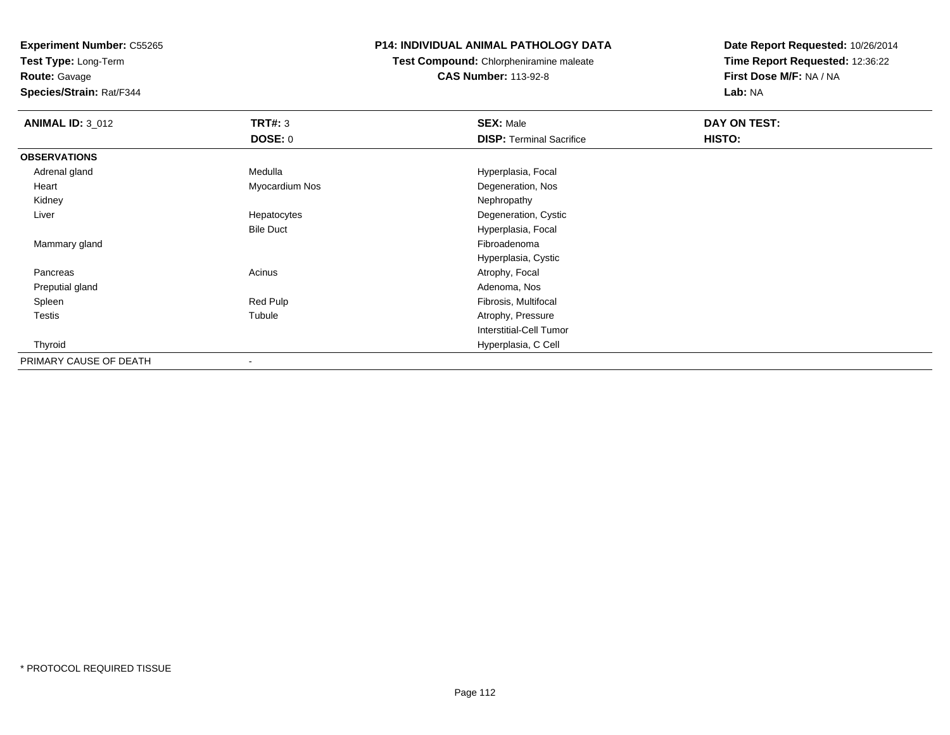**Test Type:** Long-Term

# **Route:** Gavage

**Species/Strain:** Rat/F344

# **P14: INDIVIDUAL ANIMAL PATHOLOGY DATA**

# **Test Compound:** Chlorpheniramine maleate**CAS Number:** 113-92-8

| <b>ANIMAL ID: 3_012</b> | <b>TRT#: 3</b>           | <b>SEX: Male</b>                | DAY ON TEST: |  |
|-------------------------|--------------------------|---------------------------------|--------------|--|
|                         | <b>DOSE: 0</b>           | <b>DISP: Terminal Sacrifice</b> | HISTO:       |  |
| <b>OBSERVATIONS</b>     |                          |                                 |              |  |
| Adrenal gland           | Medulla                  | Hyperplasia, Focal              |              |  |
| Heart                   | Myocardium Nos           | Degeneration, Nos               |              |  |
| Kidney                  |                          | Nephropathy                     |              |  |
| Liver                   | Hepatocytes              | Degeneration, Cystic            |              |  |
|                         | <b>Bile Duct</b>         | Hyperplasia, Focal              |              |  |
| Mammary gland           |                          | Fibroadenoma                    |              |  |
|                         |                          | Hyperplasia, Cystic             |              |  |
| Pancreas                | Acinus                   | Atrophy, Focal                  |              |  |
| Preputial gland         |                          | Adenoma, Nos                    |              |  |
| Spleen                  | Red Pulp                 | Fibrosis, Multifocal            |              |  |
| <b>Testis</b>           | Tubule                   | Atrophy, Pressure               |              |  |
|                         |                          | Interstitial-Cell Tumor         |              |  |
| Thyroid                 |                          | Hyperplasia, C Cell             |              |  |
| PRIMARY CAUSE OF DEATH  | $\overline{\phantom{a}}$ |                                 |              |  |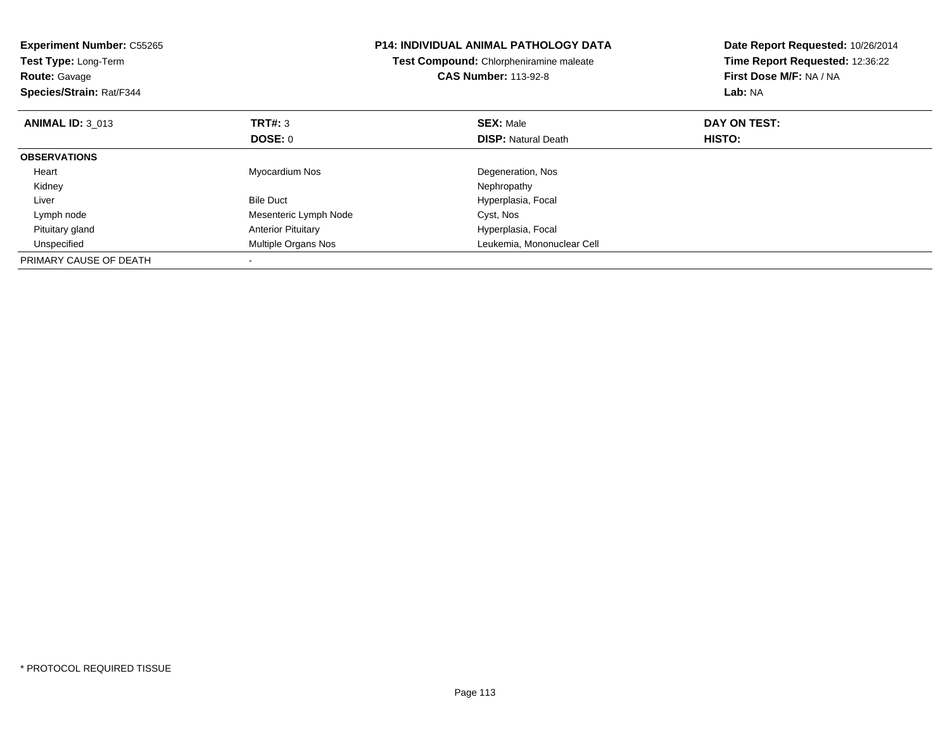| <b>Experiment Number: C55265</b><br>Test Type: Long-Term<br><b>Route: Gavage</b><br>Species/Strain: Rat/F344 |                           | <b>P14: INDIVIDUAL ANIMAL PATHOLOGY DATA</b><br>Test Compound: Chlorpheniramine maleate<br><b>CAS Number: 113-92-8</b> | Date Report Requested: 10/26/2014<br>Time Report Requested: 12:36:22<br>First Dose M/F: NA / NA<br>Lab: NA |
|--------------------------------------------------------------------------------------------------------------|---------------------------|------------------------------------------------------------------------------------------------------------------------|------------------------------------------------------------------------------------------------------------|
| <b>ANIMAL ID: 3 013</b>                                                                                      | TRT#: 3                   | <b>SEX: Male</b>                                                                                                       | DAY ON TEST:                                                                                               |
|                                                                                                              | DOSE: 0                   | <b>DISP:</b> Natural Death                                                                                             | HISTO:                                                                                                     |
| <b>OBSERVATIONS</b>                                                                                          |                           |                                                                                                                        |                                                                                                            |
| Heart                                                                                                        | Myocardium Nos            | Degeneration, Nos                                                                                                      |                                                                                                            |
| Kidney                                                                                                       |                           | Nephropathy                                                                                                            |                                                                                                            |
| Liver                                                                                                        | <b>Bile Duct</b>          | Hyperplasia, Focal                                                                                                     |                                                                                                            |
| Lymph node                                                                                                   | Mesenteric Lymph Node     | Cyst, Nos                                                                                                              |                                                                                                            |
| Pituitary gland                                                                                              | <b>Anterior Pituitary</b> | Hyperplasia, Focal                                                                                                     |                                                                                                            |
| Unspecified                                                                                                  | Multiple Organs Nos       | Leukemia, Mononuclear Cell                                                                                             |                                                                                                            |
| PRIMARY CAUSE OF DEATH                                                                                       |                           |                                                                                                                        |                                                                                                            |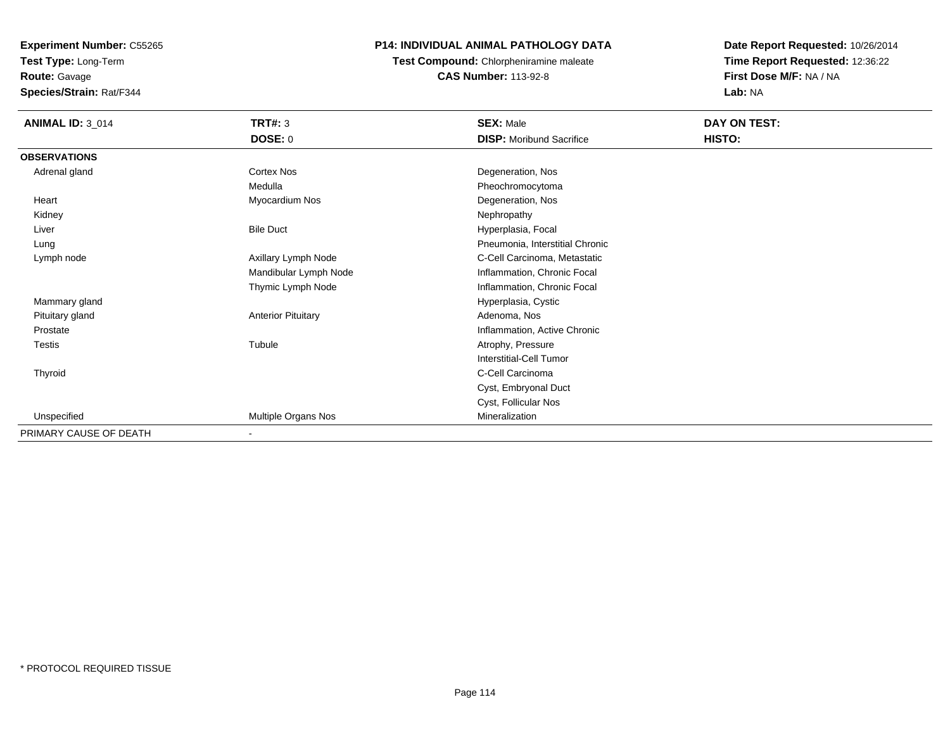**Test Type:** Long-Term**Route:** Gavage

**Species/Strain:** Rat/F344

# **P14: INDIVIDUAL ANIMAL PATHOLOGY DATA**

**Test Compound:** Chlorpheniramine maleate**CAS Number:** 113-92-8

| <b>ANIMAL ID: 3_014</b> | TRT#: 3<br><b>DOSE: 0</b> | <b>SEX: Male</b><br><b>DISP:</b> Moribund Sacrifice | <b>DAY ON TEST:</b><br>HISTO: |
|-------------------------|---------------------------|-----------------------------------------------------|-------------------------------|
| <b>OBSERVATIONS</b>     |                           |                                                     |                               |
| Adrenal gland           | <b>Cortex Nos</b>         | Degeneration, Nos                                   |                               |
|                         | Medulla                   | Pheochromocytoma                                    |                               |
| Heart                   | Myocardium Nos            | Degeneration, Nos                                   |                               |
| Kidney                  |                           | Nephropathy                                         |                               |
| Liver                   | <b>Bile Duct</b>          | Hyperplasia, Focal                                  |                               |
| Lung                    |                           | Pneumonia, Interstitial Chronic                     |                               |
| Lymph node              | Axillary Lymph Node       | C-Cell Carcinoma, Metastatic                        |                               |
|                         | Mandibular Lymph Node     | Inflammation, Chronic Focal                         |                               |
|                         | Thymic Lymph Node         | Inflammation, Chronic Focal                         |                               |
| Mammary gland           |                           | Hyperplasia, Cystic                                 |                               |
| Pituitary gland         | <b>Anterior Pituitary</b> | Adenoma, Nos                                        |                               |
| Prostate                |                           | Inflammation, Active Chronic                        |                               |
| <b>Testis</b>           | Tubule                    | Atrophy, Pressure                                   |                               |
|                         |                           | Interstitial-Cell Tumor                             |                               |
| Thyroid                 |                           | C-Cell Carcinoma                                    |                               |
|                         |                           | Cyst, Embryonal Duct                                |                               |
|                         |                           | Cyst, Follicular Nos                                |                               |
| Unspecified             | Multiple Organs Nos       | Mineralization                                      |                               |
| PRIMARY CAUSE OF DEATH  | ٠                         |                                                     |                               |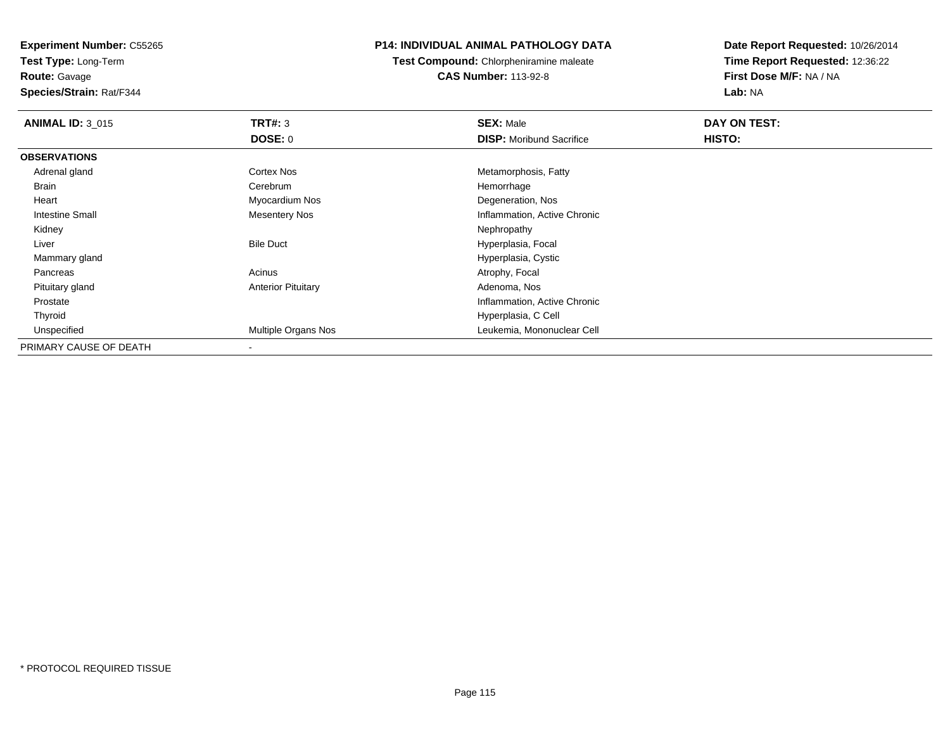**Test Type:** Long-Term**Route:** Gavage

**Species/Strain:** Rat/F344

# **P14: INDIVIDUAL ANIMAL PATHOLOGY DATA**

**Test Compound:** Chlorpheniramine maleate**CAS Number:** 113-92-8

| <b>ANIMAL ID: 3 015</b> | TRT#: 3                   | <b>SEX: Male</b>                | DAY ON TEST: |  |
|-------------------------|---------------------------|---------------------------------|--------------|--|
|                         | <b>DOSE: 0</b>            | <b>DISP: Moribund Sacrifice</b> | HISTO:       |  |
| <b>OBSERVATIONS</b>     |                           |                                 |              |  |
| Adrenal gland           | Cortex Nos                | Metamorphosis, Fatty            |              |  |
| Brain                   | Cerebrum                  | Hemorrhage                      |              |  |
| Heart                   | Myocardium Nos            | Degeneration, Nos               |              |  |
| Intestine Small         | <b>Mesentery Nos</b>      | Inflammation, Active Chronic    |              |  |
| Kidney                  |                           | Nephropathy                     |              |  |
| Liver                   | <b>Bile Duct</b>          | Hyperplasia, Focal              |              |  |
| Mammary gland           |                           | Hyperplasia, Cystic             |              |  |
| Pancreas                | Acinus                    | Atrophy, Focal                  |              |  |
| Pituitary gland         | <b>Anterior Pituitary</b> | Adenoma, Nos                    |              |  |
| Prostate                |                           | Inflammation, Active Chronic    |              |  |
| Thyroid                 |                           | Hyperplasia, C Cell             |              |  |
| Unspecified             | Multiple Organs Nos       | Leukemia, Mononuclear Cell      |              |  |
| PRIMARY CAUSE OF DEATH  |                           |                                 |              |  |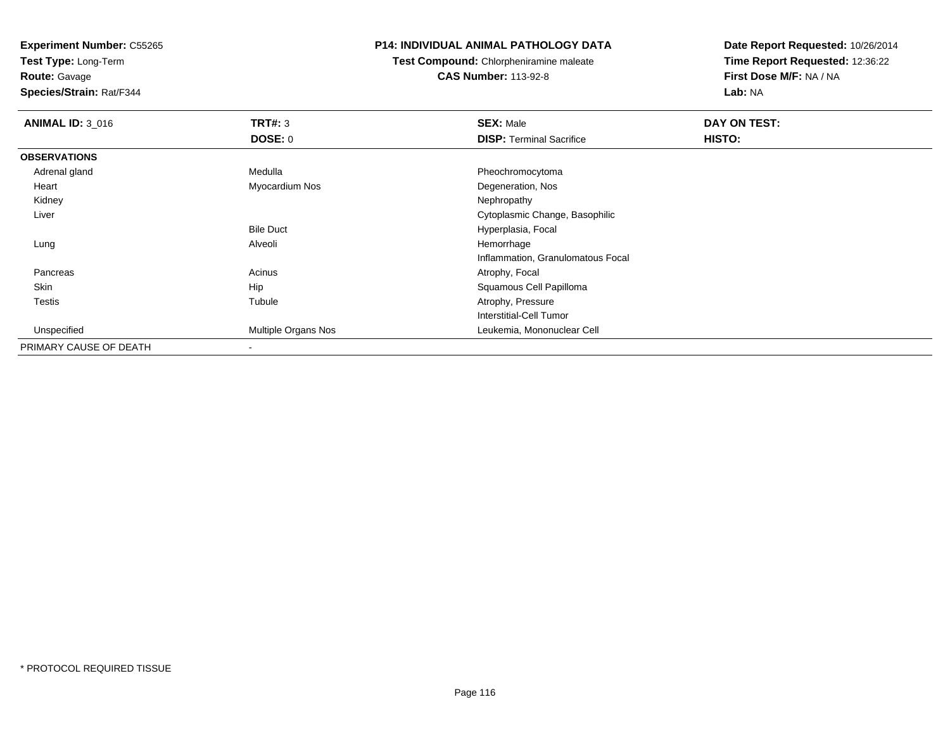**Test Type:** Long-Term

**Route:** Gavage

**Species/Strain:** Rat/F344

#### **P14: INDIVIDUAL ANIMAL PATHOLOGY DATA**

**Test Compound:** Chlorpheniramine maleate**CAS Number:** 113-92-8

| <b>ANIMAL ID: 3_016</b> | TRT#: 3             | <b>SEX: Male</b>                  | DAY ON TEST: |
|-------------------------|---------------------|-----------------------------------|--------------|
|                         | <b>DOSE: 0</b>      | <b>DISP: Terminal Sacrifice</b>   | HISTO:       |
| <b>OBSERVATIONS</b>     |                     |                                   |              |
| Adrenal gland           | Medulla             | Pheochromocytoma                  |              |
| Heart                   | Myocardium Nos      | Degeneration, Nos                 |              |
| Kidney                  |                     | Nephropathy                       |              |
| Liver                   |                     | Cytoplasmic Change, Basophilic    |              |
|                         | <b>Bile Duct</b>    | Hyperplasia, Focal                |              |
| Lung                    | Alveoli             | Hemorrhage                        |              |
|                         |                     | Inflammation, Granulomatous Focal |              |
| Pancreas                | Acinus              | Atrophy, Focal                    |              |
| Skin                    | Hip                 | Squamous Cell Papilloma           |              |
| <b>Testis</b>           | Tubule              | Atrophy, Pressure                 |              |
|                         |                     | Interstitial-Cell Tumor           |              |
| Unspecified             | Multiple Organs Nos | Leukemia, Mononuclear Cell        |              |
| PRIMARY CAUSE OF DEATH  |                     |                                   |              |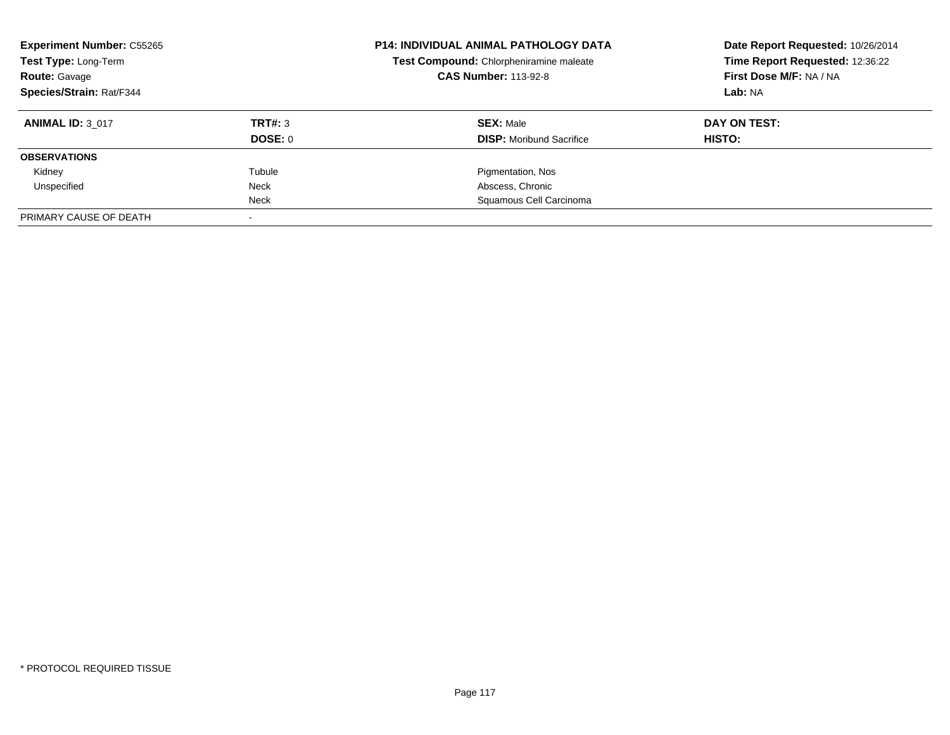| <b>Experiment Number: C55265</b><br>Test Type: Long-Term<br><b>Route: Gavage</b> |         | <b>P14: INDIVIDUAL ANIMAL PATHOLOGY DATA</b><br>Test Compound: Chlorpheniramine maleate<br><b>CAS Number: 113-92-8</b> | Date Report Requested: 10/26/2014<br>Time Report Requested: 12:36:22<br>First Dose M/F: NA / NA |
|----------------------------------------------------------------------------------|---------|------------------------------------------------------------------------------------------------------------------------|-------------------------------------------------------------------------------------------------|
| <b>Species/Strain: Rat/F344</b>                                                  |         |                                                                                                                        | Lab: NA                                                                                         |
| <b>ANIMAL ID: 3 017</b>                                                          | TRT#: 3 | <b>SEX: Male</b>                                                                                                       | DAY ON TEST:                                                                                    |
|                                                                                  | DOSE: 0 | <b>DISP:</b> Moribund Sacrifice                                                                                        | HISTO:                                                                                          |
| <b>OBSERVATIONS</b>                                                              |         |                                                                                                                        |                                                                                                 |
| Kidney                                                                           | Tubule  | Pigmentation, Nos                                                                                                      |                                                                                                 |
| Unspecified                                                                      | Neck    | Abscess, Chronic                                                                                                       |                                                                                                 |
|                                                                                  | Neck    | Squamous Cell Carcinoma                                                                                                |                                                                                                 |
| PRIMARY CAUSE OF DEATH                                                           |         |                                                                                                                        |                                                                                                 |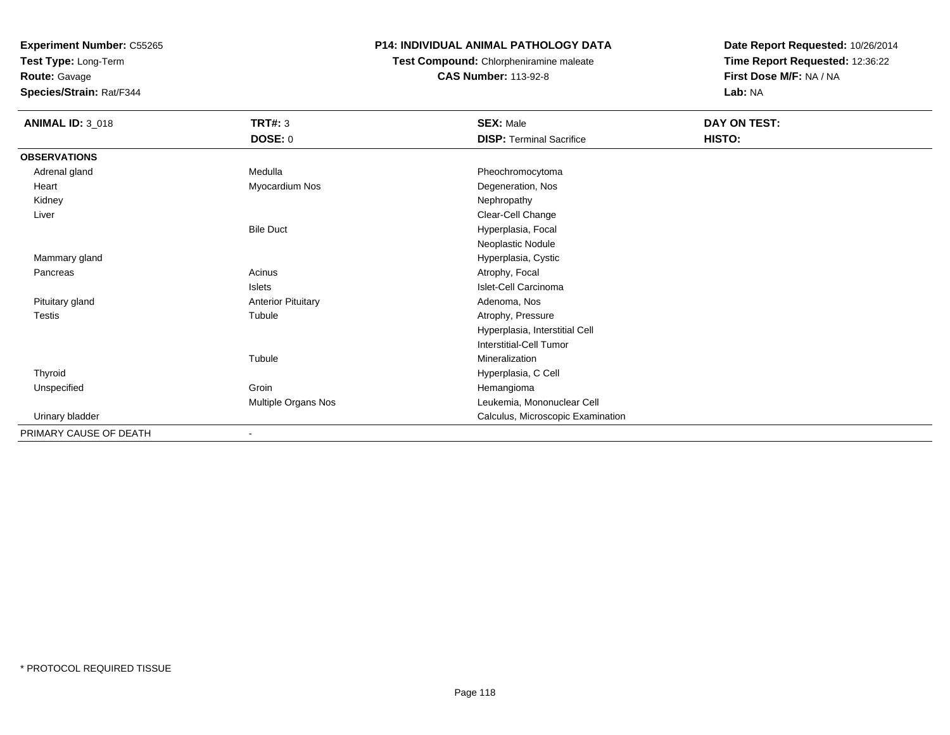**Test Type:** Long-Term

**Route:** Gavage

**Species/Strain:** Rat/F344

# **P14: INDIVIDUAL ANIMAL PATHOLOGY DATA**

**Test Compound:** Chlorpheniramine maleate**CAS Number:** 113-92-8

| <b>ANIMAL ID: 3_018</b> | <b>TRT#: 3</b>            | <b>SEX: Male</b>                  | DAY ON TEST: |  |
|-------------------------|---------------------------|-----------------------------------|--------------|--|
|                         | <b>DOSE: 0</b>            | <b>DISP: Terminal Sacrifice</b>   | HISTO:       |  |
| <b>OBSERVATIONS</b>     |                           |                                   |              |  |
| Adrenal gland           | Medulla                   | Pheochromocytoma                  |              |  |
| Heart                   | Myocardium Nos            | Degeneration, Nos                 |              |  |
| Kidney                  |                           | Nephropathy                       |              |  |
| Liver                   |                           | Clear-Cell Change                 |              |  |
|                         | <b>Bile Duct</b>          | Hyperplasia, Focal                |              |  |
|                         |                           | Neoplastic Nodule                 |              |  |
| Mammary gland           |                           | Hyperplasia, Cystic               |              |  |
| Pancreas                | Acinus                    | Atrophy, Focal                    |              |  |
|                         | Islets                    | Islet-Cell Carcinoma              |              |  |
| Pituitary gland         | <b>Anterior Pituitary</b> | Adenoma, Nos                      |              |  |
| <b>Testis</b>           | Tubule                    | Atrophy, Pressure                 |              |  |
|                         |                           | Hyperplasia, Interstitial Cell    |              |  |
|                         |                           | Interstitial-Cell Tumor           |              |  |
|                         | Tubule                    | Mineralization                    |              |  |
| Thyroid                 |                           | Hyperplasia, C Cell               |              |  |
| Unspecified             | Groin                     | Hemangioma                        |              |  |
|                         | Multiple Organs Nos       | Leukemia, Mononuclear Cell        |              |  |
| Urinary bladder         |                           | Calculus, Microscopic Examination |              |  |
| PRIMARY CAUSE OF DEATH  |                           |                                   |              |  |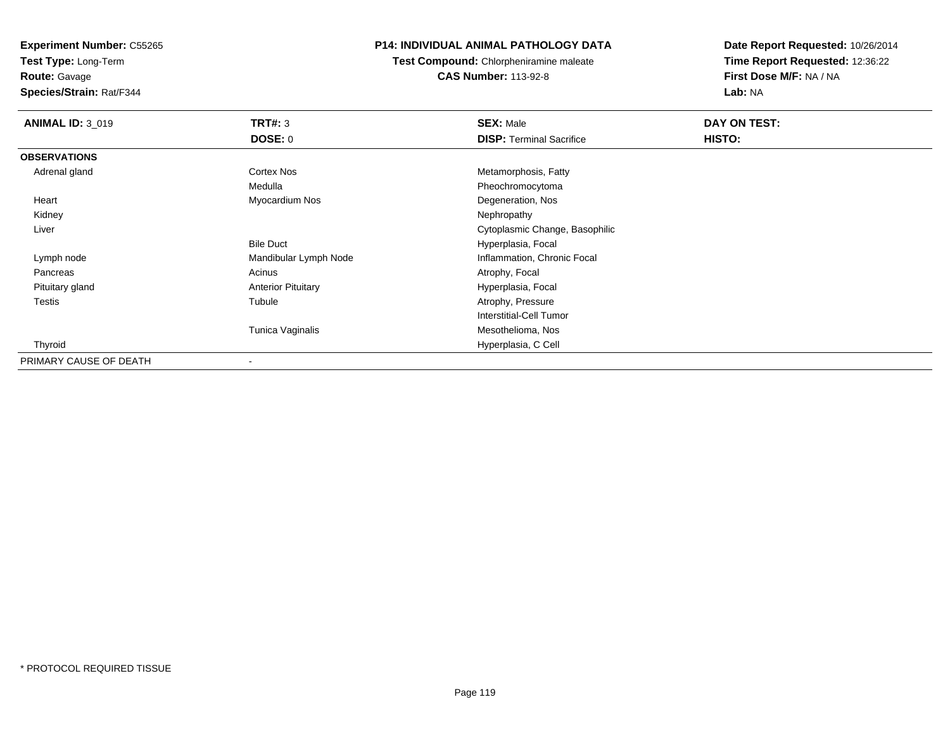**Test Type:** Long-Term

**Route:** Gavage

**Species/Strain:** Rat/F344

# **P14: INDIVIDUAL ANIMAL PATHOLOGY DATA**

**Test Compound:** Chlorpheniramine maleate**CAS Number:** 113-92-8

| <b>ANIMAL ID: 3_019</b> | TRT#: 3                   | <b>SEX: Male</b>                | DAY ON TEST: |  |
|-------------------------|---------------------------|---------------------------------|--------------|--|
|                         | DOSE: 0                   | <b>DISP: Terminal Sacrifice</b> | HISTO:       |  |
| <b>OBSERVATIONS</b>     |                           |                                 |              |  |
| Adrenal gland           | <b>Cortex Nos</b>         | Metamorphosis, Fatty            |              |  |
|                         | Medulla                   | Pheochromocytoma                |              |  |
| Heart                   | Myocardium Nos            | Degeneration, Nos               |              |  |
| Kidney                  |                           | Nephropathy                     |              |  |
| Liver                   |                           | Cytoplasmic Change, Basophilic  |              |  |
|                         | <b>Bile Duct</b>          | Hyperplasia, Focal              |              |  |
| Lymph node              | Mandibular Lymph Node     | Inflammation, Chronic Focal     |              |  |
| Pancreas                | Acinus                    | Atrophy, Focal                  |              |  |
| Pituitary gland         | <b>Anterior Pituitary</b> | Hyperplasia, Focal              |              |  |
| <b>Testis</b>           | Tubule                    | Atrophy, Pressure               |              |  |
|                         |                           | <b>Interstitial-Cell Tumor</b>  |              |  |
|                         | Tunica Vaginalis          | Mesothelioma, Nos               |              |  |
| Thyroid                 |                           | Hyperplasia, C Cell             |              |  |
| PRIMARY CAUSE OF DEATH  |                           |                                 |              |  |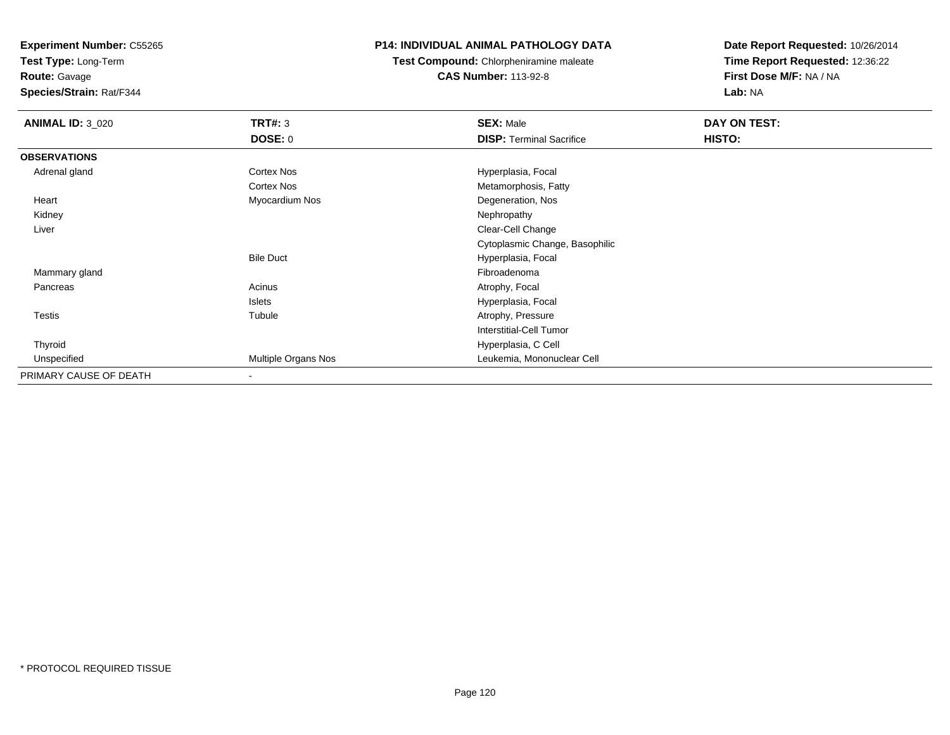**Test Type:** Long-Term

**Route:** Gavage

**Species/Strain:** Rat/F344

# **P14: INDIVIDUAL ANIMAL PATHOLOGY DATA**

**Test Compound:** Chlorpheniramine maleate**CAS Number:** 113-92-8

| <b>ANIMAL ID: 3_020</b> | <b>TRT#: 3</b>           | <b>SEX: Male</b>                | DAY ON TEST: |  |
|-------------------------|--------------------------|---------------------------------|--------------|--|
|                         | DOSE: 0                  | <b>DISP: Terminal Sacrifice</b> | HISTO:       |  |
| <b>OBSERVATIONS</b>     |                          |                                 |              |  |
| Adrenal gland           | Cortex Nos               | Hyperplasia, Focal              |              |  |
|                         | Cortex Nos               | Metamorphosis, Fatty            |              |  |
| Heart                   | Myocardium Nos           | Degeneration, Nos               |              |  |
| Kidney                  |                          | Nephropathy                     |              |  |
| Liver                   |                          | Clear-Cell Change               |              |  |
|                         |                          | Cytoplasmic Change, Basophilic  |              |  |
|                         | <b>Bile Duct</b>         | Hyperplasia, Focal              |              |  |
| Mammary gland           |                          | Fibroadenoma                    |              |  |
| Pancreas                | Acinus                   | Atrophy, Focal                  |              |  |
|                         | Islets                   | Hyperplasia, Focal              |              |  |
| <b>Testis</b>           | Tubule                   | Atrophy, Pressure               |              |  |
|                         |                          | Interstitial-Cell Tumor         |              |  |
| Thyroid                 |                          | Hyperplasia, C Cell             |              |  |
| Unspecified             | Multiple Organs Nos      | Leukemia, Mononuclear Cell      |              |  |
| PRIMARY CAUSE OF DEATH  | $\overline{\phantom{a}}$ |                                 |              |  |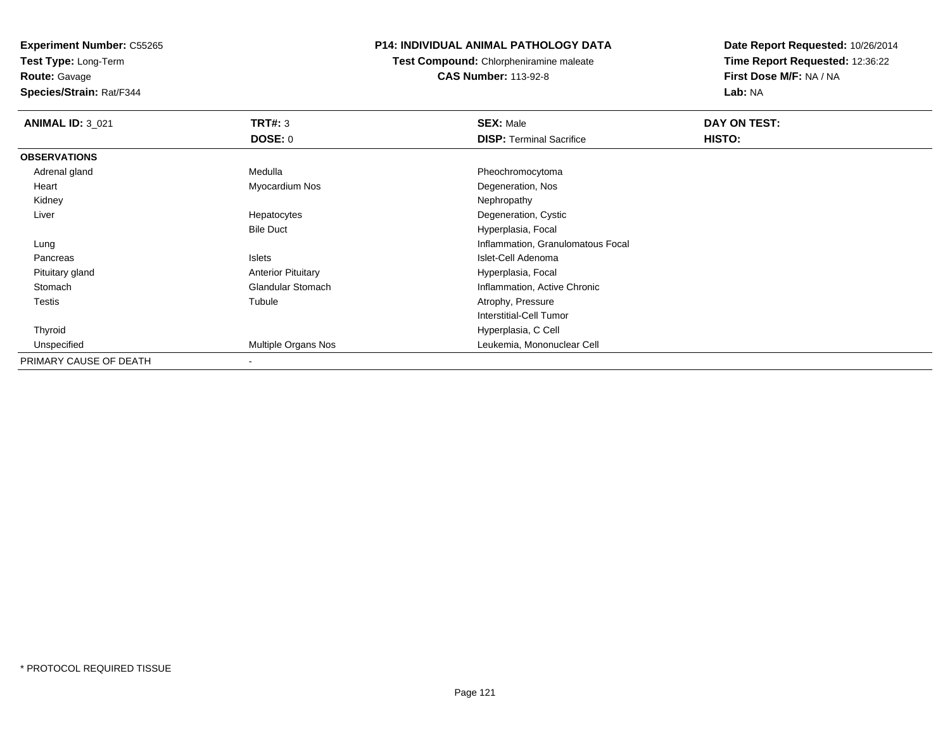**Test Type:** Long-Term

# **Route:** Gavage

**Species/Strain:** Rat/F344

# **P14: INDIVIDUAL ANIMAL PATHOLOGY DATA**

**Test Compound:** Chlorpheniramine maleate**CAS Number:** 113-92-8

| <b>ANIMAL ID: 3_021</b> | TRT#: 3                   | <b>SEX: Male</b>                  | DAY ON TEST: |  |
|-------------------------|---------------------------|-----------------------------------|--------------|--|
|                         | <b>DOSE: 0</b>            | <b>DISP: Terminal Sacrifice</b>   | HISTO:       |  |
| <b>OBSERVATIONS</b>     |                           |                                   |              |  |
| Adrenal gland           | Medulla                   | Pheochromocytoma                  |              |  |
| Heart                   | Myocardium Nos            | Degeneration, Nos                 |              |  |
| Kidney                  |                           | Nephropathy                       |              |  |
| Liver                   | Hepatocytes               | Degeneration, Cystic              |              |  |
|                         | <b>Bile Duct</b>          | Hyperplasia, Focal                |              |  |
| Lung                    |                           | Inflammation, Granulomatous Focal |              |  |
| Pancreas                | Islets                    | Islet-Cell Adenoma                |              |  |
| Pituitary gland         | <b>Anterior Pituitary</b> | Hyperplasia, Focal                |              |  |
| Stomach                 | <b>Glandular Stomach</b>  | Inflammation, Active Chronic      |              |  |
| <b>Testis</b>           | Tubule                    | Atrophy, Pressure                 |              |  |
|                         |                           | <b>Interstitial-Cell Tumor</b>    |              |  |
| Thyroid                 |                           | Hyperplasia, C Cell               |              |  |
| Unspecified             | Multiple Organs Nos       | Leukemia, Mononuclear Cell        |              |  |
| PRIMARY CAUSE OF DEATH  | $\overline{\phantom{a}}$  |                                   |              |  |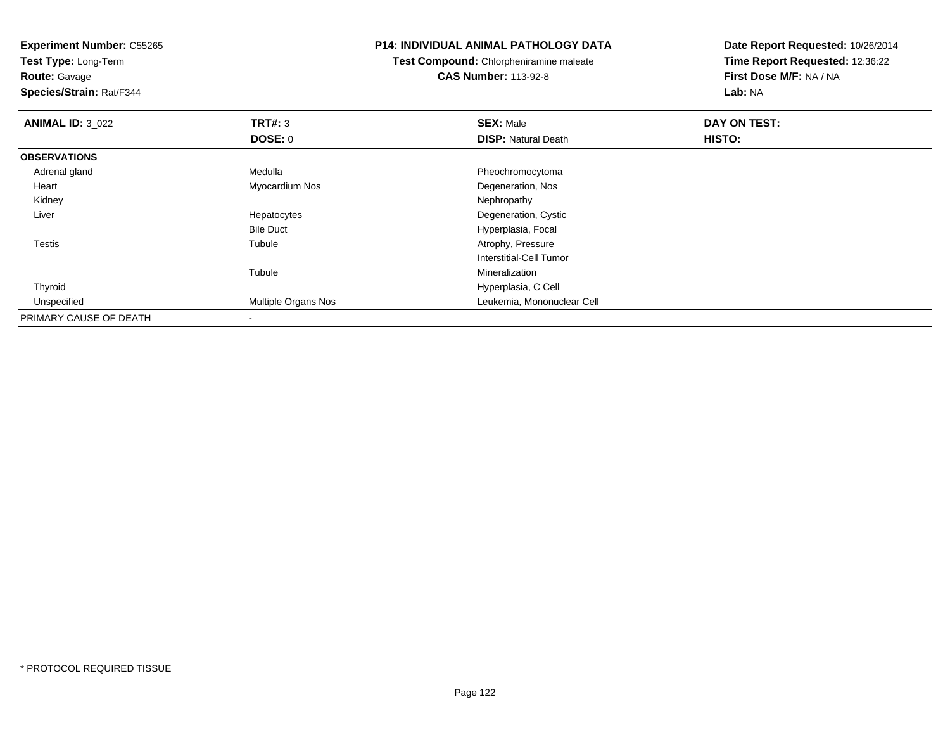**Test Type:** Long-Term

**Route:** Gavage

**Species/Strain:** Rat/F344

#### **P14: INDIVIDUAL ANIMAL PATHOLOGY DATA**

**Test Compound:** Chlorpheniramine maleate**CAS Number:** 113-92-8

| <b>ANIMAL ID: 3_022</b> | TRT#: 3             | <b>SEX: Male</b>           | DAY ON TEST: |  |
|-------------------------|---------------------|----------------------------|--------------|--|
|                         | <b>DOSE: 0</b>      | <b>DISP: Natural Death</b> | HISTO:       |  |
| <b>OBSERVATIONS</b>     |                     |                            |              |  |
| Adrenal gland           | Medulla             | Pheochromocytoma           |              |  |
| Heart                   | Myocardium Nos      | Degeneration, Nos          |              |  |
| Kidney                  |                     | Nephropathy                |              |  |
| Liver                   | Hepatocytes         | Degeneration, Cystic       |              |  |
|                         | <b>Bile Duct</b>    | Hyperplasia, Focal         |              |  |
| <b>Testis</b>           | Tubule              | Atrophy, Pressure          |              |  |
|                         |                     | Interstitial-Cell Tumor    |              |  |
|                         | Tubule              | Mineralization             |              |  |
| Thyroid                 |                     | Hyperplasia, C Cell        |              |  |
| Unspecified             | Multiple Organs Nos | Leukemia, Mononuclear Cell |              |  |
| PRIMARY CAUSE OF DEATH  |                     |                            |              |  |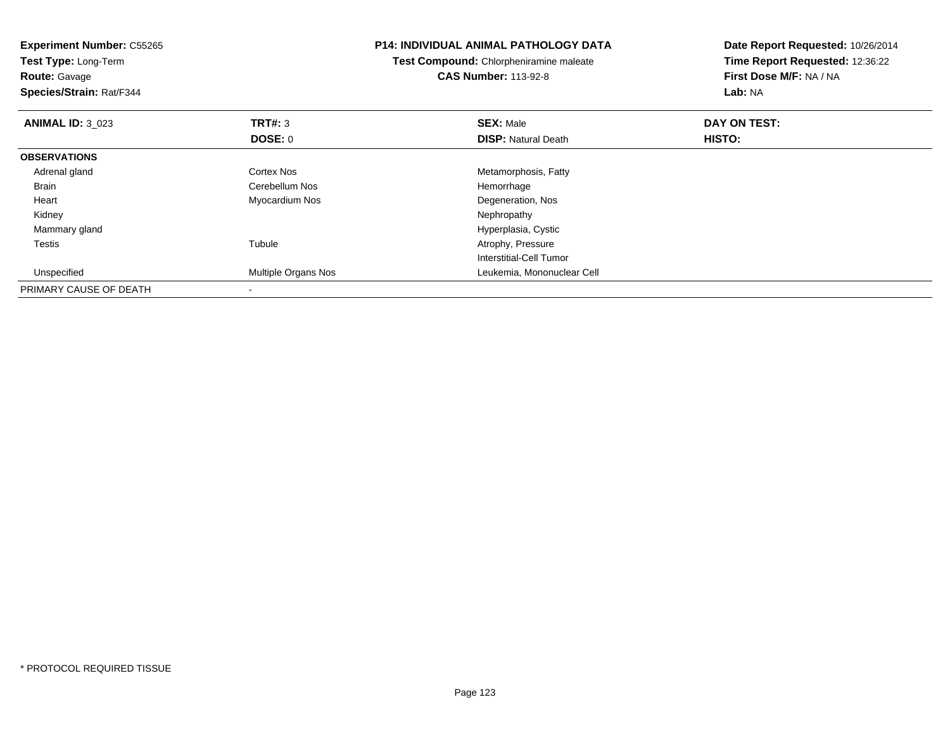| <b>Experiment Number: C55265</b><br>Test Type: Long-Term<br><b>Route: Gavage</b> |                            | <b>P14: INDIVIDUAL ANIMAL PATHOLOGY DATA</b>                           | Date Report Requested: 10/26/2014                          |
|----------------------------------------------------------------------------------|----------------------------|------------------------------------------------------------------------|------------------------------------------------------------|
|                                                                                  |                            | Test Compound: Chlorpheniramine maleate<br><b>CAS Number: 113-92-8</b> | Time Report Requested: 12:36:22<br>First Dose M/F: NA / NA |
| Species/Strain: Rat/F344                                                         |                            |                                                                        | Lab: NA                                                    |
| <b>ANIMAL ID: 3 023</b>                                                          | TRT#: 3                    | <b>SEX: Male</b>                                                       | DAY ON TEST:                                               |
|                                                                                  | DOSE: 0                    | <b>DISP: Natural Death</b>                                             | HISTO:                                                     |
| <b>OBSERVATIONS</b>                                                              |                            |                                                                        |                                                            |
| Adrenal gland                                                                    | Cortex Nos                 | Metamorphosis, Fatty                                                   |                                                            |
| <b>Brain</b>                                                                     | Cerebellum Nos             | Hemorrhage                                                             |                                                            |
| Heart                                                                            | Myocardium Nos             | Degeneration, Nos                                                      |                                                            |
| Kidney                                                                           |                            | Nephropathy                                                            |                                                            |
| Mammary gland                                                                    |                            | Hyperplasia, Cystic                                                    |                                                            |
| <b>Testis</b>                                                                    | Tubule                     | Atrophy, Pressure                                                      |                                                            |
|                                                                                  |                            | Interstitial-Cell Tumor                                                |                                                            |
| Unspecified                                                                      | <b>Multiple Organs Nos</b> | Leukemia, Mononuclear Cell                                             |                                                            |
| PRIMARY CAUSE OF DEATH                                                           |                            |                                                                        |                                                            |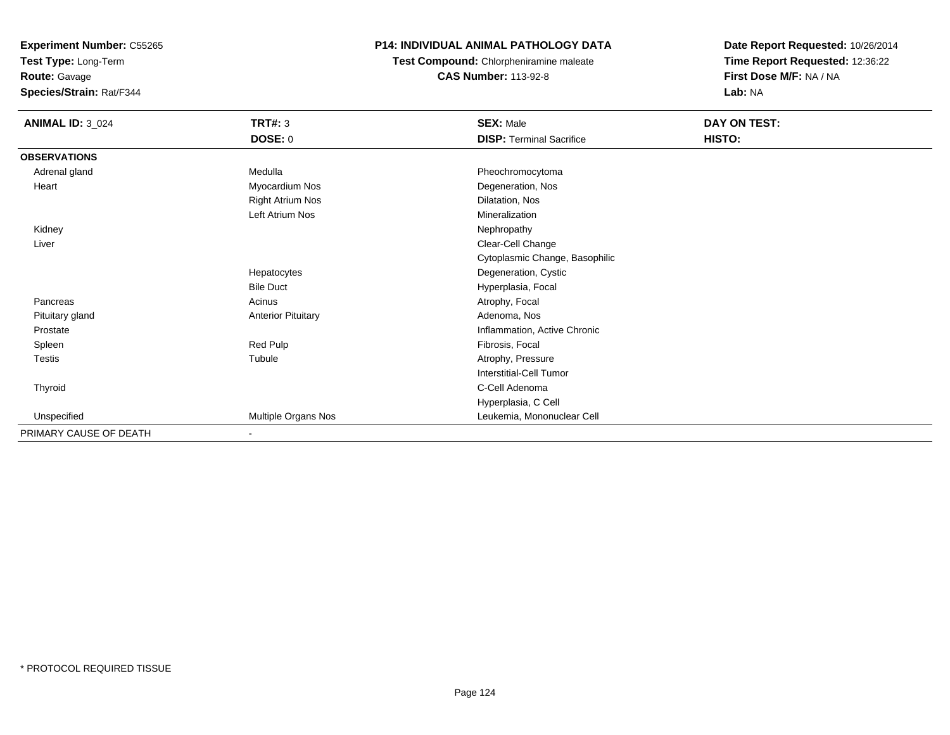**Test Type:** Long-Term

**Route:** Gavage

**Species/Strain:** Rat/F344

# **P14: INDIVIDUAL ANIMAL PATHOLOGY DATA**

**Test Compound:** Chlorpheniramine maleate**CAS Number:** 113-92-8

| <b>ANIMAL ID: 3_024</b> | <b>TRT#: 3</b>            | <b>SEX: Male</b>                | <b>DAY ON TEST:</b> |  |
|-------------------------|---------------------------|---------------------------------|---------------------|--|
|                         | <b>DOSE: 0</b>            | <b>DISP: Terminal Sacrifice</b> | HISTO:              |  |
| <b>OBSERVATIONS</b>     |                           |                                 |                     |  |
| Adrenal gland           | Medulla                   | Pheochromocytoma                |                     |  |
| Heart                   | Myocardium Nos            | Degeneration, Nos               |                     |  |
|                         | <b>Right Atrium Nos</b>   | Dilatation, Nos                 |                     |  |
|                         | Left Atrium Nos           | Mineralization                  |                     |  |
| Kidney                  |                           | Nephropathy                     |                     |  |
| Liver                   |                           | Clear-Cell Change               |                     |  |
|                         |                           | Cytoplasmic Change, Basophilic  |                     |  |
|                         | Hepatocytes               | Degeneration, Cystic            |                     |  |
|                         | <b>Bile Duct</b>          | Hyperplasia, Focal              |                     |  |
| Pancreas                | Acinus                    | Atrophy, Focal                  |                     |  |
| Pituitary gland         | <b>Anterior Pituitary</b> | Adenoma, Nos                    |                     |  |
| Prostate                |                           | Inflammation, Active Chronic    |                     |  |
| Spleen                  | Red Pulp                  | Fibrosis, Focal                 |                     |  |
| Testis                  | Tubule                    | Atrophy, Pressure               |                     |  |
|                         |                           | <b>Interstitial-Cell Tumor</b>  |                     |  |
| Thyroid                 |                           | C-Cell Adenoma                  |                     |  |
|                         |                           | Hyperplasia, C Cell             |                     |  |
| Unspecified             | Multiple Organs Nos       | Leukemia, Mononuclear Cell      |                     |  |
| PRIMARY CAUSE OF DEATH  | ٠                         |                                 |                     |  |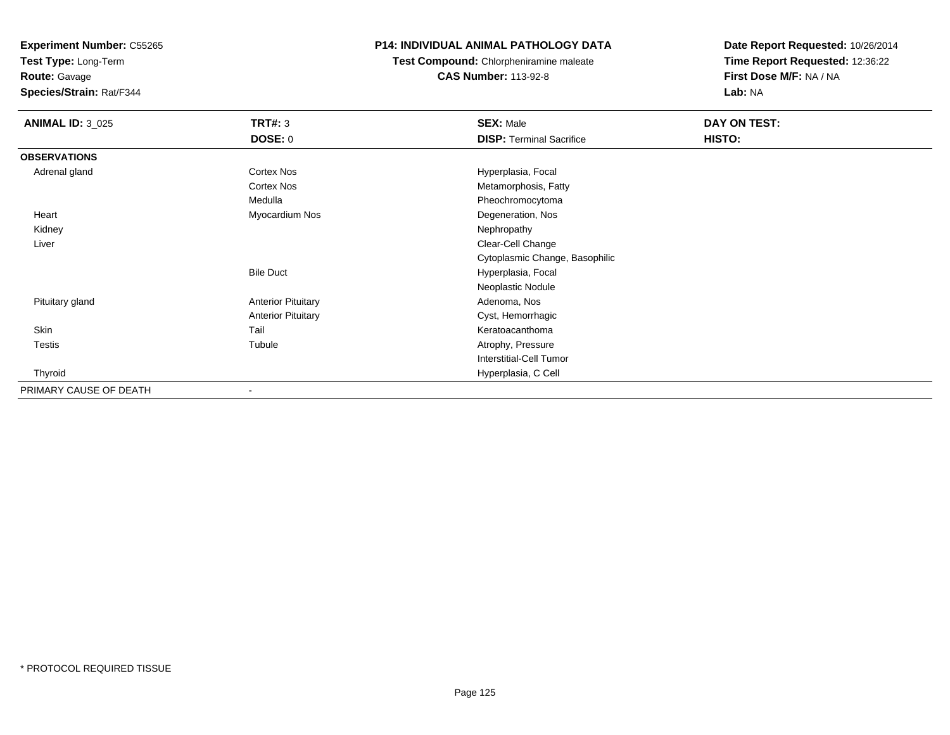**Test Type:** Long-Term

**Route:** Gavage

**Species/Strain:** Rat/F344

# **P14: INDIVIDUAL ANIMAL PATHOLOGY DATA**

**Test Compound:** Chlorpheniramine maleate**CAS Number:** 113-92-8

| <b>ANIMAL ID: 3_025</b> | <b>TRT#: 3</b>            | <b>SEX: Male</b>                | DAY ON TEST: |  |
|-------------------------|---------------------------|---------------------------------|--------------|--|
|                         | <b>DOSE: 0</b>            | <b>DISP: Terminal Sacrifice</b> | HISTO:       |  |
| <b>OBSERVATIONS</b>     |                           |                                 |              |  |
| Adrenal gland           | Cortex Nos                | Hyperplasia, Focal              |              |  |
|                         | <b>Cortex Nos</b>         | Metamorphosis, Fatty            |              |  |
|                         | Medulla                   | Pheochromocytoma                |              |  |
| Heart                   | Myocardium Nos            | Degeneration, Nos               |              |  |
| Kidney                  |                           | Nephropathy                     |              |  |
| Liver                   |                           | Clear-Cell Change               |              |  |
|                         |                           | Cytoplasmic Change, Basophilic  |              |  |
|                         | <b>Bile Duct</b>          | Hyperplasia, Focal              |              |  |
|                         |                           | Neoplastic Nodule               |              |  |
| Pituitary gland         | <b>Anterior Pituitary</b> | Adenoma, Nos                    |              |  |
|                         | <b>Anterior Pituitary</b> | Cyst, Hemorrhagic               |              |  |
| Skin                    | Tail                      | Keratoacanthoma                 |              |  |
| Testis                  | Tubule                    | Atrophy, Pressure               |              |  |
|                         |                           | <b>Interstitial-Cell Tumor</b>  |              |  |
| Thyroid                 |                           | Hyperplasia, C Cell             |              |  |
| PRIMARY CAUSE OF DEATH  |                           |                                 |              |  |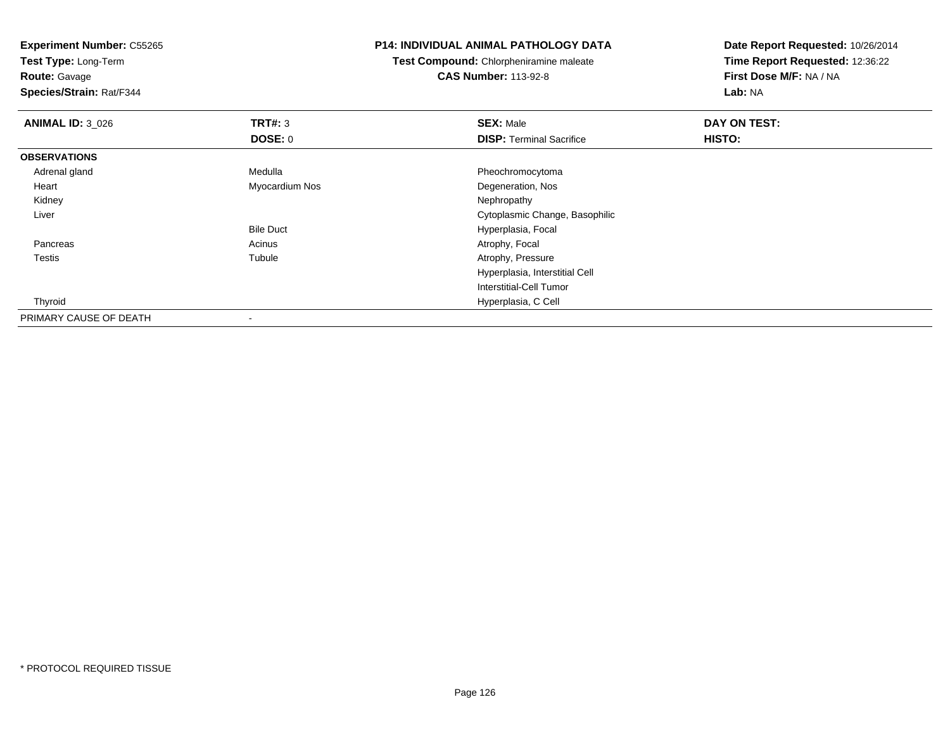**Test Type:** Long-Term

**Route:** Gavage

**Species/Strain:** Rat/F344

#### **P14: INDIVIDUAL ANIMAL PATHOLOGY DATA**

**Test Compound:** Chlorpheniramine maleate**CAS Number:** 113-92-8

| <b>ANIMAL ID: 3_026</b> | TRT#: 3          | <b>SEX: Male</b>                | DAY ON TEST: |  |
|-------------------------|------------------|---------------------------------|--------------|--|
|                         | DOSE: 0          | <b>DISP: Terminal Sacrifice</b> | HISTO:       |  |
| <b>OBSERVATIONS</b>     |                  |                                 |              |  |
| Adrenal gland           | Medulla          | Pheochromocytoma                |              |  |
| Heart                   | Myocardium Nos   | Degeneration, Nos               |              |  |
| Kidney                  |                  | Nephropathy                     |              |  |
| Liver                   |                  | Cytoplasmic Change, Basophilic  |              |  |
|                         | <b>Bile Duct</b> | Hyperplasia, Focal              |              |  |
| Pancreas                | Acinus           | Atrophy, Focal                  |              |  |
| <b>Testis</b>           | Tubule           | Atrophy, Pressure               |              |  |
|                         |                  | Hyperplasia, Interstitial Cell  |              |  |
|                         |                  | Interstitial-Cell Tumor         |              |  |
| Thyroid                 |                  | Hyperplasia, C Cell             |              |  |
| PRIMARY CAUSE OF DEATH  |                  |                                 |              |  |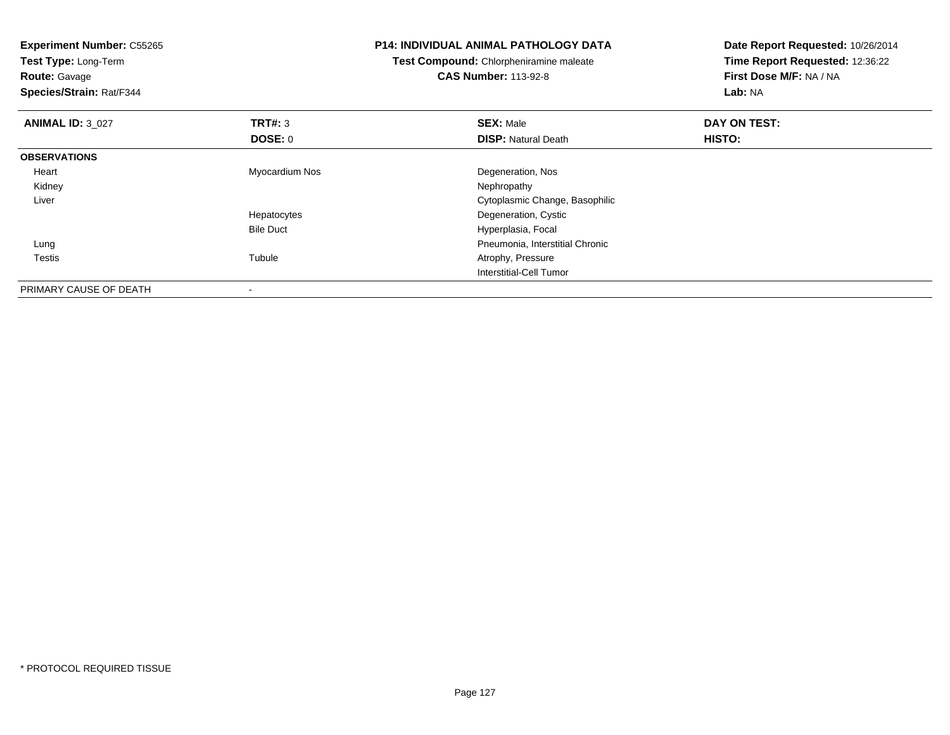**Experiment Number:** C55265**Test Type:** Long-Term**Route:** Gavage **Species/Strain:** Rat/F344**P14: INDIVIDUAL ANIMAL PATHOLOGY DATATest Compound:** Chlorpheniramine maleate**CAS Number:** 113-92-8**Date Report Requested:** 10/26/2014**Time Report Requested:** 12:36:22**First Dose M/F:** NA / NA**Lab:** NA**ANIMAL ID:** 3\_027 **TRT#:** <sup>3</sup> **SEX:** Male **DAY ON TEST: DOSE:** 0**DISP:** Natural Death **HISTO: OBSERVATIONS** Heart Myocardium Nos Degeneration, Nos Kidneyy the control of the control of the control of the control of the control of the control of the control of the control of the control of the control of the control of the control of the control of the control of the contro Liver Cytoplasmic Change, BasophilicHepatocytes Degeneration, Cystic Bile Duct Hyperplasia, Focal Lung Pneumonia, Interstitial Chronic Testiss and the contract of the contract of the contract of the contract of the contract of the contract of the contract of the contract of the contract of the contract of the contract of the contract of the contract of the cont Atrophy, Pressure Interstitial-Cell TumorPRIMARY CAUSE OF DEATH-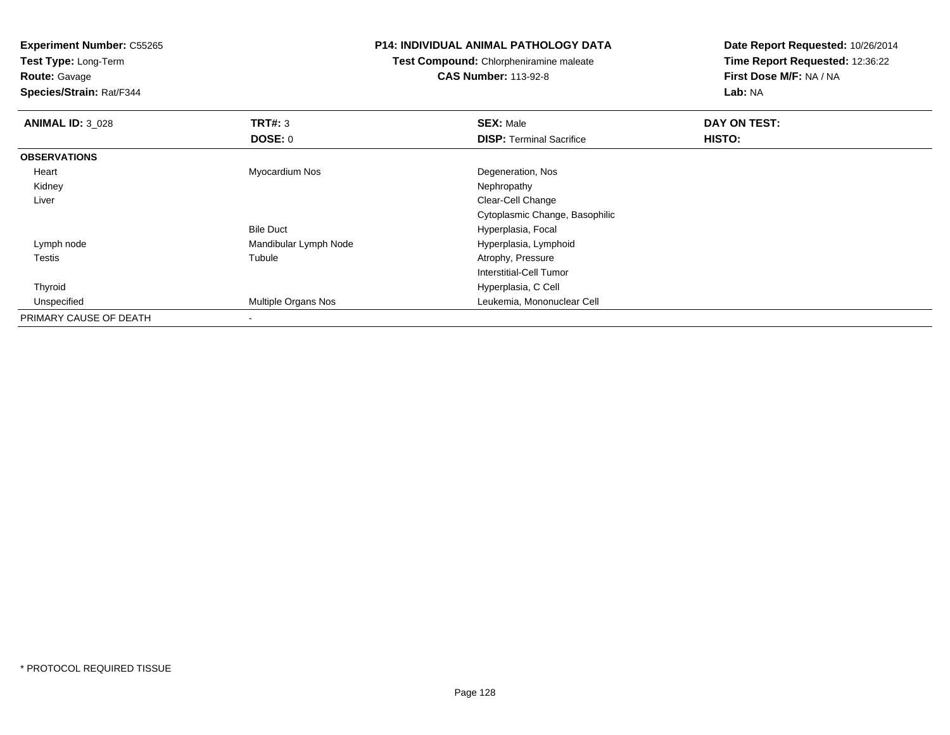**Test Type:** Long-Term

**Route:** Gavage

**Species/Strain:** Rat/F344

#### **P14: INDIVIDUAL ANIMAL PATHOLOGY DATA**

**Test Compound:** Chlorpheniramine maleate**CAS Number:** 113-92-8

| <b>ANIMAL ID: 3_028</b> | TRT#: 3                    | <b>SEX: Male</b>                | DAY ON TEST: |  |
|-------------------------|----------------------------|---------------------------------|--------------|--|
|                         | DOSE: 0                    | <b>DISP: Terminal Sacrifice</b> | HISTO:       |  |
| <b>OBSERVATIONS</b>     |                            |                                 |              |  |
| Heart                   | Myocardium Nos             | Degeneration, Nos               |              |  |
| Kidney                  |                            | Nephropathy                     |              |  |
| Liver                   |                            | Clear-Cell Change               |              |  |
|                         |                            | Cytoplasmic Change, Basophilic  |              |  |
|                         | <b>Bile Duct</b>           | Hyperplasia, Focal              |              |  |
| Lymph node              | Mandibular Lymph Node      | Hyperplasia, Lymphoid           |              |  |
| <b>Testis</b>           | Tubule                     | Atrophy, Pressure               |              |  |
|                         |                            | Interstitial-Cell Tumor         |              |  |
| Thyroid                 |                            | Hyperplasia, C Cell             |              |  |
| Unspecified             | <b>Multiple Organs Nos</b> | Leukemia, Mononuclear Cell      |              |  |
| PRIMARY CAUSE OF DEATH  |                            |                                 |              |  |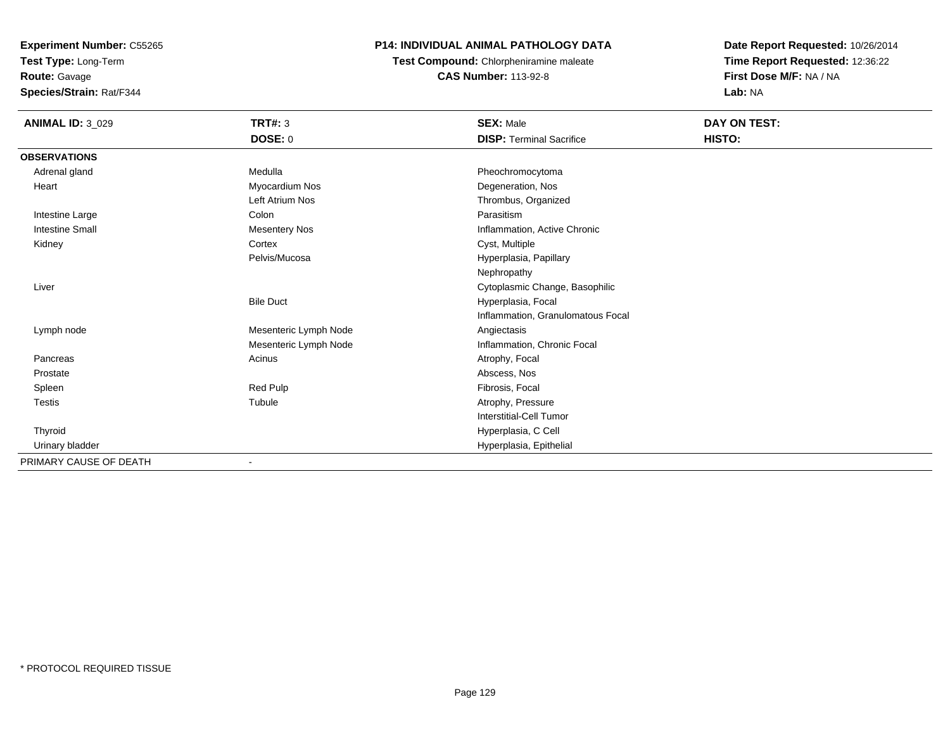**Test Type:** Long-Term

**Route:** Gavage

**Species/Strain:** Rat/F344

# **P14: INDIVIDUAL ANIMAL PATHOLOGY DATA**

**Test Compound:** Chlorpheniramine maleate**CAS Number:** 113-92-8

| <b>ANIMAL ID: 3_029</b> | TRT#: 3               | <b>SEX: Male</b>                  | DAY ON TEST: |
|-------------------------|-----------------------|-----------------------------------|--------------|
|                         | <b>DOSE: 0</b>        | <b>DISP: Terminal Sacrifice</b>   | HISTO:       |
| <b>OBSERVATIONS</b>     |                       |                                   |              |
| Adrenal gland           | Medulla               | Pheochromocytoma                  |              |
| Heart                   | Myocardium Nos        | Degeneration, Nos                 |              |
|                         | Left Atrium Nos       | Thrombus, Organized               |              |
| Intestine Large         | Colon                 | Parasitism                        |              |
| <b>Intestine Small</b>  | <b>Mesentery Nos</b>  | Inflammation, Active Chronic      |              |
| Kidney                  | Cortex                | Cyst, Multiple                    |              |
|                         | Pelvis/Mucosa         | Hyperplasia, Papillary            |              |
|                         |                       | Nephropathy                       |              |
| Liver                   |                       | Cytoplasmic Change, Basophilic    |              |
|                         | <b>Bile Duct</b>      | Hyperplasia, Focal                |              |
|                         |                       | Inflammation, Granulomatous Focal |              |
| Lymph node              | Mesenteric Lymph Node | Angiectasis                       |              |
|                         | Mesenteric Lymph Node | Inflammation, Chronic Focal       |              |
| Pancreas                | Acinus                | Atrophy, Focal                    |              |
| Prostate                |                       | Abscess, Nos                      |              |
| Spleen                  | Red Pulp              | Fibrosis, Focal                   |              |
| <b>Testis</b>           | Tubule                | Atrophy, Pressure                 |              |
|                         |                       | <b>Interstitial-Cell Tumor</b>    |              |
| Thyroid                 |                       | Hyperplasia, C Cell               |              |
| Urinary bladder         |                       | Hyperplasia, Epithelial           |              |
| PRIMARY CAUSE OF DEATH  | $\blacksquare$        |                                   |              |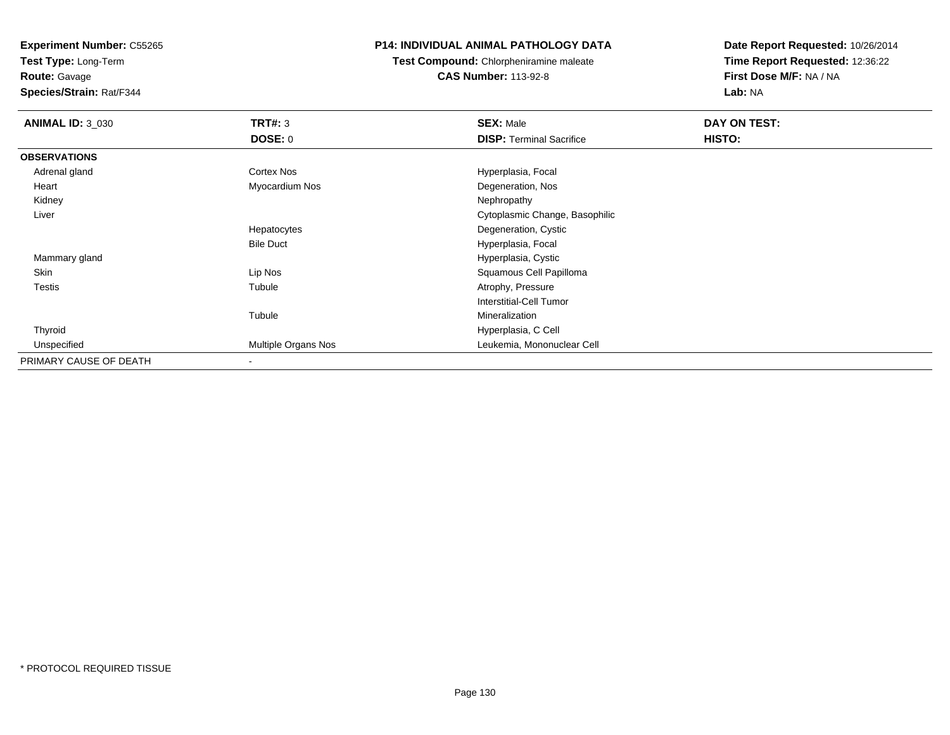**Test Type:** Long-Term

**Route:** Gavage

**Species/Strain:** Rat/F344

#### **P14: INDIVIDUAL ANIMAL PATHOLOGY DATA**

**Test Compound:** Chlorpheniramine maleate**CAS Number:** 113-92-8

| <b>ANIMAL ID: 3_030</b> | <b>TRT#: 3</b>      | <b>SEX: Male</b>                | DAY ON TEST: |  |
|-------------------------|---------------------|---------------------------------|--------------|--|
|                         | <b>DOSE: 0</b>      | <b>DISP: Terminal Sacrifice</b> | HISTO:       |  |
| <b>OBSERVATIONS</b>     |                     |                                 |              |  |
| Adrenal gland           | Cortex Nos          | Hyperplasia, Focal              |              |  |
| Heart                   | Myocardium Nos      | Degeneration, Nos               |              |  |
| Kidney                  |                     | Nephropathy                     |              |  |
| Liver                   |                     | Cytoplasmic Change, Basophilic  |              |  |
|                         | Hepatocytes         | Degeneration, Cystic            |              |  |
|                         | <b>Bile Duct</b>    | Hyperplasia, Focal              |              |  |
| Mammary gland           |                     | Hyperplasia, Cystic             |              |  |
| Skin                    | Lip Nos             | Squamous Cell Papilloma         |              |  |
| <b>Testis</b>           | Tubule              | Atrophy, Pressure               |              |  |
|                         |                     | <b>Interstitial-Cell Tumor</b>  |              |  |
|                         | Tubule              | Mineralization                  |              |  |
| Thyroid                 |                     | Hyperplasia, C Cell             |              |  |
| Unspecified             | Multiple Organs Nos | Leukemia, Mononuclear Cell      |              |  |
| PRIMARY CAUSE OF DEATH  | ٠                   |                                 |              |  |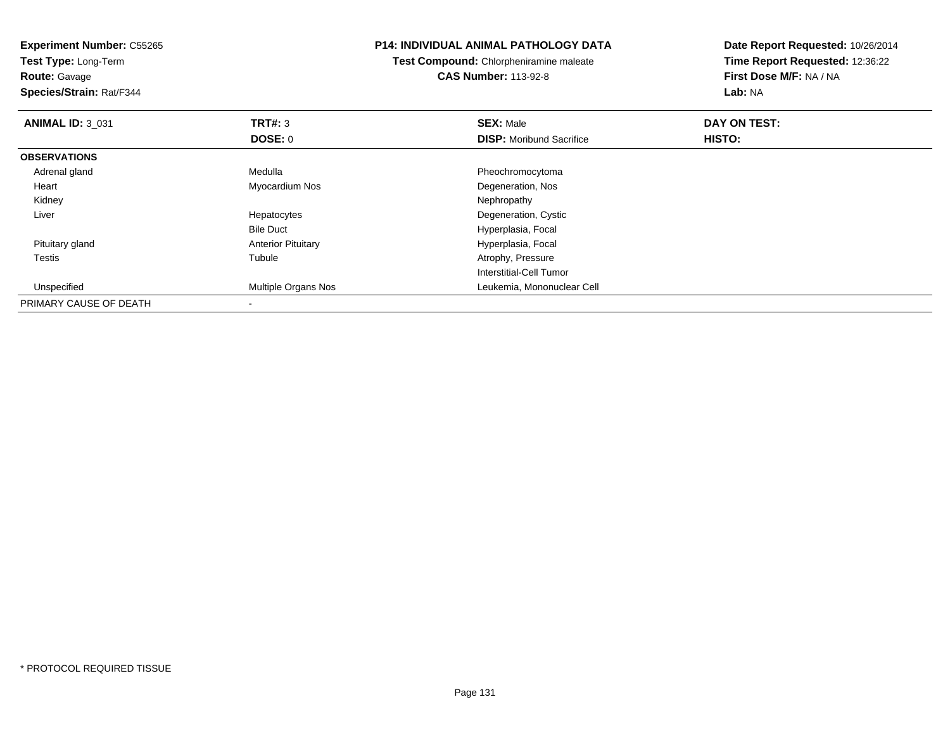| <b>Experiment Number: C55265</b><br>Test Type: Long-Term<br><b>Route: Gavage</b><br>Species/Strain: Rat/F344 |                           | <b>P14: INDIVIDUAL ANIMAL PATHOLOGY DATA</b><br>Test Compound: Chlorpheniramine maleate<br><b>CAS Number: 113-92-8</b> | Date Report Requested: 10/26/2014<br>Time Report Requested: 12:36:22<br>First Dose M/F: NA / NA<br>Lab: NA |
|--------------------------------------------------------------------------------------------------------------|---------------------------|------------------------------------------------------------------------------------------------------------------------|------------------------------------------------------------------------------------------------------------|
| <b>ANIMAL ID: 3 031</b>                                                                                      | TRT#: 3                   | <b>SEX: Male</b>                                                                                                       | DAY ON TEST:                                                                                               |
|                                                                                                              | DOSE: 0                   | <b>DISP:</b> Moribund Sacrifice                                                                                        | HISTO:                                                                                                     |
| <b>OBSERVATIONS</b>                                                                                          |                           |                                                                                                                        |                                                                                                            |
| Adrenal gland                                                                                                | Medulla                   | Pheochromocytoma                                                                                                       |                                                                                                            |
| Heart                                                                                                        | Myocardium Nos            | Degeneration, Nos                                                                                                      |                                                                                                            |
| Kidney                                                                                                       |                           | Nephropathy                                                                                                            |                                                                                                            |
| Liver                                                                                                        | Hepatocytes               | Degeneration, Cystic                                                                                                   |                                                                                                            |
|                                                                                                              | <b>Bile Duct</b>          | Hyperplasia, Focal                                                                                                     |                                                                                                            |
| Pituitary gland                                                                                              | <b>Anterior Pituitary</b> | Hyperplasia, Focal                                                                                                     |                                                                                                            |
| Testis                                                                                                       | Tubule                    | Atrophy, Pressure                                                                                                      |                                                                                                            |
|                                                                                                              |                           | Interstitial-Cell Tumor                                                                                                |                                                                                                            |
| Unspecified                                                                                                  | Multiple Organs Nos       | Leukemia, Mononuclear Cell                                                                                             |                                                                                                            |
| PRIMARY CAUSE OF DEATH                                                                                       |                           |                                                                                                                        |                                                                                                            |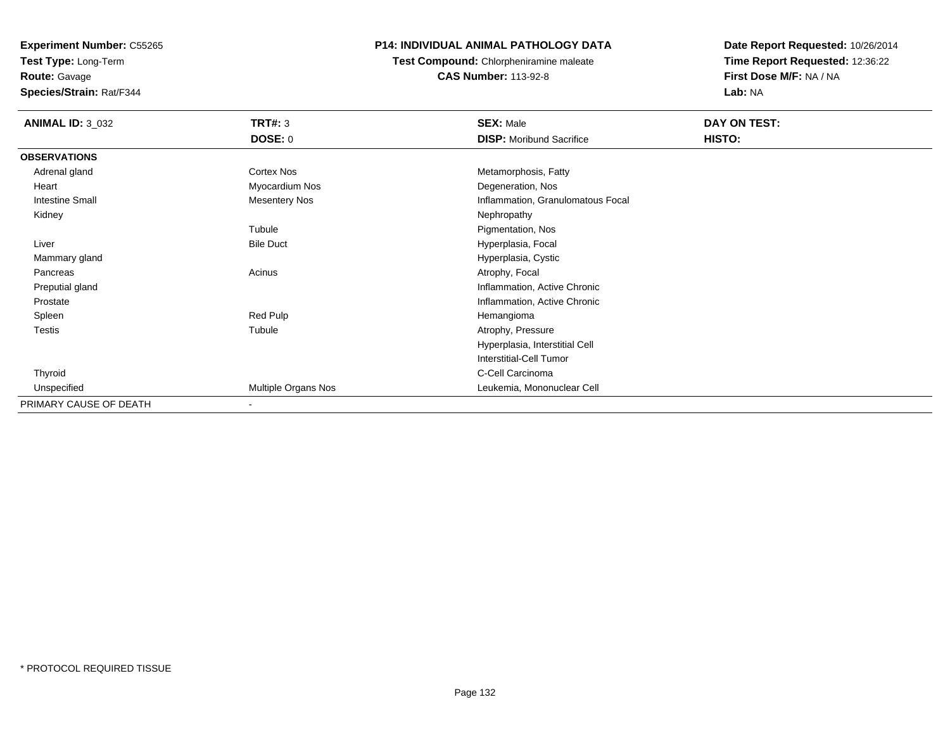**Test Type:** Long-Term**Route:** Gavage

**Species/Strain:** Rat/F344

# **P14: INDIVIDUAL ANIMAL PATHOLOGY DATA**

**Test Compound:** Chlorpheniramine maleate**CAS Number:** 113-92-8

| <b>ANIMAL ID: 3_032</b> | <b>TRT#: 3</b>           | <b>SEX: Male</b>                  | DAY ON TEST: |  |
|-------------------------|--------------------------|-----------------------------------|--------------|--|
|                         | <b>DOSE: 0</b>           | <b>DISP: Moribund Sacrifice</b>   | HISTO:       |  |
| <b>OBSERVATIONS</b>     |                          |                                   |              |  |
| Adrenal gland           | Cortex Nos               | Metamorphosis, Fatty              |              |  |
| Heart                   | Myocardium Nos           | Degeneration, Nos                 |              |  |
| <b>Intestine Small</b>  | Mesentery Nos            | Inflammation, Granulomatous Focal |              |  |
| Kidney                  |                          | Nephropathy                       |              |  |
|                         | Tubule                   | Pigmentation, Nos                 |              |  |
| Liver                   | <b>Bile Duct</b>         | Hyperplasia, Focal                |              |  |
| Mammary gland           |                          | Hyperplasia, Cystic               |              |  |
| Pancreas                | Acinus                   | Atrophy, Focal                    |              |  |
| Preputial gland         |                          | Inflammation, Active Chronic      |              |  |
| Prostate                |                          | Inflammation, Active Chronic      |              |  |
| Spleen                  | Red Pulp                 | Hemangioma                        |              |  |
| Testis                  | Tubule                   | Atrophy, Pressure                 |              |  |
|                         |                          | Hyperplasia, Interstitial Cell    |              |  |
|                         |                          | Interstitial-Cell Tumor           |              |  |
| Thyroid                 |                          | C-Cell Carcinoma                  |              |  |
| Unspecified             | Multiple Organs Nos      | Leukemia, Mononuclear Cell        |              |  |
| PRIMARY CAUSE OF DEATH  | $\overline{\phantom{a}}$ |                                   |              |  |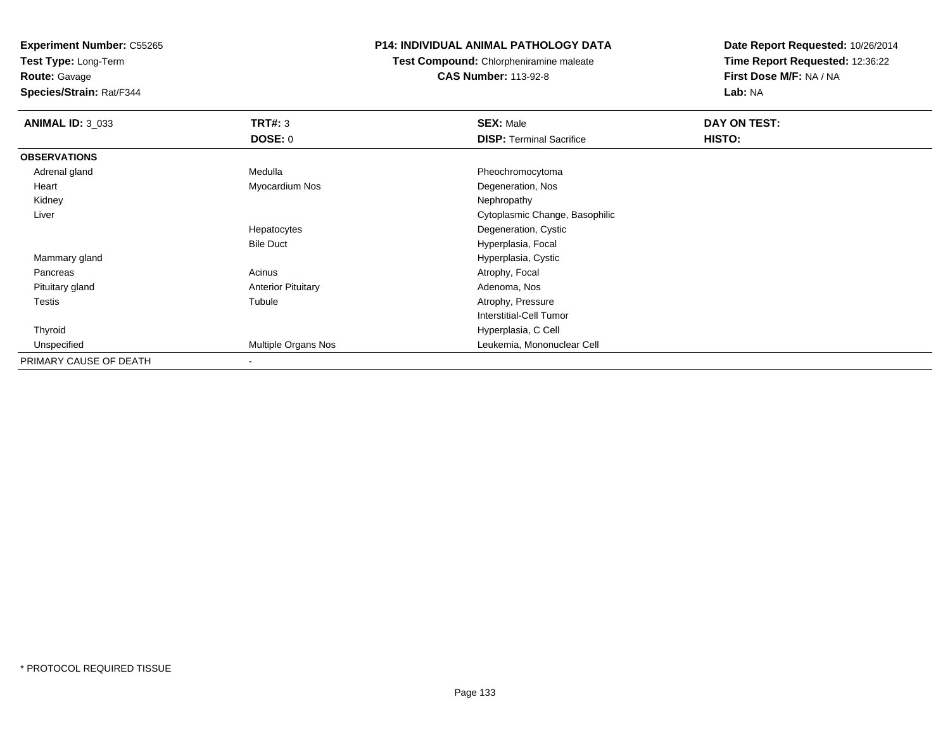**Test Type:** Long-Term

**Route:** Gavage

**Species/Strain:** Rat/F344

## **P14: INDIVIDUAL ANIMAL PATHOLOGY DATA**

**Test Compound:** Chlorpheniramine maleate**CAS Number:** 113-92-8

| <b>ANIMAL ID: 3_033</b> | TRT#: 3                   | <b>SEX: Male</b>                | DAY ON TEST: |  |
|-------------------------|---------------------------|---------------------------------|--------------|--|
|                         | <b>DOSE: 0</b>            | <b>DISP: Terminal Sacrifice</b> | HISTO:       |  |
| <b>OBSERVATIONS</b>     |                           |                                 |              |  |
| Adrenal gland           | Medulla                   | Pheochromocytoma                |              |  |
| Heart                   | Myocardium Nos            | Degeneration, Nos               |              |  |
| Kidney                  |                           | Nephropathy                     |              |  |
| Liver                   |                           | Cytoplasmic Change, Basophilic  |              |  |
|                         | Hepatocytes               | Degeneration, Cystic            |              |  |
|                         | <b>Bile Duct</b>          | Hyperplasia, Focal              |              |  |
| Mammary gland           |                           | Hyperplasia, Cystic             |              |  |
| Pancreas                | Acinus                    | Atrophy, Focal                  |              |  |
| Pituitary gland         | <b>Anterior Pituitary</b> | Adenoma, Nos                    |              |  |
| <b>Testis</b>           | Tubule                    | Atrophy, Pressure               |              |  |
|                         |                           | <b>Interstitial-Cell Tumor</b>  |              |  |
| Thyroid                 |                           | Hyperplasia, C Cell             |              |  |
| Unspecified             | Multiple Organs Nos       | Leukemia, Mononuclear Cell      |              |  |
| PRIMARY CAUSE OF DEATH  | $\overline{\phantom{a}}$  |                                 |              |  |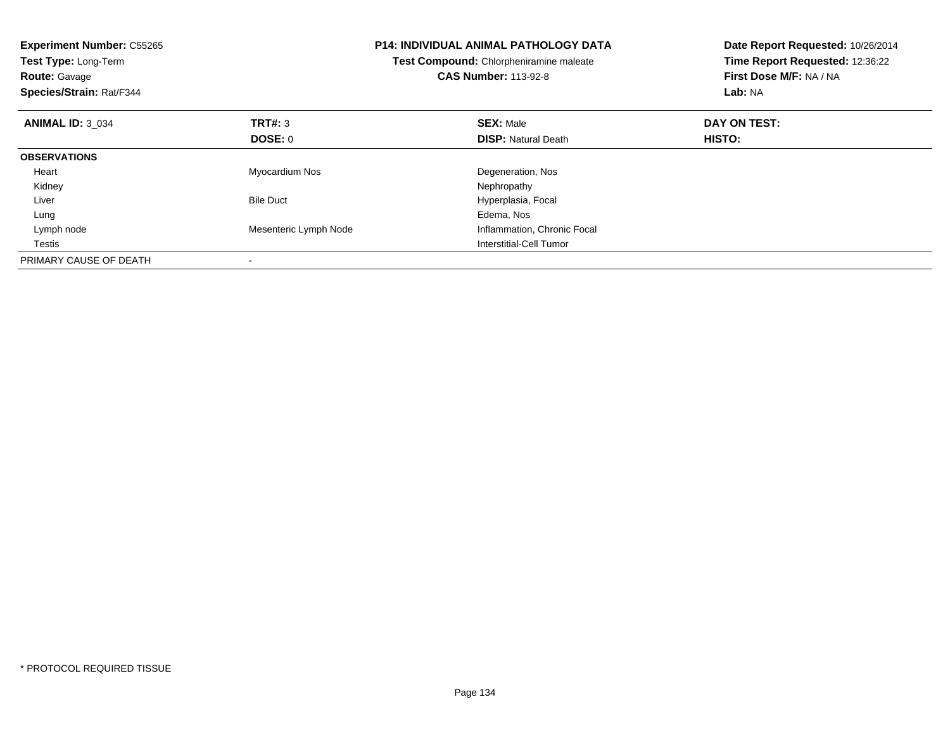| <b>Experiment Number: C55265</b><br>Test Type: Long-Term<br><b>Route: Gavage</b><br>Species/Strain: Rat/F344 |                       | <b>P14: INDIVIDUAL ANIMAL PATHOLOGY DATA</b><br>Test Compound: Chlorpheniramine maleate<br><b>CAS Number: 113-92-8</b> | Date Report Requested: 10/26/2014<br>Time Report Requested: 12:36:22<br>First Dose M/F: NA / NA<br>Lab: NA |
|--------------------------------------------------------------------------------------------------------------|-----------------------|------------------------------------------------------------------------------------------------------------------------|------------------------------------------------------------------------------------------------------------|
| <b>ANIMAL ID: 3 034</b>                                                                                      | <b>TRT#: 3</b>        | <b>SEX: Male</b>                                                                                                       | DAY ON TEST:                                                                                               |
|                                                                                                              | DOSE: 0               | <b>DISP:</b> Natural Death                                                                                             | <b>HISTO:</b>                                                                                              |
| <b>OBSERVATIONS</b>                                                                                          |                       |                                                                                                                        |                                                                                                            |
| Heart                                                                                                        | Myocardium Nos        | Degeneration, Nos                                                                                                      |                                                                                                            |
| Kidney                                                                                                       |                       | Nephropathy                                                                                                            |                                                                                                            |
| Liver                                                                                                        | <b>Bile Duct</b>      | Hyperplasia, Focal                                                                                                     |                                                                                                            |
| Lung                                                                                                         |                       | Edema, Nos                                                                                                             |                                                                                                            |
| Lymph node                                                                                                   | Mesenteric Lymph Node | Inflammation, Chronic Focal                                                                                            |                                                                                                            |
| Testis                                                                                                       |                       | Interstitial-Cell Tumor                                                                                                |                                                                                                            |
| PRIMARY CAUSE OF DEATH                                                                                       |                       |                                                                                                                        |                                                                                                            |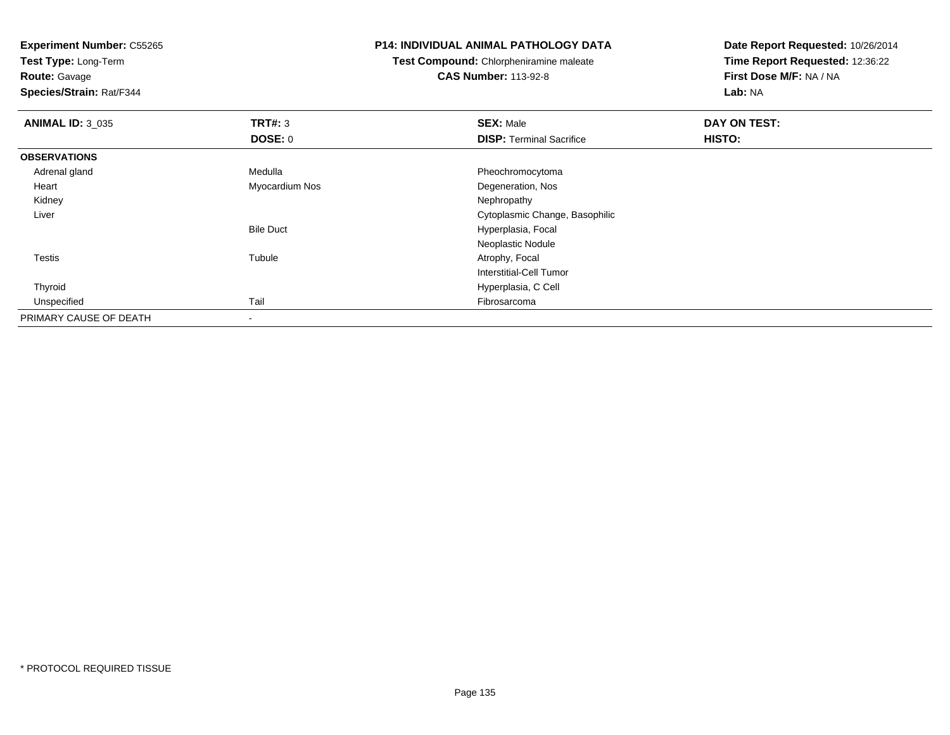**Test Type:** Long-Term

**Route:** Gavage

**Species/Strain:** Rat/F344

#### **P14: INDIVIDUAL ANIMAL PATHOLOGY DATA**

**Test Compound:** Chlorpheniramine maleate**CAS Number:** 113-92-8

| <b>ANIMAL ID: 3_035</b> | <b>TRT#: 3</b>   | <b>SEX: Male</b>                | DAY ON TEST: |  |
|-------------------------|------------------|---------------------------------|--------------|--|
|                         | DOSE: 0          | <b>DISP: Terminal Sacrifice</b> | HISTO:       |  |
| <b>OBSERVATIONS</b>     |                  |                                 |              |  |
| Adrenal gland           | Medulla          | Pheochromocytoma                |              |  |
| Heart                   | Myocardium Nos   | Degeneration, Nos               |              |  |
| Kidney                  |                  | Nephropathy                     |              |  |
| Liver                   |                  | Cytoplasmic Change, Basophilic  |              |  |
|                         | <b>Bile Duct</b> | Hyperplasia, Focal              |              |  |
|                         |                  | Neoplastic Nodule               |              |  |
| <b>Testis</b>           | Tubule           | Atrophy, Focal                  |              |  |
|                         |                  | Interstitial-Cell Tumor         |              |  |
| Thyroid                 |                  | Hyperplasia, C Cell             |              |  |
| Unspecified             | Tail             | Fibrosarcoma                    |              |  |
| PRIMARY CAUSE OF DEATH  | $\,$             |                                 |              |  |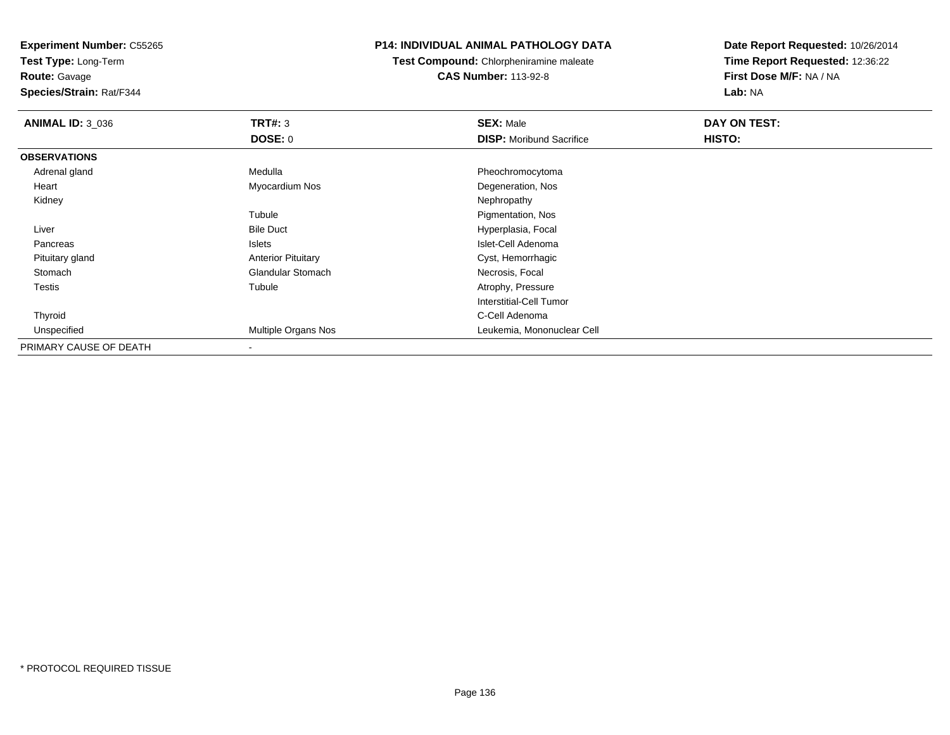**Test Type:** Long-Term

**Route:** Gavage

**Species/Strain:** Rat/F344

## **P14: INDIVIDUAL ANIMAL PATHOLOGY DATA**

**Test Compound:** Chlorpheniramine maleate**CAS Number:** 113-92-8

| <b>ANIMAL ID: 3_036</b> | TRT#: 3                   | <b>SEX: Male</b>                | DAY ON TEST: |  |
|-------------------------|---------------------------|---------------------------------|--------------|--|
|                         | <b>DOSE: 0</b>            | <b>DISP:</b> Moribund Sacrifice | HISTO:       |  |
| <b>OBSERVATIONS</b>     |                           |                                 |              |  |
| Adrenal gland           | Medulla                   | Pheochromocytoma                |              |  |
| Heart                   | Myocardium Nos            | Degeneration, Nos               |              |  |
| Kidney                  |                           | Nephropathy                     |              |  |
|                         | Tubule                    | Pigmentation, Nos               |              |  |
| Liver                   | <b>Bile Duct</b>          | Hyperplasia, Focal              |              |  |
| Pancreas                | Islets                    | Islet-Cell Adenoma              |              |  |
| Pituitary gland         | <b>Anterior Pituitary</b> | Cyst, Hemorrhagic               |              |  |
| Stomach                 | <b>Glandular Stomach</b>  | Necrosis, Focal                 |              |  |
| Testis                  | Tubule                    | Atrophy, Pressure               |              |  |
|                         |                           | <b>Interstitial-Cell Tumor</b>  |              |  |
| Thyroid                 |                           | C-Cell Adenoma                  |              |  |
| Unspecified             | Multiple Organs Nos       | Leukemia, Mononuclear Cell      |              |  |
| PRIMARY CAUSE OF DEATH  | $\overline{\phantom{a}}$  |                                 |              |  |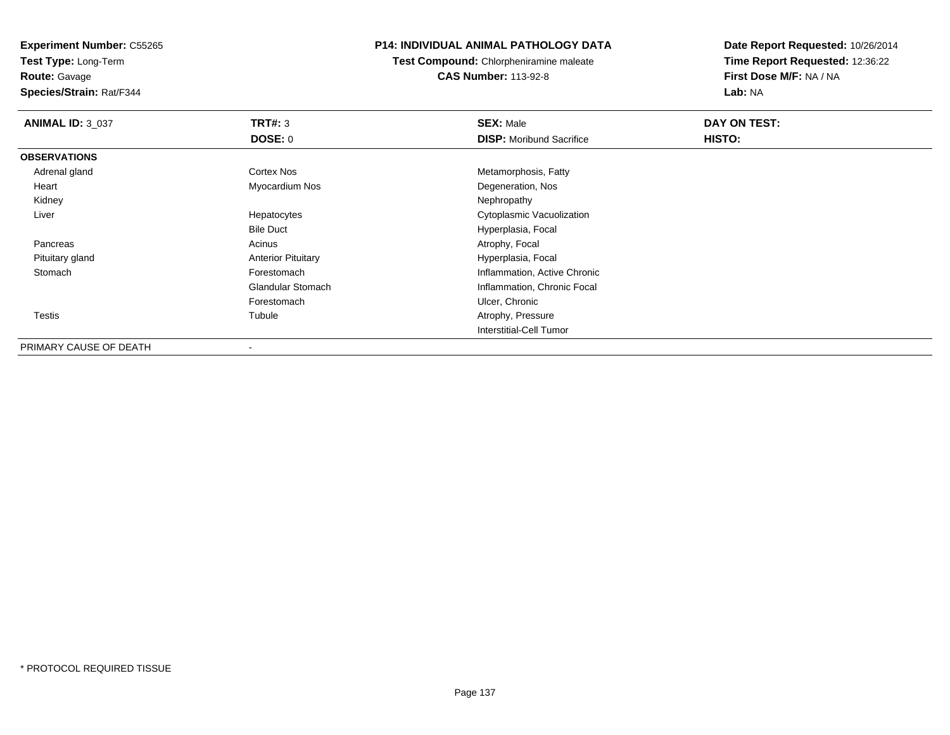**Test Type:** Long-Term

# **Route:** Gavage

**Species/Strain:** Rat/F344

# **P14: INDIVIDUAL ANIMAL PATHOLOGY DATA**

**Test Compound:** Chlorpheniramine maleate**CAS Number:** 113-92-8

| <b>ANIMAL ID: 3 037</b> | TRT#: 3                   | <b>SEX: Male</b>                | DAY ON TEST: |  |
|-------------------------|---------------------------|---------------------------------|--------------|--|
|                         | <b>DOSE: 0</b>            | <b>DISP:</b> Moribund Sacrifice | HISTO:       |  |
| <b>OBSERVATIONS</b>     |                           |                                 |              |  |
| Adrenal gland           | <b>Cortex Nos</b>         | Metamorphosis, Fatty            |              |  |
| Heart                   | Myocardium Nos            | Degeneration, Nos               |              |  |
| Kidney                  |                           | Nephropathy                     |              |  |
| Liver                   | Hepatocytes               | Cytoplasmic Vacuolization       |              |  |
|                         | <b>Bile Duct</b>          | Hyperplasia, Focal              |              |  |
| Pancreas                | Acinus                    | Atrophy, Focal                  |              |  |
| Pituitary gland         | <b>Anterior Pituitary</b> | Hyperplasia, Focal              |              |  |
| Stomach                 | Forestomach               | Inflammation, Active Chronic    |              |  |
|                         | <b>Glandular Stomach</b>  | Inflammation, Chronic Focal     |              |  |
|                         | Forestomach               | Ulcer, Chronic                  |              |  |
| Testis                  | Tubule                    | Atrophy, Pressure               |              |  |
|                         |                           | <b>Interstitial-Cell Tumor</b>  |              |  |
| PRIMARY CAUSE OF DEATH  |                           |                                 |              |  |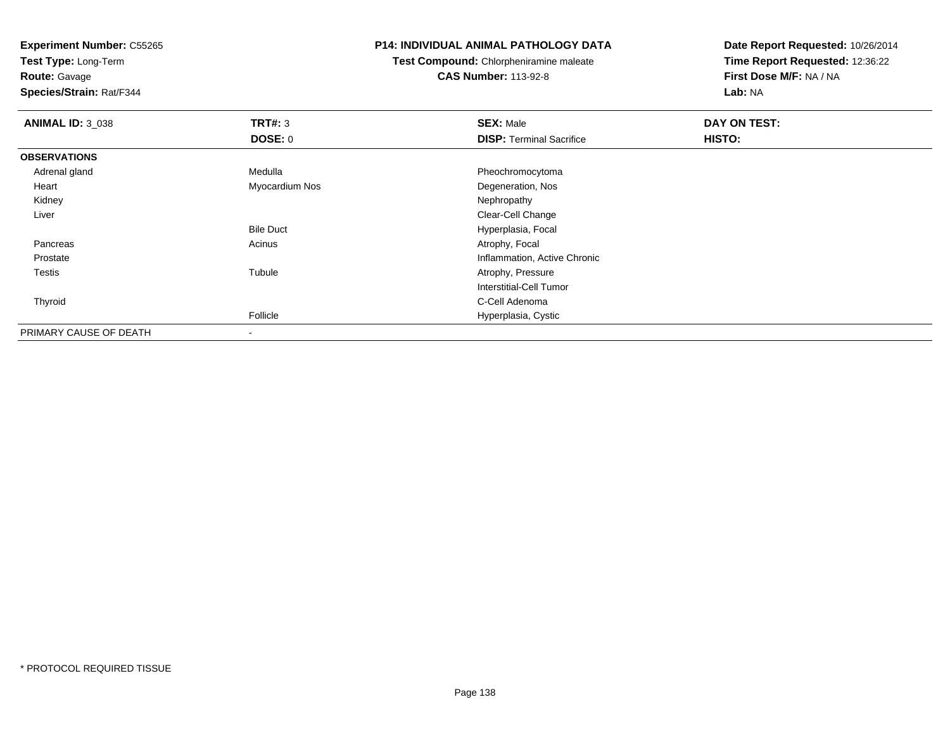**Test Type:** Long-Term

**Route:** Gavage

**Species/Strain:** Rat/F344

#### **P14: INDIVIDUAL ANIMAL PATHOLOGY DATA**

**Test Compound:** Chlorpheniramine maleate**CAS Number:** 113-92-8

| <b>ANIMAL ID: 3_038</b> | TRT#: 3          | <b>SEX: Male</b>                | DAY ON TEST: |  |
|-------------------------|------------------|---------------------------------|--------------|--|
|                         | <b>DOSE: 0</b>   | <b>DISP: Terminal Sacrifice</b> | HISTO:       |  |
| <b>OBSERVATIONS</b>     |                  |                                 |              |  |
| Adrenal gland           | Medulla          | Pheochromocytoma                |              |  |
| Heart                   | Myocardium Nos   | Degeneration, Nos               |              |  |
| Kidney                  |                  | Nephropathy                     |              |  |
| Liver                   |                  | Clear-Cell Change               |              |  |
|                         | <b>Bile Duct</b> | Hyperplasia, Focal              |              |  |
| Pancreas                | Acinus           | Atrophy, Focal                  |              |  |
| Prostate                |                  | Inflammation, Active Chronic    |              |  |
| Testis                  | Tubule           | Atrophy, Pressure               |              |  |
|                         |                  | Interstitial-Cell Tumor         |              |  |
| Thyroid                 |                  | C-Cell Adenoma                  |              |  |
|                         | Follicle         | Hyperplasia, Cystic             |              |  |
| PRIMARY CAUSE OF DEATH  |                  |                                 |              |  |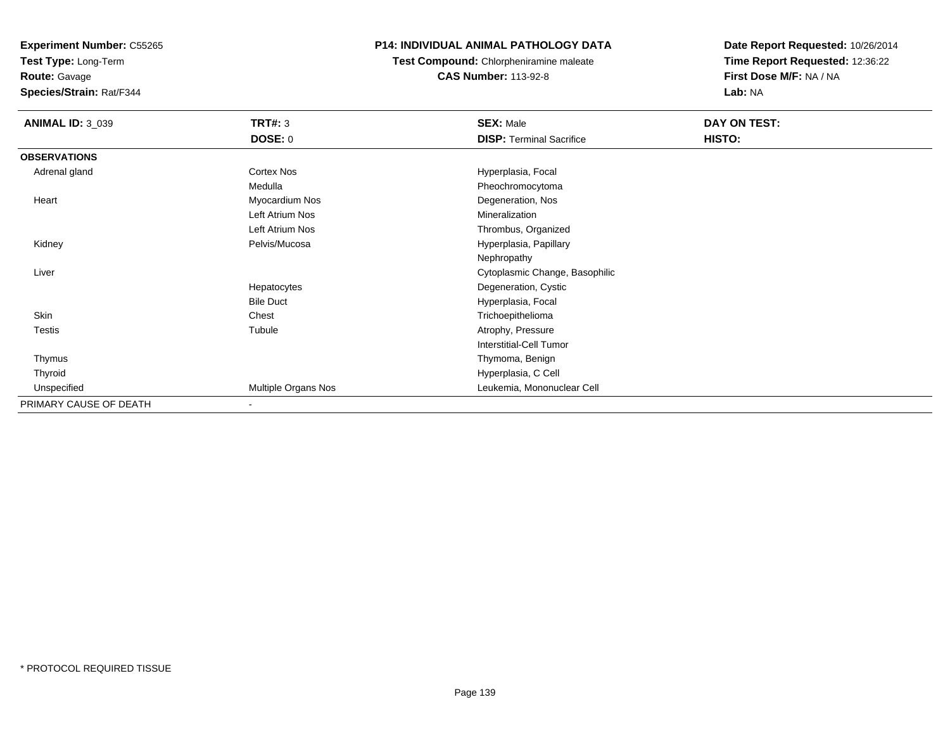**Test Type:** Long-Term

**Route:** Gavage

**Species/Strain:** Rat/F344

# **P14: INDIVIDUAL ANIMAL PATHOLOGY DATA**

**Test Compound:** Chlorpheniramine maleate**CAS Number:** 113-92-8

| <b>ANIMAL ID: 3_039</b> | <b>TRT#: 3</b>           | <b>SEX: Male</b>                | DAY ON TEST: |
|-------------------------|--------------------------|---------------------------------|--------------|
|                         | <b>DOSE: 0</b>           | <b>DISP: Terminal Sacrifice</b> | HISTO:       |
| <b>OBSERVATIONS</b>     |                          |                                 |              |
| Adrenal gland           | Cortex Nos               | Hyperplasia, Focal              |              |
|                         | Medulla                  | Pheochromocytoma                |              |
| Heart                   | Myocardium Nos           | Degeneration, Nos               |              |
|                         | Left Atrium Nos          | Mineralization                  |              |
|                         | Left Atrium Nos          | Thrombus, Organized             |              |
| Kidney                  | Pelvis/Mucosa            | Hyperplasia, Papillary          |              |
|                         |                          | Nephropathy                     |              |
| Liver                   |                          | Cytoplasmic Change, Basophilic  |              |
|                         | Hepatocytes              | Degeneration, Cystic            |              |
|                         | <b>Bile Duct</b>         | Hyperplasia, Focal              |              |
| Skin                    | Chest                    | Trichoepithelioma               |              |
| <b>Testis</b>           | Tubule                   | Atrophy, Pressure               |              |
|                         |                          | Interstitial-Cell Tumor         |              |
| Thymus                  |                          | Thymoma, Benign                 |              |
| Thyroid                 |                          | Hyperplasia, C Cell             |              |
| Unspecified             | Multiple Organs Nos      | Leukemia, Mononuclear Cell      |              |
| PRIMARY CAUSE OF DEATH  | $\overline{\phantom{a}}$ |                                 |              |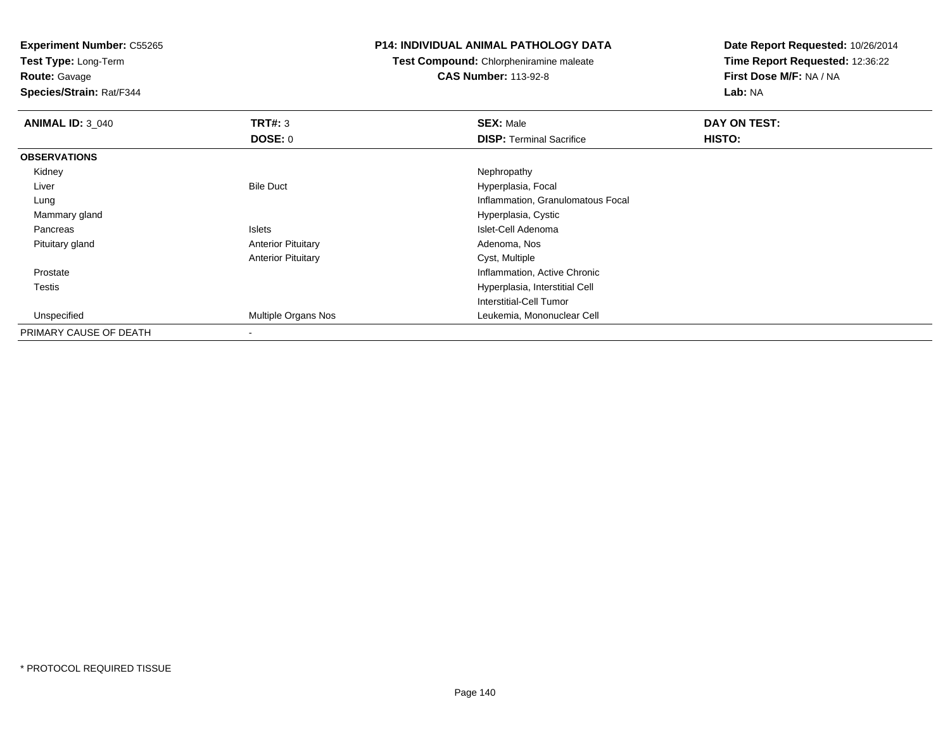**Test Type:** Long-Term

**Route:** Gavage

**Species/Strain:** Rat/F344

#### **P14: INDIVIDUAL ANIMAL PATHOLOGY DATA**

**Test Compound:** Chlorpheniramine maleate**CAS Number:** 113-92-8

 **Time Report Requested:** 12:36:22**First Dose M/F:** NA / NA**Lab:** NA

**Date Report Requested:** 10/26/2014

| <b>ANIMAL ID: 3_040</b> | TRT#: 3                   | <b>SEX: Male</b>                  | DAY ON TEST: |  |
|-------------------------|---------------------------|-----------------------------------|--------------|--|
|                         | <b>DOSE: 0</b>            | <b>DISP: Terminal Sacrifice</b>   | HISTO:       |  |
| <b>OBSERVATIONS</b>     |                           |                                   |              |  |
| Kidney                  |                           | Nephropathy                       |              |  |
| Liver                   | <b>Bile Duct</b>          | Hyperplasia, Focal                |              |  |
| Lung                    |                           | Inflammation, Granulomatous Focal |              |  |
| Mammary gland           |                           | Hyperplasia, Cystic               |              |  |
| Pancreas                | Islets                    | Islet-Cell Adenoma                |              |  |
| Pituitary gland         | <b>Anterior Pituitary</b> | Adenoma, Nos                      |              |  |
|                         | <b>Anterior Pituitary</b> | Cyst, Multiple                    |              |  |
| Prostate                |                           | Inflammation, Active Chronic      |              |  |
| <b>Testis</b>           |                           | Hyperplasia, Interstitial Cell    |              |  |
|                         |                           | Interstitial-Cell Tumor           |              |  |
| Unspecified             | Multiple Organs Nos       | Leukemia, Mononuclear Cell        |              |  |
| PRIMARY CAUSE OF DEATH  | $\blacksquare$            |                                   |              |  |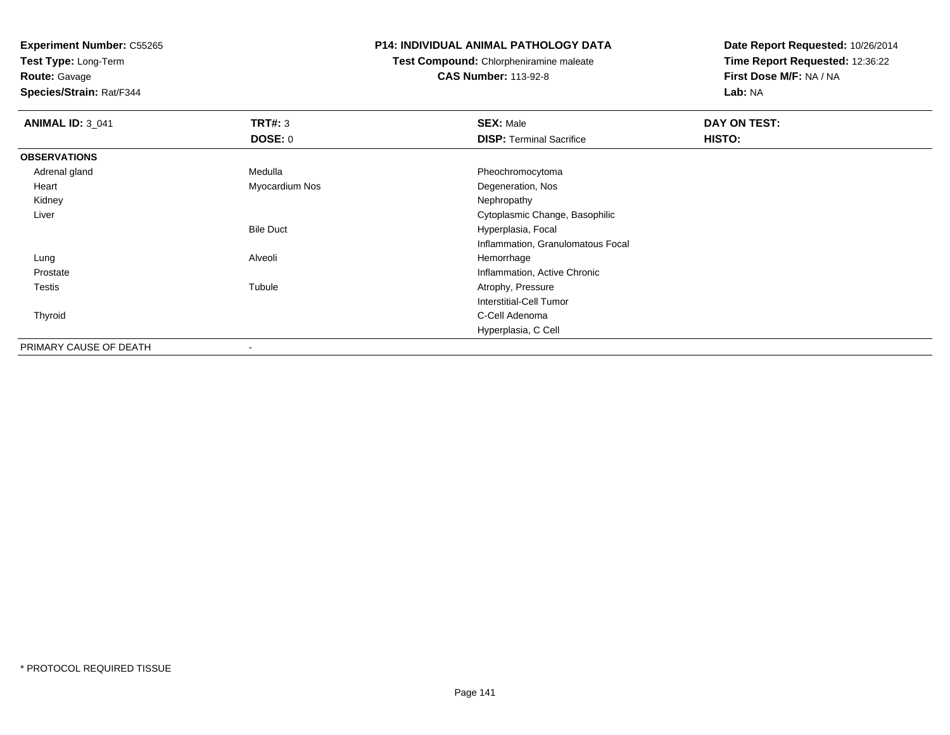**Test Type:** Long-Term

**Route:** Gavage

**Species/Strain:** Rat/F344

#### **P14: INDIVIDUAL ANIMAL PATHOLOGY DATA**

**Test Compound:** Chlorpheniramine maleate

**CAS Number:** 113-92-8

| <b>ANIMAL ID: 3 041</b> | TRT#: 3<br><b>DOSE: 0</b> | <b>SEX: Male</b><br><b>DISP: Terminal Sacrifice</b> | DAY ON TEST:<br>HISTO: |
|-------------------------|---------------------------|-----------------------------------------------------|------------------------|
| <b>OBSERVATIONS</b>     |                           |                                                     |                        |
| Adrenal gland           | Medulla                   | Pheochromocytoma                                    |                        |
| Heart                   | Myocardium Nos            | Degeneration, Nos                                   |                        |
| Kidney                  |                           | Nephropathy                                         |                        |
| Liver                   |                           | Cytoplasmic Change, Basophilic                      |                        |
|                         | <b>Bile Duct</b>          | Hyperplasia, Focal                                  |                        |
|                         |                           | Inflammation, Granulomatous Focal                   |                        |
| Lung                    | Alveoli                   | Hemorrhage                                          |                        |
| Prostate                |                           | Inflammation, Active Chronic                        |                        |
| <b>Testis</b>           | Tubule                    | Atrophy, Pressure                                   |                        |
|                         |                           | Interstitial-Cell Tumor                             |                        |
| Thyroid                 |                           | C-Cell Adenoma                                      |                        |
|                         |                           | Hyperplasia, C Cell                                 |                        |
| PRIMARY CAUSE OF DEATH  | $\overline{\phantom{a}}$  |                                                     |                        |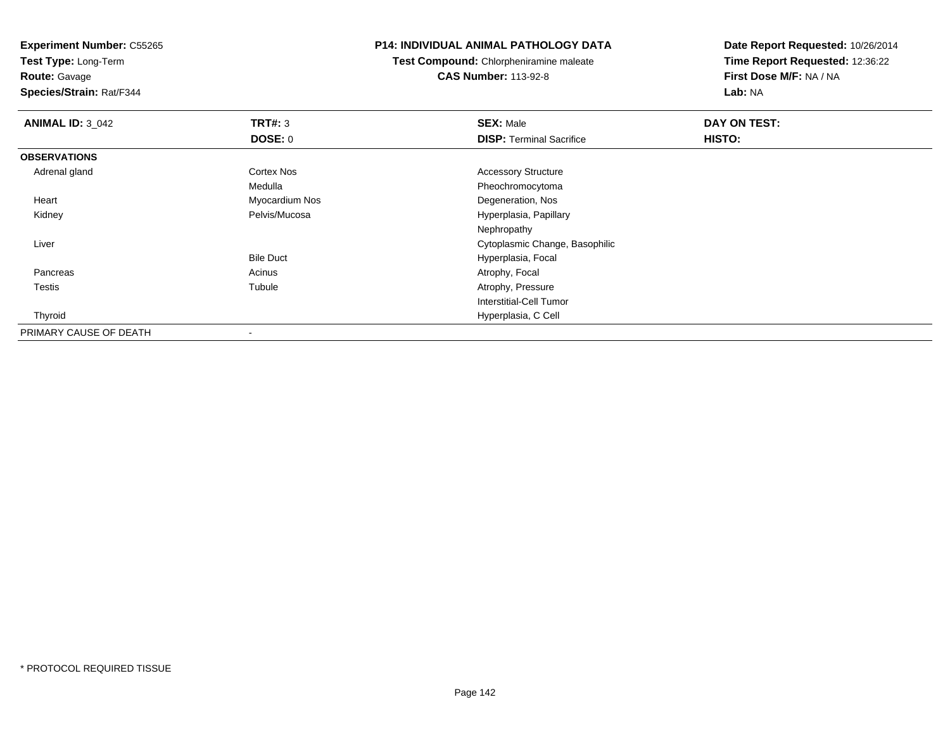**Test Type:** Long-Term

**Route:** Gavage

**Species/Strain:** Rat/F344

#### **P14: INDIVIDUAL ANIMAL PATHOLOGY DATA**

**Test Compound:** Chlorpheniramine maleate**CAS Number:** 113-92-8

| <b>ANIMAL ID: 3_042</b> | TRT#: 3           | <b>SEX: Male</b>                | DAY ON TEST: |  |
|-------------------------|-------------------|---------------------------------|--------------|--|
|                         | <b>DOSE: 0</b>    | <b>DISP: Terminal Sacrifice</b> | HISTO:       |  |
| <b>OBSERVATIONS</b>     |                   |                                 |              |  |
| Adrenal gland           | <b>Cortex Nos</b> | <b>Accessory Structure</b>      |              |  |
|                         | Medulla           | Pheochromocytoma                |              |  |
| Heart                   | Myocardium Nos    | Degeneration, Nos               |              |  |
| Kidney                  | Pelvis/Mucosa     | Hyperplasia, Papillary          |              |  |
|                         |                   | Nephropathy                     |              |  |
| Liver                   |                   | Cytoplasmic Change, Basophilic  |              |  |
|                         | <b>Bile Duct</b>  | Hyperplasia, Focal              |              |  |
| Pancreas                | Acinus            | Atrophy, Focal                  |              |  |
| <b>Testis</b>           | Tubule            | Atrophy, Pressure               |              |  |
|                         |                   | <b>Interstitial-Cell Tumor</b>  |              |  |
| Thyroid                 |                   | Hyperplasia, C Cell             |              |  |
| PRIMARY CAUSE OF DEATH  |                   |                                 |              |  |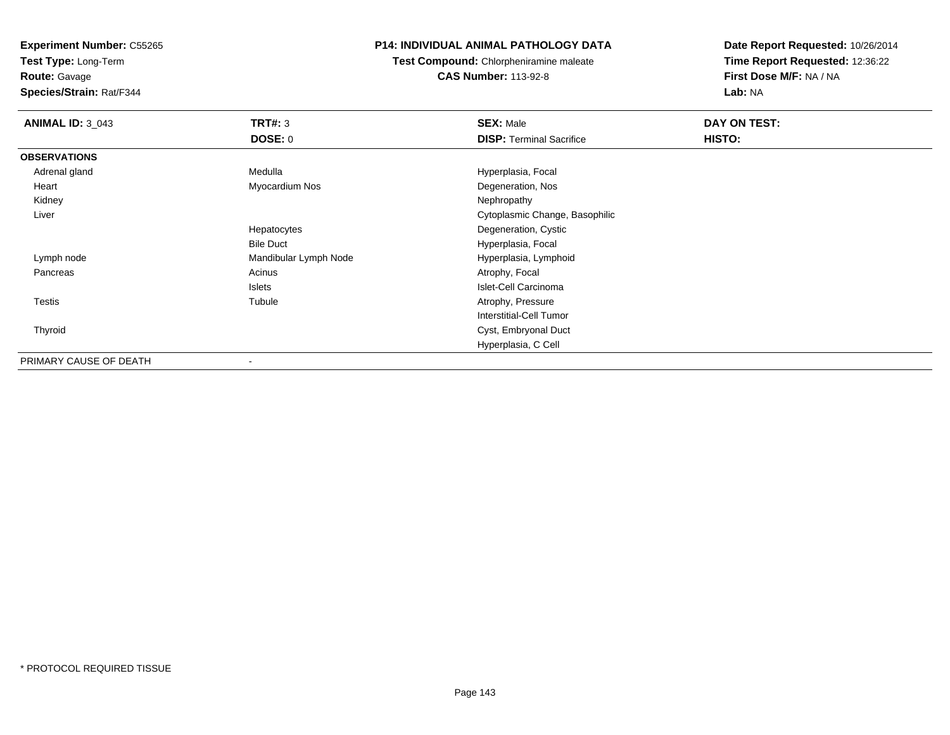**Test Type:** Long-Term

**Route:** Gavage

**Species/Strain:** Rat/F344

# **P14: INDIVIDUAL ANIMAL PATHOLOGY DATA**

**Test Compound:** Chlorpheniramine maleate**CAS Number:** 113-92-8

| <b>ANIMAL ID: 3_043</b> | TRT#: 3               | <b>SEX: Male</b>                | DAY ON TEST: |  |
|-------------------------|-----------------------|---------------------------------|--------------|--|
|                         | <b>DOSE: 0</b>        | <b>DISP: Terminal Sacrifice</b> | HISTO:       |  |
| <b>OBSERVATIONS</b>     |                       |                                 |              |  |
| Adrenal gland           | Medulla               | Hyperplasia, Focal              |              |  |
| Heart                   | Myocardium Nos        | Degeneration, Nos               |              |  |
| Kidney                  |                       | Nephropathy                     |              |  |
| Liver                   |                       | Cytoplasmic Change, Basophilic  |              |  |
|                         | Hepatocytes           | Degeneration, Cystic            |              |  |
|                         | <b>Bile Duct</b>      | Hyperplasia, Focal              |              |  |
| Lymph node              | Mandibular Lymph Node | Hyperplasia, Lymphoid           |              |  |
| Pancreas                | Acinus                | Atrophy, Focal                  |              |  |
|                         | Islets                | Islet-Cell Carcinoma            |              |  |
| <b>Testis</b>           | Tubule                | Atrophy, Pressure               |              |  |
|                         |                       | Interstitial-Cell Tumor         |              |  |
| Thyroid                 |                       | Cyst, Embryonal Duct            |              |  |
|                         |                       | Hyperplasia, C Cell             |              |  |
| PRIMARY CAUSE OF DEATH  |                       |                                 |              |  |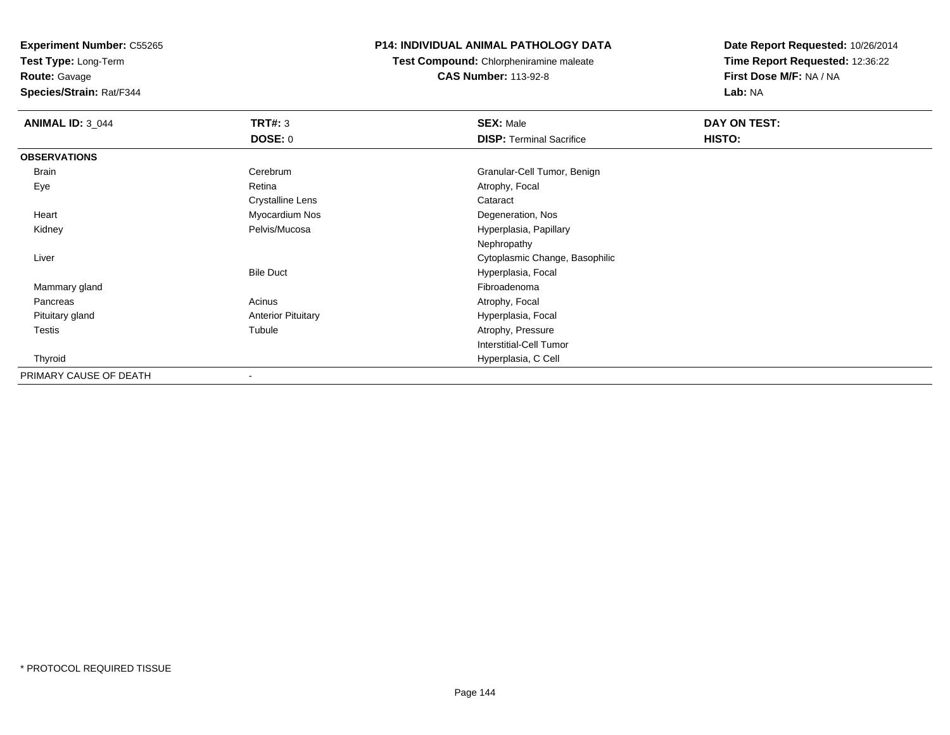**Test Type:** Long-Term

**Route:** Gavage

**Species/Strain:** Rat/F344

# **P14: INDIVIDUAL ANIMAL PATHOLOGY DATA**

**Test Compound:** Chlorpheniramine maleate**CAS Number:** 113-92-8

| <b>ANIMAL ID: 3_044</b> | <b>TRT#: 3</b>            | <b>SEX: Male</b>                | <b>DAY ON TEST:</b> |  |
|-------------------------|---------------------------|---------------------------------|---------------------|--|
|                         | <b>DOSE: 0</b>            | <b>DISP: Terminal Sacrifice</b> | HISTO:              |  |
| <b>OBSERVATIONS</b>     |                           |                                 |                     |  |
| Brain                   | Cerebrum                  | Granular-Cell Tumor, Benign     |                     |  |
| Eye                     | Retina                    | Atrophy, Focal                  |                     |  |
|                         | Crystalline Lens          | Cataract                        |                     |  |
| Heart                   | Myocardium Nos            | Degeneration, Nos               |                     |  |
| Kidney                  | Pelvis/Mucosa             | Hyperplasia, Papillary          |                     |  |
|                         |                           | Nephropathy                     |                     |  |
| Liver                   |                           | Cytoplasmic Change, Basophilic  |                     |  |
|                         | <b>Bile Duct</b>          | Hyperplasia, Focal              |                     |  |
| Mammary gland           |                           | Fibroadenoma                    |                     |  |
| Pancreas                | Acinus                    | Atrophy, Focal                  |                     |  |
| Pituitary gland         | <b>Anterior Pituitary</b> | Hyperplasia, Focal              |                     |  |
| <b>Testis</b>           | Tubule                    | Atrophy, Pressure               |                     |  |
|                         |                           | <b>Interstitial-Cell Tumor</b>  |                     |  |
| Thyroid                 |                           | Hyperplasia, C Cell             |                     |  |
| PRIMARY CAUSE OF DEATH  | $\overline{\phantom{a}}$  |                                 |                     |  |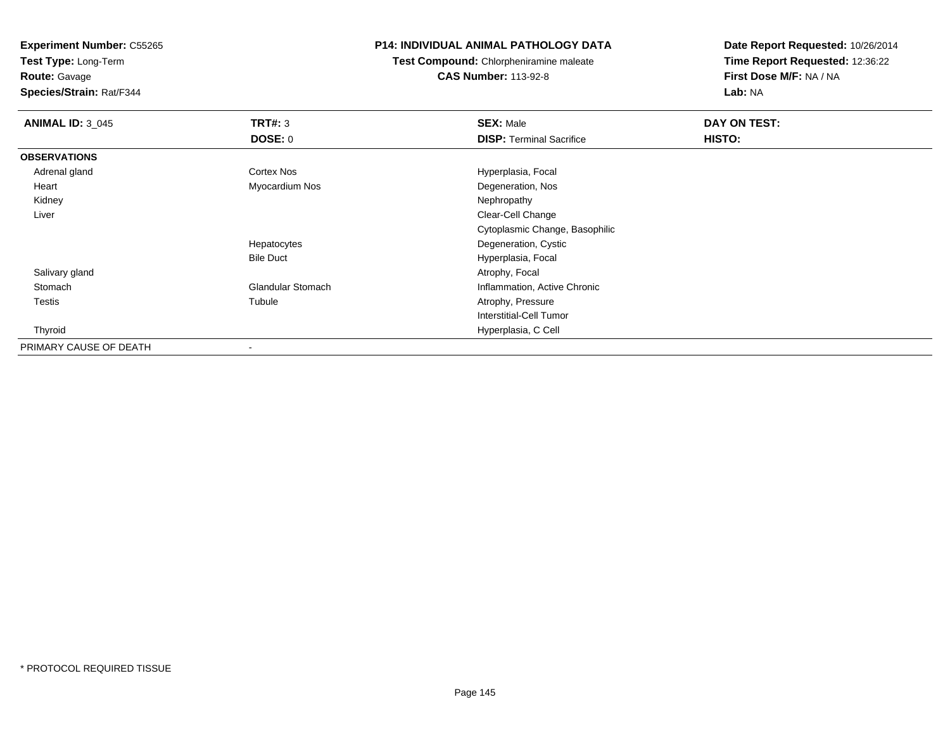**Test Type:** Long-Term

**Route:** Gavage

**Species/Strain:** Rat/F344

## **P14: INDIVIDUAL ANIMAL PATHOLOGY DATA**

**Test Compound:** Chlorpheniramine maleate**CAS Number:** 113-92-8

| <b>ANIMAL ID: 3_045</b> | TRT#: 3                  | <b>SEX: Male</b>                | DAY ON TEST: |  |
|-------------------------|--------------------------|---------------------------------|--------------|--|
|                         | <b>DOSE: 0</b>           | <b>DISP: Terminal Sacrifice</b> | HISTO:       |  |
| <b>OBSERVATIONS</b>     |                          |                                 |              |  |
| Adrenal gland           | Cortex Nos               | Hyperplasia, Focal              |              |  |
| Heart                   | Myocardium Nos           | Degeneration, Nos               |              |  |
| Kidney                  |                          | Nephropathy                     |              |  |
| Liver                   |                          | Clear-Cell Change               |              |  |
|                         |                          | Cytoplasmic Change, Basophilic  |              |  |
|                         | Hepatocytes              | Degeneration, Cystic            |              |  |
|                         | <b>Bile Duct</b>         | Hyperplasia, Focal              |              |  |
| Salivary gland          |                          | Atrophy, Focal                  |              |  |
| Stomach                 | <b>Glandular Stomach</b> | Inflammation, Active Chronic    |              |  |
| <b>Testis</b>           | Tubule                   | Atrophy, Pressure               |              |  |
|                         |                          | Interstitial-Cell Tumor         |              |  |
| Thyroid                 |                          | Hyperplasia, C Cell             |              |  |
| PRIMARY CAUSE OF DEATH  |                          |                                 |              |  |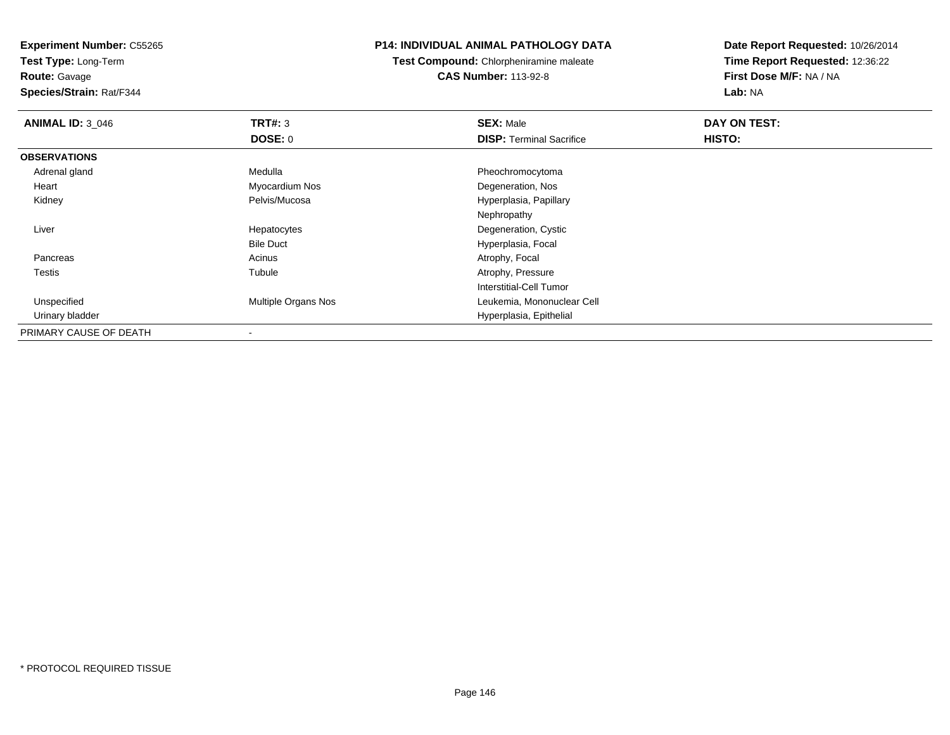**Test Type:** Long-Term

**Route:** Gavage

**Species/Strain:** Rat/F344

## **P14: INDIVIDUAL ANIMAL PATHOLOGY DATA**

**Test Compound:** Chlorpheniramine maleate**CAS Number:** 113-92-8

| <b>ANIMAL ID: 3 046</b> | TRT#: 3             | <b>SEX: Male</b>                | DAY ON TEST: |  |
|-------------------------|---------------------|---------------------------------|--------------|--|
|                         | <b>DOSE: 0</b>      | <b>DISP: Terminal Sacrifice</b> | HISTO:       |  |
| <b>OBSERVATIONS</b>     |                     |                                 |              |  |
| Adrenal gland           | Medulla             | Pheochromocytoma                |              |  |
| Heart                   | Myocardium Nos      | Degeneration, Nos               |              |  |
| Kidney                  | Pelvis/Mucosa       | Hyperplasia, Papillary          |              |  |
|                         |                     | Nephropathy                     |              |  |
| Liver                   | Hepatocytes         | Degeneration, Cystic            |              |  |
|                         | <b>Bile Duct</b>    | Hyperplasia, Focal              |              |  |
| Pancreas                | Acinus              | Atrophy, Focal                  |              |  |
| Testis                  | Tubule              | Atrophy, Pressure               |              |  |
|                         |                     | Interstitial-Cell Tumor         |              |  |
| Unspecified             | Multiple Organs Nos | Leukemia, Mononuclear Cell      |              |  |
| Urinary bladder         |                     | Hyperplasia, Epithelial         |              |  |
| PRIMARY CAUSE OF DEATH  | $\,$                |                                 |              |  |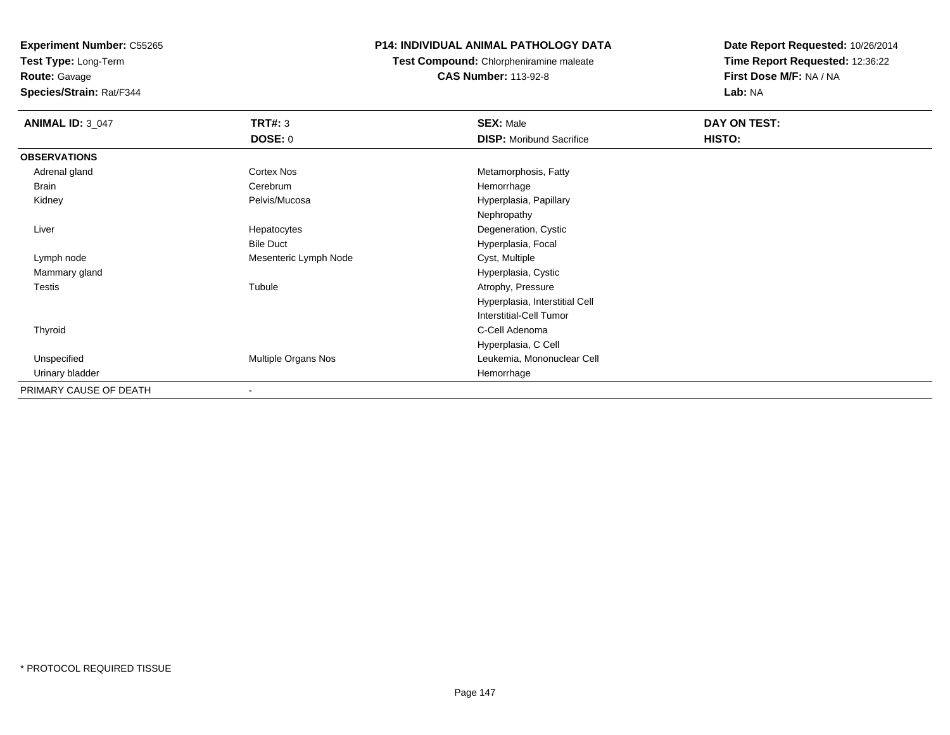**Test Type:** Long-Term**Route:** Gavage

**Species/Strain:** Rat/F344

## **P14: INDIVIDUAL ANIMAL PATHOLOGY DATA**

**Test Compound:** Chlorpheniramine maleate**CAS Number:** 113-92-8

| <b>ANIMAL ID: 3_047</b> | <b>TRT#: 3</b>        | <b>SEX: Male</b>                | DAY ON TEST: |  |
|-------------------------|-----------------------|---------------------------------|--------------|--|
|                         | <b>DOSE: 0</b>        | <b>DISP:</b> Moribund Sacrifice | HISTO:       |  |
| <b>OBSERVATIONS</b>     |                       |                                 |              |  |
| Adrenal gland           | <b>Cortex Nos</b>     | Metamorphosis, Fatty            |              |  |
| <b>Brain</b>            | Cerebrum              | Hemorrhage                      |              |  |
| Kidney                  | Pelvis/Mucosa         | Hyperplasia, Papillary          |              |  |
|                         |                       | Nephropathy                     |              |  |
| Liver                   | Hepatocytes           | Degeneration, Cystic            |              |  |
|                         | <b>Bile Duct</b>      | Hyperplasia, Focal              |              |  |
| Lymph node              | Mesenteric Lymph Node | Cyst, Multiple                  |              |  |
| Mammary gland           |                       | Hyperplasia, Cystic             |              |  |
| Testis                  | Tubule                | Atrophy, Pressure               |              |  |
|                         |                       | Hyperplasia, Interstitial Cell  |              |  |
|                         |                       | <b>Interstitial-Cell Tumor</b>  |              |  |
| Thyroid                 |                       | C-Cell Adenoma                  |              |  |
|                         |                       | Hyperplasia, C Cell             |              |  |
| Unspecified             | Multiple Organs Nos   | Leukemia, Mononuclear Cell      |              |  |
| Urinary bladder         |                       | Hemorrhage                      |              |  |
| PRIMARY CAUSE OF DEATH  |                       |                                 |              |  |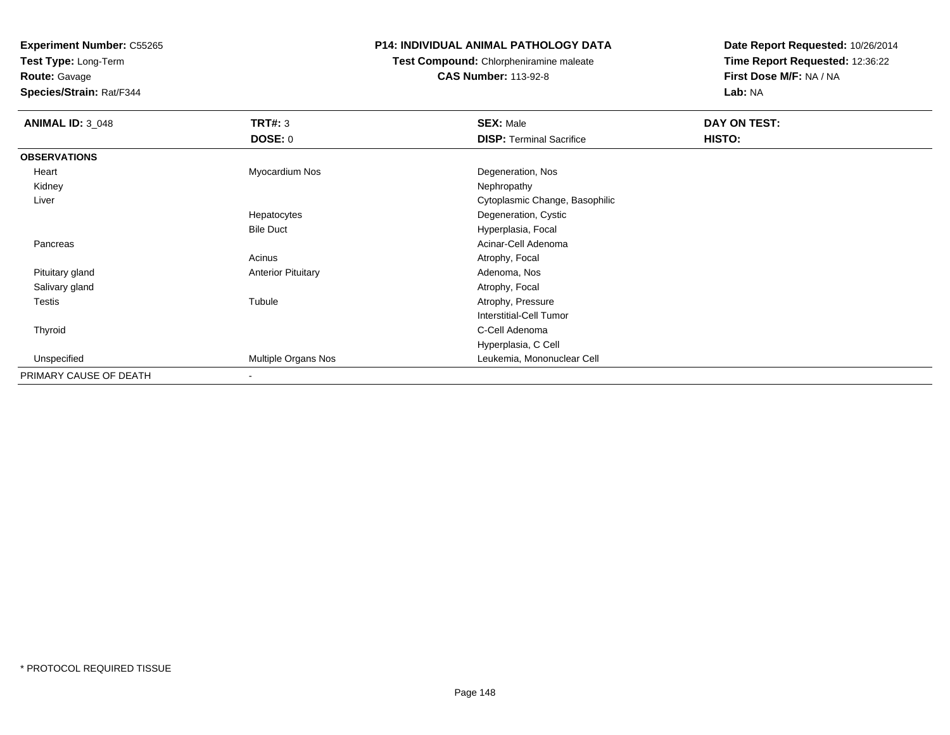**Test Type:** Long-Term

**Route:** Gavage

**Species/Strain:** Rat/F344

## **P14: INDIVIDUAL ANIMAL PATHOLOGY DATA**

**Test Compound:** Chlorpheniramine maleate**CAS Number:** 113-92-8

| <b>ANIMAL ID: 3_048</b> | TRT#: 3                   | <b>SEX: Male</b>                | DAY ON TEST: |  |
|-------------------------|---------------------------|---------------------------------|--------------|--|
|                         | <b>DOSE: 0</b>            | <b>DISP: Terminal Sacrifice</b> | HISTO:       |  |
| <b>OBSERVATIONS</b>     |                           |                                 |              |  |
| Heart                   | Myocardium Nos            | Degeneration, Nos               |              |  |
| Kidney                  |                           | Nephropathy                     |              |  |
| Liver                   |                           | Cytoplasmic Change, Basophilic  |              |  |
|                         | Hepatocytes               | Degeneration, Cystic            |              |  |
|                         | <b>Bile Duct</b>          | Hyperplasia, Focal              |              |  |
| Pancreas                |                           | Acinar-Cell Adenoma             |              |  |
|                         | Acinus                    | Atrophy, Focal                  |              |  |
| Pituitary gland         | <b>Anterior Pituitary</b> | Adenoma, Nos                    |              |  |
| Salivary gland          |                           | Atrophy, Focal                  |              |  |
| Testis                  | Tubule                    | Atrophy, Pressure               |              |  |
|                         |                           | Interstitial-Cell Tumor         |              |  |
| Thyroid                 |                           | C-Cell Adenoma                  |              |  |
|                         |                           | Hyperplasia, C Cell             |              |  |
| Unspecified             | Multiple Organs Nos       | Leukemia, Mononuclear Cell      |              |  |
| PRIMARY CAUSE OF DEATH  | $\overline{\phantom{a}}$  |                                 |              |  |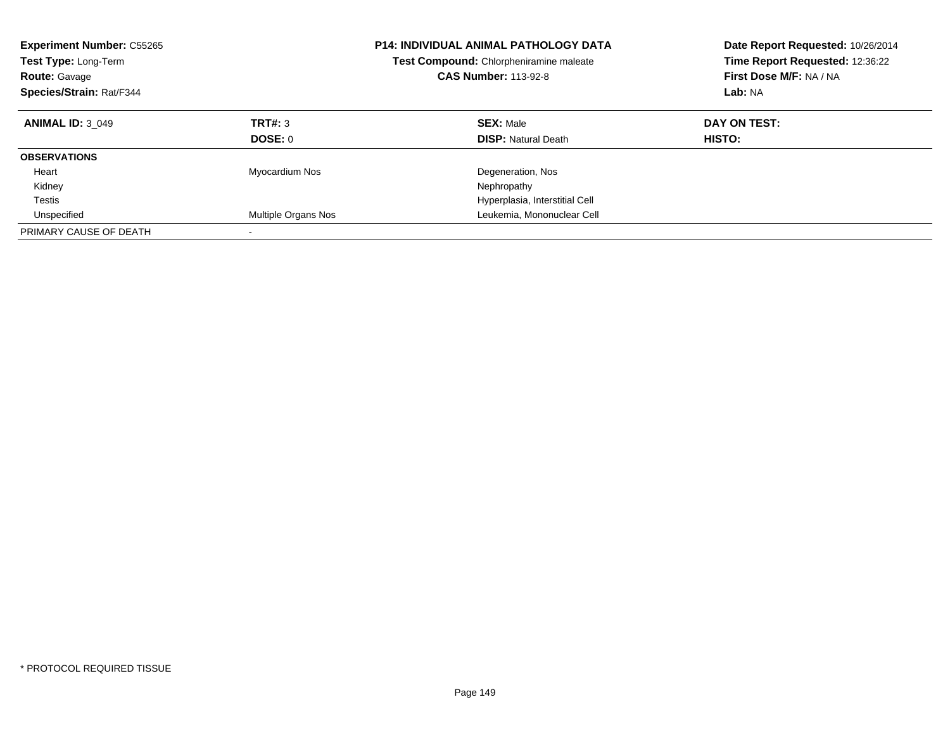| <b>Experiment Number: C55265</b><br>Test Type: Long-Term<br><b>Route: Gavage</b><br>Species/Strain: Rat/F344 |                          | <b>P14: INDIVIDUAL ANIMAL PATHOLOGY DATA</b><br>Test Compound: Chlorpheniramine maleate<br><b>CAS Number: 113-92-8</b> | Date Report Requested: 10/26/2014<br>Time Report Requested: 12:36:22<br>First Dose M/F: NA / NA<br>Lab: NA |
|--------------------------------------------------------------------------------------------------------------|--------------------------|------------------------------------------------------------------------------------------------------------------------|------------------------------------------------------------------------------------------------------------|
| <b>ANIMAL ID: 3 049</b>                                                                                      | TRT#: 3                  | <b>SEX: Male</b>                                                                                                       | DAY ON TEST:                                                                                               |
|                                                                                                              | <b>DOSE: 0</b>           | <b>DISP:</b> Natural Death                                                                                             | <b>HISTO:</b>                                                                                              |
| <b>OBSERVATIONS</b>                                                                                          |                          |                                                                                                                        |                                                                                                            |
| Heart                                                                                                        | Myocardium Nos           | Degeneration, Nos                                                                                                      |                                                                                                            |
| Kidney                                                                                                       |                          | Nephropathy                                                                                                            |                                                                                                            |
| Testis                                                                                                       |                          | Hyperplasia, Interstitial Cell                                                                                         |                                                                                                            |
| Unspecified                                                                                                  | Multiple Organs Nos      | Leukemia, Mononuclear Cell                                                                                             |                                                                                                            |
| PRIMARY CAUSE OF DEATH                                                                                       | $\overline{\phantom{a}}$ |                                                                                                                        |                                                                                                            |